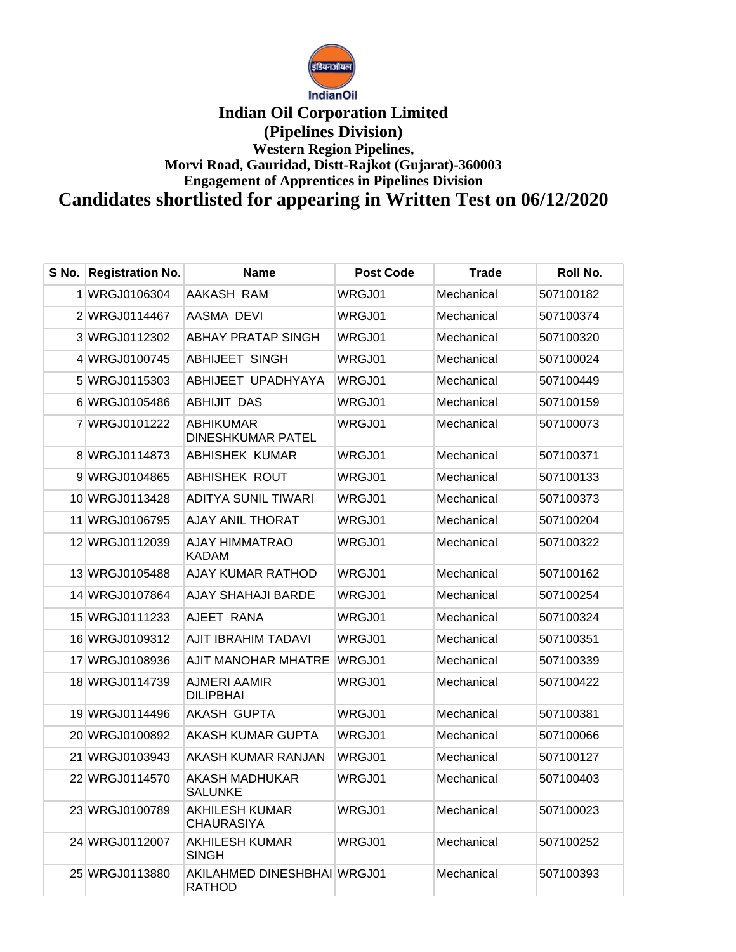

## **Indian Oil Corporation Limited (Pipelines Division) Western Region Pipelines, Morvi Road, Gauridad, Distt-Rajkot (Gujarat)-360003 Engagement of Apprentices in Pipelines Division Candidates shortlisted for appearing in Written Test on 06/12/2020**

| S No. | <b>Registration No.</b> | <b>Name</b>                                  | <b>Post Code</b> | <b>Trade</b> | Roll No.  |
|-------|-------------------------|----------------------------------------------|------------------|--------------|-----------|
|       | 1 WRGJ0106304           | AAKASH RAM                                   | WRGJ01           | Mechanical   | 507100182 |
|       | 2 WRGJ0114467           | AASMA DEVI                                   | WRGJ01           | Mechanical   | 507100374 |
|       | 3 WRGJ0112302           | ABHAY PRATAP SINGH                           | WRGJ01           | Mechanical   | 507100320 |
|       | 4 WRGJ0100745           | <b>ABHIJEET SINGH</b>                        | WRGJ01           | Mechanical   | 507100024 |
|       | 5 WRGJ0115303           | ABHIJEET UPADHYAYA                           | WRGJ01           | Mechanical   | 507100449 |
|       | 6 WRGJ0105486           | ABHIJIT DAS                                  | WRGJ01           | Mechanical   | 507100159 |
|       | 7 WRGJ0101222           | ABHIKUMAR<br><b>DINESHKUMAR PATEL</b>        | WRGJ01           | Mechanical   | 507100073 |
|       | 8 WRGJ0114873           | <b>ABHISHEK KUMAR</b>                        | WRGJ01           | Mechanical   | 507100371 |
|       | 9 WRGJ0104865           | ABHISHEK ROUT                                | WRGJ01           | Mechanical   | 507100133 |
|       | 10 WRGJ0113428          | <b>ADITYA SUNIL TIWARI</b>                   | WRGJ01           | Mechanical   | 507100373 |
| 11.   | WRGJ0106795             | <b>AJAY ANIL THORAT</b>                      | WRGJ01           | Mechanical   | 507100204 |
|       | 12 WRGJ0112039          | AJAY HIMMATRAO<br><b>KADAM</b>               | WRGJ01           | Mechanical   | 507100322 |
|       | 13 WRGJ0105488          | AJAY KUMAR RATHOD                            | WRGJ01           | Mechanical   | 507100162 |
|       | 14 WRGJ0107864          | AJAY SHAHAJI BARDE                           | WRGJ01           | Mechanical   | 507100254 |
|       | 15 WRGJ0111233          | AJEET RANA                                   | WRGJ01           | Mechanical   | 507100324 |
|       | 16 WRGJ0109312          | AJIT IBRAHIM TADAVI                          | WRGJ01           | Mechanical   | 507100351 |
|       | 17 WRGJ0108936          | AJIT MANOHAR MHATRE                          | WRGJ01           | Mechanical   | 507100339 |
|       | 18 WRGJ0114739          | AJMERI AAMIR<br><b>DILIPBHAI</b>             | WRGJ01           | Mechanical   | 507100422 |
|       | 19 WRGJ0114496          | <b>AKASH GUPTA</b>                           | WRGJ01           | Mechanical   | 507100381 |
|       | 20 WRGJ0100892          | AKASH KUMAR GUPTA                            | WRGJ01           | Mechanical   | 507100066 |
|       | 21 WRGJ0103943          | AKASH KUMAR RANJAN                           | WRGJ01           | Mechanical   | 507100127 |
|       | 22 WRGJ0114570          | AKASH MADHUKAR<br>SALUNKE                    | WRGJ01           | Mechanical   | 507100403 |
|       | 23 WRGJ0100789          | AKHILESH KUMAR<br><b>CHAURASIYA</b>          | WRGJ01           | Mechanical   | 507100023 |
|       | 24 WRGJ0112007          | <b>AKHILESH KUMAR</b><br><b>SINGH</b>        | WRGJ01           | Mechanical   | 507100252 |
|       | 25 WRGJ0113880          | AKILAHMED DINESHBHAI WRGJ01<br><b>RATHOD</b> |                  | Mechanical   | 507100393 |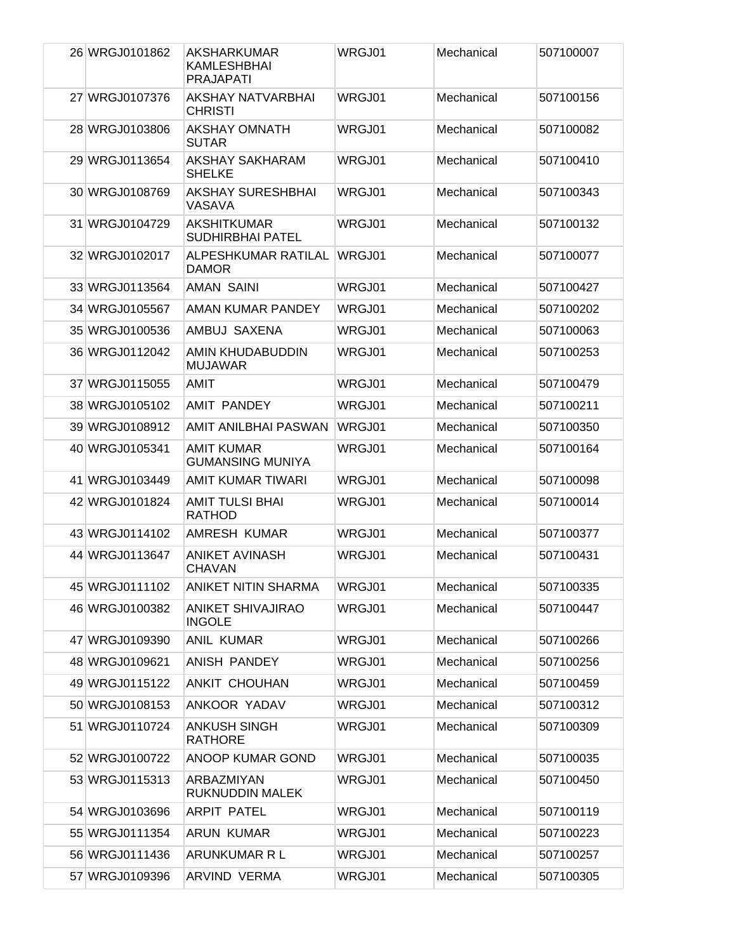| 26 WRGJ0101862 | AKSHARKUMAR<br>KAMLESHBHAI<br><b>PRAJAPATI</b> | WRGJ01 | Mechanical | 507100007 |
|----------------|------------------------------------------------|--------|------------|-----------|
| 27 WRGJ0107376 | AKSHAY NATVARBHAI<br><b>CHRISTI</b>            | WRGJ01 | Mechanical | 507100156 |
| 28 WRGJ0103806 | AKSHAY OMNATH<br><b>SUTAR</b>                  | WRGJ01 | Mechanical | 507100082 |
| 29 WRGJ0113654 | AKSHAY SAKHARAM<br><b>SHELKE</b>               | WRGJ01 | Mechanical | 507100410 |
| 30 WRGJ0108769 | <b>AKSHAY SURESHBHAI</b><br>VASAVA             | WRGJ01 | Mechanical | 507100343 |
| 31 WRGJ0104729 | AKSHITKUMAR<br><b>SUDHIRBHAI PATEL</b>         | WRGJ01 | Mechanical | 507100132 |
| 32 WRGJ0102017 | ALPESHKUMAR RATILAL<br><b>DAMOR</b>            | WRGJ01 | Mechanical | 507100077 |
| 33 WRGJ0113564 | <b>AMAN SAINI</b>                              | WRGJ01 | Mechanical | 507100427 |
| 34 WRGJ0105567 | AMAN KUMAR PANDEY                              | WRGJ01 | Mechanical | 507100202 |
| 35 WRGJ0100536 | AMBUJ SAXENA                                   | WRGJ01 | Mechanical | 507100063 |
| 36 WRGJ0112042 | AMIN KHUDABUDDIN<br><b>MUJAWAR</b>             | WRGJ01 | Mechanical | 507100253 |
| 37 WRGJ0115055 | AMIT                                           | WRGJ01 | Mechanical | 507100479 |
| 38 WRGJ0105102 | <b>AMIT PANDEY</b>                             | WRGJ01 | Mechanical | 507100211 |
| 39 WRGJ0108912 | AMIT ANILBHAI PASWAN                           | WRGJ01 | Mechanical | 507100350 |
| 40 WRGJ0105341 | <b>AMIT KUMAR</b><br><b>GUMANSING MUNIYA</b>   | WRGJ01 | Mechanical | 507100164 |
| 41 WRGJ0103449 | AMIT KUMAR TIWARI                              | WRGJ01 | Mechanical | 507100098 |
| 42 WRGJ0101824 | <b>AMIT TULSI BHAI</b><br><b>RATHOD</b>        | WRGJ01 | Mechanical | 507100014 |
| 43 WRGJ0114102 | AMRESH KUMAR                                   | WRGJ01 | Mechanical | 507100377 |
| 44 WRGJ0113647 | <b>ANIKET AVINASH</b><br><b>CHAVAN</b>         | WRGJ01 | Mechanical | 507100431 |
| 45 WRGJ0111102 | <b>ANIKET NITIN SHARMA</b>                     | WRGJ01 | Mechanical | 507100335 |
| 46 WRGJ0100382 | <b>ANIKET SHIVAJIRAO</b><br><b>INGOLE</b>      | WRGJ01 | Mechanical | 507100447 |
| 47 WRGJ0109390 | <b>ANIL KUMAR</b>                              | WRGJ01 | Mechanical | 507100266 |
| 48 WRGJ0109621 | ANISH PANDEY                                   | WRGJ01 | Mechanical | 507100256 |
| 49 WRGJ0115122 | ANKIT CHOUHAN                                  | WRGJ01 | Mechanical | 507100459 |
| 50 WRGJ0108153 | ANKOOR YADAV                                   | WRGJ01 | Mechanical | 507100312 |
| 51 WRGJ0110724 | <b>ANKUSH SINGH</b><br><b>RATHORE</b>          | WRGJ01 | Mechanical | 507100309 |
| 52 WRGJ0100722 | ANOOP KUMAR GOND                               | WRGJ01 | Mechanical | 507100035 |
| 53 WRGJ0115313 | ARBAZMIYAN<br>RUKNUDDIN MALEK                  | WRGJ01 | Mechanical | 507100450 |
| 54 WRGJ0103696 | <b>ARPIT PATEL</b>                             | WRGJ01 | Mechanical | 507100119 |
| 55 WRGJ0111354 | <b>ARUN KUMAR</b>                              | WRGJ01 | Mechanical | 507100223 |
| 56 WRGJ0111436 | ARUNKUMAR R L                                  | WRGJ01 | Mechanical | 507100257 |
| 57 WRGJ0109396 | ARVIND VERMA                                   | WRGJ01 | Mechanical | 507100305 |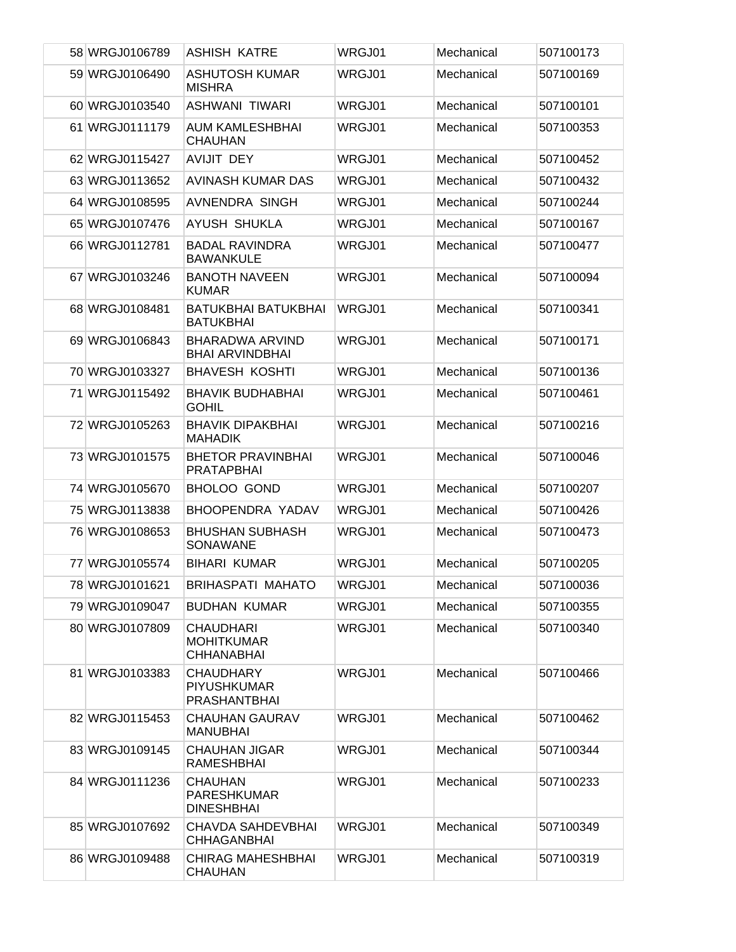| 58 WRGJ0106789 | <b>ASHISH KATRE</b>                                           | WRGJ01 | Mechanical | 507100173 |
|----------------|---------------------------------------------------------------|--------|------------|-----------|
| 59 WRGJ0106490 | <b>ASHUTOSH KUMAR</b><br><b>MISHRA</b>                        | WRGJ01 | Mechanical | 507100169 |
| 60 WRGJ0103540 | ASHWANI TIWARI                                                | WRGJ01 | Mechanical | 507100101 |
| 61 WRGJ0111179 | <b>AUM KAMLESHBHAI</b><br><b>CHAUHAN</b>                      | WRGJ01 | Mechanical | 507100353 |
| 62 WRGJ0115427 | <b>AVIJIT DEY</b>                                             | WRGJ01 | Mechanical | 507100452 |
| 63 WRGJ0113652 | AVINASH KUMAR DAS                                             | WRGJ01 | Mechanical | 507100432 |
| 64 WRGJ0108595 | AVNENDRA SINGH                                                | WRGJ01 | Mechanical | 507100244 |
| 65 WRGJ0107476 | AYUSH SHUKLA                                                  | WRGJ01 | Mechanical | 507100167 |
| 66 WRGJ0112781 | <b>BADAL RAVINDRA</b><br><b>BAWANKULE</b>                     | WRGJ01 | Mechanical | 507100477 |
| 67 WRGJ0103246 | <b>BANOTH NAVEEN</b><br><b>KUMAR</b>                          | WRGJ01 | Mechanical | 507100094 |
| 68 WRGJ0108481 | BATUKBHAI BATUKBHAI<br><b>BATUKBHAI</b>                       | WRGJ01 | Mechanical | 507100341 |
| 69 WRGJ0106843 | <b>BHARADWA ARVIND</b><br><b>BHAI ARVINDBHAI</b>              | WRGJ01 | Mechanical | 507100171 |
| 70 WRGJ0103327 | <b>BHAVESH KOSHTI</b>                                         | WRGJ01 | Mechanical | 507100136 |
| 71 WRGJ0115492 | <b>BHAVIK BUDHABHAI</b><br><b>GOHIL</b>                       | WRGJ01 | Mechanical | 507100461 |
| 72 WRGJ0105263 | <b>BHAVIK DIPAKBHAI</b><br><b>MAHADIK</b>                     | WRGJ01 | Mechanical | 507100216 |
| 73 WRGJ0101575 | <b>BHETOR PRAVINBHAI</b><br><b>PRATAPBHAI</b>                 | WRGJ01 | Mechanical | 507100046 |
| 74 WRGJ0105670 | <b>BHOLOO GOND</b>                                            | WRGJ01 | Mechanical | 507100207 |
| 75 WRGJ0113838 | BHOOPENDRA YADAV                                              | WRGJ01 | Mechanical | 507100426 |
| 76 WRGJ0108653 | <b>BHUSHAN SUBHASH</b><br>SONAWANE                            | WRGJ01 | Mechanical | 507100473 |
| 77 WRGJ0105574 | <b>BIHARI KUMAR</b>                                           | WRGJ01 | Mechanical | 507100205 |
| 78 WRGJ0101621 | <b>BRIHASPATI MAHATO</b>                                      | WRGJ01 | Mechanical | 507100036 |
| 79 WRGJ0109047 | <b>BUDHAN KUMAR</b>                                           | WRGJ01 | Mechanical | 507100355 |
| 80 WRGJ0107809 | <b>CHAUDHARI</b><br><b>MOHITKUMAR</b><br><b>CHHANABHAI</b>    | WRGJ01 | Mechanical | 507100340 |
| 81 WRGJ0103383 | <b>CHAUDHARY</b><br><b>PIYUSHKUMAR</b><br><b>PRASHANTBHAI</b> | WRGJ01 | Mechanical | 507100466 |
| 82 WRGJ0115453 | <b>CHAUHAN GAURAV</b><br><b>MANUBHAI</b>                      | WRGJ01 | Mechanical | 507100462 |
| 83 WRGJ0109145 | <b>CHAUHAN JIGAR</b><br>RAMESHBHAI                            | WRGJ01 | Mechanical | 507100344 |
| 84 WRGJ0111236 | <b>CHAUHAN</b><br><b>PARESHKUMAR</b><br><b>DINESHBHAI</b>     | WRGJ01 | Mechanical | 507100233 |
| 85 WRGJ0107692 | <b>CHAVDA SAHDEVBHAI</b><br><b>CHHAGANBHAI</b>                | WRGJ01 | Mechanical | 507100349 |
| 86 WRGJ0109488 | <b>CHIRAG MAHESHBHAI</b><br><b>CHAUHAN</b>                    | WRGJ01 | Mechanical | 507100319 |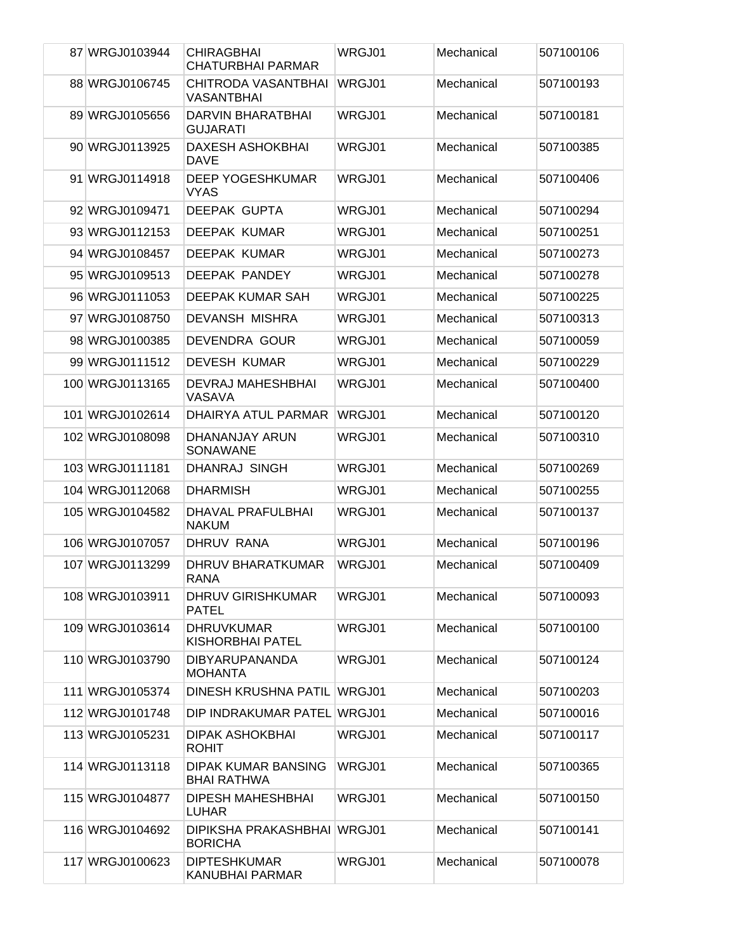| 87 WRGJ0103944  | <b>CHIRAGBHAI</b><br><b>CHATURBHAI PARMAR</b> | WRGJ01        | Mechanical | 507100106 |
|-----------------|-----------------------------------------------|---------------|------------|-----------|
| 88 WRGJ0106745  | CHITRODA VASANTBHAI<br><b>VASANTBHAI</b>      | <b>WRGJ01</b> | Mechanical | 507100193 |
| 89 WRGJ0105656  | <b>DARVIN BHARATBHAI</b><br><b>GUJARATI</b>   | WRGJ01        | Mechanical | 507100181 |
| 90 WRGJ0113925  | <b>DAXESH ASHOKBHAI</b><br><b>DAVE</b>        | WRGJ01        | Mechanical | 507100385 |
| 91 WRGJ0114918  | <b>DEEP YOGESHKUMAR</b><br><b>VYAS</b>        | WRGJ01        | Mechanical | 507100406 |
| 92 WRGJ0109471  | DEEPAK GUPTA                                  | WRGJ01        | Mechanical | 507100294 |
| 93 WRGJ0112153  | <b>DEEPAK KUMAR</b>                           | WRGJ01        | Mechanical | 507100251 |
| 94 WRGJ0108457  | <b>DEEPAK KUMAR</b>                           | WRGJ01        | Mechanical | 507100273 |
| 95 WRGJ0109513  | DEEPAK PANDEY                                 | WRGJ01        | Mechanical | 507100278 |
| 96 WRGJ0111053  | DEEPAK KUMAR SAH                              | WRGJ01        | Mechanical | 507100225 |
| 97 WRGJ0108750  | <b>DEVANSH MISHRA</b>                         | WRGJ01        | Mechanical | 507100313 |
| 98 WRGJ0100385  | DEVENDRA GOUR                                 | WRGJ01        | Mechanical | 507100059 |
| 99 WRGJ0111512  | <b>DEVESH KUMAR</b>                           | WRGJ01        | Mechanical | 507100229 |
| 100 WRGJ0113165 | DEVRAJ MAHESHBHAI<br>VASAVA                   | WRGJ01        | Mechanical | 507100400 |
| 101 WRGJ0102614 | DHAIRYA ATUL PARMAR                           | WRGJ01        | Mechanical | 507100120 |
| 102 WRGJ0108098 | DHANANJAY ARUN<br>SONAWANE                    | WRGJ01        | Mechanical | 507100310 |
| 103 WRGJ0111181 | DHANRAJ SINGH                                 | WRGJ01        | Mechanical | 507100269 |
| 104 WRGJ0112068 | <b>DHARMISH</b>                               | WRGJ01        | Mechanical | 507100255 |
| 105 WRGJ0104582 | <b>DHAVAL PRAFULBHAI</b><br><b>NAKUM</b>      | WRGJ01        | Mechanical | 507100137 |
| 106 WRGJ0107057 | DHRUV RANA                                    | WRGJ01        | Mechanical | 507100196 |
| 107 WRGJ0113299 | DHRUV BHARATKUMAR<br>RANA                     | WRGJ01        | Mechanical | 507100409 |
| 108 WRGJ0103911 | DHRUV GIRISHKUMAR<br><b>PATEL</b>             | WRGJ01        | Mechanical | 507100093 |
| 109 WRGJ0103614 | <b>DHRUVKUMAR</b><br><b>KISHORBHAI PATEL</b>  | WRGJ01        | Mechanical | 507100100 |
| 110 WRGJ0103790 | <b>DIBYARUPANANDA</b><br><b>MOHANTA</b>       | WRGJ01        | Mechanical | 507100124 |
| 111 WRGJ0105374 | DINESH KRUSHNA PATIL WRGJ01                   |               | Mechanical | 507100203 |
| 112 WRGJ0101748 | DIP INDRAKUMAR PATEL WRGJ01                   |               | Mechanical | 507100016 |
| 113 WRGJ0105231 | DIPAK ASHOKBHAI<br><b>ROHIT</b>               | WRGJ01        | Mechanical | 507100117 |
| 114 WRGJ0113118 | <b>DIPAK KUMAR BANSING</b><br>BHAI RATHWA     | WRGJ01        | Mechanical | 507100365 |
| 115 WRGJ0104877 | <b>DIPESH MAHESHBHAI</b><br><b>LUHAR</b>      | WRGJ01        | Mechanical | 507100150 |
| 116 WRGJ0104692 | DIPIKSHA PRAKASHBHAI WRGJ01<br><b>BORICHA</b> |               | Mechanical | 507100141 |
| 117 WRGJ0100623 | <b>DIPTESHKUMAR</b><br><b>KANUBHAI PARMAR</b> | WRGJ01        | Mechanical | 507100078 |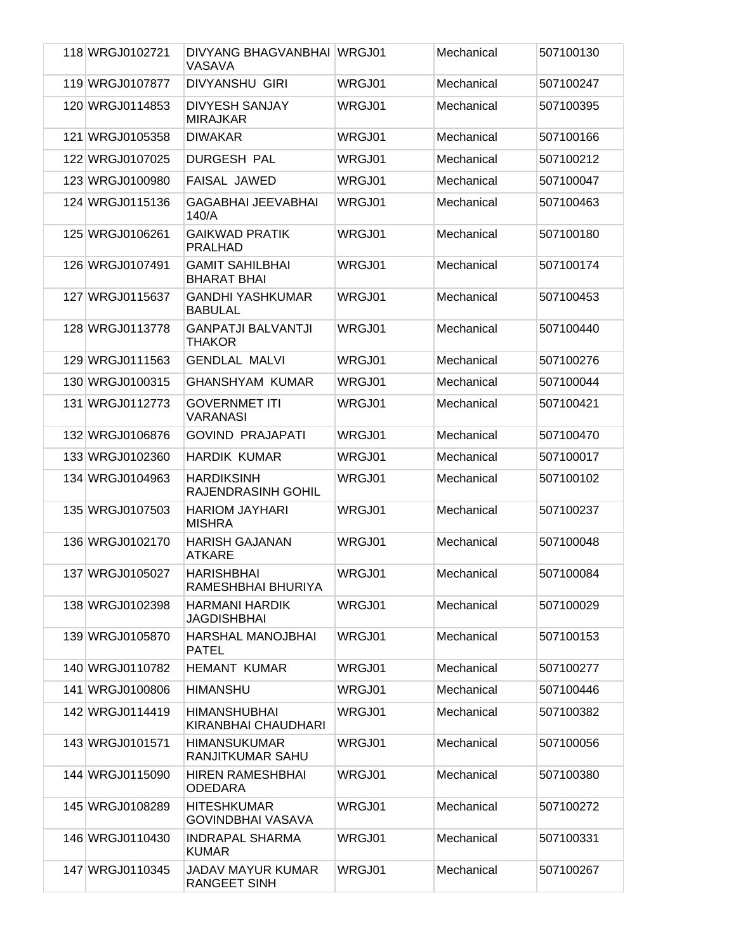| 118 WRGJ0102721 | DIVYANG BHAGVANBHAI WRGJ01<br>VASAVA           |        | Mechanical | 507100130 |
|-----------------|------------------------------------------------|--------|------------|-----------|
| 119 WRGJ0107877 | <b>DIVYANSHU GIRI</b>                          | WRGJ01 | Mechanical | 507100247 |
| 120 WRGJ0114853 | <b>DIVYESH SANJAY</b><br><b>MIRAJKAR</b>       | WRGJ01 | Mechanical | 507100395 |
| 121 WRGJ0105358 | <b>DIWAKAR</b>                                 | WRGJ01 | Mechanical | 507100166 |
| 122 WRGJ0107025 | <b>DURGESH PAL</b>                             | WRGJ01 | Mechanical | 507100212 |
| 123 WRGJ0100980 | <b>FAISAL JAWED</b>                            | WRGJ01 | Mechanical | 507100047 |
| 124 WRGJ0115136 | <b>GAGABHAI JEEVABHAI</b><br>140/A             | WRGJ01 | Mechanical | 507100463 |
| 125 WRGJ0106261 | <b>GAIKWAD PRATIK</b><br><b>PRALHAD</b>        | WRGJ01 | Mechanical | 507100180 |
| 126 WRGJ0107491 | <b>GAMIT SAHILBHAI</b><br><b>BHARAT BHAI</b>   | WRGJ01 | Mechanical | 507100174 |
| 127 WRGJ0115637 | <b>GANDHI YASHKUMAR</b><br><b>BABULAL</b>      | WRGJ01 | Mechanical | 507100453 |
| 128 WRGJ0113778 | <b>GANPATJI BALVANTJI</b><br><b>THAKOR</b>     | WRGJ01 | Mechanical | 507100440 |
| 129 WRGJ0111563 | <b>GENDLAL MALVI</b>                           | WRGJ01 | Mechanical | 507100276 |
| 130 WRGJ0100315 | <b>GHANSHYAM KUMAR</b>                         | WRGJ01 | Mechanical | 507100044 |
| 131 WRGJ0112773 | <b>GOVERNMET ITI</b><br><b>VARANASI</b>        | WRGJ01 | Mechanical | 507100421 |
| 132 WRGJ0106876 | <b>GOVIND PRAJAPATI</b>                        | WRGJ01 | Mechanical | 507100470 |
| 133 WRGJ0102360 | <b>HARDIK KUMAR</b>                            | WRGJ01 | Mechanical | 507100017 |
| 134 WRGJ0104963 | <b>HARDIKSINH</b><br><b>RAJENDRASINH GOHIL</b> | WRGJ01 | Mechanical | 507100102 |
| 135 WRGJ0107503 | <b>HARIOM JAYHARI</b><br><b>MISHRA</b>         | WRGJ01 | Mechanical | 507100237 |
| 136 WRGJ0102170 | <b>HARISH GAJANAN</b><br><b>ATKARE</b>         | WRGJ01 | Mechanical | 507100048 |
| 137 WRGJ0105027 | <b>HARISHBHAI</b><br>RAMESHBHAI BHURIYA        | WRGJ01 | Mechanical | 507100084 |
| 138 WRGJ0102398 | <b>HARMANI HARDIK</b><br><b>JAGDISHBHAI</b>    | WRGJ01 | Mechanical | 507100029 |
| 139 WRGJ0105870 | HARSHAL MANOJBHAI<br><b>PATEL</b>              | WRGJ01 | Mechanical | 507100153 |
| 140 WRGJ0110782 | <b>HEMANT KUMAR</b>                            | WRGJ01 | Mechanical | 507100277 |
| 141 WRGJ0100806 | <b>HIMANSHU</b>                                | WRGJ01 | Mechanical | 507100446 |
| 142 WRGJ0114419 | <b>HIMANSHUBHAI</b><br>KIRANBHAI CHAUDHARI     | WRGJ01 | Mechanical | 507100382 |
| 143 WRGJ0101571 | <b>HIMANSUKUMAR</b><br>RANJITKUMAR SAHU        | WRGJ01 | Mechanical | 507100056 |
| 144 WRGJ0115090 | <b>HIREN RAMESHBHAI</b><br><b>ODEDARA</b>      | WRGJ01 | Mechanical | 507100380 |
| 145 WRGJ0108289 | <b>HITESHKUMAR</b><br><b>GOVINDBHAI VASAVA</b> | WRGJ01 | Mechanical | 507100272 |
| 146 WRGJ0110430 | <b>INDRAPAL SHARMA</b><br><b>KUMAR</b>         | WRGJ01 | Mechanical | 507100331 |
| 147 WRGJ0110345 | <b>JADAV MAYUR KUMAR</b><br>RANGEET SINH       | WRGJ01 | Mechanical | 507100267 |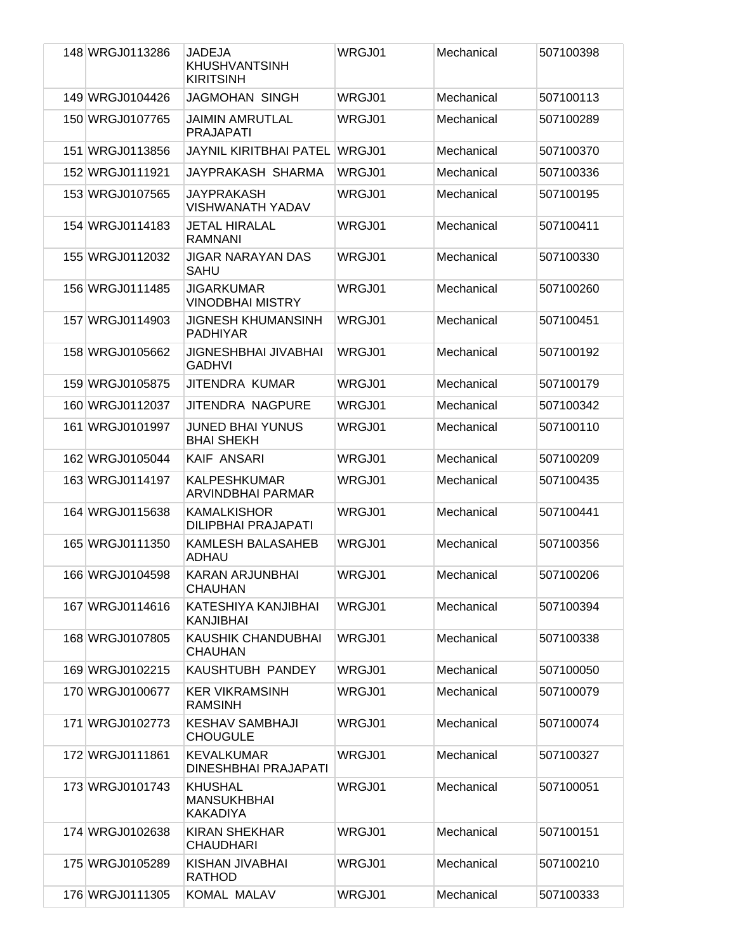| 148 WRGJ0113286 | <b>JADEJA</b><br><b>KHUSHVANTSINH</b><br><b>KIRITSINH</b> | WRGJ01 | Mechanical | 507100398 |
|-----------------|-----------------------------------------------------------|--------|------------|-----------|
| 149 WRGJ0104426 | <b>JAGMOHAN SINGH</b>                                     | WRGJ01 | Mechanical | 507100113 |
| 150 WRGJ0107765 | <b>JAIMIN AMRUTLAL</b><br><b>PRAJAPATI</b>                | WRGJ01 | Mechanical | 507100289 |
| 151 WRGJ0113856 | <b>JAYNIL KIRITBHAI PATEL</b>                             | WRGJ01 | Mechanical | 507100370 |
| 152 WRGJ0111921 | JAYPRAKASH SHARMA                                         | WRGJ01 | Mechanical | 507100336 |
| 153 WRGJ0107565 | JAYPRAKASH<br><b>VISHWANATH YADAV</b>                     | WRGJ01 | Mechanical | 507100195 |
| 154 WRGJ0114183 | <b>JETAL HIRALAL</b><br><b>RAMNANI</b>                    | WRGJ01 | Mechanical | 507100411 |
| 155 WRGJ0112032 | <b>JIGAR NARAYAN DAS</b><br><b>SAHU</b>                   | WRGJ01 | Mechanical | 507100330 |
| 156 WRGJ0111485 | JIGARKUMAR<br><b>VINODBHAI MISTRY</b>                     | WRGJ01 | Mechanical | 507100260 |
| 157 WRGJ0114903 | <b>JIGNESH KHUMANSINH</b><br><b>PADHIYAR</b>              | WRGJ01 | Mechanical | 507100451 |
| 158 WRGJ0105662 | JIGNESHBHAI JIVABHAI<br><b>GADHVI</b>                     | WRGJ01 | Mechanical | 507100192 |
| 159 WRGJ0105875 | <b>JITENDRA KUMAR</b>                                     | WRGJ01 | Mechanical | 507100179 |
| 160 WRGJ0112037 | JITENDRA NAGPURE                                          | WRGJ01 | Mechanical | 507100342 |
| 161 WRGJ0101997 | <b>JUNED BHAI YUNUS</b><br><b>BHAI SHEKH</b>              | WRGJ01 | Mechanical | 507100110 |
| 162 WRGJ0105044 | <b>KAIF ANSARI</b>                                        | WRGJ01 | Mechanical | 507100209 |
| 163 WRGJ0114197 | <b>KALPESHKUMAR</b><br><b>ARVINDBHAI PARMAR</b>           | WRGJ01 | Mechanical | 507100435 |
| 164 WRGJ0115638 | <b>KAMALKISHOR</b><br><b>DILIPBHAI PRAJAPATI</b>          | WRGJ01 | Mechanical | 507100441 |
| 165 WRGJ0111350 | KAMLESH BALASAHEB<br><b>ADHAU</b>                         | WRGJ01 | Mechanical | 507100356 |
| 166 WRGJ0104598 | KARAN ARJUNBHAI<br><b>CHAUHAN</b>                         | WRGJ01 | Mechanical | 507100206 |
| 167 WRGJ0114616 | KATESHIYA KANJIBHAI<br><b>KANJIBHAI</b>                   | WRGJ01 | Mechanical | 507100394 |
| 168 WRGJ0107805 | KAUSHIK CHANDUBHAI<br><b>CHAUHAN</b>                      | WRGJ01 | Mechanical | 507100338 |
| 169 WRGJ0102215 | KAUSHTUBH PANDEY                                          | WRGJ01 | Mechanical | 507100050 |
| 170 WRGJ0100677 | <b>KER VIKRAMSINH</b><br><b>RAMSINH</b>                   | WRGJ01 | Mechanical | 507100079 |
| 171 WRGJ0102773 | <b>KESHAV SAMBHAJI</b><br><b>CHOUGULE</b>                 | WRGJ01 | Mechanical | 507100074 |
| 172 WRGJ0111861 | <b>KEVALKUMAR</b><br>DINESHBHAI PRAJAPATI                 | WRGJ01 | Mechanical | 507100327 |
| 173 WRGJ0101743 | <b>KHUSHAL</b><br><b>MANSUKHBHAI</b><br><b>KAKADIYA</b>   | WRGJ01 | Mechanical | 507100051 |
| 174 WRGJ0102638 | <b>KIRAN SHEKHAR</b><br><b>CHAUDHARI</b>                  | WRGJ01 | Mechanical | 507100151 |
| 175 WRGJ0105289 | KISHAN JIVABHAI<br><b>RATHOD</b>                          | WRGJ01 | Mechanical | 507100210 |
| 176 WRGJ0111305 | KOMAL MALAV                                               | WRGJ01 | Mechanical | 507100333 |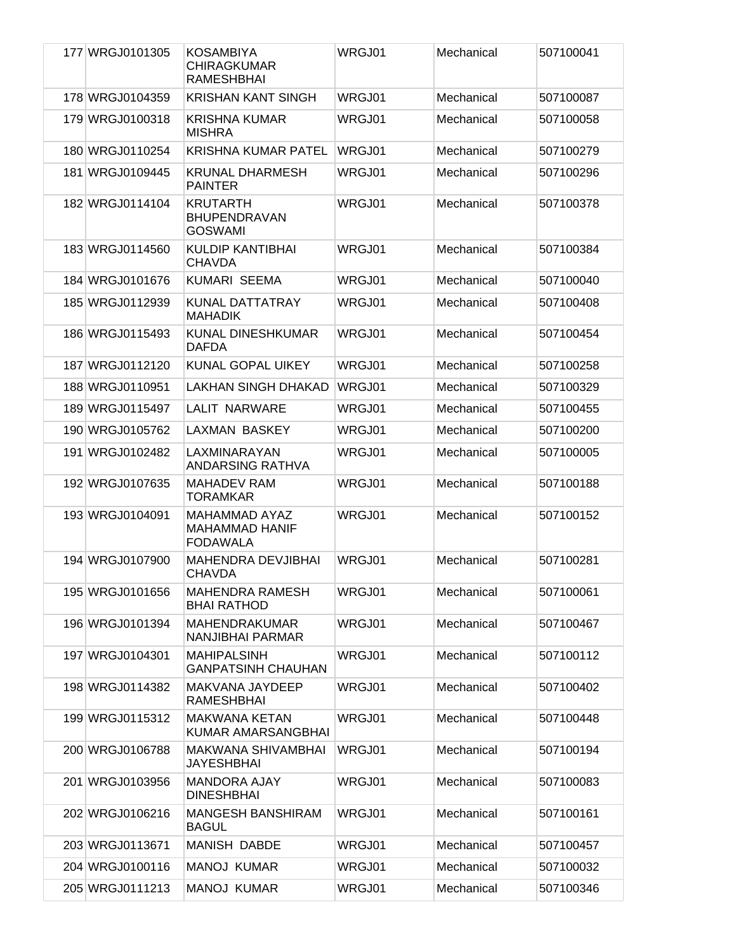| 177 WRGJ0101305 | KOSAMBIYA<br><b>CHIRAGKUMAR</b><br><b>RAMESHBHAI</b>             | WRGJ01 | Mechanical | 507100041 |
|-----------------|------------------------------------------------------------------|--------|------------|-----------|
| 178 WRGJ0104359 | <b>KRISHAN KANT SINGH</b>                                        | WRGJ01 | Mechanical | 507100087 |
| 179 WRGJ0100318 | <b>KRISHNA KUMAR</b><br><b>MISHRA</b>                            | WRGJ01 | Mechanical | 507100058 |
| 180 WRGJ0110254 | <b>KRISHNA KUMAR PATEL</b>                                       | WRGJ01 | Mechanical | 507100279 |
| 181 WRGJ0109445 | <b>KRUNAL DHARMESH</b><br><b>PAINTER</b>                         | WRGJ01 | Mechanical | 507100296 |
| 182 WRGJ0114104 | <b>KRUTARTH</b><br><b>BHUPENDRAVAN</b><br><b>GOSWAMI</b>         | WRGJ01 | Mechanical | 507100378 |
| 183 WRGJ0114560 | <b>KULDIP KANTIBHAI</b><br><b>CHAVDA</b>                         | WRGJ01 | Mechanical | 507100384 |
| 184 WRGJ0101676 | <b>KUMARI SEEMA</b>                                              | WRGJ01 | Mechanical | 507100040 |
| 185 WRGJ0112939 | KUNAL DATTATRAY<br><b>MAHADIK</b>                                | WRGJ01 | Mechanical | 507100408 |
| 186 WRGJ0115493 | <b>KUNAL DINESHKUMAR</b><br><b>DAFDA</b>                         | WRGJ01 | Mechanical | 507100454 |
| 187 WRGJ0112120 | <b>KUNAL GOPAL UIKEY</b>                                         | WRGJ01 | Mechanical | 507100258 |
| 188 WRGJ0110951 | <b>LAKHAN SINGH DHAKAD</b>                                       | WRGJ01 | Mechanical | 507100329 |
| 189 WRGJ0115497 | LALIT NARWARE                                                    | WRGJ01 | Mechanical | 507100455 |
| 190 WRGJ0105762 | LAXMAN BASKEY                                                    | WRGJ01 | Mechanical | 507100200 |
| 191 WRGJ0102482 | LAXMINARAYAN<br><b>ANDARSING RATHVA</b>                          | WRGJ01 | Mechanical | 507100005 |
| 192 WRGJ0107635 | <b>MAHADEV RAM</b><br><b>TORAMKAR</b>                            | WRGJ01 | Mechanical | 507100188 |
| 193 WRGJ0104091 | <b>MAHAMMAD AYAZ</b><br><b>MAHAMMAD HANIF</b><br><b>FODAWALA</b> | WRGJ01 | Mechanical | 507100152 |
| 194 WRGJ0107900 | <b>MAHENDRA DEVJIBHAI</b><br><b>CHAVDA</b>                       | WRGJ01 | Mechanical | 507100281 |
| 195 WRGJ0101656 | <b>MAHENDRA RAMESH</b><br><b>BHAI RATHOD</b>                     | WRGJ01 | Mechanical | 507100061 |
| 196 WRGJ0101394 | <b>MAHENDRAKUMAR</b><br>NANJIBHAI PARMAR                         | WRGJ01 | Mechanical | 507100467 |
| 197 WRGJ0104301 | <b>MAHIPALSINH</b><br><b>GANPATSINH CHAUHAN</b>                  | WRGJ01 | Mechanical | 507100112 |
| 198 WRGJ0114382 | MAKVANA JAYDEEP<br><b>RAMESHBHAI</b>                             | WRGJ01 | Mechanical | 507100402 |
| 199 WRGJ0115312 | <b>MAKWANA KETAN</b><br>KUMAR AMARSANGBHAI                       | WRGJ01 | Mechanical | 507100448 |
| 200 WRGJ0106788 | <b>MAKWANA SHIVAMBHAI</b><br><b>JAYESHBHAI</b>                   | WRGJ01 | Mechanical | 507100194 |
| 201 WRGJ0103956 | <b>MANDORA AJAY</b><br><b>DINESHBHAI</b>                         | WRGJ01 | Mechanical | 507100083 |
| 202 WRGJ0106216 | <b>MANGESH BANSHIRAM</b><br><b>BAGUL</b>                         | WRGJ01 | Mechanical | 507100161 |
| 203 WRGJ0113671 | <b>MANISH DABDE</b>                                              | WRGJ01 | Mechanical | 507100457 |
| 204 WRGJ0100116 | <b>MANOJ KUMAR</b>                                               | WRGJ01 | Mechanical | 507100032 |
| 205 WRGJ0111213 | <b>MANOJ KUMAR</b>                                               | WRGJ01 | Mechanical | 507100346 |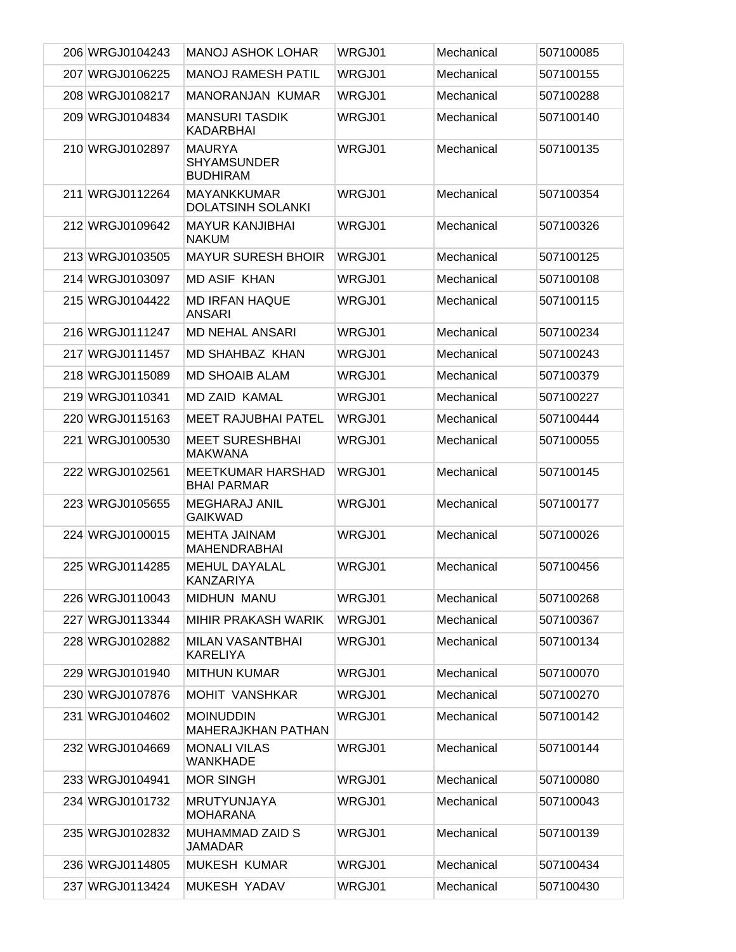| 206 WRGJ0104243 | <b>MANOJ ASHOK LOHAR</b>                               | WRGJ01 | Mechanical | 507100085 |
|-----------------|--------------------------------------------------------|--------|------------|-----------|
| 207 WRGJ0106225 | <b>MANOJ RAMESH PATIL</b>                              | WRGJ01 | Mechanical | 507100155 |
| 208 WRGJ0108217 | <b>MANORANJAN KUMAR</b>                                | WRGJ01 | Mechanical | 507100288 |
| 209 WRGJ0104834 | <b>MANSURI TASDIK</b><br><b>KADARBHAI</b>              | WRGJ01 | Mechanical | 507100140 |
| 210 WRGJ0102897 | <b>MAURYA</b><br><b>SHYAMSUNDER</b><br><b>BUDHIRAM</b> | WRGJ01 | Mechanical | 507100135 |
| 211 WRGJ0112264 | <b>MAYANKKUMAR</b><br><b>DOLATSINH SOLANKI</b>         | WRGJ01 | Mechanical | 507100354 |
| 212 WRGJ0109642 | <b>MAYUR KANJIBHAI</b><br><b>NAKUM</b>                 | WRGJ01 | Mechanical | 507100326 |
| 213 WRGJ0103505 | <b>MAYUR SURESH BHOIR</b>                              | WRGJ01 | Mechanical | 507100125 |
| 214 WRGJ0103097 | <b>MD ASIF KHAN</b>                                    | WRGJ01 | Mechanical | 507100108 |
| 215 WRGJ0104422 | <b>MD IRFAN HAQUE</b><br><b>ANSARI</b>                 | WRGJ01 | Mechanical | 507100115 |
| 216 WRGJ0111247 | <b>MD NEHAL ANSARI</b>                                 | WRGJ01 | Mechanical | 507100234 |
| 217 WRGJ0111457 | <b>MD SHAHBAZ KHAN</b>                                 | WRGJ01 | Mechanical | 507100243 |
| 218 WRGJ0115089 | <b>MD SHOAIB ALAM</b>                                  | WRGJ01 | Mechanical | 507100379 |
| 219 WRGJ0110341 | <b>MD ZAID KAMAL</b>                                   | WRGJ01 | Mechanical | 507100227 |
| 220 WRGJ0115163 | <b>MEET RAJUBHAI PATEL</b>                             | WRGJ01 | Mechanical | 507100444 |
| 221 WRGJ0100530 | <b>MEET SURESHBHAI</b><br><b>MAKWANA</b>               | WRGJ01 | Mechanical | 507100055 |
| 222 WRGJ0102561 | <b>MEETKUMAR HARSHAD</b><br><b>BHAI PARMAR</b>         | WRGJ01 | Mechanical | 507100145 |
| 223 WRGJ0105655 | <b>MEGHARAJ ANIL</b><br><b>GAIKWAD</b>                 | WRGJ01 | Mechanical | 507100177 |
| 224 WRGJ0100015 | <b>MEHTA JAINAM</b><br><b>MAHENDRABHAI</b>             | WRGJ01 | Mechanical | 507100026 |
| 225 WRGJ0114285 | <b>MEHUL DAYALAL</b><br>KANZARIYA                      | WRGJ01 | Mechanical | 507100456 |
| 226 WRGJ0110043 | MIDHUN MANU                                            | WRGJ01 | Mechanical | 507100268 |
| 227 WRGJ0113344 | MIHIR PRAKASH WARIK                                    | WRGJ01 | Mechanical | 507100367 |
| 228 WRGJ0102882 | MILAN VASANTBHAI<br><b>KARELIYA</b>                    | WRGJ01 | Mechanical | 507100134 |
| 229 WRGJ0101940 | <b>MITHUN KUMAR</b>                                    | WRGJ01 | Mechanical | 507100070 |
| 230 WRGJ0107876 | <b>MOHIT VANSHKAR</b>                                  | WRGJ01 | Mechanical | 507100270 |
| 231 WRGJ0104602 | <b>MOINUDDIN</b><br><b>MAHERAJKHAN PATHAN</b>          | WRGJ01 | Mechanical | 507100142 |
| 232 WRGJ0104669 | <b>MONALI VILAS</b><br>WANKHADE                        | WRGJ01 | Mechanical | 507100144 |
| 233 WRGJ0104941 | <b>MOR SINGH</b>                                       | WRGJ01 | Mechanical | 507100080 |
| 234 WRGJ0101732 | <b>MRUTYUNJAYA</b><br><b>MOHARANA</b>                  | WRGJ01 | Mechanical | 507100043 |
| 235 WRGJ0102832 | <b>MUHAMMAD ZAID S</b><br>JAMADAR                      | WRGJ01 | Mechanical | 507100139 |
| 236 WRGJ0114805 | <b>MUKESH KUMAR</b>                                    | WRGJ01 | Mechanical | 507100434 |
| 237 WRGJ0113424 | MUKESH YADAV                                           | WRGJ01 | Mechanical | 507100430 |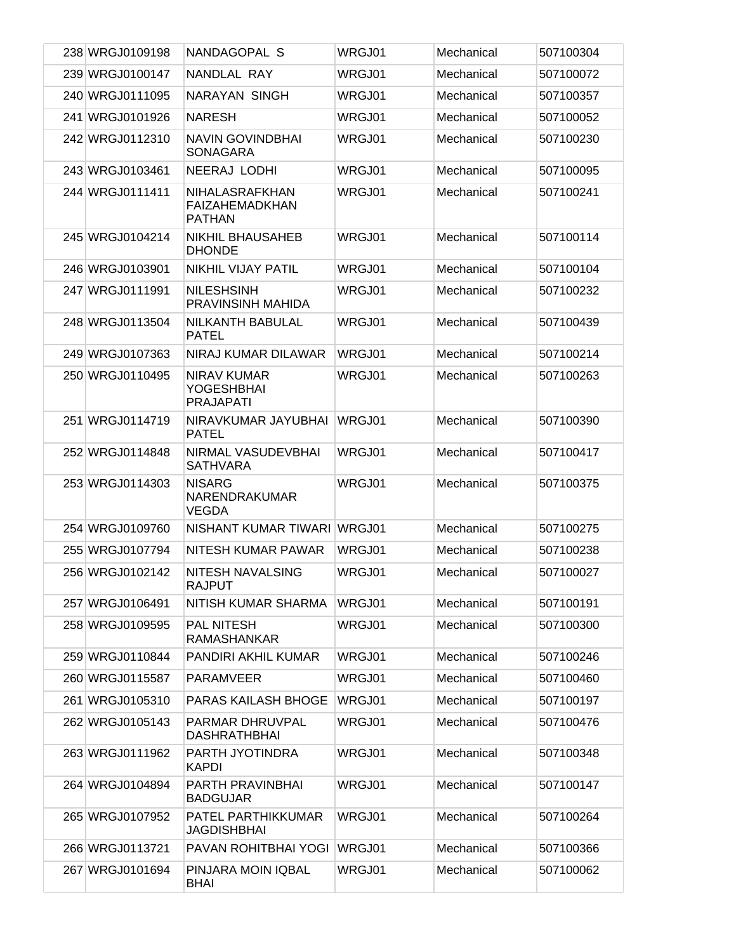| 238 WRGJ0109198 | NANDAGOPAL S                                                | WRGJ01 | Mechanical | 507100304 |
|-----------------|-------------------------------------------------------------|--------|------------|-----------|
| 239 WRGJ0100147 | NANDLAL RAY                                                 | WRGJ01 | Mechanical | 507100072 |
| 240 WRGJ0111095 | NARAYAN SINGH                                               | WRGJ01 | Mechanical | 507100357 |
| 241 WRGJ0101926 | <b>NARESH</b>                                               | WRGJ01 | Mechanical | 507100052 |
| 242 WRGJ0112310 | <b>NAVIN GOVINDBHAI</b><br>SONAGARA                         | WRGJ01 | Mechanical | 507100230 |
| 243 WRGJ0103461 | NEERAJ LODHI                                                | WRGJ01 | Mechanical | 507100095 |
| 244 WRGJ0111411 | NIHALASRAFKHAN<br>FAIZAHEMADKHAN<br><b>PATHAN</b>           | WRGJ01 | Mechanical | 507100241 |
| 245 WRGJ0104214 | <b>NIKHIL BHAUSAHEB</b><br><b>DHONDE</b>                    | WRGJ01 | Mechanical | 507100114 |
| 246 WRGJ0103901 | NIKHIL VIJAY PATIL                                          | WRGJ01 | Mechanical | 507100104 |
| 247 WRGJ0111991 | <b>NILESHSINH</b><br>PRAVINSINH MAHIDA                      | WRGJ01 | Mechanical | 507100232 |
| 248 WRGJ0113504 | NILKANTH BABULAL<br><b>PATEL</b>                            | WRGJ01 | Mechanical | 507100439 |
| 249 WRGJ0107363 | NIRAJ KUMAR DILAWAR                                         | WRGJ01 | Mechanical | 507100214 |
| 250 WRGJ0110495 | <b>NIRAV KUMAR</b><br><b>YOGESHBHAI</b><br><b>PRAJAPATI</b> | WRGJ01 | Mechanical | 507100263 |
| 251 WRGJ0114719 | NIRAVKUMAR JAYUBHAI<br><b>PATEL</b>                         | WRGJ01 | Mechanical | 507100390 |
| 252 WRGJ0114848 | NIRMAL VASUDEVBHAI<br><b>SATHVARA</b>                       | WRGJ01 | Mechanical | 507100417 |
| 253 WRGJ0114303 | <b>NISARG</b><br>NARENDRAKUMAR<br><b>VEGDA</b>              | WRGJ01 | Mechanical | 507100375 |
| 254 WRGJ0109760 | NISHANT KUMAR TIWARI                                        | WRGJ01 | Mechanical | 507100275 |
| 255 WRGJ0107794 | NITESH KUMAR PAWAR                                          | WRGJ01 | Mechanical | 507100238 |
| 256 WRGJ0102142 | NITESH NAVALSING<br><b>RAJPUT</b>                           | WRGJ01 | Mechanical | 507100027 |
| 257 WRGJ0106491 | NITISH KUMAR SHARMA                                         | WRGJ01 | Mechanical | 507100191 |
| 258 WRGJ0109595 | <b>PAL NITESH</b><br><b>RAMASHANKAR</b>                     | WRGJ01 | Mechanical | 507100300 |
| 259 WRGJ0110844 | PANDIRI AKHIL KUMAR                                         | WRGJ01 | Mechanical | 507100246 |
| 260 WRGJ0115587 | <b>PARAMVEER</b>                                            | WRGJ01 | Mechanical | 507100460 |
| 261 WRGJ0105310 | <b>PARAS KAILASH BHOGE</b>                                  | WRGJ01 | Mechanical | 507100197 |
| 262 WRGJ0105143 | PARMAR DHRUVPAL<br><b>DASHRATHBHAI</b>                      | WRGJ01 | Mechanical | 507100476 |
| 263 WRGJ0111962 | PARTH JYOTINDRA<br><b>KAPDI</b>                             | WRGJ01 | Mechanical | 507100348 |
| 264 WRGJ0104894 | <b>PARTH PRAVINBHAI</b><br><b>BADGUJAR</b>                  | WRGJ01 | Mechanical | 507100147 |
| 265 WRGJ0107952 | PATEL PARTHIKKUMAR<br><b>JAGDISHBHAI</b>                    | WRGJ01 | Mechanical | 507100264 |
| 266 WRGJ0113721 | PAVAN ROHITBHAI YOGI                                        | WRGJ01 | Mechanical | 507100366 |
| 267 WRGJ0101694 | PINJARA MOIN IQBAL<br><b>BHAI</b>                           | WRGJ01 | Mechanical | 507100062 |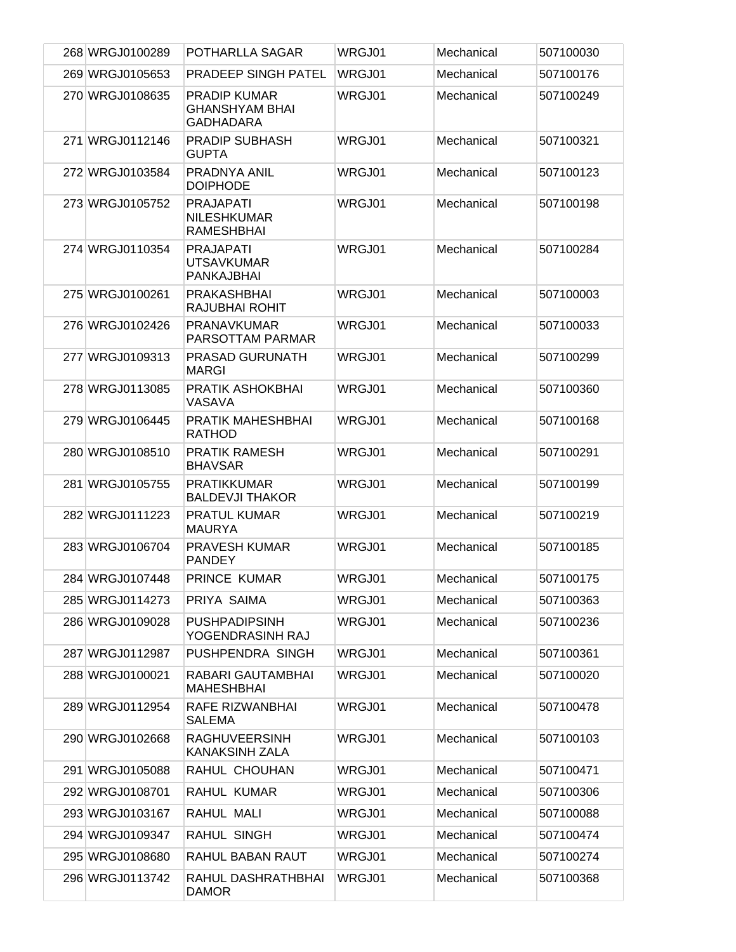| 268 WRGJ0100289 | POTHARLLA SAGAR                                                  | WRGJ01 | Mechanical | 507100030 |
|-----------------|------------------------------------------------------------------|--------|------------|-----------|
| 269 WRGJ0105653 | PRADEEP SINGH PATEL                                              | WRGJ01 | Mechanical | 507100176 |
| 270 WRGJ0108635 | <b>PRADIP KUMAR</b><br><b>GHANSHYAM BHAI</b><br><b>GADHADARA</b> | WRGJ01 | Mechanical | 507100249 |
| 271 WRGJ0112146 | <b>PRADIP SUBHASH</b><br><b>GUPTA</b>                            | WRGJ01 | Mechanical | 507100321 |
| 272 WRGJ0103584 | <b>PRADNYA ANIL</b><br><b>DOIPHODE</b>                           | WRGJ01 | Mechanical | 507100123 |
| 273 WRGJ0105752 | <b>PRAJAPATI</b><br><b>NILESHKUMAR</b><br><b>RAMESHBHAI</b>      | WRGJ01 | Mechanical | 507100198 |
| 274 WRGJ0110354 | <b>PRAJAPATI</b><br><b>UTSAVKUMAR</b><br>PANKAJBHAI              | WRGJ01 | Mechanical | 507100284 |
| 275 WRGJ0100261 | <b>PRAKASHBHAI</b><br>RAJUBHAI ROHIT                             | WRGJ01 | Mechanical | 507100003 |
| 276 WRGJ0102426 | <b>PRANAVKUMAR</b><br>PARSOTTAM PARMAR                           | WRGJ01 | Mechanical | 507100033 |
| 277 WRGJ0109313 | <b>PRASAD GURUNATH</b><br><b>MARGI</b>                           | WRGJ01 | Mechanical | 507100299 |
| 278 WRGJ0113085 | PRATIK ASHOKBHAI<br>VASAVA                                       | WRGJ01 | Mechanical | 507100360 |
| 279 WRGJ0106445 | PRATIK MAHESHBHAI<br><b>RATHOD</b>                               | WRGJ01 | Mechanical | 507100168 |
| 280 WRGJ0108510 | <b>PRATIK RAMESH</b><br><b>BHAVSAR</b>                           | WRGJ01 | Mechanical | 507100291 |
| 281 WRGJ0105755 | <b>PRATIKKUMAR</b><br><b>BALDEVJI THAKOR</b>                     | WRGJ01 | Mechanical | 507100199 |
| 282 WRGJ0111223 | <b>PRATUL KUMAR</b><br><b>MAURYA</b>                             | WRGJ01 | Mechanical | 507100219 |
| 283 WRGJ0106704 | <b>PRAVESH KUMAR</b><br><b>PANDEY</b>                            | WRGJ01 | Mechanical | 507100185 |
| 284 WRGJ0107448 | PRINCE KUMAR                                                     | WRGJ01 | Mechanical | 507100175 |
| 285 WRGJ0114273 | PRIYA SAIMA                                                      | WRGJ01 | Mechanical | 507100363 |
| 286 WRGJ0109028 | <b>PUSHPADIPSINH</b><br>YOGENDRASINH RAJ                         | WRGJ01 | Mechanical | 507100236 |
| 287 WRGJ0112987 | PUSHPENDRA SINGH                                                 | WRGJ01 | Mechanical | 507100361 |
| 288 WRGJ0100021 | RABARI GAUTAMBHAI<br>MAHESHBHAI                                  | WRGJ01 | Mechanical | 507100020 |
| 289 WRGJ0112954 | RAFE RIZWANBHAI<br><b>SALEMA</b>                                 | WRGJ01 | Mechanical | 507100478 |
| 290 WRGJ0102668 | <b>RAGHUVEERSINH</b><br>KANAKSINH ZALA                           | WRGJ01 | Mechanical | 507100103 |
| 291 WRGJ0105088 | RAHUL CHOUHAN                                                    | WRGJ01 | Mechanical | 507100471 |
| 292 WRGJ0108701 | RAHUL KUMAR                                                      | WRGJ01 | Mechanical | 507100306 |
| 293 WRGJ0103167 | RAHUL MALI                                                       | WRGJ01 | Mechanical | 507100088 |
| 294 WRGJ0109347 | RAHUL SINGH                                                      | WRGJ01 | Mechanical | 507100474 |
| 295 WRGJ0108680 | RAHUL BABAN RAUT                                                 | WRGJ01 | Mechanical | 507100274 |
| 296 WRGJ0113742 | RAHUL DASHRATHBHAI<br><b>DAMOR</b>                               | WRGJ01 | Mechanical | 507100368 |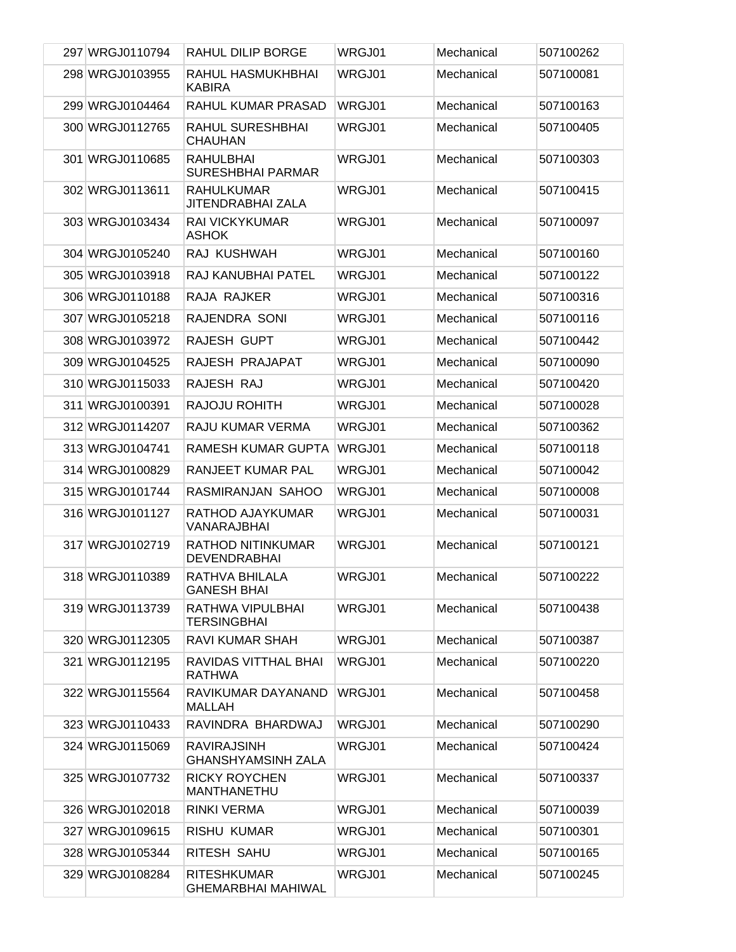| 297 WRGJ0110794 | RAHUL DILIP BORGE                               | WRGJ01 | Mechanical | 507100262 |
|-----------------|-------------------------------------------------|--------|------------|-----------|
| 298 WRGJ0103955 | RAHUL HASMUKHBHAI<br><b>KABIRA</b>              | WRGJ01 | Mechanical | 507100081 |
| 299 WRGJ0104464 | RAHUL KUMAR PRASAD                              | WRGJ01 | Mechanical | 507100163 |
| 300 WRGJ0112765 | <b>RAHUL SURESHBHAI</b><br><b>CHAUHAN</b>       | WRGJ01 | Mechanical | 507100405 |
| 301 WRGJ0110685 | <b>RAHULBHAI</b><br><b>SURESHBHAI PARMAR</b>    | WRGJ01 | Mechanical | 507100303 |
| 302 WRGJ0113611 | <b>RAHULKUMAR</b><br><b>JITENDRABHAI ZALA</b>   | WRGJ01 | Mechanical | 507100415 |
| 303 WRGJ0103434 | <b>RAI VICKYKUMAR</b><br><b>ASHOK</b>           | WRGJ01 | Mechanical | 507100097 |
| 304 WRGJ0105240 | RAJ KUSHWAH                                     | WRGJ01 | Mechanical | 507100160 |
| 305 WRGJ0103918 | RAJ KANUBHAI PATEL                              | WRGJ01 | Mechanical | 507100122 |
| 306 WRGJ0110188 | RAJA RAJKER                                     | WRGJ01 | Mechanical | 507100316 |
| 307 WRGJ0105218 | RAJENDRA SONI                                   | WRGJ01 | Mechanical | 507100116 |
| 308 WRGJ0103972 | RAJESH GUPT                                     | WRGJ01 | Mechanical | 507100442 |
| 309 WRGJ0104525 | RAJESH PRAJAPAT                                 | WRGJ01 | Mechanical | 507100090 |
| 310 WRGJ0115033 | RAJESH RAJ                                      | WRGJ01 | Mechanical | 507100420 |
| 311 WRGJ0100391 | RAJOJU ROHITH                                   | WRGJ01 | Mechanical | 507100028 |
| 312 WRGJ0114207 | RAJU KUMAR VERMA                                | WRGJ01 | Mechanical | 507100362 |
| 313 WRGJ0104741 | RAMESH KUMAR GUPTA                              | WRGJ01 | Mechanical | 507100118 |
| 314 WRGJ0100829 | RANJEET KUMAR PAL                               | WRGJ01 | Mechanical | 507100042 |
| 315 WRGJ0101744 | RASMIRANJAN SAHOO                               | WRGJ01 | Mechanical | 507100008 |
| 316 WRGJ0101127 | RATHOD AJAYKUMAR<br>VANARAJBHAI                 | WRGJ01 | Mechanical | 507100031 |
| 317 WRGJ0102719 | <b>RATHOD NITINKUMAR</b><br><b>DEVENDRABHAI</b> | WRGJ01 | Mechanical | 507100121 |
| 318 WRGJ0110389 | RATHVA BHILALA<br><b>GANESH BHAI</b>            | WRGJ01 | Mechanical | 507100222 |
| 319 WRGJ0113739 | RATHWA VIPULBHAI<br><b>TERSINGBHAI</b>          | WRGJ01 | Mechanical | 507100438 |
| 320 WRGJ0112305 | <b>RAVI KUMAR SHAH</b>                          | WRGJ01 | Mechanical | 507100387 |
| 321 WRGJ0112195 | RAVIDAS VITTHAL BHAI<br><b>RATHWA</b>           | WRGJ01 | Mechanical | 507100220 |
| 322 WRGJ0115564 | RAVIKUMAR DAYANAND<br><b>MALLAH</b>             | WRGJ01 | Mechanical | 507100458 |
| 323 WRGJ0110433 | RAVINDRA BHARDWAJ                               | WRGJ01 | Mechanical | 507100290 |
| 324 WRGJ0115069 | <b>RAVIRAJSINH</b><br><b>GHANSHYAMSINH ZALA</b> | WRGJ01 | Mechanical | 507100424 |
| 325 WRGJ0107732 | <b>RICKY ROYCHEN</b><br>MANTHANETHU             | WRGJ01 | Mechanical | 507100337 |
| 326 WRGJ0102018 | <b>RINKI VERMA</b>                              | WRGJ01 | Mechanical | 507100039 |
| 327 WRGJ0109615 | <b>RISHU KUMAR</b>                              | WRGJ01 | Mechanical | 507100301 |
| 328 WRGJ0105344 | RITESH SAHU                                     | WRGJ01 | Mechanical | 507100165 |
| 329 WRGJ0108284 | <b>RITESHKUMAR</b><br><b>GHEMARBHAI MAHIWAL</b> | WRGJ01 | Mechanical | 507100245 |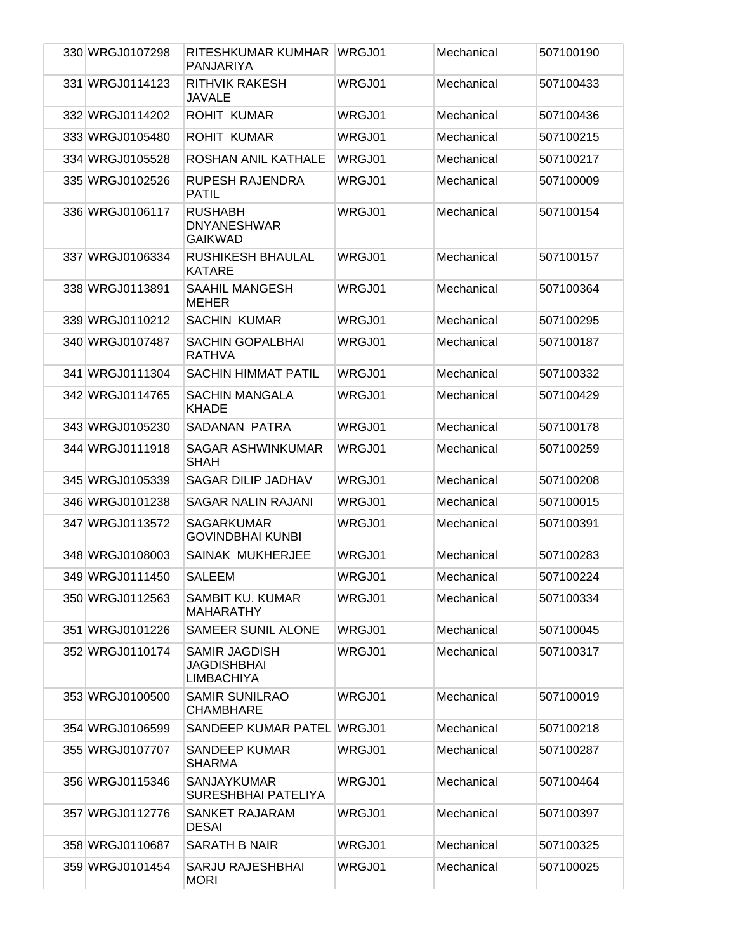| 330 WRGJ0107298 | RITESHKUMAR KUMHAR WRGJ01<br>PANJARIYA                   |        | Mechanical | 507100190 |
|-----------------|----------------------------------------------------------|--------|------------|-----------|
| 331 WRGJ0114123 | <b>RITHVIK RAKESH</b><br>JAVALE                          | WRGJ01 | Mechanical | 507100433 |
| 332 WRGJ0114202 | <b>ROHIT KUMAR</b>                                       | WRGJ01 | Mechanical | 507100436 |
| 333 WRGJ0105480 | <b>ROHIT KUMAR</b>                                       | WRGJ01 | Mechanical | 507100215 |
| 334 WRGJ0105528 | ROSHAN ANIL KATHALE                                      | WRGJ01 | Mechanical | 507100217 |
| 335 WRGJ0102526 | RUPESH RAJENDRA<br><b>PATIL</b>                          | WRGJ01 | Mechanical | 507100009 |
| 336 WRGJ0106117 | <b>RUSHABH</b><br><b>DNYANESHWAR</b><br><b>GAIKWAD</b>   | WRGJ01 | Mechanical | 507100154 |
| 337 WRGJ0106334 | <b>RUSHIKESH BHAULAL</b><br><b>KATARE</b>                | WRGJ01 | Mechanical | 507100157 |
| 338 WRGJ0113891 | <b>SAAHIL MANGESH</b><br><b>MEHER</b>                    | WRGJ01 | Mechanical | 507100364 |
| 339 WRGJ0110212 | <b>SACHIN KUMAR</b>                                      | WRGJ01 | Mechanical | 507100295 |
| 340 WRGJ0107487 | <b>SACHIN GOPALBHAI</b><br><b>RATHVA</b>                 | WRGJ01 | Mechanical | 507100187 |
| 341 WRGJ0111304 | <b>SACHIN HIMMAT PATIL</b>                               | WRGJ01 | Mechanical | 507100332 |
| 342 WRGJ0114765 | <b>SACHIN MANGALA</b><br><b>KHADE</b>                    | WRGJ01 | Mechanical | 507100429 |
| 343 WRGJ0105230 | SADANAN PATRA                                            | WRGJ01 | Mechanical | 507100178 |
| 344 WRGJ0111918 | <b>SAGAR ASHWINKUMAR</b><br><b>SHAH</b>                  | WRGJ01 | Mechanical | 507100259 |
| 345 WRGJ0105339 | SAGAR DILIP JADHAV                                       | WRGJ01 | Mechanical | 507100208 |
| 346 WRGJ0101238 | SAGAR NALIN RAJANI                                       | WRGJ01 | Mechanical | 507100015 |
| 347 WRGJ0113572 | <b>SAGARKUMAR</b><br><b>GOVINDBHAI KUNBI</b>             | WRGJ01 | Mechanical | 507100391 |
| 348 WRGJ0108003 | SAINAK MUKHERJEE                                         | WRGJ01 | Mechanical | 507100283 |
| 349 WRGJ0111450 | <b>SALEEM</b>                                            | WRGJ01 | Mechanical | 507100224 |
| 350 WRGJ0112563 | SAMBIT KU. KUMAR<br><b>MAHARATHY</b>                     | WRGJ01 | Mechanical | 507100334 |
| 351 WRGJ0101226 | <b>SAMEER SUNIL ALONE</b>                                | WRGJ01 | Mechanical | 507100045 |
| 352 WRGJ0110174 | SAMIR JAGDISH<br><b>JAGDISHBHAI</b><br><b>LIMBACHIYA</b> | WRGJ01 | Mechanical | 507100317 |
| 353 WRGJ0100500 | <b>SAMIR SUNILRAO</b><br><b>CHAMBHARE</b>                | WRGJ01 | Mechanical | 507100019 |
| 354 WRGJ0106599 | SANDEEP KUMAR PATEL WRGJ01                               |        | Mechanical | 507100218 |
| 355 WRGJ0107707 | <b>SANDEEP KUMAR</b><br><b>SHARMA</b>                    | WRGJ01 | Mechanical | 507100287 |
| 356 WRGJ0115346 | <b>SANJAYKUMAR</b><br>SURESHBHAI PATELIYA                | WRGJ01 | Mechanical | 507100464 |
| 357 WRGJ0112776 | SANKET RAJARAM<br><b>DESAI</b>                           | WRGJ01 | Mechanical | 507100397 |
| 358 WRGJ0110687 | <b>SARATH B NAIR</b>                                     | WRGJ01 | Mechanical | 507100325 |
| 359 WRGJ0101454 | SARJU RAJESHBHAI<br><b>MORI</b>                          | WRGJ01 | Mechanical | 507100025 |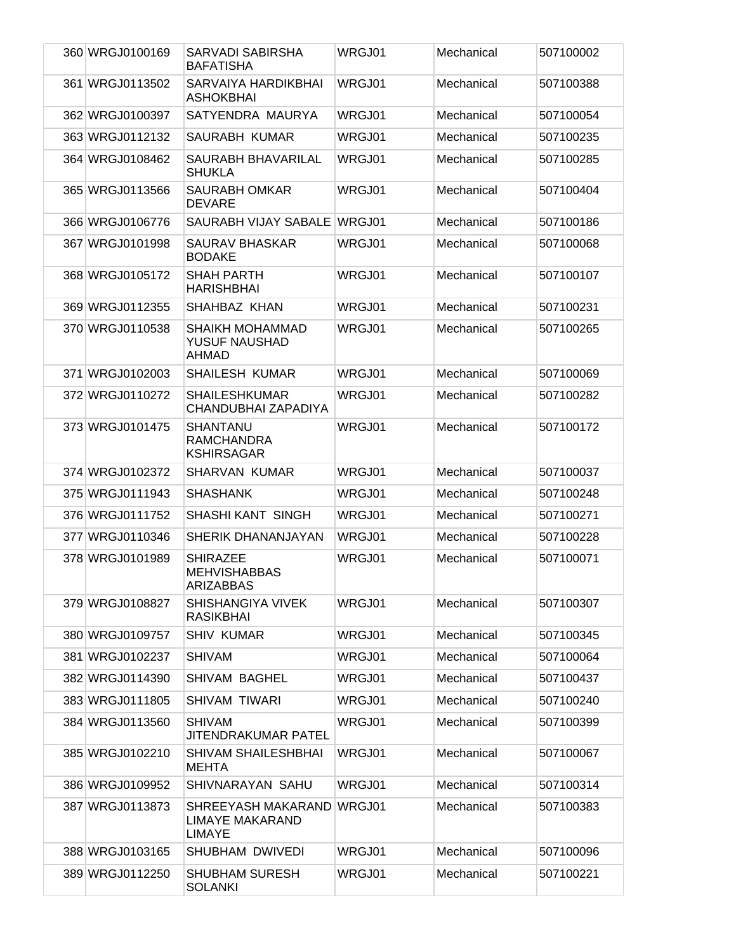| 360 WRGJ0100169 | SARVADI SABIRSHA<br><b>BAFATISHA</b>                                 | WRGJ01        | Mechanical | 507100002 |
|-----------------|----------------------------------------------------------------------|---------------|------------|-----------|
| 361 WRGJ0113502 | SARVAIYA HARDIKBHAI<br><b>ASHOKBHAI</b>                              | WRGJ01        | Mechanical | 507100388 |
| 362 WRGJ0100397 | SATYENDRA MAURYA                                                     | <b>WRGJ01</b> | Mechanical | 507100054 |
| 363 WRGJ0112132 | SAURABH KUMAR                                                        | WRGJ01        | Mechanical | 507100235 |
| 364 WRGJ0108462 | SAURABH BHAVARILAL<br><b>SHUKLA</b>                                  | WRGJ01        | Mechanical | 507100285 |
| 365 WRGJ0113566 | <b>SAURABH OMKAR</b><br><b>DEVARE</b>                                | WRGJ01        | Mechanical | 507100404 |
| 366 WRGJ0106776 | SAURABH VIJAY SABALE WRGJ01                                          |               | Mechanical | 507100186 |
| 367 WRGJ0101998 | <b>SAURAV BHASKAR</b><br><b>BODAKE</b>                               | WRGJ01        | Mechanical | 507100068 |
| 368 WRGJ0105172 | <b>SHAH PARTH</b><br><b>HARISHBHAI</b>                               | WRGJ01        | Mechanical | 507100107 |
| 369 WRGJ0112355 | SHAHBAZ KHAN                                                         | WRGJ01        | Mechanical | 507100231 |
| 370 WRGJ0110538 | <b>SHAIKH MOHAMMAD</b><br>YUSUF NAUSHAD<br><b>AHMAD</b>              | WRGJ01        | Mechanical | 507100265 |
| 371 WRGJ0102003 | <b>SHAILESH KUMAR</b>                                                | <b>WRGJ01</b> | Mechanical | 507100069 |
| 372 WRGJ0110272 | <b>SHAILESHKUMAR</b><br>CHANDUBHAI ZAPADIYA                          | WRGJ01        | Mechanical | 507100282 |
| 373 WRGJ0101475 | <b>SHANTANU</b><br><b>RAMCHANDRA</b><br><b>KSHIRSAGAR</b>            | WRGJ01        | Mechanical | 507100172 |
| 374 WRGJ0102372 | <b>SHARVAN KUMAR</b>                                                 | WRGJ01        | Mechanical | 507100037 |
| 375 WRGJ0111943 | <b>SHASHANK</b>                                                      | WRGJ01        | Mechanical | 507100248 |
| 376 WRGJ0111752 | <b>SHASHI KANT SINGH</b>                                             | WRGJ01        | Mechanical | 507100271 |
| 377 WRGJ0110346 | SHERIK DHANANJAYAN                                                   | WRGJ01        | Mechanical | 507100228 |
| 378 WRGJ0101989 | <b>SHIRAZEE</b><br><b>MEHVISHABBAS</b><br><b>ARIZABBAS</b>           | WRGJ01        | Mechanical | 507100071 |
| 379 WRGJ0108827 | <b>SHISHANGIYA VIVEK</b><br><b>RASIKBHAI</b>                         | WRGJ01        | Mechanical | 507100307 |
| 380 WRGJ0109757 | <b>SHIV KUMAR</b>                                                    | WRGJ01        | Mechanical | 507100345 |
| 381 WRGJ0102237 | <b>SHIVAM</b>                                                        | WRGJ01        | Mechanical | 507100064 |
| 382 WRGJ0114390 | <b>SHIVAM BAGHEL</b>                                                 | WRGJ01        | Mechanical | 507100437 |
| 383 WRGJ0111805 | SHIVAM TIWARI                                                        | WRGJ01        | Mechanical | 507100240 |
| 384 WRGJ0113560 | <b>SHIVAM</b><br>JITENDRAKUMAR PATEL                                 | WRGJ01        | Mechanical | 507100399 |
| 385 WRGJ0102210 | <b>SHIVAM SHAILESHBHAI</b><br><b>MEHTA</b>                           | WRGJ01        | Mechanical | 507100067 |
| 386 WRGJ0109952 | SHIVNARAYAN SAHU                                                     | WRGJ01        | Mechanical | 507100314 |
| 387 WRGJ0113873 | SHREEYASH MAKARAND WRGJ01<br><b>LIMAYE MAKARAND</b><br><b>LIMAYE</b> |               | Mechanical | 507100383 |
| 388 WRGJ0103165 | SHUBHAM DWIVEDI                                                      | WRGJ01        | Mechanical | 507100096 |
| 389 WRGJ0112250 | <b>SHUBHAM SURESH</b><br><b>SOLANKI</b>                              | WRGJ01        | Mechanical | 507100221 |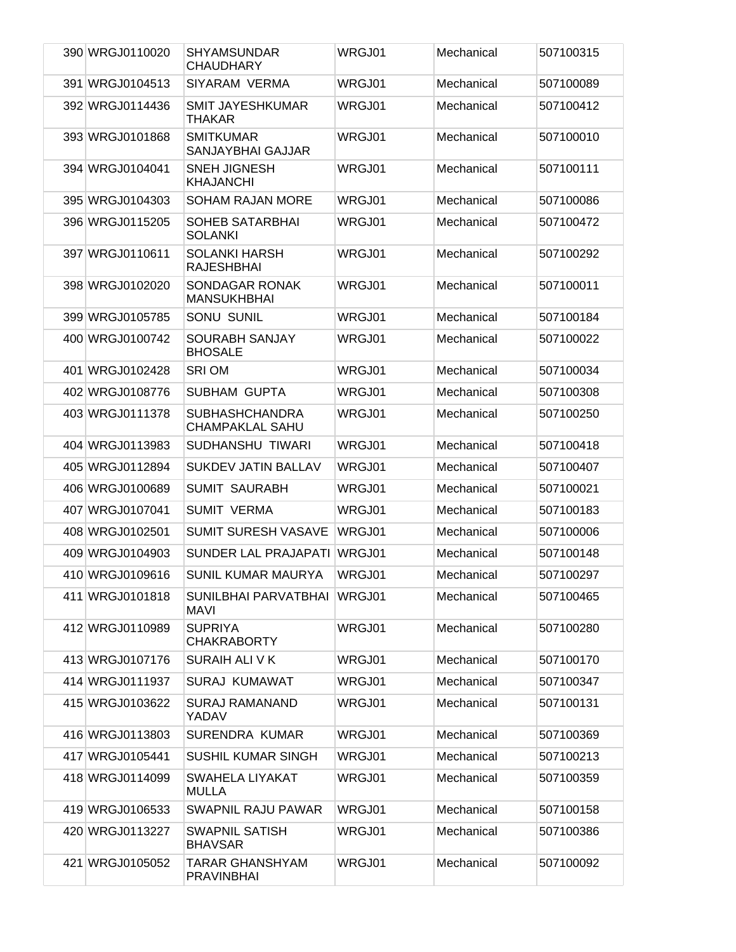| 390 WRGJ0110020 | <b>SHYAMSUNDAR</b><br><b>CHAUDHARY</b>          | WRGJ01        | Mechanical | 507100315 |
|-----------------|-------------------------------------------------|---------------|------------|-----------|
| 391 WRGJ0104513 | SIYARAM VERMA                                   | WRGJ01        | Mechanical | 507100089 |
| 392 WRGJ0114436 | <b>SMIT JAYESHKUMAR</b><br><b>THAKAR</b>        | WRGJ01        | Mechanical | 507100412 |
| 393 WRGJ0101868 | <b>SMITKUMAR</b><br>SANJAYBHAI GAJJAR           | WRGJ01        | Mechanical | 507100010 |
| 394 WRGJ0104041 | <b>SNEH JIGNESH</b><br><b>KHAJANCHI</b>         | WRGJ01        | Mechanical | 507100111 |
| 395 WRGJ0104303 | <b>SOHAM RAJAN MORE</b>                         | WRGJ01        | Mechanical | 507100086 |
| 396 WRGJ0115205 | <b>SOHEB SATARBHAI</b><br><b>SOLANKI</b>        | WRGJ01        | Mechanical | 507100472 |
| 397 WRGJ0110611 | <b>SOLANKI HARSH</b><br><b>RAJESHBHAI</b>       | WRGJ01        | Mechanical | 507100292 |
| 398 WRGJ0102020 | SONDAGAR RONAK<br><b>MANSUKHBHAI</b>            | <b>WRGJ01</b> | Mechanical | 507100011 |
| 399 WRGJ0105785 | <b>SONU SUNIL</b>                               | WRGJ01        | Mechanical | 507100184 |
| 400 WRGJ0100742 | <b>SOURABH SANJAY</b><br><b>BHOSALE</b>         | WRGJ01        | Mechanical | 507100022 |
| 401 WRGJ0102428 | <b>SRIOM</b>                                    | WRGJ01        | Mechanical | 507100034 |
| 402 WRGJ0108776 | <b>SUBHAM GUPTA</b>                             | WRGJ01        | Mechanical | 507100308 |
| 403 WRGJ0111378 | <b>SUBHASHCHANDRA</b><br><b>CHAMPAKLAL SAHU</b> | WRGJ01        | Mechanical | 507100250 |
| 404 WRGJ0113983 | SUDHANSHU TIWARI                                | WRGJ01        | Mechanical | 507100418 |
| 405 WRGJ0112894 | <b>SUKDEV JATIN BALLAV</b>                      | WRGJ01        | Mechanical | 507100407 |
| 406 WRGJ0100689 | <b>SUMIT SAURABH</b>                            | WRGJ01        | Mechanical | 507100021 |
| 407 WRGJ0107041 | <b>SUMIT VERMA</b>                              | WRGJ01        | Mechanical | 507100183 |
| 408 WRGJ0102501 | <b>SUMIT SURESH VASAVE</b>                      | WRGJ01        | Mechanical | 507100006 |
| 409 WRGJ0104903 | SUNDER LAL PRAJAPATI                            | WRGJ01        | Mechanical | 507100148 |
| 410 WRGJ0109616 | SUNIL KUMAR MAURYA                              | WRGJ01        | Mechanical | 507100297 |
| 411 WRGJ0101818 | SUNILBHAI PARVATBHAI IWRGJ01<br>MAVI            |               | Mechanical | 507100465 |
| 412 WRGJ0110989 | <b>SUPRIYA</b><br><b>CHAKRABORTY</b>            | WRGJ01        | Mechanical | 507100280 |
| 413 WRGJ0107176 | SURAIH ALI V K                                  | WRGJ01        | Mechanical | 507100170 |
| 414 WRGJ0111937 | <b>SURAJ KUMAWAT</b>                            | WRGJ01        | Mechanical | 507100347 |
| 415 WRGJ0103622 | <b>SURAJ RAMANAND</b><br>YADAV                  | WRGJ01        | Mechanical | 507100131 |
| 416 WRGJ0113803 | <b>SURENDRA KUMAR</b>                           | WRGJ01        | Mechanical | 507100369 |
| 417 WRGJ0105441 | <b>SUSHIL KUMAR SINGH</b>                       | WRGJ01        | Mechanical | 507100213 |
| 418 WRGJ0114099 | SWAHELA LIYAKAT<br><b>MULLA</b>                 | WRGJ01        | Mechanical | 507100359 |
| 419 WRGJ0106533 | <b>SWAPNIL RAJU PAWAR</b>                       | WRGJ01        | Mechanical | 507100158 |
| 420 WRGJ0113227 | <b>SWAPNIL SATISH</b><br><b>BHAVSAR</b>         | WRGJ01        | Mechanical | 507100386 |
| 421 WRGJ0105052 | <b>TARAR GHANSHYAM</b><br><b>PRAVINBHAI</b>     | WRGJ01        | Mechanical | 507100092 |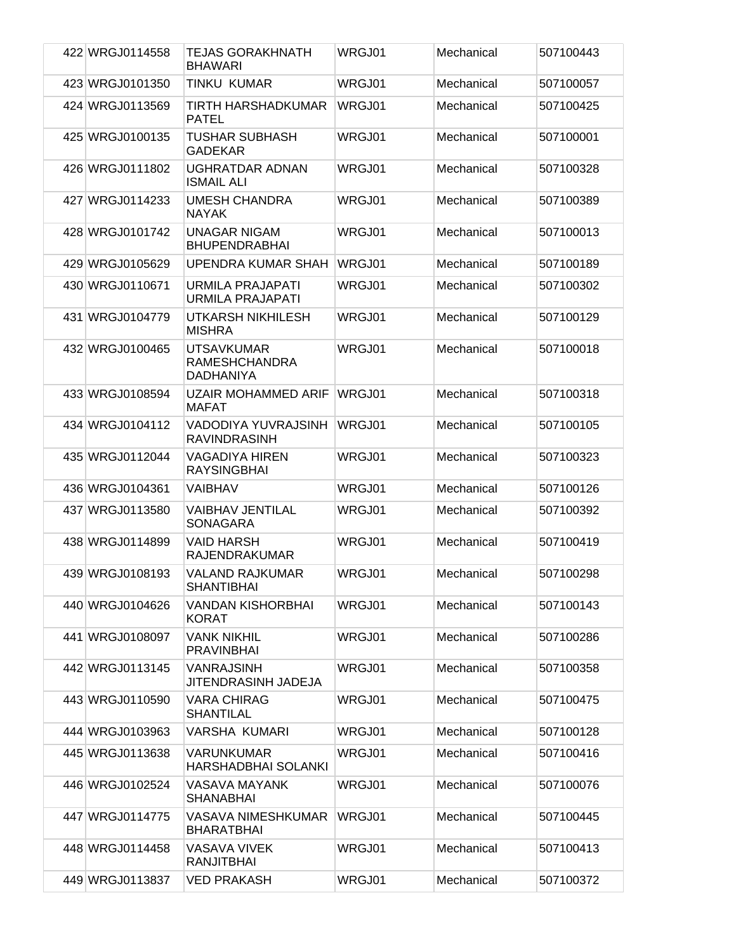| 422 WRGJ0114558 | <b>TEJAS GORAKHNATH</b>                                | WRGJ01 | Mechanical | 507100443 |
|-----------------|--------------------------------------------------------|--------|------------|-----------|
|                 | <b>BHAWARI</b>                                         |        |            |           |
| 423 WRGJ0101350 | TINKU KUMAR                                            | WRGJ01 | Mechanical | 507100057 |
| 424 WRGJ0113569 | TIRTH HARSHADKUMAR<br><b>PATEL</b>                     | WRGJ01 | Mechanical | 507100425 |
| 425 WRGJ0100135 | TUSHAR SUBHASH<br><b>GADEKAR</b>                       | WRGJ01 | Mechanical | 507100001 |
| 426 WRGJ0111802 | UGHRATDAR ADNAN<br><b>ISMAIL ALI</b>                   | WRGJ01 | Mechanical | 507100328 |
| 427 WRGJ0114233 | <b>UMESH CHANDRA</b><br><b>NAYAK</b>                   | WRGJ01 | Mechanical | 507100389 |
| 428 WRGJ0101742 | <b>UNAGAR NIGAM</b><br><b>BHUPENDRABHAI</b>            | WRGJ01 | Mechanical | 507100013 |
| 429 WRGJ0105629 | UPENDRA KUMAR SHAH                                     | WRGJ01 | Mechanical | 507100189 |
| 430 WRGJ0110671 | <b>URMILA PRAJAPATI</b><br>URMILA PRAJAPATI            | WRGJ01 | Mechanical | 507100302 |
| 431 WRGJ0104779 | UTKARSH NIKHILESH<br><b>MISHRA</b>                     | WRGJ01 | Mechanical | 507100129 |
| 432 WRGJ0100465 | <b>UTSAVKUMAR</b><br><b>RAMESHCHANDRA</b><br>DADHANIYA | WRGJ01 | Mechanical | 507100018 |
| 433 WRGJ0108594 | <b>UZAIR MOHAMMED ARIF</b><br><b>MAFAT</b>             | WRGJ01 | Mechanical | 507100318 |
| 434 WRGJ0104112 | VADODIYA YUVRAJSINH<br><b>RAVINDRASINH</b>             | WRGJ01 | Mechanical | 507100105 |
| 435 WRGJ0112044 | VAGADIYA HIREN<br><b>RAYSINGBHAI</b>                   | WRGJ01 | Mechanical | 507100323 |
| 436 WRGJ0104361 | <b>VAIBHAV</b>                                         | WRGJ01 | Mechanical | 507100126 |
| 437 WRGJ0113580 | VAIBHAV JENTILAL<br><b>SONAGARA</b>                    | WRGJ01 | Mechanical | 507100392 |
| 438 WRGJ0114899 | VAID HARSH<br><b>RAJENDRAKUMAR</b>                     | WRGJ01 | Mechanical | 507100419 |
| 439 WRGJ0108193 | <b>VALAND RAJKUMAR</b><br><b>SHANTIBHAI</b>            | WRGJ01 | Mechanical | 507100298 |
| 440 WRGJ0104626 | VANDAN KISHORBHAI<br>KORAT                             | WRGJ01 | Mechanical | 507100143 |
| 441 WRGJ0108097 | <b>VANK NIKHIL</b><br><b>PRAVINBHAI</b>                | WRGJ01 | Mechanical | 507100286 |
| 442 WRGJ0113145 | <b>VANRAJSINH</b><br>JITENDRASINH JADEJA               | WRGJ01 | Mechanical | 507100358 |
| 443 WRGJ0110590 | <b>VARA CHIRAG</b><br><b>SHANTILAL</b>                 | WRGJ01 | Mechanical | 507100475 |
| 444 WRGJ0103963 | VARSHA KUMARI                                          | WRGJ01 | Mechanical | 507100128 |
| 445 WRGJ0113638 | VARUNKUMAR<br><b>HARSHADBHAI SOLANKI</b>               | WRGJ01 | Mechanical | 507100416 |
| 446 WRGJ0102524 | VASAVA MAYANK<br>SHANABHAI                             | WRGJ01 | Mechanical | 507100076 |
| 447 WRGJ0114775 | <b>VASAVA NIMESHKUMAR</b><br><b>BHARATBHAI</b>         | WRGJ01 | Mechanical | 507100445 |
| 448 WRGJ0114458 | <b>VASAVA VIVEK</b><br><b>RANJITBHAI</b>               | WRGJ01 | Mechanical | 507100413 |
| 449 WRGJ0113837 | <b>VED PRAKASH</b>                                     | WRGJ01 | Mechanical | 507100372 |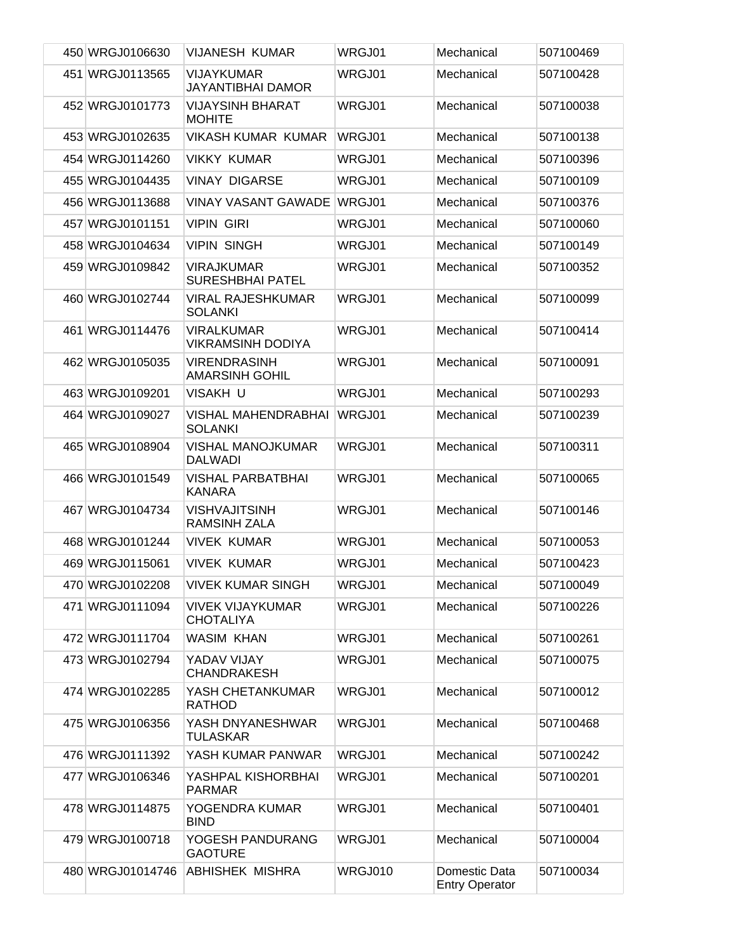| 450 WRGJ0106630  | <b>VIJANESH KUMAR</b>                         | WRGJ01  | Mechanical                             | 507100469 |
|------------------|-----------------------------------------------|---------|----------------------------------------|-----------|
| 451 WRGJ0113565  | <b>VIJAYKUMAR</b><br><b>JAYANTIBHAI DAMOR</b> | WRGJ01  | Mechanical                             | 507100428 |
| 452 WRGJ0101773  | <b>VIJAYSINH BHARAT</b><br><b>MOHITE</b>      | WRGJ01  | Mechanical                             | 507100038 |
| 453 WRGJ0102635  | <b>VIKASH KUMAR KUMAR</b>                     | WRGJ01  | Mechanical                             | 507100138 |
| 454 WRGJ0114260  | <b>VIKKY KUMAR</b>                            | WRGJ01  | Mechanical                             | 507100396 |
| 455 WRGJ0104435  | <b>VINAY DIGARSE</b>                          | WRGJ01  | Mechanical                             | 507100109 |
| 456 WRGJ0113688  | <b>VINAY VASANT GAWADE</b>                    | WRGJ01  | Mechanical                             | 507100376 |
| 457 WRGJ0101151  | <b>VIPIN GIRI</b>                             | WRGJ01  | Mechanical                             | 507100060 |
| 458 WRGJ0104634  | <b>VIPIN SINGH</b>                            | WRGJ01  | Mechanical                             | 507100149 |
| 459 WRGJ0109842  | <b>VIRAJKUMAR</b><br><b>SURESHBHAI PATEL</b>  | WRGJ01  | Mechanical                             | 507100352 |
| 460 WRGJ0102744  | <b>VIRAL RAJESHKUMAR</b><br><b>SOLANKI</b>    | WRGJ01  | Mechanical                             | 507100099 |
| 461 WRGJ0114476  | <b>VIRALKUMAR</b><br><b>VIKRAMSINH DODIYA</b> | WRGJ01  | Mechanical                             | 507100414 |
| 462 WRGJ0105035  | <b>VIRENDRASINH</b><br><b>AMARSINH GOHIL</b>  | WRGJ01  | Mechanical                             | 507100091 |
| 463 WRGJ0109201  | VISAKH U                                      | WRGJ01  | Mechanical                             | 507100293 |
| 464 WRGJ0109027  | <b>VISHAL MAHENDRABHAI</b><br><b>SOLANKI</b>  | WRGJ01  | Mechanical                             | 507100239 |
| 465 WRGJ0108904  | <b>VISHAL MANOJKUMAR</b><br><b>DALWADI</b>    | WRGJ01  | Mechanical                             | 507100311 |
| 466 WRGJ0101549  | <b>VISHAL PARBATBHAI</b><br><b>KANARA</b>     | WRGJ01  | Mechanical                             | 507100065 |
| 467 WRGJ0104734  | <b>VISHVAJITSINH</b><br><b>RAMSINH ZALA</b>   | WRGJ01  | Mechanical                             | 507100146 |
| 468 WRGJ0101244  | <b>VIVEK KUMAR</b>                            | WRGJ01  | Mechanical                             | 507100053 |
| 469 WRGJ0115061  | <b>VIVEK KUMAR</b>                            | WRGJ01  | Mechanical                             | 507100423 |
|                  | 470 WRGJ0102208 VIVEK KUMAR SINGH             | WRGJ01  | Mechanical                             | 507100049 |
| 471 WRGJ0111094  | <b>VIVEK VIJAYKUMAR</b><br><b>CHOTALIYA</b>   | WRGJ01  | Mechanical                             | 507100226 |
| 472 WRGJ0111704  | <b>WASIM KHAN</b>                             | WRGJ01  | Mechanical                             | 507100261 |
| 473 WRGJ0102794  | YADAV VIJAY<br><b>CHANDRAKESH</b>             | WRGJ01  | Mechanical                             | 507100075 |
| 474 WRGJ0102285  | YASH CHETANKUMAR<br><b>RATHOD</b>             | WRGJ01  | Mechanical                             | 507100012 |
| 475 WRGJ0106356  | YASH DNYANESHWAR<br><b>TULASKAR</b>           | WRGJ01  | Mechanical                             | 507100468 |
| 476 WRGJ0111392  | YASH KUMAR PANWAR                             | WRGJ01  | Mechanical                             | 507100242 |
| 477 WRGJ0106346  | YASHPAL KISHORBHAI<br><b>PARMAR</b>           | WRGJ01  | Mechanical                             | 507100201 |
| 478 WRGJ0114875  | YOGENDRA KUMAR<br><b>BIND</b>                 | WRGJ01  | Mechanical                             | 507100401 |
| 479 WRGJ0100718  | YOGESH PANDURANG<br><b>GAOTURE</b>            | WRGJ01  | Mechanical                             | 507100004 |
| 480 WRGJ01014746 | <b>ABHISHEK MISHRA</b>                        | WRGJ010 | Domestic Data<br><b>Entry Operator</b> | 507100034 |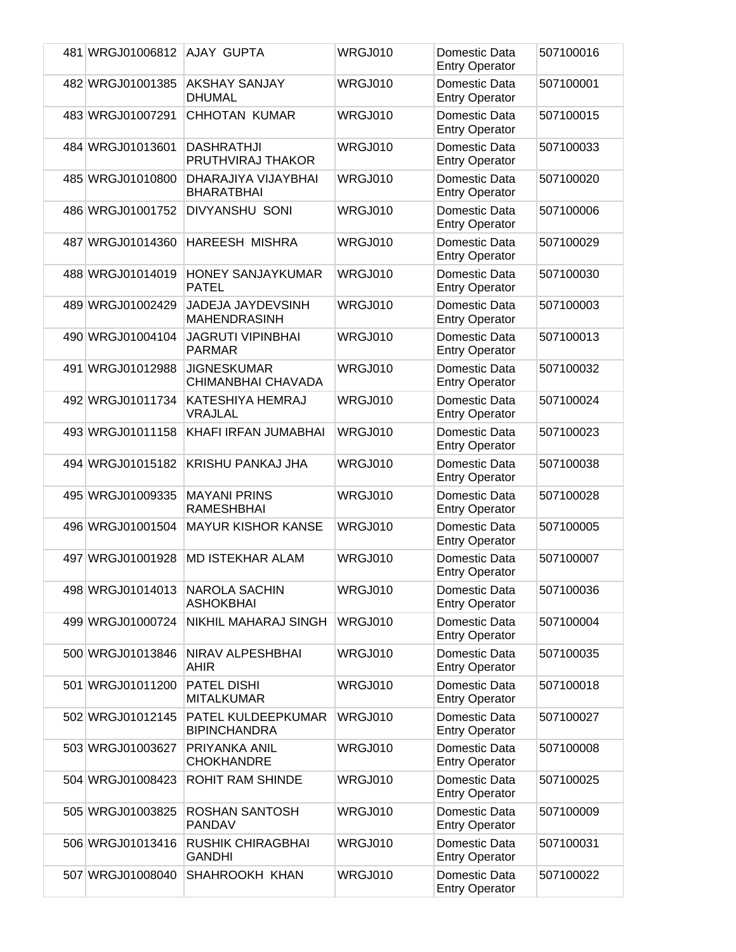| 481 WRGJ01006812 | AJAY GUPTA                                | WRGJ010 | Domestic Data<br><b>Entry Operator</b> | 507100016 |
|------------------|-------------------------------------------|---------|----------------------------------------|-----------|
| 482 WRGJ01001385 | <b>AKSHAY SANJAY</b><br><b>DHUMAL</b>     | WRGJ010 | Domestic Data<br><b>Entry Operator</b> | 507100001 |
| 483 WRGJ01007291 | <b>CHHOTAN KUMAR</b>                      | WRGJ010 | Domestic Data<br><b>Entry Operator</b> | 507100015 |
| 484 WRGJ01013601 | <b>DASHRATHJI</b><br>PRUTHVIRAJ THAKOR    | WRGJ010 | Domestic Data<br><b>Entry Operator</b> | 507100033 |
| 485 WRGJ01010800 | DHARAJIYA VIJAYBHAI<br><b>BHARATBHAI</b>  | WRGJ010 | Domestic Data<br><b>Entry Operator</b> | 507100020 |
| 486 WRGJ01001752 | DIVYANSHU SONI                            | WRGJ010 | Domestic Data<br><b>Entry Operator</b> | 507100006 |
| 487 WRGJ01014360 | <b>HAREESH MISHRA</b>                     | WRGJ010 | Domestic Data<br><b>Entry Operator</b> | 507100029 |
| 488 WRGJ01014019 | <b>HONEY SANJAYKUMAR</b><br><b>PATEL</b>  | WRGJ010 | Domestic Data<br><b>Entry Operator</b> | 507100030 |
| 489 WRGJ01002429 | JADEJA JAYDEVSINH<br><b>MAHENDRASINH</b>  | WRGJ010 | Domestic Data<br><b>Entry Operator</b> | 507100003 |
| 490 WRGJ01004104 | <b>JAGRUTI VIPINBHAI</b><br><b>PARMAR</b> | WRGJ010 | Domestic Data<br><b>Entry Operator</b> | 507100013 |
| 491 WRGJ01012988 | <b>JIGNESKUMAR</b><br>CHIMANBHAI CHAVADA  | WRGJ010 | Domestic Data<br><b>Entry Operator</b> | 507100032 |
| 492 WRGJ01011734 | KATESHIYA HEMRAJ<br>VRAJLAL               | WRGJ010 | Domestic Data<br><b>Entry Operator</b> | 507100024 |
| 493 WRGJ01011158 | KHAFI IRFAN JUMABHAI                      | WRGJ010 | Domestic Data<br><b>Entry Operator</b> | 507100023 |
| 494 WRGJ01015182 | KRISHU PANKAJ JHA                         | WRGJ010 | Domestic Data<br><b>Entry Operator</b> | 507100038 |
| 495 WRGJ01009335 | <b>MAYANI PRINS</b><br><b>RAMESHBHAI</b>  | WRGJ010 | Domestic Data<br><b>Entry Operator</b> | 507100028 |
| 496 WRGJ01001504 | <b>MAYUR KISHOR KANSE</b>                 | WRGJ010 | Domestic Data<br><b>Entry Operator</b> | 507100005 |
| 497 WRGJ01001928 | <b>MD ISTEKHAR ALAM</b>                   | WRGJ010 | Domestic Data<br><b>Entry Operator</b> | 507100007 |
| 498 WRGJ01014013 | <b>NAROLA SACHIN</b><br><b>ASHOKBHAI</b>  | WRGJ010 | Domestic Data<br><b>Entry Operator</b> | 507100036 |
| 499 WRGJ01000724 | <b>NIKHIL MAHARAJ SINGH</b>               | WRGJ010 | Domestic Data<br><b>Entry Operator</b> | 507100004 |
| 500 WRGJ01013846 | NIRAV ALPESHBHAI<br>AHIR                  | WRGJ010 | Domestic Data<br><b>Entry Operator</b> | 507100035 |
| 501 WRGJ01011200 | PATEL DISHI<br><b>MITALKUMAR</b>          | WRGJ010 | Domestic Data<br><b>Entry Operator</b> | 507100018 |
| 502 WRGJ01012145 | PATEL KULDEEPKUMAR<br><b>BIPINCHANDRA</b> | WRGJ010 | Domestic Data<br><b>Entry Operator</b> | 507100027 |
| 503 WRGJ01003627 | PRIYANKA ANIL<br><b>CHOKHANDRE</b>        | WRGJ010 | Domestic Data<br><b>Entry Operator</b> | 507100008 |
| 504 WRGJ01008423 | ROHIT RAM SHINDE                          | WRGJ010 | Domestic Data<br><b>Entry Operator</b> | 507100025 |
| 505 WRGJ01003825 | ROSHAN SANTOSH<br>PANDAV                  | WRGJ010 | Domestic Data<br><b>Entry Operator</b> | 507100009 |
| 506 WRGJ01013416 | <b>RUSHIK CHIRAGBHAI</b><br><b>GANDHI</b> | WRGJ010 | Domestic Data<br><b>Entry Operator</b> | 507100031 |
| 507 WRGJ01008040 | SHAHROOKH KHAN                            | WRGJ010 | Domestic Data<br><b>Entry Operator</b> | 507100022 |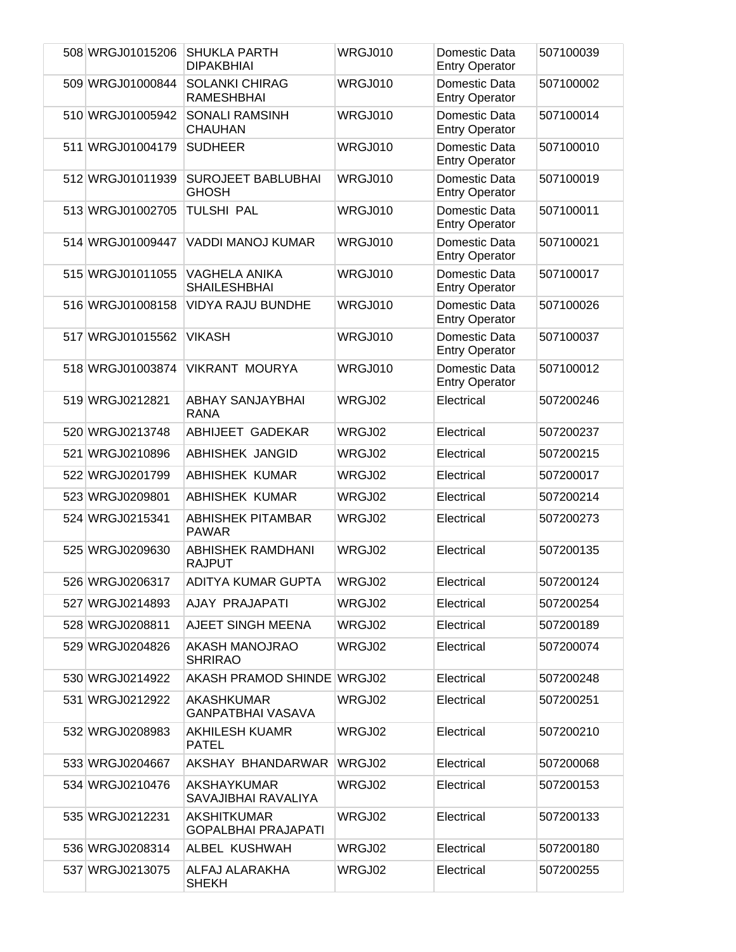| 508 WRGJ01015206 | <b>SHUKLA PARTH</b><br><b>DIPAKBHIAI</b>    | WRGJ010 | Domestic Data<br><b>Entry Operator</b> | 507100039 |
|------------------|---------------------------------------------|---------|----------------------------------------|-----------|
| 509 WRGJ01000844 | <b>SOLANKI CHIRAG</b><br><b>RAMESHBHAI</b>  | WRGJ010 | Domestic Data<br><b>Entry Operator</b> | 507100002 |
| 510 WRGJ01005942 | <b>SONALI RAMSINH</b><br><b>CHAUHAN</b>     | WRGJ010 | Domestic Data<br><b>Entry Operator</b> | 507100014 |
| 511 WRGJ01004179 | <b>SUDHEER</b>                              | WRGJ010 | Domestic Data<br><b>Entry Operator</b> | 507100010 |
| 512 WRGJ01011939 | <b>SUROJEET BABLUBHAI</b><br><b>GHOSH</b>   | WRGJ010 | Domestic Data<br><b>Entry Operator</b> | 507100019 |
| 513 WRGJ01002705 | <b>TULSHI PAL</b>                           | WRGJ010 | Domestic Data<br><b>Entry Operator</b> | 507100011 |
| 514 WRGJ01009447 | <b>VADDI MANOJ KUMAR</b>                    | WRGJ010 | Domestic Data<br><b>Entry Operator</b> | 507100021 |
| 515 WRGJ01011055 | <b>VAGHELA ANIKA</b><br><b>SHAILESHBHAI</b> | WRGJ010 | Domestic Data<br><b>Entry Operator</b> | 507100017 |
| 516 WRGJ01008158 | <b>VIDYA RAJU BUNDHE</b>                    | WRGJ010 | Domestic Data<br><b>Entry Operator</b> | 507100026 |
| 517 WRGJ01015562 | <b>VIKASH</b>                               | WRGJ010 | Domestic Data<br><b>Entry Operator</b> | 507100037 |
| 518 WRGJ01003874 | <b>VIKRANT MOURYA</b>                       | WRGJ010 | Domestic Data<br><b>Entry Operator</b> | 507100012 |
| 519 WRGJ0212821  | <b>ABHAY SANJAYBHAI</b><br><b>RANA</b>      | WRGJ02  | Electrical                             | 507200246 |
| 520 WRGJ0213748  | ABHIJEET GADEKAR                            | WRGJ02  | Electrical                             | 507200237 |
| 521 WRGJ0210896  | <b>ABHISHEK JANGID</b>                      | WRGJ02  | Electrical                             | 507200215 |
| 522 WRGJ0201799  | <b>ABHISHEK KUMAR</b>                       | WRGJ02  | Electrical                             | 507200017 |
| 523 WRGJ0209801  | <b>ABHISHEK KUMAR</b>                       | WRGJ02  | Electrical                             | 507200214 |
| 524 WRGJ0215341  | <b>ABHISHEK PITAMBAR</b><br><b>PAWAR</b>    | WRGJ02  | Electrical                             | 507200273 |
| 525 WRGJ0209630  | <b>ABHISHEK RAMDHANI</b><br><b>RAJPUT</b>   | WRGJ02  | Electrical                             | 507200135 |
| 526 WRGJ0206317  | ADITYA KUMAR GUPTA                          | WRGJ02  | Electrical                             | 507200124 |
| 527 WRGJ0214893  | AJAY PRAJAPATI                              | WRGJ02  | Electrical                             | 507200254 |
| 528 WRGJ0208811  | AJEET SINGH MEENA                           | WRGJ02  | Electrical                             | 507200189 |
| 529 WRGJ0204826  | AKASH MANOJRAO<br><b>SHRIRAO</b>            | WRGJ02  | Electrical                             | 507200074 |
| 530 WRGJ0214922  | <b>AKASH PRAMOD SHINDE</b>                  | WRGJ02  | Electrical                             | 507200248 |
| 531 WRGJ0212922  | AKASHKUMAR<br>GANPATBHAI VASAVA             | WRGJ02  | Electrical                             | 507200251 |
| 532 WRGJ0208983  | AKHILESH KUAMR<br><b>PATEL</b>              | WRGJ02  | Electrical                             | 507200210 |
| 533 WRGJ0204667  | AKSHAY BHANDARWAR                           | WRGJ02  | Electrical                             | 507200068 |
| 534 WRGJ0210476  | AKSHAYKUMAR<br>SAVAJIBHAI RAVALIYA          | WRGJ02  | Electrical                             | 507200153 |
| 535 WRGJ0212231  | AKSHITKUMAR<br><b>GOPALBHAI PRAJAPATI</b>   | WRGJ02  | Electrical                             | 507200133 |
| 536 WRGJ0208314  | ALBEL KUSHWAH                               | WRGJ02  | Electrical                             | 507200180 |
| 537 WRGJ0213075  | ALFAJ ALARAKHA<br><b>SHEKH</b>              | WRGJ02  | Electrical                             | 507200255 |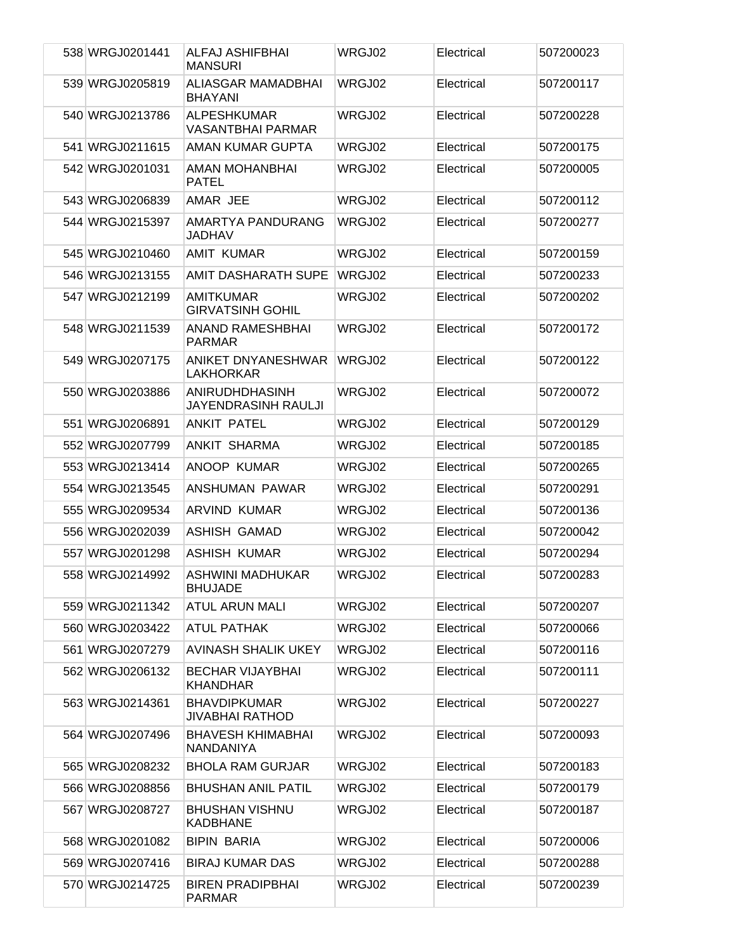| 538 WRGJ0201441 | ALFAJ ASHIFBHAI<br><b>MANSURI</b>              | WRGJ02 | Electrical | 507200023 |
|-----------------|------------------------------------------------|--------|------------|-----------|
| 539 WRGJ0205819 | ALIASGAR MAMADBHAI<br><b>BHAYANI</b>           | WRGJ02 | Electrical | 507200117 |
| 540 WRGJ0213786 | <b>ALPESHKUMAR</b><br><b>VASANTBHAI PARMAR</b> | WRGJ02 | Electrical | 507200228 |
| 541 WRGJ0211615 | AMAN KUMAR GUPTA                               | WRGJ02 | Electrical | 507200175 |
| 542 WRGJ0201031 | AMAN MOHANBHAI<br><b>PATEL</b>                 | WRGJ02 | Electrical | 507200005 |
| 543 WRGJ0206839 | AMAR JEE                                       | WRGJ02 | Electrical | 507200112 |
| 544 WRGJ0215397 | AMARTYA PANDURANG<br>JADHAV                    | WRGJ02 | Electrical | 507200277 |
| 545 WRGJ0210460 | <b>AMIT KUMAR</b>                              | WRGJ02 | Electrical | 507200159 |
| 546 WRGJ0213155 | AMIT DASHARATH SUPE                            | WRGJ02 | Electrical | 507200233 |
| 547 WRGJ0212199 | <b>AMITKUMAR</b><br><b>GIRVATSINH GOHIL</b>    | WRGJ02 | Electrical | 507200202 |
| 548 WRGJ0211539 | <b>ANAND RAMESHBHAI</b><br><b>PARMAR</b>       | WRGJ02 | Electrical | 507200172 |
| 549 WRGJ0207175 | ANIKET DNYANESHWAR<br><b>LAKHORKAR</b>         | WRGJ02 | Electrical | 507200122 |
| 550 WRGJ0203886 | ANIRUDHDHASINH<br><b>JAYENDRASINH RAULJI</b>   | WRGJ02 | Electrical | 507200072 |
| 551 WRGJ0206891 | ANKIT PATEL                                    | WRGJ02 | Electrical | 507200129 |
| 552 WRGJ0207799 | ANKIT SHARMA                                   | WRGJ02 | Electrical | 507200185 |
| 553 WRGJ0213414 | ANOOP KUMAR                                    | WRGJ02 | Electrical | 507200265 |
| 554 WRGJ0213545 | ANSHUMAN PAWAR                                 | WRGJ02 | Electrical | 507200291 |
| 555 WRGJ0209534 | <b>ARVIND KUMAR</b>                            | WRGJ02 | Electrical | 507200136 |
| 556 WRGJ0202039 | ASHISH GAMAD                                   | WRGJ02 | Electrical | 507200042 |
| 557 WRGJ0201298 | ASHISH KUMAR                                   | WRGJ02 | Electrical | 507200294 |
| 558 WRGJ0214992 | ASHWINI MADHUKAR<br><b>BHUJADE</b>             | WRGJ02 | Electrical | 507200283 |
| 559 WRGJ0211342 | <b>ATUL ARUN MALI</b>                          | WRGJ02 | Electrical | 507200207 |
| 560 WRGJ0203422 | <b>ATUL PATHAK</b>                             | WRGJ02 | Electrical | 507200066 |
| 561 WRGJ0207279 | <b>AVINASH SHALIK UKEY</b>                     | WRGJ02 | Electrical | 507200116 |
| 562 WRGJ0206132 | <b>BECHAR VIJAYBHAI</b><br><b>KHANDHAR</b>     | WRGJ02 | Electrical | 507200111 |
| 563 WRGJ0214361 | <b>BHAVDIPKUMAR</b><br><b>JIVABHAI RATHOD</b>  | WRGJ02 | Electrical | 507200227 |
| 564 WRGJ0207496 | <b>BHAVESH KHIMABHAI</b><br>NANDANIYA          | WRGJ02 | Electrical | 507200093 |
| 565 WRGJ0208232 | <b>BHOLA RAM GURJAR</b>                        | WRGJ02 | Electrical | 507200183 |
| 566 WRGJ0208856 | <b>BHUSHAN ANIL PATIL</b>                      | WRGJ02 | Electrical | 507200179 |
| 567 WRGJ0208727 | <b>BHUSHAN VISHNU</b><br><b>KADBHANE</b>       | WRGJ02 | Electrical | 507200187 |
| 568 WRGJ0201082 | <b>BIPIN BARIA</b>                             | WRGJ02 | Electrical | 507200006 |
| 569 WRGJ0207416 | <b>BIRAJ KUMAR DAS</b>                         | WRGJ02 | Electrical | 507200288 |
| 570 WRGJ0214725 | <b>BIREN PRADIPBHAI</b><br><b>PARMAR</b>       | WRGJ02 | Electrical | 507200239 |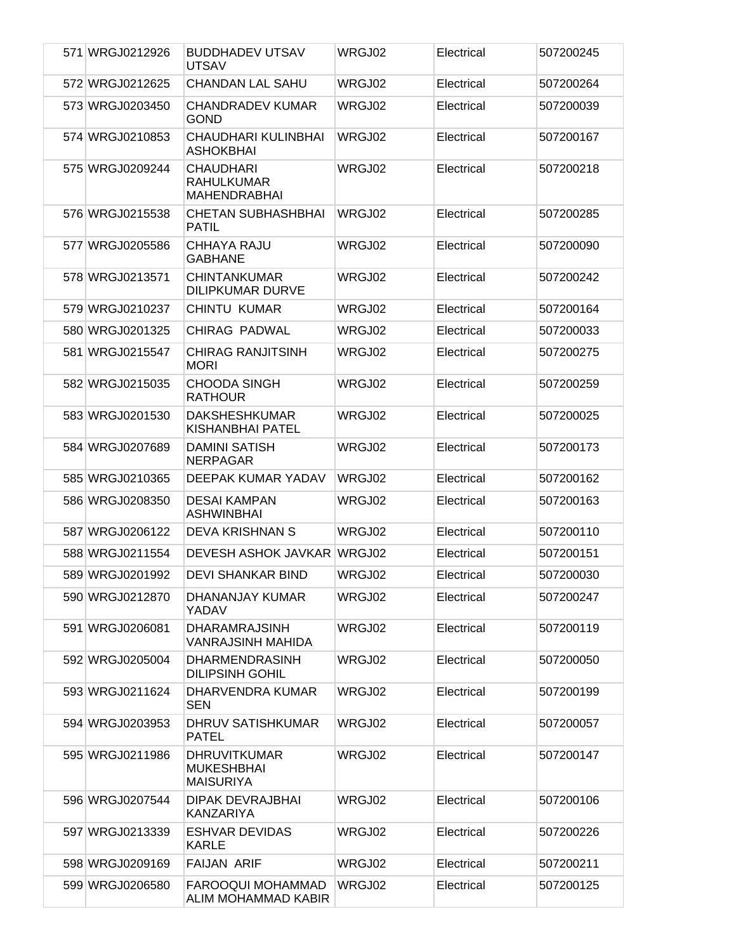| 571 WRGJ0212926 | <b>BUDDHADEV UTSAV</b><br><b>UTSAV</b>                       | WRGJ02 | Electrical | 507200245 |
|-----------------|--------------------------------------------------------------|--------|------------|-----------|
| 572 WRGJ0212625 | <b>CHANDAN LAL SAHU</b>                                      | WRGJ02 | Electrical | 507200264 |
| 573 WRGJ0203450 | <b>CHANDRADEV KUMAR</b><br><b>GOND</b>                       | WRGJ02 | Electrical | 507200039 |
| 574 WRGJ0210853 | CHAUDHARI KULINBHAI<br><b>ASHOKBHAI</b>                      | WRGJ02 | Electrical | 507200167 |
| 575 WRGJ0209244 | <b>CHAUDHARI</b><br><b>RAHULKUMAR</b><br><b>MAHENDRABHAI</b> | WRGJ02 | Electrical | 507200218 |
| 576 WRGJ0215538 | <b>CHETAN SUBHASHBHAI</b><br><b>PATIL</b>                    | WRGJ02 | Electrical | 507200285 |
| 577 WRGJ0205586 | CHHAYA RAJU<br><b>GABHANE</b>                                | WRGJ02 | Electrical | 507200090 |
| 578 WRGJ0213571 | <b>CHINTANKUMAR</b><br><b>DILIPKUMAR DURVE</b>               | WRGJ02 | Electrical | 507200242 |
| 579 WRGJ0210237 | <b>CHINTU KUMAR</b>                                          | WRGJ02 | Electrical | 507200164 |
| 580 WRGJ0201325 | <b>CHIRAG PADWAL</b>                                         | WRGJ02 | Electrical | 507200033 |
| 581 WRGJ0215547 | <b>CHIRAG RANJITSINH</b><br><b>MORI</b>                      | WRGJ02 | Electrical | 507200275 |
| 582 WRGJ0215035 | <b>CHOODA SINGH</b><br><b>RATHOUR</b>                        | WRGJ02 | Electrical | 507200259 |
| 583 WRGJ0201530 | <b>DAKSHESHKUMAR</b><br><b>KISHANBHAI PATEL</b>              | WRGJ02 | Electrical | 507200025 |
| 584 WRGJ0207689 | <b>DAMINI SATISH</b><br><b>NERPAGAR</b>                      | WRGJ02 | Electrical | 507200173 |
| 585 WRGJ0210365 | DEEPAK KUMAR YADAV                                           | WRGJ02 | Electrical | 507200162 |
| 586 WRGJ0208350 | <b>DESAI KAMPAN</b><br><b>ASHWINBHAI</b>                     | WRGJ02 | Electrical | 507200163 |
| 587 WRGJ0206122 | <b>DEVA KRISHNAN S</b>                                       | WRGJ02 | Electrical | 507200110 |
| 588 WRGJ0211554 | <b>DEVESH ASHOK JAVKAR</b>                                   | WRGJ02 | Electrical | 507200151 |
| 589 WRGJ0201992 | <b>DEVI SHANKAR BIND</b>                                     | WRGJ02 | Electrical | 507200030 |
| 590 WRGJ0212870 | DHANANJAY KUMAR<br>YADAV                                     | WRGJ02 | Electrical | 507200247 |
| 591 WRGJ0206081 | <b>DHARAMRAJSINH</b><br>VANRAJSINH MAHIDA                    | WRGJ02 | Electrical | 507200119 |
| 592 WRGJ0205004 | <b>DHARMENDRASINH</b><br><b>DILIPSINH GOHIL</b>              | WRGJ02 | Electrical | 507200050 |
| 593 WRGJ0211624 | DHARVENDRA KUMAR<br><b>SEN</b>                               | WRGJ02 | Electrical | 507200199 |
| 594 WRGJ0203953 | DHRUV SATISHKUMAR<br><b>PATEL</b>                            | WRGJ02 | Electrical | 507200057 |
| 595 WRGJ0211986 | <b>DHRUVITKUMAR</b><br><b>MUKESHBHAI</b><br><b>MAISURIYA</b> | WRGJ02 | Electrical | 507200147 |
| 596 WRGJ0207544 | <b>DIPAK DEVRAJBHAI</b><br><b>KANZARIYA</b>                  | WRGJ02 | Electrical | 507200106 |
| 597 WRGJ0213339 | <b>ESHVAR DEVIDAS</b><br><b>KARLE</b>                        | WRGJ02 | Electrical | 507200226 |
| 598 WRGJ0209169 | <b>FAIJAN ARIF</b>                                           | WRGJ02 | Electrical | 507200211 |
| 599 WRGJ0206580 | FAROOQUI MOHAMMAD<br>ALIM MOHAMMAD KABIR                     | WRGJ02 | Electrical | 507200125 |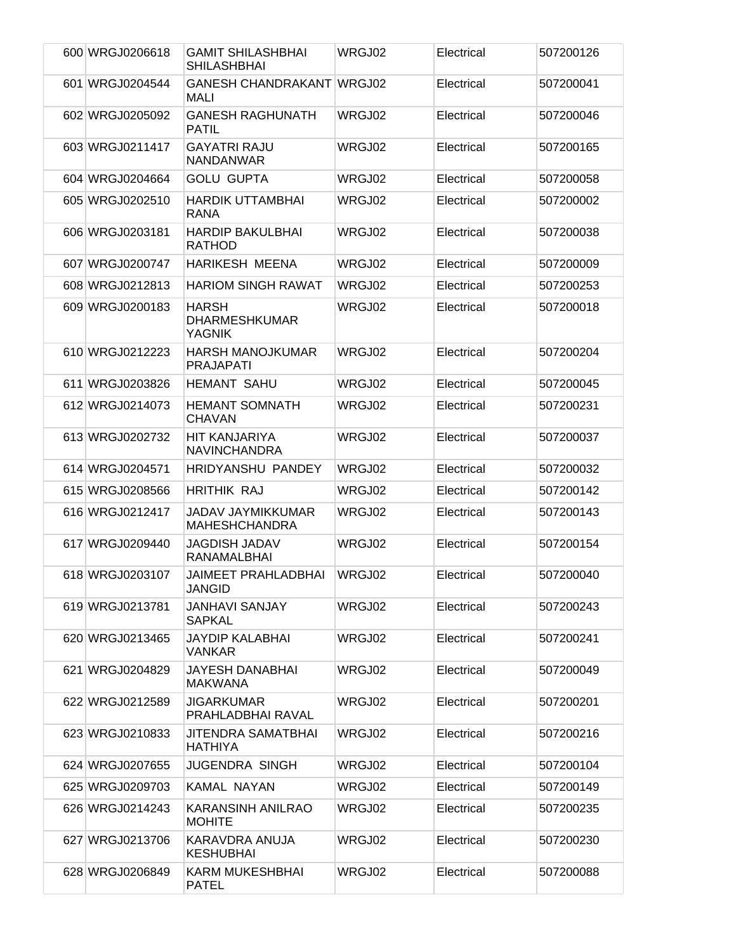| 600 WRGJ0206618 | <b>GAMIT SHILASHBHAI</b><br><b>SHILASHBHAI</b>        | WRGJ02 | Electrical | 507200126 |
|-----------------|-------------------------------------------------------|--------|------------|-----------|
| 601 WRGJ0204544 | GANESH CHANDRAKANT WRGJ02<br>MALI                     |        | Electrical | 507200041 |
| 602 WRGJ0205092 | <b>GANESH RAGHUNATH</b><br><b>PATIL</b>               | WRGJ02 | Electrical | 507200046 |
| 603 WRGJ0211417 | <b>GAYATRI RAJU</b><br><b>NANDANWAR</b>               | WRGJ02 | Electrical | 507200165 |
| 604 WRGJ0204664 | <b>GOLU GUPTA</b>                                     | WRGJ02 | Electrical | 507200058 |
| 605 WRGJ0202510 | <b>HARDIK UTTAMBHAI</b><br><b>RANA</b>                | WRGJ02 | Electrical | 507200002 |
| 606 WRGJ0203181 | <b>HARDIP BAKULBHAI</b><br><b>RATHOD</b>              | WRGJ02 | Electrical | 507200038 |
| 607 WRGJ0200747 | <b>HARIKESH MEENA</b>                                 | WRGJ02 | Electrical | 507200009 |
| 608 WRGJ0212813 | <b>HARIOM SINGH RAWAT</b>                             | WRGJ02 | Electrical | 507200253 |
| 609 WRGJ0200183 | <b>HARSH</b><br><b>DHARMESHKUMAR</b><br><b>YAGNIK</b> | WRGJ02 | Electrical | 507200018 |
| 610 WRGJ0212223 | HARSH MANOJKUMAR<br><b>PRAJAPATI</b>                  | WRGJ02 | Electrical | 507200204 |
| 611 WRGJ0203826 | <b>HEMANT SAHU</b>                                    | WRGJ02 | Electrical | 507200045 |
| 612 WRGJ0214073 | <b>HEMANT SOMNATH</b><br><b>CHAVAN</b>                | WRGJ02 | Electrical | 507200231 |
| 613 WRGJ0202732 | HIT KANJARIYA<br><b>NAVINCHANDRA</b>                  | WRGJ02 | Electrical | 507200037 |
| 614 WRGJ0204571 | <b>HRIDYANSHU PANDEY</b>                              | WRGJ02 | Electrical | 507200032 |
| 615 WRGJ0208566 | <b>HRITHIK RAJ</b>                                    | WRGJ02 | Electrical | 507200142 |
| 616 WRGJ0212417 | <b>JADAV JAYMIKKUMAR</b><br><b>MAHESHCHANDRA</b>      | WRGJ02 | Electrical | 507200143 |
| 617 WRGJ0209440 | <b>JAGDISH JADAV</b><br><b>RANAMALBHAI</b>            | WRGJ02 | Electrical | 507200154 |
| 618 WRGJ0203107 | <b>JAIMEET PRAHLADBHAI</b><br><b>JANGID</b>           | WRGJ02 | Electrical | 507200040 |
| 619 WRGJ0213781 | <b>JANHAVI SANJAY</b><br><b>SAPKAL</b>                | WRGJ02 | Electrical | 507200243 |
| 620 WRGJ0213465 | <b>JAYDIP KALABHAI</b><br><b>VANKAR</b>               | WRGJ02 | Electrical | 507200241 |
| 621 WRGJ0204829 | JAYESH DANABHAI<br>MAKWANA                            | WRGJ02 | Electrical | 507200049 |
| 622 WRGJ0212589 | <b>JIGARKUMAR</b><br>PRAHLADBHAI RAVAL                | WRGJ02 | Electrical | 507200201 |
| 623 WRGJ0210833 | <b>JITENDRA SAMATBHAI</b><br>HATHIYA                  | WRGJ02 | Electrical | 507200216 |
| 624 WRGJ0207655 | <b>JUGENDRA SINGH</b>                                 | WRGJ02 | Electrical | 507200104 |
| 625 WRGJ0209703 | KAMAL NAYAN                                           | WRGJ02 | Electrical | 507200149 |
| 626 WRGJ0214243 | KARANSINH ANILRAO<br><b>MOHITE</b>                    | WRGJ02 | Electrical | 507200235 |
| 627 WRGJ0213706 | KARAVDRA ANUJA<br><b>KESHUBHAI</b>                    | WRGJ02 | Electrical | 507200230 |
| 628 WRGJ0206849 | KARM MUKESHBHAI<br><b>PATEL</b>                       | WRGJ02 | Electrical | 507200088 |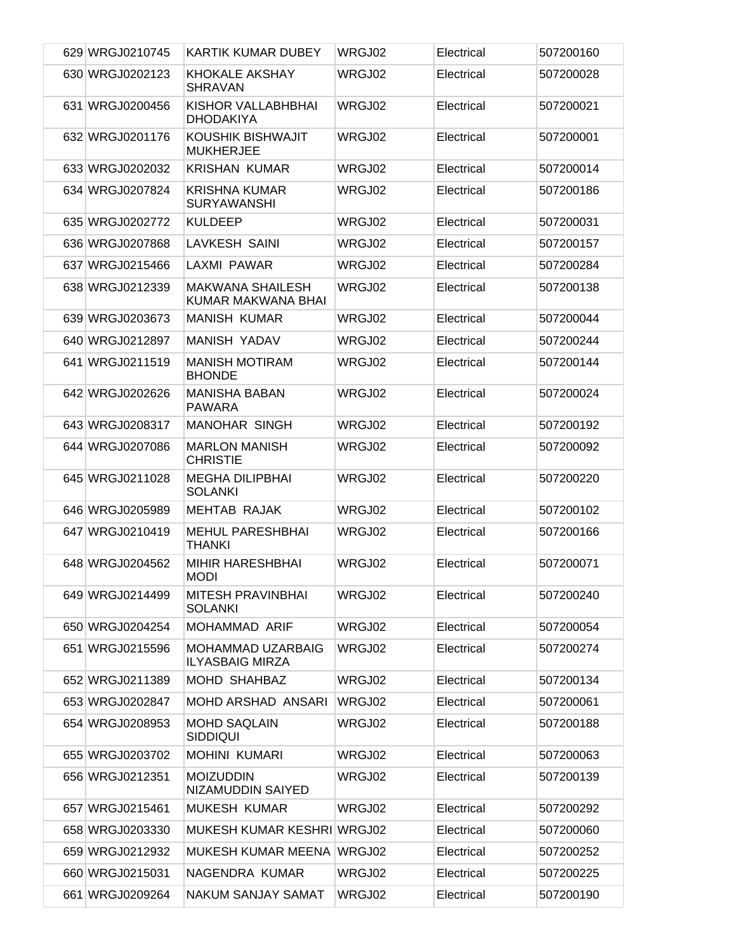| 629 WRGJ0210745 | <b>KARTIK KUMAR DUBEY</b>                     | WRGJ02 | Electrical | 507200160 |
|-----------------|-----------------------------------------------|--------|------------|-----------|
| 630 WRGJ0202123 | <b>KHOKALE AKSHAY</b><br><b>SHRAVAN</b>       | WRGJ02 | Electrical | 507200028 |
| 631 WRGJ0200456 | KISHOR VALLABHBHAI<br><b>DHODAKIYA</b>        | WRGJ02 | Electrical | 507200021 |
| 632 WRGJ0201176 | KOUSHIK BISHWAJIT<br><b>MUKHERJEE</b>         | WRGJ02 | Electrical | 507200001 |
| 633 WRGJ0202032 | <b>KRISHAN KUMAR</b>                          | WRGJ02 | Electrical | 507200014 |
| 634 WRGJ0207824 | <b>KRISHNA KUMAR</b><br><b>SURYAWANSHI</b>    | WRGJ02 | Electrical | 507200186 |
| 635 WRGJ0202772 | <b>KULDEEP</b>                                | WRGJ02 | Electrical | 507200031 |
| 636 WRGJ0207868 | <b>LAVKESH SAINI</b>                          | WRGJ02 | Electrical | 507200157 |
| 637 WRGJ0215466 | LAXMI PAWAR                                   | WRGJ02 | Electrical | 507200284 |
| 638 WRGJ0212339 | <b>MAKWANA SHAILESH</b><br>KUMAR MAKWANA BHAI | WRGJ02 | Electrical | 507200138 |
| 639 WRGJ0203673 | <b>MANISH KUMAR</b>                           | WRGJ02 | Electrical | 507200044 |
| 640 WRGJ0212897 | <b>MANISH YADAV</b>                           | WRGJ02 | Electrical | 507200244 |
| 641 WRGJ0211519 | <b>MANISH MOTIRAM</b><br><b>BHONDE</b>        | WRGJ02 | Electrical | 507200144 |
| 642 WRGJ0202626 | <b>MANISHA BABAN</b><br><b>PAWARA</b>         | WRGJ02 | Electrical | 507200024 |
| 643 WRGJ0208317 | MANOHAR SINGH                                 | WRGJ02 | Electrical | 507200192 |
| 644 WRGJ0207086 | <b>MARLON MANISH</b><br><b>CHRISTIE</b>       | WRGJ02 | Electrical | 507200092 |
| 645 WRGJ0211028 | <b>MEGHA DILIPBHAI</b><br><b>SOLANKI</b>      | WRGJ02 | Electrical | 507200220 |
| 646 WRGJ0205989 | <b>MEHTAB RAJAK</b>                           | WRGJ02 | Electrical | 507200102 |
| 647 WRGJ0210419 | <b>MEHUL PARESHBHAI</b><br><b>THANKI</b>      | WRGJ02 | Electrical | 507200166 |
| 648 WRGJ0204562 | <b>MIHIR HARESHBHAI</b><br><b>MODI</b>        | WRGJ02 | Electrical | 507200071 |
| 649 WRGJ0214499 | <b>MITESH PRAVINBHAI</b><br><b>SOLANKI</b>    | WRGJ02 | Electrical | 507200240 |
| 650 WRGJ0204254 | <b>MOHAMMAD ARIF</b>                          | WRGJ02 | Electrical | 507200054 |
| 651 WRGJ0215596 | MOHAMMAD UZARBAIG<br><b>ILYASBAIG MIRZA</b>   | WRGJ02 | Electrical | 507200274 |
| 652 WRGJ0211389 | <b>MOHD SHAHBAZ</b>                           | WRGJ02 | Electrical | 507200134 |
| 653 WRGJ0202847 | <b>MOHD ARSHAD ANSARI</b>                     | WRGJ02 | Electrical | 507200061 |
| 654 WRGJ0208953 | <b>MOHD SAQLAIN</b><br><b>SIDDIQUI</b>        | WRGJ02 | Electrical | 507200188 |
| 655 WRGJ0203702 | <b>MOHINI KUMARI</b>                          | WRGJ02 | Electrical | 507200063 |
| 656 WRGJ0212351 | <b>MOIZUDDIN</b><br>NIZAMUDDIN SAIYED         | WRGJ02 | Electrical | 507200139 |
| 657 WRGJ0215461 | MUKESH KUMAR                                  | WRGJ02 | Electrical | 507200292 |
| 658 WRGJ0203330 | <b>MUKESH KUMAR KESHRI WRGJ02</b>             |        | Electrical | 507200060 |
| 659 WRGJ0212932 | MUKESH KUMAR MEENA WRGJ02                     |        | Electrical | 507200252 |
| 660 WRGJ0215031 | NAGENDRA KUMAR                                | WRGJ02 | Electrical | 507200225 |
| 661 WRGJ0209264 | NAKUM SANJAY SAMAT                            | WRGJ02 | Electrical | 507200190 |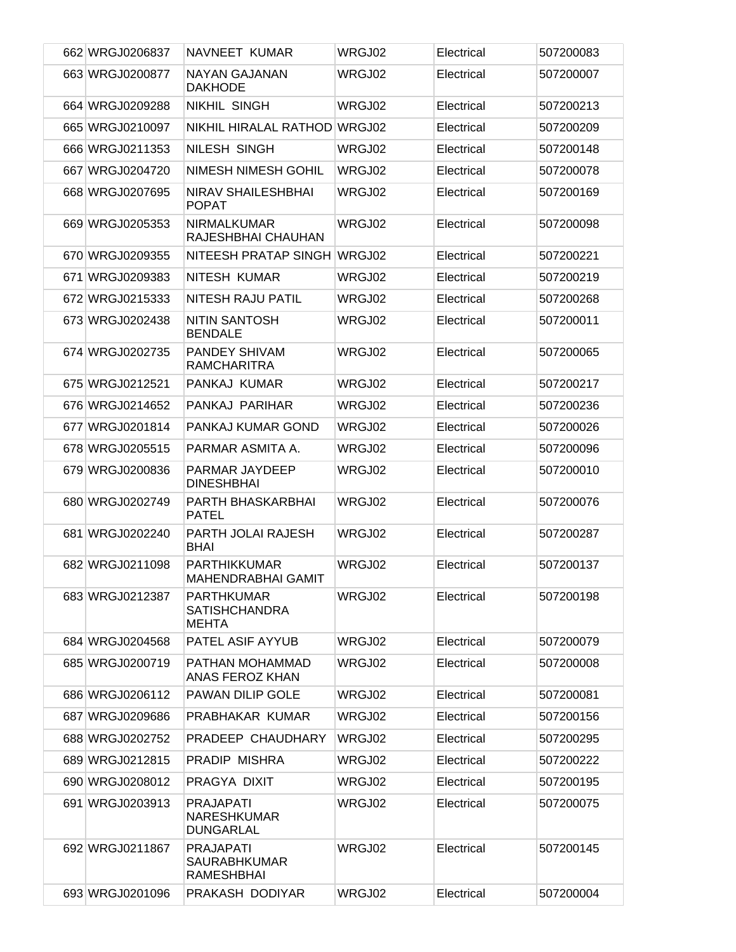| 662 WRGJ0206837 | NAVNEET KUMAR                                                | WRGJ02 | Electrical | 507200083 |
|-----------------|--------------------------------------------------------------|--------|------------|-----------|
| 663 WRGJ0200877 | NAYAN GAJANAN<br><b>DAKHODE</b>                              | WRGJ02 | Electrical | 507200007 |
| 664 WRGJ0209288 | <b>NIKHIL SINGH</b>                                          | WRGJ02 | Electrical | 507200213 |
| 665 WRGJ0210097 | NIKHIL HIRALAL RATHOD WRGJ02                                 |        | Electrical | 507200209 |
| 666 WRGJ0211353 | NILESH SINGH                                                 | WRGJ02 | Electrical | 507200148 |
| 667 WRGJ0204720 | <b>NIMESH NIMESH GOHIL</b>                                   | WRGJ02 | Electrical | 507200078 |
| 668 WRGJ0207695 | <b>NIRAV SHAILESHBHAI</b><br><b>POPAT</b>                    | WRGJ02 | Electrical | 507200169 |
| 669 WRGJ0205353 | <b>NIRMALKUMAR</b><br>RAJESHBHAI CHAUHAN                     | WRGJ02 | Electrical | 507200098 |
| 670 WRGJ0209355 | NITEESH PRATAP SINGH                                         | WRGJ02 | Electrical | 507200221 |
| 671 WRGJ0209383 | NITESH KUMAR                                                 | WRGJ02 | Electrical | 507200219 |
| 672 WRGJ0215333 | NITESH RAJU PATIL                                            | WRGJ02 | Electrical | 507200268 |
| 673 WRGJ0202438 | <b>NITIN SANTOSH</b><br><b>BENDALE</b>                       | WRGJ02 | Electrical | 507200011 |
| 674 WRGJ0202735 | PANDEY SHIVAM<br><b>RAMCHARITRA</b>                          | WRGJ02 | Electrical | 507200065 |
| 675 WRGJ0212521 | PANKAJ KUMAR                                                 | WRGJ02 | Electrical | 507200217 |
| 676 WRGJ0214652 | PANKAJ PARIHAR                                               | WRGJ02 | Electrical | 507200236 |
| 677 WRGJ0201814 | PANKAJ KUMAR GOND                                            | WRGJ02 | Electrical | 507200026 |
| 678 WRGJ0205515 | PARMAR ASMITA A.                                             | WRGJ02 | Electrical | 507200096 |
| 679 WRGJ0200836 | PARMAR JAYDEEP<br><b>DINESHBHAI</b>                          | WRGJ02 | Electrical | 507200010 |
| 680 WRGJ0202749 | PARTH BHASKARBHAI<br><b>PATEL</b>                            | WRGJ02 | Electrical | 507200076 |
| 681 WRGJ0202240 | PARTH JOLAI RAJESH<br><b>BHAI</b>                            | WRGJ02 | Electrical | 507200287 |
| 682 WRGJ0211098 | <b>PARTHIKKUMAR</b><br><b>MAHENDRABHAI GAMIT</b>             | WRGJ02 | Electrical | 507200137 |
| 683 WRGJ0212387 | <b>PARTHKUMAR</b><br><b>SATISHCHANDRA</b><br><b>MEHTA</b>    | WRGJ02 | Electrical | 507200198 |
| 684 WRGJ0204568 | PATEL ASIF AYYUB                                             | WRGJ02 | Electrical | 507200079 |
| 685 WRGJ0200719 | PATHAN MOHAMMAD<br><b>ANAS FEROZ KHAN</b>                    | WRGJ02 | Electrical | 507200008 |
| 686 WRGJ0206112 | <b>PAWAN DILIP GOLE</b>                                      | WRGJ02 | Electrical | 507200081 |
| 687 WRGJ0209686 | PRABHAKAR KUMAR                                              | WRGJ02 | Electrical | 507200156 |
| 688 WRGJ0202752 | PRADEEP CHAUDHARY                                            | WRGJ02 | Electrical | 507200295 |
| 689 WRGJ0212815 | PRADIP MISHRA                                                | WRGJ02 | Electrical | 507200222 |
| 690 WRGJ0208012 | PRAGYA DIXIT                                                 | WRGJ02 | Electrical | 507200195 |
| 691 WRGJ0203913 | <b>PRAJAPATI</b><br><b>NARESHKUMAR</b><br><b>DUNGARLAL</b>   | WRGJ02 | Electrical | 507200075 |
| 692 WRGJ0211867 | <b>PRAJAPATI</b><br><b>SAURABHKUMAR</b><br><b>RAMESHBHAI</b> | WRGJ02 | Electrical | 507200145 |
| 693 WRGJ0201096 | PRAKASH DODIYAR                                              | WRGJ02 | Electrical | 507200004 |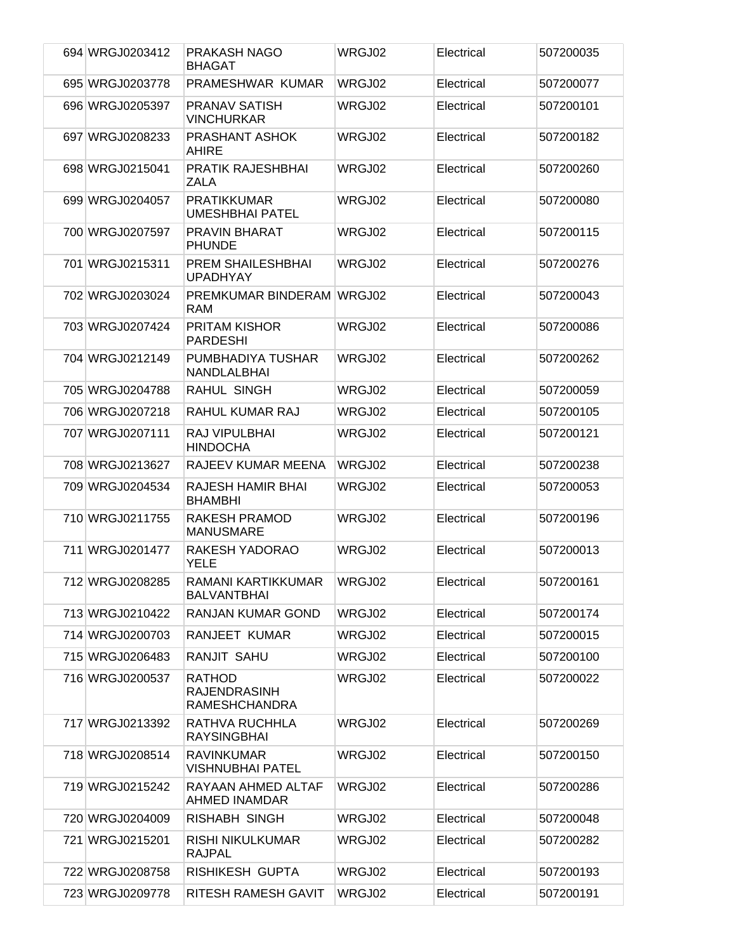| 694 WRGJ0203412 | PRAKASH NAGO<br><b>BHAGAT</b>                                | WRGJ02 | Electrical | 507200035 |
|-----------------|--------------------------------------------------------------|--------|------------|-----------|
| 695 WRGJ0203778 | PRAMESHWAR KUMAR                                             | WRGJ02 | Electrical | 507200077 |
| 696 WRGJ0205397 | <b>PRANAV SATISH</b><br><b>VINCHURKAR</b>                    | WRGJ02 | Electrical | 507200101 |
| 697 WRGJ0208233 | <b>PRASHANT ASHOK</b><br>AHIRE                               | WRGJ02 | Electrical | 507200182 |
| 698 WRGJ0215041 | <b>PRATIK RAJESHBHAI</b><br><b>ZALA</b>                      | WRGJ02 | Electrical | 507200260 |
| 699 WRGJ0204057 | <b>PRATIKKUMAR</b><br><b>UMESHBHAI PATEL</b>                 | WRGJ02 | Electrical | 507200080 |
| 700 WRGJ0207597 | <b>PRAVIN BHARAT</b><br><b>PHUNDE</b>                        | WRGJ02 | Electrical | 507200115 |
| 701 WRGJ0215311 | PREM SHAILESHBHAI<br><b>UPADHYAY</b>                         | WRGJ02 | Electrical | 507200276 |
| 702 WRGJ0203024 | PREMKUMAR BINDERAM<br><b>RAM</b>                             | WRGJ02 | Electrical | 507200043 |
| 703 WRGJ0207424 | <b>PRITAM KISHOR</b><br><b>PARDESHI</b>                      | WRGJ02 | Electrical | 507200086 |
| 704 WRGJ0212149 | PUMBHADIYA TUSHAR<br>NANDLALBHAI                             | WRGJ02 | Electrical | 507200262 |
| 705 WRGJ0204788 | RAHUL SINGH                                                  | WRGJ02 | Electrical | 507200059 |
| 706 WRGJ0207218 | RAHUL KUMAR RAJ                                              | WRGJ02 | Electrical | 507200105 |
| 707 WRGJ0207111 | RAJ VIPULBHAI<br><b>HINDOCHA</b>                             | WRGJ02 | Electrical | 507200121 |
| 708 WRGJ0213627 | RAJEEV KUMAR MEENA                                           | WRGJ02 | Electrical | 507200238 |
| 709 WRGJ0204534 | RAJESH HAMIR BHAI<br><b>BHAMBHI</b>                          | WRGJ02 | Electrical | 507200053 |
| 710 WRGJ0211755 | RAKESH PRAMOD<br><b>MANUSMARE</b>                            | WRGJ02 | Electrical | 507200196 |
| 711 WRGJ0201477 | RAKESH YADORAO<br>YELE                                       | WRGJ02 | Electrical | 507200013 |
| 712 WRGJ0208285 | RAMANI KARTIKKUMAR<br><b>BALVANTBHAI</b>                     | WRGJ02 | Electrical | 507200161 |
| 713 WRGJ0210422 | RANJAN KUMAR GOND                                            | WRGJ02 | Electrical | 507200174 |
| 714 WRGJ0200703 | RANJEET KUMAR                                                | WRGJ02 | Electrical | 507200015 |
| 715 WRGJ0206483 | RANJIT SAHU                                                  | WRGJ02 | Electrical | 507200100 |
| 716 WRGJ0200537 | <b>RATHOD</b><br><b>RAJENDRASINH</b><br><b>RAMESHCHANDRA</b> | WRGJ02 | Electrical | 507200022 |
| 717 WRGJ0213392 | RATHVA RUCHHLA<br><b>RAYSINGBHAI</b>                         | WRGJ02 | Electrical | 507200269 |
| 718 WRGJ0208514 | <b>RAVINKUMAR</b><br>VISHNUBHAI PATEL                        | WRGJ02 | Electrical | 507200150 |
| 719 WRGJ0215242 | RAYAAN AHMED ALTAF<br>AHMED INAMDAR                          | WRGJ02 | Electrical | 507200286 |
| 720 WRGJ0204009 | RISHABH SINGH                                                | WRGJ02 | Electrical | 507200048 |
| 721 WRGJ0215201 | RISHI NIKULKUMAR<br><b>RAJPAL</b>                            | WRGJ02 | Electrical | 507200282 |
| 722 WRGJ0208758 | RISHIKESH GUPTA                                              | WRGJ02 | Electrical | 507200193 |
| 723 WRGJ0209778 | RITESH RAMESH GAVIT                                          | WRGJ02 | Electrical | 507200191 |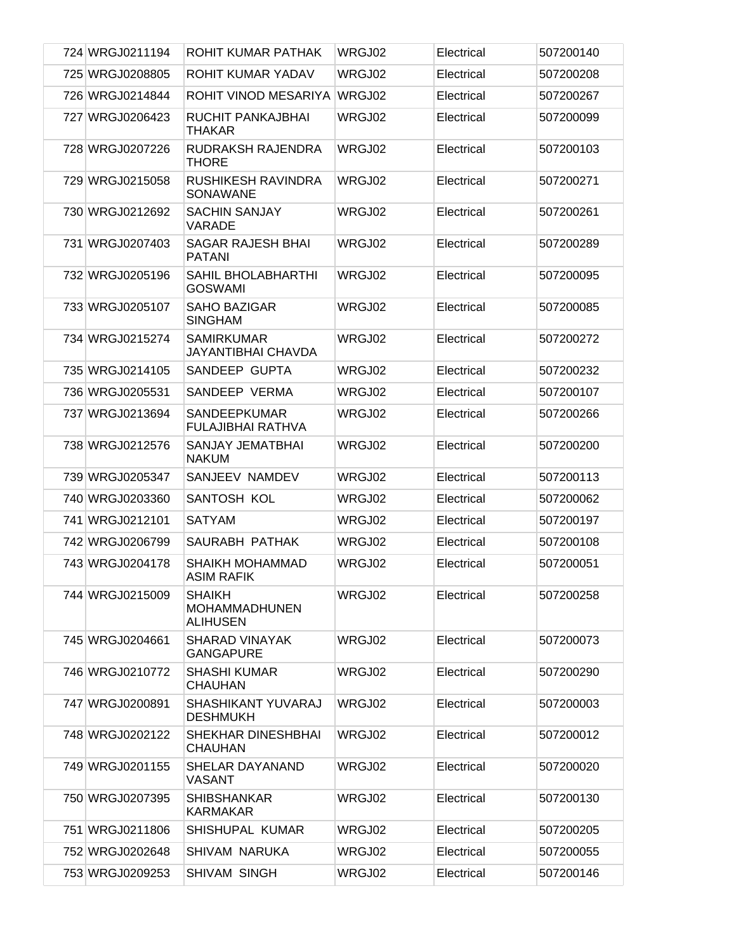| 724 WRGJ0211194 | ROHIT KUMAR PATHAK                                       | WRGJ02 | Electrical | 507200140 |
|-----------------|----------------------------------------------------------|--------|------------|-----------|
| 725 WRGJ0208805 | ROHIT KUMAR YADAV                                        | WRGJ02 | Electrical | 507200208 |
| 726 WRGJ0214844 | ROHIT VINOD MESARIYA                                     | WRGJ02 | Electrical | 507200267 |
| 727 WRGJ0206423 | RUCHIT PANKAJBHAI<br><b>THAKAR</b>                       | WRGJ02 | Electrical | 507200099 |
| 728 WRGJ0207226 | RUDRAKSH RAJENDRA<br><b>THORE</b>                        | WRGJ02 | Electrical | 507200103 |
| 729 WRGJ0215058 | <b>RUSHIKESH RAVINDRA</b><br>SONAWANE                    | WRGJ02 | Electrical | 507200271 |
| 730 WRGJ0212692 | <b>SACHIN SANJAY</b><br><b>VARADE</b>                    | WRGJ02 | Electrical | 507200261 |
| 731 WRGJ0207403 | SAGAR RAJESH BHAI<br><b>PATANI</b>                       | WRGJ02 | Electrical | 507200289 |
| 732 WRGJ0205196 | <b>SAHIL BHOLABHARTHI</b><br><b>GOSWAMI</b>              | WRGJ02 | Electrical | 507200095 |
| 733 WRGJ0205107 | <b>SAHO BAZIGAR</b><br><b>SINGHAM</b>                    | WRGJ02 | Electrical | 507200085 |
| 734 WRGJ0215274 | <b>SAMIRKUMAR</b><br><b>JAYANTIBHAI CHAVDA</b>           | WRGJ02 | Electrical | 507200272 |
| 735 WRGJ0214105 | SANDEEP GUPTA                                            | WRGJ02 | Electrical | 507200232 |
| 736 WRGJ0205531 | SANDEEP VERMA                                            | WRGJ02 | Electrical | 507200107 |
| 737 WRGJ0213694 | <b>SANDEEPKUMAR</b><br><b>FULAJIBHAI RATHVA</b>          | WRGJ02 | Electrical | 507200266 |
| 738 WRGJ0212576 | SANJAY JEMATBHAI<br><b>NAKUM</b>                         | WRGJ02 | Electrical | 507200200 |
| 739 WRGJ0205347 | SANJEEV NAMDEV                                           | WRGJ02 | Electrical | 507200113 |
| 740 WRGJ0203360 | SANTOSH KOL                                              | WRGJ02 | Electrical | 507200062 |
| 741 WRGJ0212101 | <b>SATYAM</b>                                            | WRGJ02 | Electrical | 507200197 |
| 742 WRGJ0206799 | SAURABH PATHAK                                           | WRGJ02 | Electrical | 507200108 |
| 743 WRGJ0204178 | <b>SHAIKH MOHAMMAD</b><br><b>ASIM RAFIK</b>              | WRGJ02 | Electrical | 507200051 |
| 744 WRGJ0215009 | <b>SHAIKH</b><br><b>MOHAMMADHUNEN</b><br><b>ALIHUSEN</b> | WRGJ02 | Electrical | 507200258 |
| 745 WRGJ0204661 | <b>SHARAD VINAYAK</b><br><b>GANGAPURE</b>                | WRGJ02 | Electrical | 507200073 |
| 746 WRGJ0210772 | <b>SHASHI KUMAR</b><br>CHAUHAN                           | WRGJ02 | Electrical | 507200290 |
| 747 WRGJ0200891 | SHASHIKANT YUVARAJ<br><b>DESHMUKH</b>                    | WRGJ02 | Electrical | 507200003 |
| 748 WRGJ0202122 | SHEKHAR DINESHBHAI<br><b>CHAUHAN</b>                     | WRGJ02 | Electrical | 507200012 |
| 749 WRGJ0201155 | SHELAR DAYANAND<br>VASANT                                | WRGJ02 | Electrical | 507200020 |
| 750 WRGJ0207395 | <b>SHIBSHANKAR</b><br><b>KARMAKAR</b>                    | WRGJ02 | Electrical | 507200130 |
| 751 WRGJ0211806 | SHISHUPAL KUMAR                                          | WRGJ02 | Electrical | 507200205 |
| 752 WRGJ0202648 | SHIVAM NARUKA                                            | WRGJ02 | Electrical | 507200055 |
| 753 WRGJ0209253 | SHIVAM SINGH                                             | WRGJ02 | Electrical | 507200146 |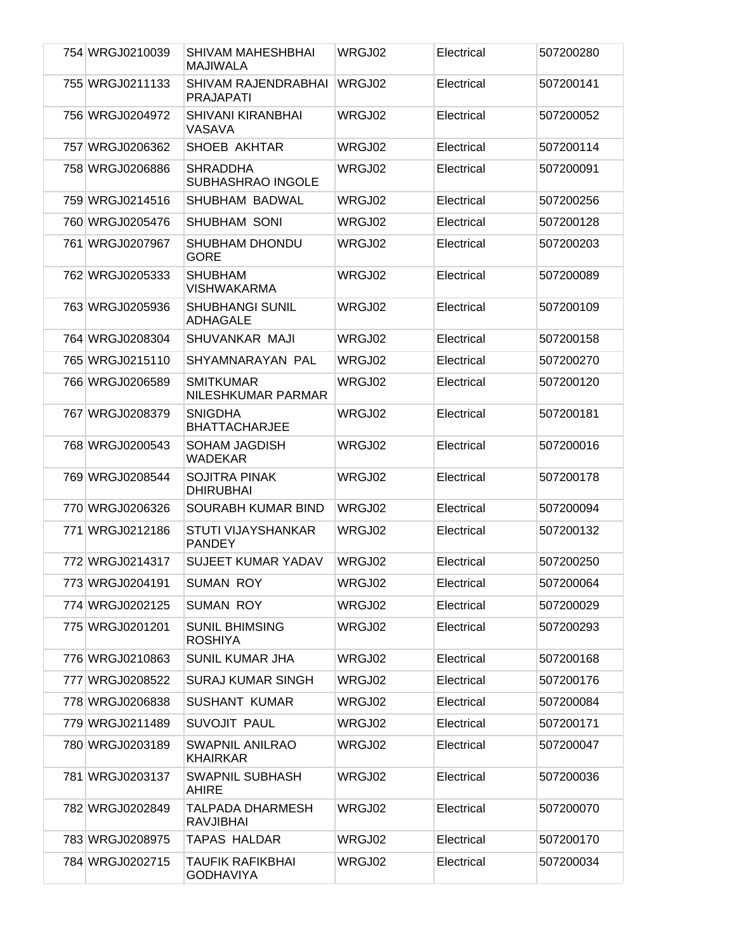| 754 WRGJ0210039 | SHIVAM MAHESHBHAI<br><b>MAJIWALA</b>        | WRGJ02 | Electrical | 507200280 |
|-----------------|---------------------------------------------|--------|------------|-----------|
| 755 WRGJ0211133 | SHIVAM RAJENDRABHAI<br><b>PRAJAPATI</b>     | WRGJ02 | Electrical | 507200141 |
| 756 WRGJ0204972 | <b>SHIVANI KIRANBHAI</b><br>VASAVA          | WRGJ02 | Electrical | 507200052 |
| 757 WRGJ0206362 | SHOEB AKHTAR                                | WRGJ02 | Electrical | 507200114 |
| 758 WRGJ0206886 | <b>SHRADDHA</b><br><b>SUBHASHRAO INGOLE</b> | WRGJ02 | Electrical | 507200091 |
| 759 WRGJ0214516 | SHUBHAM BADWAL                              | WRGJ02 | Electrical | 507200256 |
| 760 WRGJ0205476 | SHUBHAM SONI                                | WRGJ02 | Electrical | 507200128 |
| 761 WRGJ0207967 | <b>SHUBHAM DHONDU</b><br><b>GORE</b>        | WRGJ02 | Electrical | 507200203 |
| 762 WRGJ0205333 | <b>SHUBHAM</b><br><b>VISHWAKARMA</b>        | WRGJ02 | Electrical | 507200089 |
| 763 WRGJ0205936 | <b>SHUBHANGI SUNIL</b><br><b>ADHAGALE</b>   | WRGJ02 | Electrical | 507200109 |
| 764 WRGJ0208304 | SHUVANKAR MAJI                              | WRGJ02 | Electrical | 507200158 |
| 765 WRGJ0215110 | SHYAMNARAYAN PAL                            | WRGJ02 | Electrical | 507200270 |
| 766 WRGJ0206589 | <b>SMITKUMAR</b><br>NILESHKUMAR PARMAR      | WRGJ02 | Electrical | 507200120 |
| 767 WRGJ0208379 | <b>SNIGDHA</b><br><b>BHATTACHARJEE</b>      | WRGJ02 | Electrical | 507200181 |
| 768 WRGJ0200543 | <b>SOHAM JAGDISH</b><br><b>WADEKAR</b>      | WRGJ02 | Electrical | 507200016 |
| 769 WRGJ0208544 | <b>SOJITRA PINAK</b><br><b>DHIRUBHAI</b>    | WRGJ02 | Electrical | 507200178 |
| 770 WRGJ0206326 | SOURABH KUMAR BIND                          | WRGJ02 | Electrical | 507200094 |
| 771 WRGJ0212186 | STUTI VIJAYSHANKAR<br><b>PANDEY</b>         | WRGJ02 | Electrical | 507200132 |
| 772 WRGJ0214317 | <b>SUJEET KUMAR YADAV</b>                   | WRGJ02 | Electrical | 507200250 |
| 773 WRGJ0204191 | <b>SUMAN ROY</b>                            | WRGJ02 | Electrical | 507200064 |
| 774 WRGJ0202125 | <b>SUMAN ROY</b>                            | WRGJ02 | Electrical | 507200029 |
| 775 WRGJ0201201 | <b>SUNIL BHIMSING</b><br><b>ROSHIYA</b>     | WRGJ02 | Electrical | 507200293 |
| 776 WRGJ0210863 | <b>SUNIL KUMAR JHA</b>                      | WRGJ02 | Electrical | 507200168 |
| 777 WRGJ0208522 | <b>SURAJ KUMAR SINGH</b>                    | WRGJ02 | Electrical | 507200176 |
| 778 WRGJ0206838 | <b>SUSHANT KUMAR</b>                        | WRGJ02 | Electrical | 507200084 |
| 779 WRGJ0211489 | SUVOJIT PAUL                                | WRGJ02 | Electrical | 507200171 |
| 780 WRGJ0203189 | <b>SWAPNIL ANILRAO</b><br><b>KHAIRKAR</b>   | WRGJ02 | Electrical | 507200047 |
| 781 WRGJ0203137 | <b>SWAPNIL SUBHASH</b><br><b>AHIRE</b>      | WRGJ02 | Electrical | 507200036 |
| 782 WRGJ0202849 | TALPADA DHARMESH<br><b>RAVJIBHAI</b>        | WRGJ02 | Electrical | 507200070 |
| 783 WRGJ0208975 | <b>TAPAS HALDAR</b>                         | WRGJ02 | Electrical | 507200170 |
| 784 WRGJ0202715 | TAUFIK RAFIKBHAI<br><b>GODHAVIYA</b>        | WRGJ02 | Electrical | 507200034 |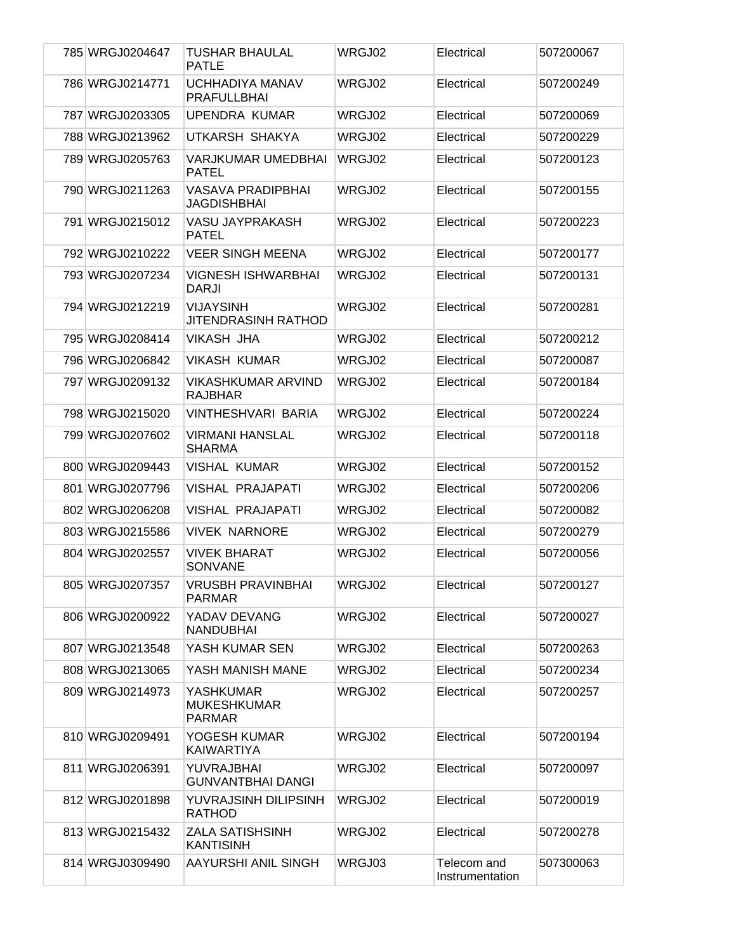| 785 WRGJ0204647 | <b>TUSHAR BHAULAL</b><br><b>PATLE</b>            | WRGJ02 | Electrical                     | 507200067 |
|-----------------|--------------------------------------------------|--------|--------------------------------|-----------|
| 786 WRGJ0214771 | <b>UCHHADIYA MANAV</b><br><b>PRAFULLBHAI</b>     | WRGJ02 | Electrical                     | 507200249 |
| 787 WRGJ0203305 | <b>UPENDRA KUMAR</b>                             | WRGJ02 | Electrical                     | 507200069 |
| 788 WRGJ0213962 | UTKARSH SHAKYA                                   | WRGJ02 | Electrical                     | 507200229 |
| 789 WRGJ0205763 | <b>VARJKUMAR UMEDBHAI</b><br><b>PATEL</b>        | WRGJ02 | Electrical                     | 507200123 |
| 790 WRGJ0211263 | VASAVA PRADIPBHAI<br><b>JAGDISHBHAI</b>          | WRGJ02 | Electrical                     | 507200155 |
| 791 WRGJ0215012 | <b>VASU JAYPRAKASH</b><br><b>PATEL</b>           | WRGJ02 | Electrical                     | 507200223 |
| 792 WRGJ0210222 | <b>VEER SINGH MEENA</b>                          | WRGJ02 | Electrical                     | 507200177 |
| 793 WRGJ0207234 | <b>VIGNESH ISHWARBHAI</b><br><b>DARJI</b>        | WRGJ02 | Electrical                     | 507200131 |
| 794 WRGJ0212219 | <b>VIJAYSINH</b><br><b>JITENDRASINH RATHOD</b>   | WRGJ02 | Electrical                     | 507200281 |
| 795 WRGJ0208414 | <b>VIKASH JHA</b>                                | WRGJ02 | Electrical                     | 507200212 |
| 796 WRGJ0206842 | <b>VIKASH KUMAR</b>                              | WRGJ02 | Electrical                     | 507200087 |
| 797 WRGJ0209132 | <b>VIKASHKUMAR ARVIND</b><br><b>RAJBHAR</b>      | WRGJ02 | Electrical                     | 507200184 |
| 798 WRGJ0215020 | <b>VINTHESHVARI BARIA</b>                        | WRGJ02 | Electrical                     | 507200224 |
| 799 WRGJ0207602 | <b>VIRMANI HANSLAL</b><br><b>SHARMA</b>          | WRGJ02 | Electrical                     | 507200118 |
| 800 WRGJ0209443 | <b>VISHAL KUMAR</b>                              | WRGJ02 | Electrical                     | 507200152 |
| 801 WRGJ0207796 | <b>VISHAL PRAJAPATI</b>                          | WRGJ02 | Electrical                     | 507200206 |
| 802 WRGJ0206208 | <b>VISHAL PRAJAPATI</b>                          | WRGJ02 | Electrical                     | 507200082 |
| 803 WRGJ0215586 | <b>VIVEK NARNORE</b>                             | WRGJ02 | Electrical                     | 507200279 |
| 804 WRGJ0202557 | <b>VIVEK BHARAT</b><br><b>SONVANE</b>            | WRGJ02 | Electrical                     | 507200056 |
| 805 WRGJ0207357 | VRUSBH PRAVINBHAI<br><b>PARMAR</b>               | WRGJ02 | Electrical                     | 507200127 |
| 806 WRGJ0200922 | YADAV DEVANG<br><b>NANDUBHAI</b>                 | WRGJ02 | Electrical                     | 507200027 |
| 807 WRGJ0213548 | YASH KUMAR SEN                                   | WRGJ02 | Electrical                     | 507200263 |
| 808 WRGJ0213065 | YASH MANISH MANE                                 | WRGJ02 | Electrical                     | 507200234 |
| 809 WRGJ0214973 | YASHKUMAR<br><b>MUKESHKUMAR</b><br><b>PARMAR</b> | WRGJ02 | Electrical                     | 507200257 |
| 810 WRGJ0209491 | YOGESH KUMAR<br><b>KAIWARTIYA</b>                | WRGJ02 | Electrical                     | 507200194 |
| 811 WRGJ0206391 | YUVRAJBHAI<br><b>GUNVANTBHAI DANGI</b>           | WRGJ02 | Electrical                     | 507200097 |
| 812 WRGJ0201898 | YUVRAJSINH DILIPSINH<br><b>RATHOD</b>            | WRGJ02 | Electrical                     | 507200019 |
| 813 WRGJ0215432 | <b>ZALA SATISHSINH</b><br><b>KANTISINH</b>       | WRGJ02 | Electrical                     | 507200278 |
| 814 WRGJ0309490 | AAYURSHI ANIL SINGH                              | WRGJ03 | Telecom and<br>Instrumentation | 507300063 |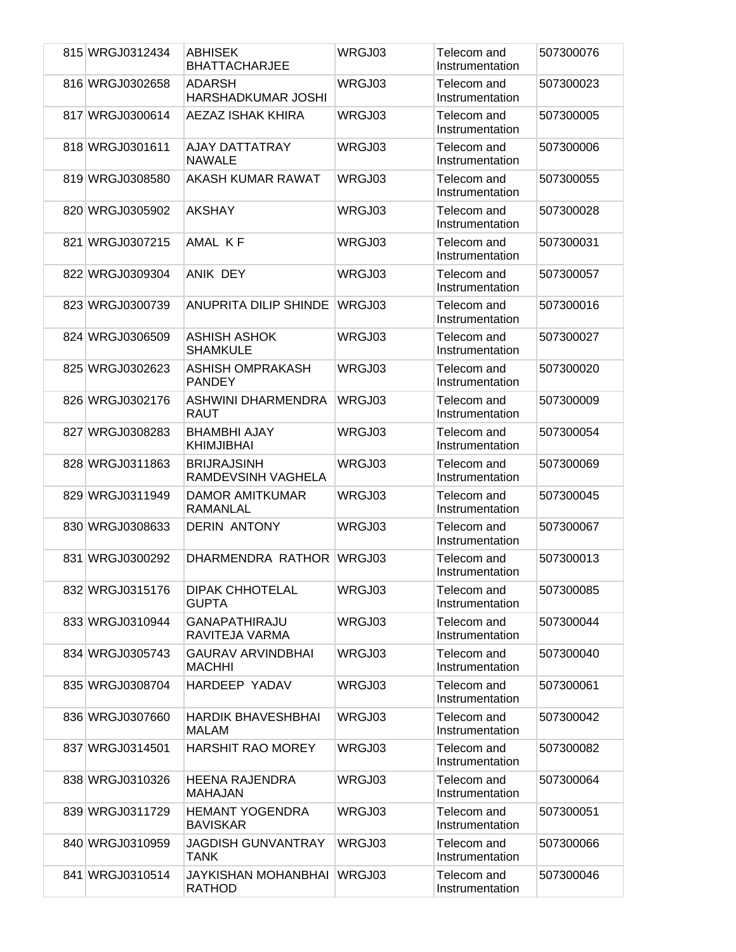| 815 WRGJ0312434 | <b>ABHISEK</b><br><b>BHATTACHARJEE</b>    | WRGJ03 | Telecom and<br>Instrumentation | 507300076 |
|-----------------|-------------------------------------------|--------|--------------------------------|-----------|
| 816 WRGJ0302658 | <b>ADARSH</b><br>HARSHADKUMAR JOSHI       | WRGJ03 | Telecom and<br>Instrumentation | 507300023 |
| 817 WRGJ0300614 | AEZAZ ISHAK KHIRA                         | WRGJ03 | Telecom and<br>Instrumentation | 507300005 |
| 818 WRGJ0301611 | <b>AJAY DATTATRAY</b><br><b>NAWALE</b>    | WRGJ03 | Telecom and<br>Instrumentation | 507300006 |
| 819 WRGJ0308580 | AKASH KUMAR RAWAT                         | WRGJ03 | Telecom and<br>Instrumentation | 507300055 |
| 820 WRGJ0305902 | <b>AKSHAY</b>                             | WRGJ03 | Telecom and<br>Instrumentation | 507300028 |
| 821 WRGJ0307215 | AMAL KF                                   | WRGJ03 | Telecom and<br>Instrumentation | 507300031 |
| 822 WRGJ0309304 | ANIK DEY                                  | WRGJ03 | Telecom and<br>Instrumentation | 507300057 |
| 823 WRGJ0300739 | <b>ANUPRITA DILIP SHINDE</b>              | WRGJ03 | Telecom and<br>Instrumentation | 507300016 |
| 824 WRGJ0306509 | <b>ASHISH ASHOK</b><br><b>SHAMKULE</b>    | WRGJ03 | Telecom and<br>Instrumentation | 507300027 |
| 825 WRGJ0302623 | <b>ASHISH OMPRAKASH</b><br><b>PANDEY</b>  | WRGJ03 | Telecom and<br>Instrumentation | 507300020 |
| 826 WRGJ0302176 | ASHWINI DHARMENDRA<br>RAUT                | WRGJ03 | Telecom and<br>Instrumentation | 507300009 |
| 827 WRGJ0308283 | <b>BHAMBHI AJAY</b><br><b>KHIMJIBHAI</b>  | WRGJ03 | Telecom and<br>Instrumentation | 507300054 |
| 828 WRGJ0311863 | <b>BRIJRAJSINH</b><br>RAMDEVSINH VAGHELA  | WRGJ03 | Telecom and<br>Instrumentation | 507300069 |
| 829 WRGJ0311949 | <b>DAMOR AMITKUMAR</b><br>RAMANLAL        | WRGJ03 | Telecom and<br>Instrumentation | 507300045 |
| 830 WRGJ0308633 | <b>DERIN ANTONY</b>                       | WRGJ03 | Telecom and<br>Instrumentation | 507300067 |
| 831 WRGJ0300292 | DHARMENDRA RATHOR                         | WRGJ03 | Telecom and<br>Instrumentation | 507300013 |
| 832 WRGJ0315176 | <b>DIPAK CHHOTELAL</b><br><b>GUPTA</b>    | WRGJ03 | Telecom and<br>Instrumentation | 507300085 |
| 833 WRGJ0310944 | <b>GANAPATHIRAJU</b><br>RAVITEJA VARMA    | WRGJ03 | Telecom and<br>Instrumentation | 507300044 |
| 834 WRGJ0305743 | <b>GAURAV ARVINDBHAI</b><br><b>MACHHI</b> | WRGJ03 | Telecom and<br>Instrumentation | 507300040 |
| 835 WRGJ0308704 | HARDEEP YADAV                             | WRGJ03 | Telecom and<br>Instrumentation | 507300061 |
| 836 WRGJ0307660 | <b>HARDIK BHAVESHBHAI</b><br><b>MALAM</b> | WRGJ03 | Telecom and<br>Instrumentation | 507300042 |
| 837 WRGJ0314501 | <b>HARSHIT RAO MOREY</b>                  | WRGJ03 | Telecom and<br>Instrumentation | 507300082 |
| 838 WRGJ0310326 | HEENA RAJENDRA<br><b>MAHAJAN</b>          | WRGJ03 | Telecom and<br>Instrumentation | 507300064 |
| 839 WRGJ0311729 | <b>HEMANT YOGENDRA</b><br><b>BAVISKAR</b> | WRGJ03 | Telecom and<br>Instrumentation | 507300051 |
| 840 WRGJ0310959 | JAGDISH GUNVANTRAY<br>TANK                | WRGJ03 | Telecom and<br>Instrumentation | 507300066 |
| 841 WRGJ0310514 | JAYKISHAN MOHANBHAI<br><b>RATHOD</b>      | WRGJ03 | Telecom and<br>Instrumentation | 507300046 |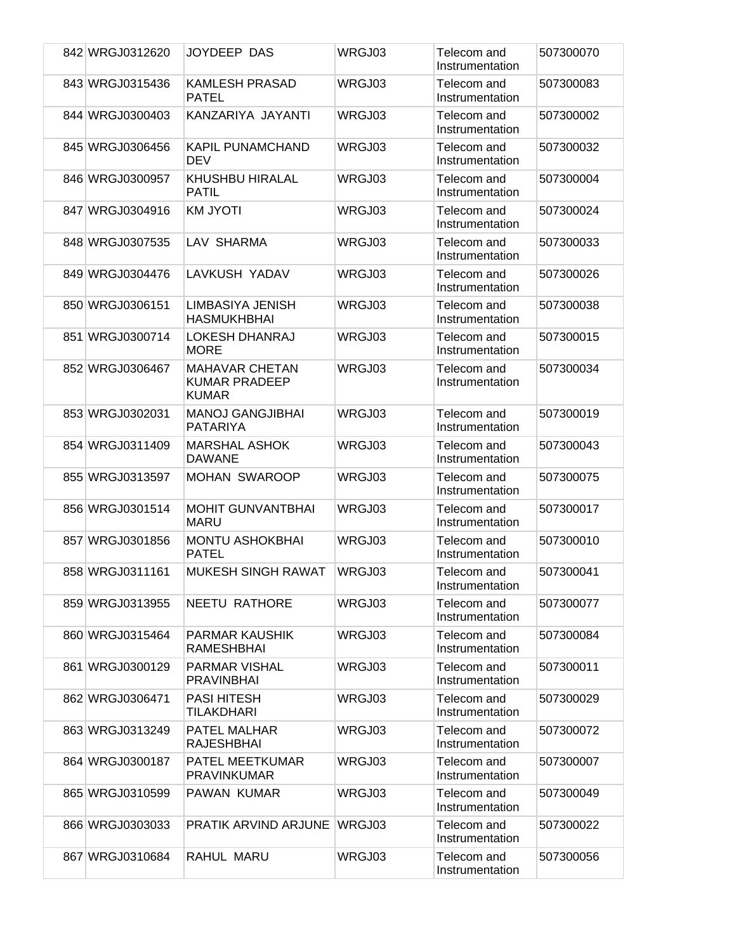| 842 WRGJ0312620 | JOYDEEP DAS                                                   | WRGJ03 | Telecom and<br>Instrumentation | 507300070 |
|-----------------|---------------------------------------------------------------|--------|--------------------------------|-----------|
| 843 WRGJ0315436 | <b>KAMLESH PRASAD</b><br><b>PATEL</b>                         | WRGJ03 | Telecom and<br>Instrumentation | 507300083 |
| 844 WRGJ0300403 | KANZARIYA JAYANTI                                             | WRGJ03 | Telecom and<br>Instrumentation | 507300002 |
| 845 WRGJ0306456 | <b>KAPIL PUNAMCHAND</b><br>DEV                                | WRGJ03 | Telecom and<br>Instrumentation | 507300032 |
| 846 WRGJ0300957 | KHUSHBU HIRALAL<br>PATIL                                      | WRGJ03 | Telecom and<br>Instrumentation | 507300004 |
| 847 WRGJ0304916 | <b>KM JYOTI</b>                                               | WRGJ03 | Telecom and<br>Instrumentation | 507300024 |
| 848 WRGJ0307535 | LAV SHARMA                                                    | WRGJ03 | Telecom and<br>Instrumentation | 507300033 |
| 849 WRGJ0304476 | LAVKUSH YADAV                                                 | WRGJ03 | Telecom and<br>Instrumentation | 507300026 |
| 850 WRGJ0306151 | <b>LIMBASIYA JENISH</b><br>HASMUKHBHAI                        | WRGJ03 | Telecom and<br>Instrumentation | 507300038 |
| 851 WRGJ0300714 | LOKESH DHANRAJ<br><b>MORE</b>                                 | WRGJ03 | Telecom and<br>Instrumentation | 507300015 |
| 852 WRGJ0306467 | <b>MAHAVAR CHETAN</b><br><b>KUMAR PRADEEP</b><br><b>KUMAR</b> | WRGJ03 | Telecom and<br>Instrumentation | 507300034 |
| 853 WRGJ0302031 | <b>MANOJ GANGJIBHAI</b><br>PATARIYA                           | WRGJ03 | Telecom and<br>Instrumentation | 507300019 |
| 854 WRGJ0311409 | <b>MARSHAL ASHOK</b><br><b>DAWANE</b>                         | WRGJ03 | Telecom and<br>Instrumentation | 507300043 |
| 855 WRGJ0313597 | <b>MOHAN SWAROOP</b>                                          | WRGJ03 | Telecom and<br>Instrumentation | 507300075 |
| 856 WRGJ0301514 | <b>MOHIT GUNVANTBHAI</b><br><b>MARU</b>                       | WRGJ03 | Telecom and<br>Instrumentation | 507300017 |
| 857 WRGJ0301856 | <b>MONTU ASHOKBHAI</b><br><b>PATEL</b>                        | WRGJ03 | Telecom and<br>Instrumentation | 507300010 |
| 858 WRGJ0311161 | <b>MUKESH SINGH RAWAT</b>                                     | WRGJ03 | Telecom and<br>Instrumentation | 507300041 |
| 859 WRGJ0313955 | <b>NEETU RATHORE</b>                                          | WRGJ03 | Telecom and<br>Instrumentation | 507300077 |
| 860 WRGJ0315464 | PARMAR KAUSHIK<br>RAMESHBHAI                                  | WRGJ03 | Telecom and<br>Instrumentation | 507300084 |
| 861 WRGJ0300129 | <b>PARMAR VISHAL</b><br><b>PRAVINBHAI</b>                     | WRGJ03 | Telecom and<br>Instrumentation | 507300011 |
| 862 WRGJ0306471 | PASI HITESH<br><b>TILAKDHARI</b>                              | WRGJ03 | Telecom and<br>Instrumentation | 507300029 |
| 863 WRGJ0313249 | PATEL MALHAR<br><b>RAJESHBHAI</b>                             | WRGJ03 | Telecom and<br>Instrumentation | 507300072 |
| 864 WRGJ0300187 | PATEL MEETKUMAR<br><b>PRAVINKUMAR</b>                         | WRGJ03 | Telecom and<br>Instrumentation | 507300007 |
| 865 WRGJ0310599 | PAWAN KUMAR                                                   | WRGJ03 | Telecom and<br>Instrumentation | 507300049 |
| 866 WRGJ0303033 | PRATIK ARVIND ARJUNE                                          | WRGJ03 | Telecom and<br>Instrumentation | 507300022 |
| 867 WRGJ0310684 | RAHUL MARU                                                    | WRGJ03 | Telecom and<br>Instrumentation | 507300056 |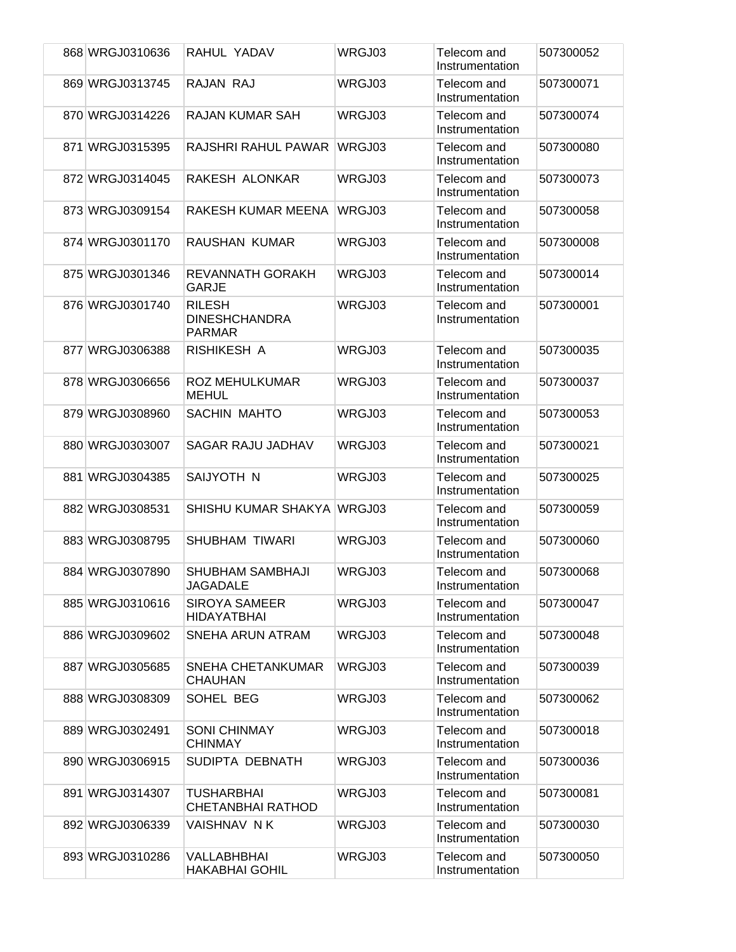|  | 868 WRGJ0310636 | RAHUL YADAV                                            | WRGJ03 | Telecom and<br>Instrumentation | 507300052 |
|--|-----------------|--------------------------------------------------------|--------|--------------------------------|-----------|
|  | 869 WRGJ0313745 | RAJAN RAJ                                              | WRGJ03 | Telecom and<br>Instrumentation | 507300071 |
|  | 870 WRGJ0314226 | <b>RAJAN KUMAR SAH</b>                                 | WRGJ03 | Telecom and<br>Instrumentation | 507300074 |
|  | 871 WRGJ0315395 | RAJSHRI RAHUL PAWAR                                    | WRGJ03 | Telecom and<br>Instrumentation | 507300080 |
|  | 872 WRGJ0314045 | RAKESH ALONKAR                                         | WRGJ03 | Telecom and<br>Instrumentation | 507300073 |
|  | 873 WRGJ0309154 | RAKESH KUMAR MEENA                                     | WRGJ03 | Telecom and<br>Instrumentation | 507300058 |
|  | 874 WRGJ0301170 | RAUSHAN KUMAR                                          | WRGJ03 | Telecom and<br>Instrumentation | 507300008 |
|  | 875 WRGJ0301346 | REVANNATH GORAKH<br><b>GARJE</b>                       | WRGJ03 | Telecom and<br>Instrumentation | 507300014 |
|  | 876 WRGJ0301740 | <b>RILESH</b><br><b>DINESHCHANDRA</b><br><b>PARMAR</b> | WRGJ03 | Telecom and<br>Instrumentation | 507300001 |
|  | 877 WRGJ0306388 | RISHIKESH A                                            | WRGJ03 | Telecom and<br>Instrumentation | 507300035 |
|  | 878 WRGJ0306656 | ROZ MEHULKUMAR<br><b>MEHUL</b>                         | WRGJ03 | Telecom and<br>Instrumentation | 507300037 |
|  | 879 WRGJ0308960 | SACHIN MAHTO                                           | WRGJ03 | Telecom and<br>Instrumentation | 507300053 |
|  | 880 WRGJ0303007 | SAGAR RAJU JADHAV                                      | WRGJ03 | Telecom and<br>Instrumentation | 507300021 |
|  | 881 WRGJ0304385 | SAIJYOTH N                                             | WRGJ03 | Telecom and<br>Instrumentation | 507300025 |
|  | 882 WRGJ0308531 | SHISHU KUMAR SHAKYA                                    | WRGJ03 | Telecom and<br>Instrumentation | 507300059 |
|  | 883 WRGJ0308795 | SHUBHAM TIWARI                                         | WRGJ03 | Telecom and<br>Instrumentation | 507300060 |
|  | 884 WRGJ0307890 | SHUBHAM SAMBHAJI<br>JAGADALE                           | WRGJ03 | Telecom and<br>Instrumentation | 507300068 |
|  | 885 WRGJ0310616 | <b>SIROYA SAMEER</b><br>HIDAYATBHAI                    | WRGJ03 | Telecom and<br>Instrumentation | 507300047 |
|  | 886 WRGJ0309602 | SNEHA ARUN ATRAM                                       | WRGJ03 | Telecom and<br>Instrumentation | 507300048 |
|  | 887 WRGJ0305685 | SNEHA CHETANKUMAR<br><b>CHAUHAN</b>                    | WRGJ03 | Telecom and<br>Instrumentation | 507300039 |
|  | 888 WRGJ0308309 | SOHEL BEG                                              | WRGJ03 | Telecom and<br>Instrumentation | 507300062 |
|  | 889 WRGJ0302491 | <b>SONI CHINMAY</b><br><b>CHINMAY</b>                  | WRGJ03 | Telecom and<br>Instrumentation | 507300018 |
|  | 890 WRGJ0306915 | SUDIPTA DEBNATH                                        | WRGJ03 | Telecom and<br>Instrumentation | 507300036 |
|  | 891 WRGJ0314307 | <b>TUSHARBHAI</b><br>CHETANBHAI RATHOD                 | WRGJ03 | Telecom and<br>Instrumentation | 507300081 |
|  | 892 WRGJ0306339 | VAISHNAV N K                                           | WRGJ03 | Telecom and<br>Instrumentation | 507300030 |
|  | 893 WRGJ0310286 | VALLABHBHAI<br><b>HAKABHAI GOHIL</b>                   | WRGJ03 | Telecom and<br>Instrumentation | 507300050 |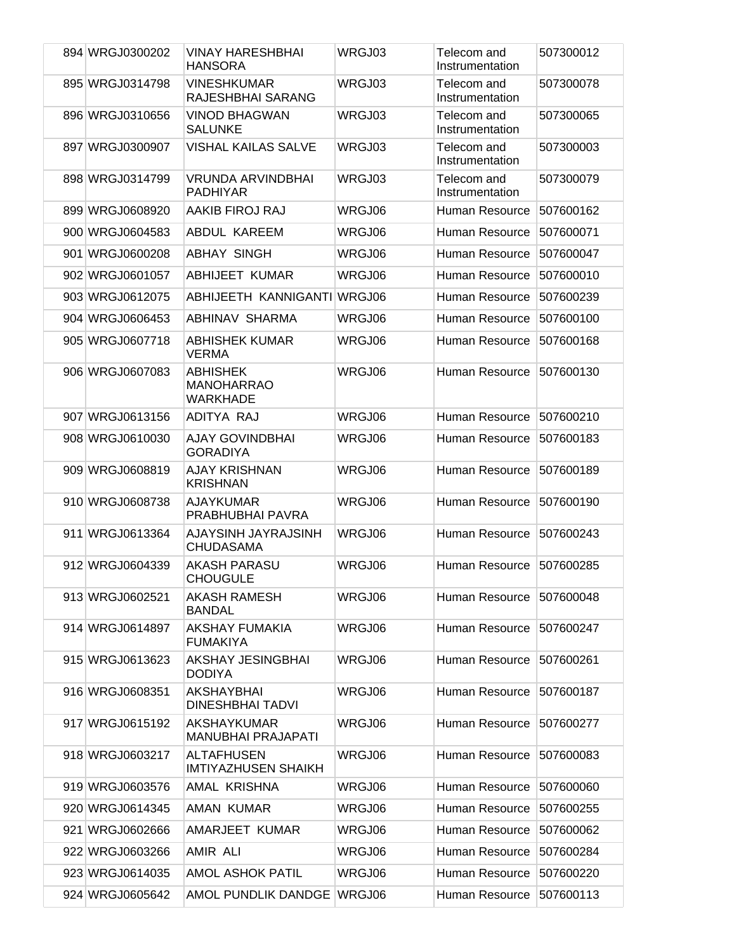| 894 WRGJ0300202 | <b>VINAY HARESHBHAI</b><br><b>HANSORA</b>               | WRGJ03 | Telecom and<br>Instrumentation | 507300012 |
|-----------------|---------------------------------------------------------|--------|--------------------------------|-----------|
| 895 WRGJ0314798 | <b>VINESHKUMAR</b><br>RAJESHBHAI SARANG                 | WRGJ03 | Telecom and<br>Instrumentation | 507300078 |
| 896 WRGJ0310656 | <b>VINOD BHAGWAN</b><br><b>SALUNKE</b>                  | WRGJ03 | Telecom and<br>Instrumentation | 507300065 |
| 897 WRGJ0300907 | <b>VISHAL KAILAS SALVE</b>                              | WRGJ03 | Telecom and<br>Instrumentation | 507300003 |
| 898 WRGJ0314799 | <b>VRUNDA ARVINDBHAI</b><br><b>PADHIYAR</b>             | WRGJ03 | Telecom and<br>Instrumentation | 507300079 |
| 899 WRGJ0608920 | AAKIB FIROJ RAJ                                         | WRGJ06 | Human Resource                 | 507600162 |
| 900 WRGJ0604583 | ABDUL KAREEM                                            | WRGJ06 | Human Resource                 | 507600071 |
| 901 WRGJ0600208 | ABHAY SINGH                                             | WRGJ06 | Human Resource                 | 507600047 |
| 902 WRGJ0601057 | ABHIJEET KUMAR                                          | WRGJ06 | Human Resource                 | 507600010 |
| 903 WRGJ0612075 | ABHIJEETH KANNIGANTI                                    | WRGJ06 | Human Resource                 | 507600239 |
| 904 WRGJ0606453 | ABHINAV SHARMA                                          | WRGJ06 | Human Resource                 | 507600100 |
| 905 WRGJ0607718 | <b>ABHISHEK KUMAR</b><br><b>VERMA</b>                   | WRGJ06 | <b>Human Resource</b>          | 507600168 |
| 906 WRGJ0607083 | <b>ABHISHEK</b><br><b>MANOHARRAO</b><br><b>WARKHADE</b> | WRGJ06 | Human Resource                 | 507600130 |
| 907 WRGJ0613156 | ADITYA RAJ                                              | WRGJ06 | Human Resource                 | 507600210 |
| 908 WRGJ0610030 | AJAY GOVINDBHAI<br><b>GORADIYA</b>                      | WRGJ06 | Human Resource                 | 507600183 |
| 909 WRGJ0608819 | AJAY KRISHNAN<br><b>KRISHNAN</b>                        | WRGJ06 | Human Resource                 | 507600189 |
| 910 WRGJ0608738 | AJAYKUMAR<br>PRABHUBHAI PAVRA                           | WRGJ06 | Human Resource                 | 507600190 |
| 911 WRGJ0613364 | AJAYSINH JAYRAJSINH<br><b>CHUDASAMA</b>                 | WRGJ06 | Human Resource                 | 507600243 |
| 912 WRGJ0604339 | <b>AKASH PARASU</b><br>CHOUGULE                         | WRGJ06 | Human Resource                 | 507600285 |
| 913 WRGJ0602521 | AKASH RAMESH<br><b>BANDAL</b>                           | WRGJ06 | Human Resource                 | 507600048 |
| 914 WRGJ0614897 | AKSHAY FUMAKIA<br><b>FUMAKIYA</b>                       | WRGJ06 | Human Resource                 | 507600247 |
| 915 WRGJ0613623 | AKSHAY JESINGBHAI<br><b>DODIYA</b>                      | WRGJ06 | Human Resource                 | 507600261 |
| 916 WRGJ0608351 | AKSHAYBHAI<br><b>DINESHBHAI TADVI</b>                   | WRGJ06 | Human Resource                 | 507600187 |
| 917 WRGJ0615192 | AKSHAYKUMAR<br><b>MANUBHAI PRAJAPATI</b>                | WRGJ06 | Human Resource                 | 507600277 |
| 918 WRGJ0603217 | <b>ALTAFHUSEN</b><br><b>IMTIYAZHUSEN SHAIKH</b>         | WRGJ06 | Human Resource                 | 507600083 |
| 919 WRGJ0603576 | AMAL KRISHNA                                            | WRGJ06 | Human Resource                 | 507600060 |
| 920 WRGJ0614345 | AMAN KUMAR                                              | WRGJ06 | Human Resource                 | 507600255 |
| 921 WRGJ0602666 | AMARJEET KUMAR                                          | WRGJ06 | Human Resource                 | 507600062 |
| 922 WRGJ0603266 | AMIR ALI                                                | WRGJ06 | Human Resource                 | 507600284 |
| 923 WRGJ0614035 | <b>AMOL ASHOK PATIL</b>                                 | WRGJ06 | Human Resource                 | 507600220 |
| 924 WRGJ0605642 | AMOL PUNDLIK DANDGE                                     | WRGJ06 | Human Resource                 | 507600113 |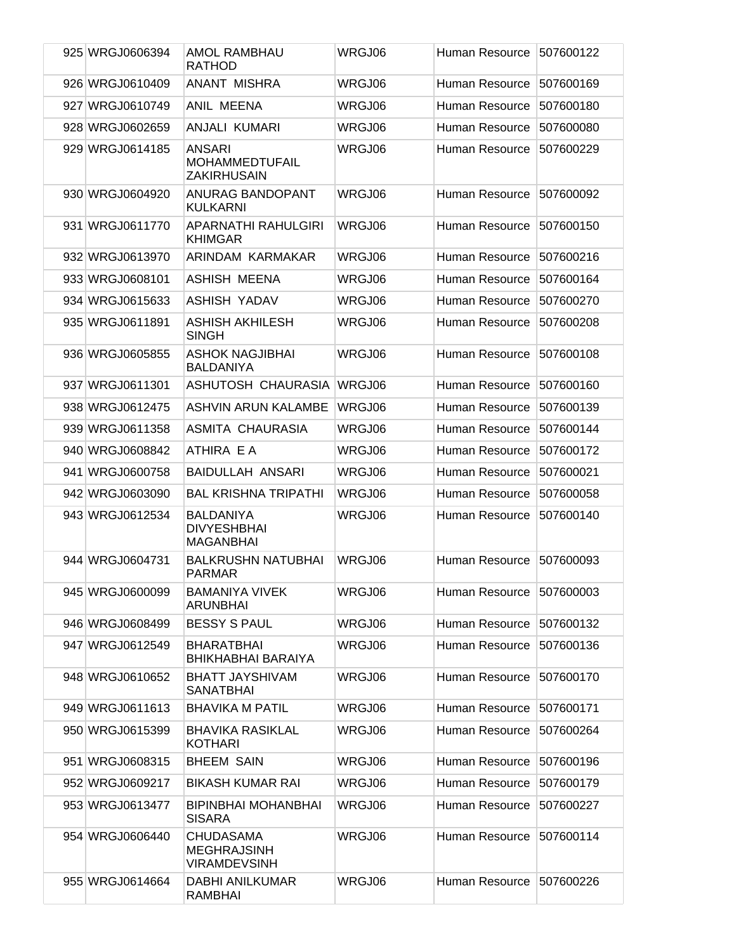| 925 WRGJ0606394 | AMOL RAMBHAU<br><b>RATHOD</b>                                 | WRGJ06 | Human Resource | 507600122 |
|-----------------|---------------------------------------------------------------|--------|----------------|-----------|
| 926 WRGJ0610409 | <b>ANANT MISHRA</b>                                           | WRGJ06 | Human Resource | 507600169 |
| 927 WRGJ0610749 | ANIL MEENA                                                    | WRGJ06 | Human Resource | 507600180 |
| 928 WRGJ0602659 | ANJALI KUMARI                                                 | WRGJ06 | Human Resource | 507600080 |
| 929 WRGJ0614185 | ANSARI<br><b>MOHAMMEDTUFAIL</b><br><b>ZAKIRHUSAIN</b>         | WRGJ06 | Human Resource | 507600229 |
| 930 WRGJ0604920 | <b>ANURAG BANDOPANT</b><br><b>KULKARNI</b>                    | WRGJ06 | Human Resource | 507600092 |
| 931 WRGJ0611770 | APARNATHI RAHULGIRI<br>KHIMGAR                                | WRGJ06 | Human Resource | 507600150 |
| 932 WRGJ0613970 | ARINDAM KARMAKAR                                              | WRGJ06 | Human Resource | 507600216 |
| 933 WRGJ0608101 | ASHISH MEENA                                                  | WRGJ06 | Human Resource | 507600164 |
| 934 WRGJ0615633 | <b>ASHISH YADAV</b>                                           | WRGJ06 | Human Resource | 507600270 |
| 935 WRGJ0611891 | <b>ASHISH AKHILESH</b><br><b>SINGH</b>                        | WRGJ06 | Human Resource | 507600208 |
| 936 WRGJ0605855 | ASHOK NAGJIBHAI<br><b>BALDANIYA</b>                           | WRGJ06 | Human Resource | 507600108 |
| 937 WRGJ0611301 | ASHUTOSH CHAURASIA                                            | WRGJ06 | Human Resource | 507600160 |
| 938 WRGJ0612475 | ASHVIN ARUN KALAMBE                                           | WRGJ06 | Human Resource | 507600139 |
| 939 WRGJ0611358 | ASMITA CHAURASIA                                              | WRGJ06 | Human Resource | 507600144 |
| 940 WRGJ0608842 | ATHIRA E A                                                    | WRGJ06 | Human Resource | 507600172 |
| 941 WRGJ0600758 | <b>BAIDULLAH ANSARI</b>                                       | WRGJ06 | Human Resource | 507600021 |
| 942 WRGJ0603090 | <b>BAL KRISHNA TRIPATHI</b>                                   | WRGJ06 | Human Resource | 507600058 |
| 943 WRGJ0612534 | <b>BALDANIYA</b><br><b>DIVYESHBHAI</b><br><b>MAGANBHAI</b>    | WRGJ06 | Human Resource | 507600140 |
| 944 WRGJ0604731 | <b>BALKRUSHN NATUBHAI</b><br><b>PARMAR</b>                    | WRGJ06 | Human Resource | 507600093 |
| 945 WRGJ0600099 | <b>BAMANIYA VIVEK</b><br>ARUNBHAI                             | WRGJ06 | Human Resource | 507600003 |
| 946 WRGJ0608499 | <b>BESSY S PAUL</b>                                           | WRGJ06 | Human Resource | 507600132 |
| 947 WRGJ0612549 | <b>BHARATBHAI</b><br>BHIKHABHAI BARAIYA                       | WRGJ06 | Human Resource | 507600136 |
| 948 WRGJ0610652 | <b>BHATT JAYSHIVAM</b><br><b>SANATBHAI</b>                    | WRGJ06 | Human Resource | 507600170 |
| 949 WRGJ0611613 | <b>BHAVIKA M PATIL</b>                                        | WRGJ06 | Human Resource | 507600171 |
| 950 WRGJ0615399 | <b>BHAVIKA RASIKLAL</b><br><b>KOTHARI</b>                     | WRGJ06 | Human Resource | 507600264 |
| 951 WRGJ0608315 | <b>BHEEM SAIN</b>                                             | WRGJ06 | Human Resource | 507600196 |
| 952 WRGJ0609217 | <b>BIKASH KUMAR RAI</b>                                       | WRGJ06 | Human Resource | 507600179 |
| 953 WRGJ0613477 | <b>BIPINBHAI MOHANBHAI</b><br><b>SISARA</b>                   | WRGJ06 | Human Resource | 507600227 |
| 954 WRGJ0606440 | <b>CHUDASAMA</b><br><b>MEGHRAJSINH</b><br><b>VIRAMDEVSINH</b> | WRGJ06 | Human Resource | 507600114 |
| 955 WRGJ0614664 | <b>DABHI ANILKUMAR</b><br><b>RAMBHAI</b>                      | WRGJ06 | Human Resource | 507600226 |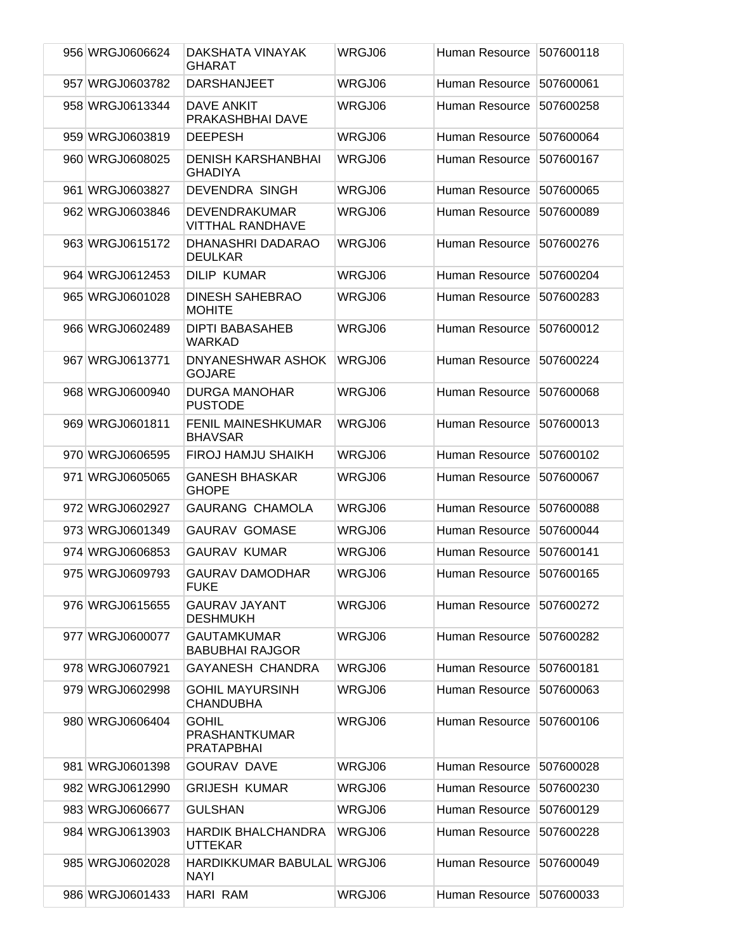| 956 WRGJ0606624 | DAKSHATA VINAYAK<br><b>GHARAT</b>                         | WRGJ06        | Human Resource | 507600118 |
|-----------------|-----------------------------------------------------------|---------------|----------------|-----------|
| 957 WRGJ0603782 | <b>DARSHANJEET</b>                                        | WRGJ06        | Human Resource | 507600061 |
| 958 WRGJ0613344 | <b>DAVE ANKIT</b><br>PRAKASHBHAI DAVE                     | WRGJ06        | Human Resource | 507600258 |
| 959 WRGJ0603819 | <b>DEEPESH</b>                                            | WRGJ06        | Human Resource | 507600064 |
| 960 WRGJ0608025 | <b>DENISH KARSHANBHAI</b><br><b>GHADIYA</b>               | WRGJ06        | Human Resource | 507600167 |
| 961 WRGJ0603827 | <b>DEVENDRA SINGH</b>                                     | WRGJ06        | Human Resource | 507600065 |
| 962 WRGJ0603846 | <b>DEVENDRAKUMAR</b><br><b>VITTHAL RANDHAVE</b>           | WRGJ06        | Human Resource | 507600089 |
| 963 WRGJ0615172 | DHANASHRI DADARAO<br><b>DEULKAR</b>                       | WRGJ06        | Human Resource | 507600276 |
| 964 WRGJ0612453 | <b>DILIP KUMAR</b>                                        | WRGJ06        | Human Resource | 507600204 |
| 965 WRGJ0601028 | <b>DINESH SAHEBRAO</b><br><b>MOHITE</b>                   | WRGJ06        | Human Resource | 507600283 |
| 966 WRGJ0602489 | <b>DIPTI BABASAHEB</b><br>WARKAD                          | <b>WRGJ06</b> | Human Resource | 507600012 |
| 967 WRGJ0613771 | DNYANESHWAR ASHOK<br><b>GOJARE</b>                        | WRGJ06        | Human Resource | 507600224 |
| 968 WRGJ0600940 | <b>DURGA MANOHAR</b><br><b>PUSTODE</b>                    | WRGJ06        | Human Resource | 507600068 |
| 969 WRGJ0601811 | <b>FENIL MAINESHKUMAR</b><br><b>BHAVSAR</b>               | WRGJ06        | Human Resource | 507600013 |
| 970 WRGJ0606595 | <b>FIROJ HAMJU SHAIKH</b>                                 | WRGJ06        | Human Resource | 507600102 |
| 971 WRGJ0605065 | <b>GANESH BHASKAR</b><br><b>GHOPE</b>                     | WRGJ06        | Human Resource | 507600067 |
| 972 WRGJ0602927 | <b>GAURANG CHAMOLA</b>                                    | WRGJ06        | Human Resource | 507600088 |
| 973 WRGJ0601349 | <b>GAURAV GOMASE</b>                                      | WRGJ06        | Human Resource | 507600044 |
| 974 WRGJ0606853 | <b>GAURAV KUMAR</b>                                       | WRGJ06        | Human Resource | 507600141 |
| 975 WRGJ0609793 | <b>GAURAV DAMODHAR</b><br><b>FUKE</b>                     | WRGJ06        | Human Resource | 507600165 |
| 976 WRGJ0615655 | <b>GAURAV JAYANT</b><br><b>DESHMUKH</b>                   | WRGJ06        | Human Resource | 507600272 |
| 977 WRGJ0600077 | <b>GAUTAMKUMAR</b><br><b>BABUBHAI RAJGOR</b>              | WRGJ06        | Human Resource | 507600282 |
| 978 WRGJ0607921 | <b>GAYANESH CHANDRA</b>                                   | WRGJ06        | Human Resource | 507600181 |
| 979 WRGJ0602998 | <b>GOHIL MAYURSINH</b><br><b>CHANDUBHA</b>                | WRGJ06        | Human Resource | 507600063 |
| 980 WRGJ0606404 | <b>GOHIL</b><br><b>PRASHANTKUMAR</b><br><b>PRATAPBHAI</b> | WRGJ06        | Human Resource | 507600106 |
| 981 WRGJ0601398 | <b>GOURAV DAVE</b>                                        | WRGJ06        | Human Resource | 507600028 |
| 982 WRGJ0612990 | <b>GRIJESH KUMAR</b>                                      | WRGJ06        | Human Resource | 507600230 |
| 983 WRGJ0606677 | <b>GULSHAN</b>                                            | WRGJ06        | Human Resource | 507600129 |
| 984 WRGJ0613903 | <b>HARDIK BHALCHANDRA</b><br><b>UTTEKAR</b>               | WRGJ06        | Human Resource | 507600228 |
| 985 WRGJ0602028 | HARDIKKUMAR BABULAL WRGJ06<br><b>NAYI</b>                 |               | Human Resource | 507600049 |
| 986 WRGJ0601433 | <b>HARI RAM</b>                                           | WRGJ06        | Human Resource | 507600033 |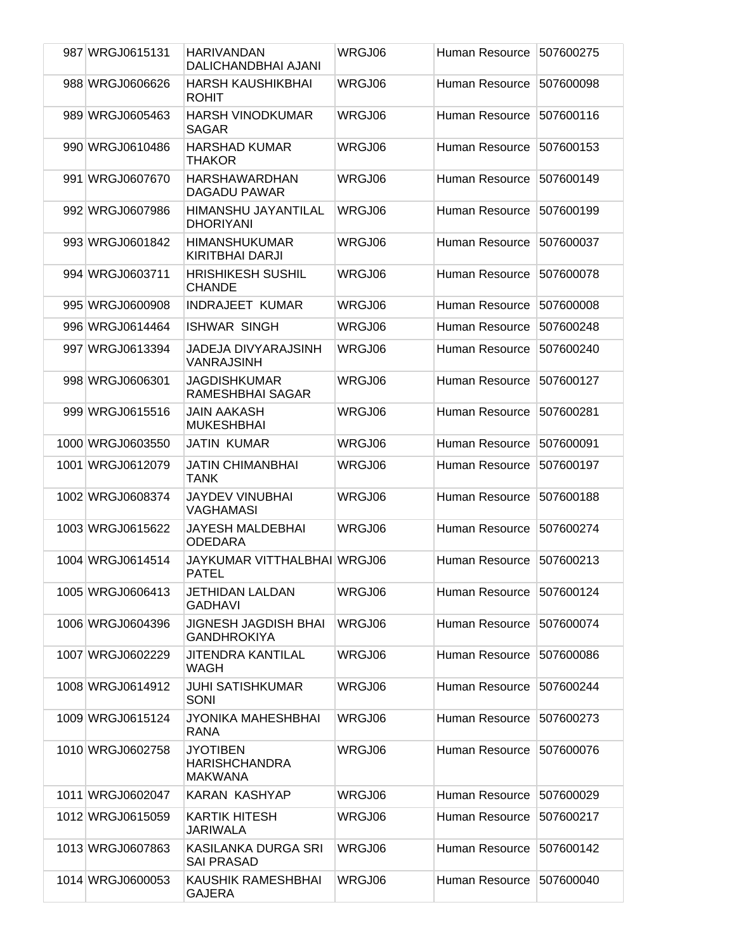| 987 WRGJ0615131  | HARIVANDAN<br>DALICHANDBHAI AJANI                         | WRGJ06        | Human Resource | 507600275 |
|------------------|-----------------------------------------------------------|---------------|----------------|-----------|
| 988 WRGJ0606626  | <b>HARSH KAUSHIKBHAI</b><br><b>ROHIT</b>                  | <b>WRGJ06</b> | Human Resource | 507600098 |
| 989 WRGJ0605463  | <b>HARSH VINODKUMAR</b><br>SAGAR                          | WRGJ06        | Human Resource | 507600116 |
| 990 WRGJ0610486  | <b>HARSHAD KUMAR</b><br>THAKOR                            | WRGJ06        | Human Resource | 507600153 |
| 991 WRGJ0607670  | <b>HARSHAWARDHAN</b><br><b>DAGADU PAWAR</b>               | WRGJ06        | Human Resource | 507600149 |
| 992 WRGJ0607986  | HIMANSHU JAYANTILAL<br><b>DHORIYANI</b>                   | WRGJ06        | Human Resource | 507600199 |
| 993 WRGJ0601842  | <b>HIMANSHUKUMAR</b><br>KIRITBHAI DARJI                   | WRGJ06        | Human Resource | 507600037 |
| 994 WRGJ0603711  | <b>HRISHIKESH SUSHIL</b><br><b>CHANDE</b>                 | WRGJ06        | Human Resource | 507600078 |
| 995 WRGJ0600908  | <b>INDRAJEET KUMAR</b>                                    | WRGJ06        | Human Resource | 507600008 |
| 996 WRGJ0614464  | <b>ISHWAR SINGH</b>                                       | WRGJ06        | Human Resource | 507600248 |
| 997 WRGJ0613394  | JADEJA DIVYARAJSINH<br><b>VANRAJSINH</b>                  | WRGJ06        | Human Resource | 507600240 |
| 998 WRGJ0606301  | JAGDISHKUMAR<br>RAMESHBHAI SAGAR                          | WRGJ06        | Human Resource | 507600127 |
| 999 WRGJ0615516  | JAIN AAKASH<br><b>MUKESHBHAI</b>                          | WRGJ06        | Human Resource | 507600281 |
| 1000 WRGJ0603550 | JATIN KUMAR                                               | WRGJ06        | Human Resource | 507600091 |
| 1001 WRGJ0612079 | <b>JATIN CHIMANBHAI</b><br>TANK                           | WRGJ06        | Human Resource | 507600197 |
| 1002 WRGJ0608374 | JAYDEV VINUBHAI<br><b>VAGHAMASI</b>                       | WRGJ06        | Human Resource | 507600188 |
| 1003 WRGJ0615622 | JAYESH MALDEBHAI<br><b>ODEDARA</b>                        | WRGJ06        | Human Resource | 507600274 |
| 1004 WRGJ0614514 | JAYKUMAR VITTHALBHAI WRGJ06<br><b>PATEL</b>               |               | Human Resource | 507600213 |
| 1005 WRGJ0606413 | JETHIDAN LALDAN<br><b>GADHAVI</b>                         | WRGJ06        | Human Resource | 507600124 |
| 1006 WRGJ0604396 | <b>JIGNESH JAGDISH BHAI</b><br><b>GANDHROKIYA</b>         | WRGJ06        | Human Resource | 507600074 |
| 1007 WRGJ0602229 | <b>JITENDRA KANTILAL</b><br>WAGH                          | WRGJ06        | Human Resource | 507600086 |
| 1008 WRGJ0614912 | JUHI SATISHKUMAR<br>SONI                                  | WRGJ06        | Human Resource | 507600244 |
| 1009 WRGJ0615124 | JYONIKA MAHESHBHAI<br><b>RANA</b>                         | WRGJ06        | Human Resource | 507600273 |
| 1010 WRGJ0602758 | <b>JYOTIBEN</b><br><b>HARISHCHANDRA</b><br><b>MAKWANA</b> | WRGJ06        | Human Resource | 507600076 |
| 1011 WRGJ0602047 | KARAN KASHYAP                                             | WRGJ06        | Human Resource | 507600029 |
| 1012 WRGJ0615059 | KARTIK HITESH<br>JARIWALA                                 | WRGJ06        | Human Resource | 507600217 |
| 1013 WRGJ0607863 | KASILANKA DURGA SRI<br><b>SAI PRASAD</b>                  | WRGJ06        | Human Resource | 507600142 |
| 1014 WRGJ0600053 | KAUSHIK RAMESHBHAI<br><b>GAJERA</b>                       | WRGJ06        | Human Resource | 507600040 |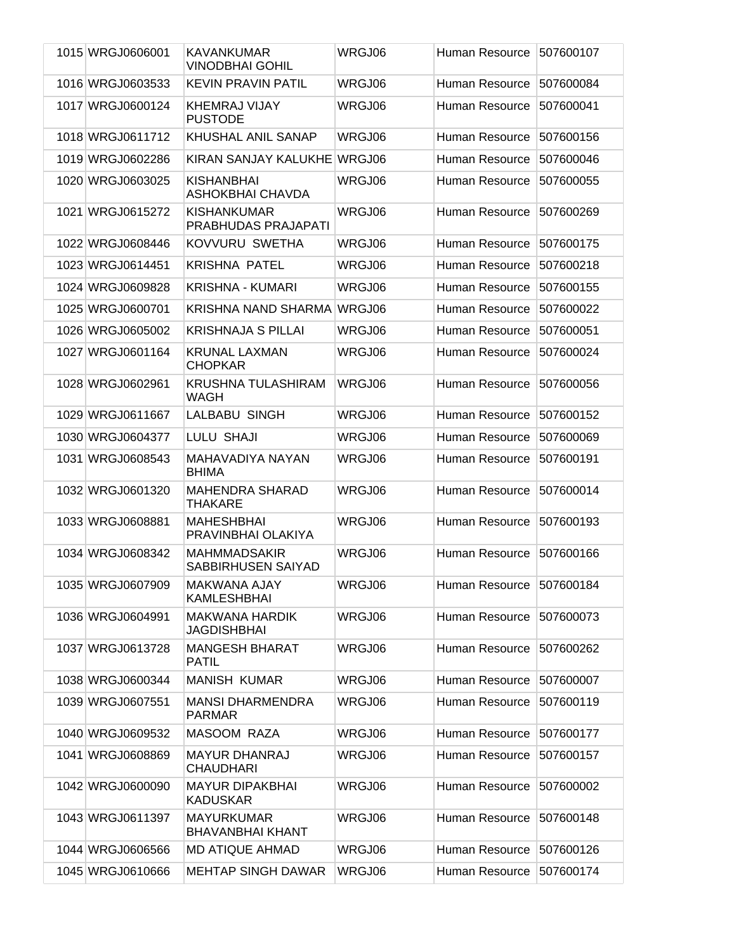| 1015 WRGJ0606001 | KAVANKUMAR<br><b>VINODBHAI GOHIL</b>         | WRGJ06 | Human Resource | 507600107 |
|------------------|----------------------------------------------|--------|----------------|-----------|
| 1016 WRGJ0603533 | <b>KEVIN PRAVIN PATIL</b>                    | WRGJ06 | Human Resource | 507600084 |
| 1017 WRGJ0600124 | <b>KHEMRAJ VIJAY</b><br><b>PUSTODE</b>       | WRGJ06 | Human Resource | 507600041 |
| 1018 WRGJ0611712 | <b>KHUSHAL ANIL SANAP</b>                    | WRGJ06 | Human Resource | 507600156 |
| 1019 WRGJ0602286 | KIRAN SANJAY KALUKHE WRGJ06                  |        | Human Resource | 507600046 |
| 1020 WRGJ0603025 | <b>KISHANBHAI</b><br>ASHOKBHAI CHAVDA        | WRGJ06 | Human Resource | 507600055 |
| 1021 WRGJ0615272 | <b>KISHANKUMAR</b><br>PRABHUDAS PRAJAPATI    | WRGJ06 | Human Resource | 507600269 |
| 1022 WRGJ0608446 | KOVVURU SWETHA                               | WRGJ06 | Human Resource | 507600175 |
| 1023 WRGJ0614451 | <b>KRISHNA PATEL</b>                         | WRGJ06 | Human Resource | 507600218 |
| 1024 WRGJ0609828 | <b>KRISHNA - KUMARI</b>                      | WRGJ06 | Human Resource | 507600155 |
| 1025 WRGJ0600701 | KRISHNA NAND SHARMA                          | WRGJ06 | Human Resource | 507600022 |
| 1026 WRGJ0605002 | <b>KRISHNAJA S PILLAI</b>                    | WRGJ06 | Human Resource | 507600051 |
| 1027 WRGJ0601164 | <b>KRUNAL LAXMAN</b><br><b>CHOPKAR</b>       | WRGJ06 | Human Resource | 507600024 |
| 1028 WRGJ0602961 | <b>KRUSHNA TULASHIRAM</b><br>WAGH            | WRGJ06 | Human Resource | 507600056 |
| 1029 WRGJ0611667 | <b>LALBABU SINGH</b>                         | WRGJ06 | Human Resource | 507600152 |
| 1030 WRGJ0604377 | <b>LULU SHAJI</b>                            | WRGJ06 | Human Resource | 507600069 |
| 1031 WRGJ0608543 | MAHAVADIYA NAYAN<br><b>BHIMA</b>             | WRGJ06 | Human Resource | 507600191 |
| 1032 WRGJ0601320 | <b>MAHENDRA SHARAD</b><br><b>THAKARE</b>     | WRGJ06 | Human Resource | 507600014 |
| 1033 WRGJ0608881 | <b>MAHESHBHAI</b><br>PRAVINBHAI OLAKIYA      | WRGJ06 | Human Resource | 507600193 |
| 1034 WRGJ0608342 | <b>MAHMMADSAKIR</b><br>SABBIRHUSEN SAIYAD    | WRGJ06 | Human Resource | 507600166 |
| 1035 WRGJ0607909 | MAKWANA AJAY<br><b>KAMLESHBHAI</b>           | WRGJ06 | Human Resource | 507600184 |
| 1036 WRGJ0604991 | <b>MAKWANA HARDIK</b><br><b>JAGDISHBHAI</b>  | WRGJ06 | Human Resource | 507600073 |
| 1037 WRGJ0613728 | <b>MANGESH BHARAT</b><br>PATIL               | WRGJ06 | Human Resource | 507600262 |
| 1038 WRGJ0600344 | <b>MANISH KUMAR</b>                          | WRGJ06 | Human Resource | 507600007 |
| 1039 WRGJ0607551 | <b>MANSI DHARMENDRA</b><br><b>PARMAR</b>     | WRGJ06 | Human Resource | 507600119 |
| 1040 WRGJ0609532 | MASOOM RAZA                                  | WRGJ06 | Human Resource | 507600177 |
| 1041 WRGJ0608869 | <b>MAYUR DHANRAJ</b><br><b>CHAUDHARI</b>     | WRGJ06 | Human Resource | 507600157 |
| 1042 WRGJ0600090 | <b>MAYUR DIPAKBHAI</b><br><b>KADUSKAR</b>    | WRGJ06 | Human Resource | 507600002 |
| 1043 WRGJ0611397 | <b>MAYURKUMAR</b><br><b>BHAVANBHAI KHANT</b> | WRGJ06 | Human Resource | 507600148 |
| 1044 WRGJ0606566 | MD ATIQUE AHMAD                              | WRGJ06 | Human Resource | 507600126 |
| 1045 WRGJ0610666 | <b>MEHTAP SINGH DAWAR</b>                    | WRGJ06 | Human Resource | 507600174 |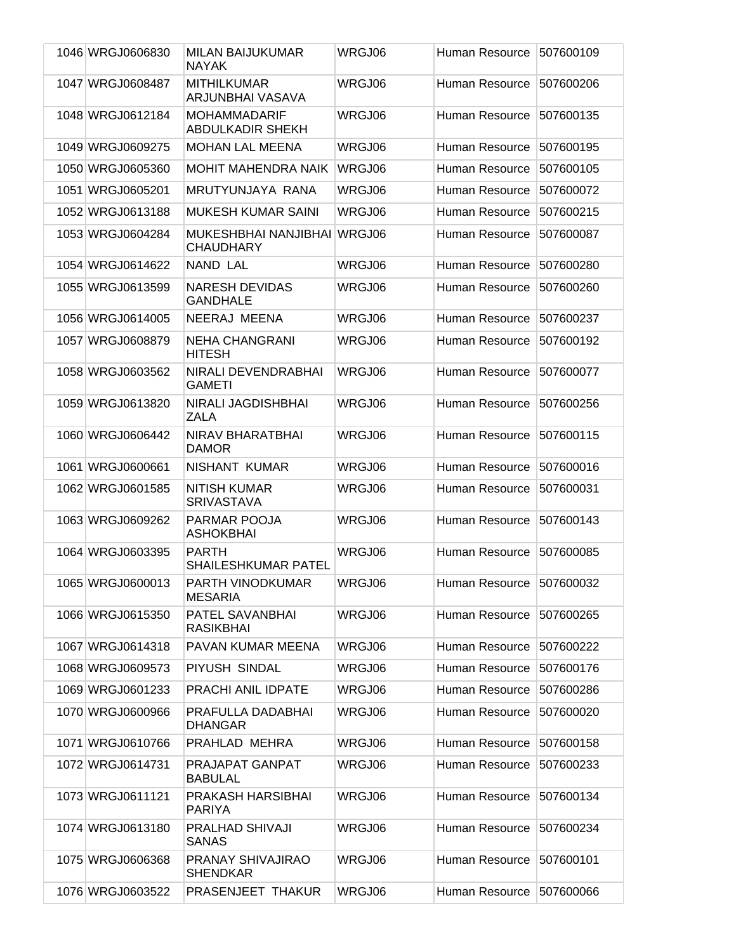| 1046 WRGJ0606830 | MILAN BAIJUKUMAR                                | WRGJ06 | Human Resource | 507600109 |
|------------------|-------------------------------------------------|--------|----------------|-----------|
|                  | <b>NAYAK</b>                                    |        |                |           |
| 1047 WRGJ0608487 | <b>MITHILKUMAR</b><br>ARJUNBHAI VASAVA          | WRGJ06 | Human Resource | 507600206 |
| 1048 WRGJ0612184 | <b>MOHAMMADARIF</b><br><b>ABDULKADIR SHEKH</b>  | WRGJ06 | Human Resource | 507600135 |
| 1049 WRGJ0609275 | <b>MOHAN LAL MEENA</b>                          | WRGJ06 | Human Resource | 507600195 |
| 1050 WRGJ0605360 | <b>MOHIT MAHENDRA NAIK</b>                      | WRGJ06 | Human Resource | 507600105 |
| 1051 WRGJ0605201 | MRUTYUNJAYA RANA                                | WRGJ06 | Human Resource | 507600072 |
| 1052 WRGJ0613188 | <b>MUKESH KUMAR SAINI</b>                       | WRGJ06 | Human Resource | 507600215 |
| 1053 WRGJ0604284 | MUKESHBHAI NANJIBHAI WRGJ06<br><b>CHAUDHARY</b> |        | Human Resource | 507600087 |
| 1054 WRGJ0614622 | NAND LAL                                        | WRGJ06 | Human Resource | 507600280 |
| 1055 WRGJ0613599 | <b>NARESH DEVIDAS</b><br><b>GANDHALE</b>        | WRGJ06 | Human Resource | 507600260 |
| 1056 WRGJ0614005 | NEERAJ MEENA                                    | WRGJ06 | Human Resource | 507600237 |
| 1057 WRGJ0608879 | <b>NEHA CHANGRANI</b><br><b>HITESH</b>          | WRGJ06 | Human Resource | 507600192 |
| 1058 WRGJ0603562 | NIRALI DEVENDRABHAI<br><b>GAMETI</b>            | WRGJ06 | Human Resource | 507600077 |
| 1059 WRGJ0613820 | NIRALI JAGDISHBHAI<br>ZALA                      | WRGJ06 | Human Resource | 507600256 |
| 1060 WRGJ0606442 | NIRAV BHARATBHAI<br><b>DAMOR</b>                | WRGJ06 | Human Resource | 507600115 |
| 1061 WRGJ0600661 | NISHANT KUMAR                                   | WRGJ06 | Human Resource | 507600016 |
| 1062 WRGJ0601585 | <b>NITISH KUMAR</b><br><b>SRIVASTAVA</b>        | WRGJ06 | Human Resource | 507600031 |
| 1063 WRGJ0609262 | PARMAR POOJA<br><b>ASHOKBHAI</b>                | WRGJ06 | Human Resource | 507600143 |
| 1064 WRGJ0603395 | <b>PARTH</b><br>SHAILESHKUMAR PATEL             | WRGJ06 | Human Resource | 507600085 |
| 1065 WRGJ0600013 | PARTH VINODKUMAR<br><b>MESARIA</b>              | WRGJ06 | Human Resource | 507600032 |
| 1066 WRGJ0615350 | PATEL SAVANBHAI<br><b>RASIKBHAI</b>             | WRGJ06 | Human Resource | 507600265 |
| 1067 WRGJ0614318 | PAVAN KUMAR MEENA                               | WRGJ06 | Human Resource | 507600222 |
| 1068 WRGJ0609573 | PIYUSH SINDAL                                   | WRGJ06 | Human Resource | 507600176 |
| 1069 WRGJ0601233 | <b>PRACHI ANIL IDPATE</b>                       | WRGJ06 | Human Resource | 507600286 |
| 1070 WRGJ0600966 | PRAFULLA DADABHAI<br><b>DHANGAR</b>             | WRGJ06 | Human Resource | 507600020 |
| 1071 WRGJ0610766 | PRAHLAD MEHRA                                   | WRGJ06 | Human Resource | 507600158 |
| 1072 WRGJ0614731 | PRAJAPAT GANPAT<br><b>BABULAL</b>               | WRGJ06 | Human Resource | 507600233 |
| 1073 WRGJ0611121 | PRAKASH HARSIBHAI<br><b>PARIYA</b>              | WRGJ06 | Human Resource | 507600134 |
| 1074 WRGJ0613180 | <b>PRALHAD SHIVAJI</b><br><b>SANAS</b>          | WRGJ06 | Human Resource | 507600234 |
| 1075 WRGJ0606368 | PRANAY SHIVAJIRAO<br><b>SHENDKAR</b>            | WRGJ06 | Human Resource | 507600101 |
| 1076 WRGJ0603522 | PRASENJEET THAKUR                               | WRGJ06 | Human Resource | 507600066 |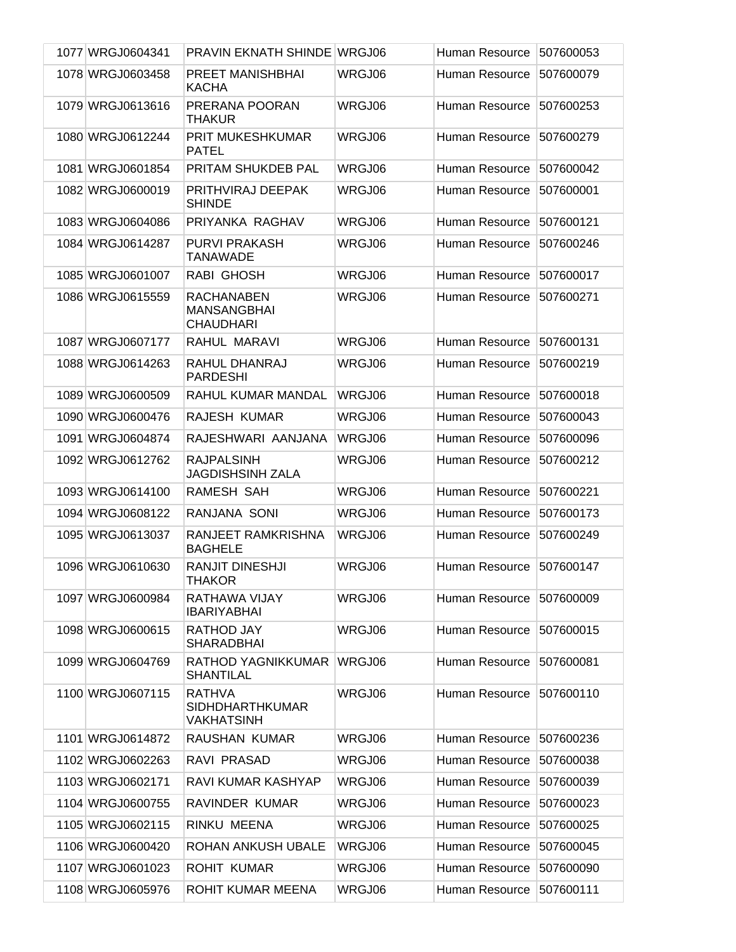| 1077 WRGJ0604341 | <b>PRAVIN EKNATH SHINDE WRGJ06</b>                           |        | Human Resource | 507600053 |
|------------------|--------------------------------------------------------------|--------|----------------|-----------|
| 1078 WRGJ0603458 | PREET MANISHBHAI<br><b>KACHA</b>                             | WRGJ06 | Human Resource | 507600079 |
| 1079 WRGJ0613616 | PRERANA POORAN<br><b>THAKUR</b>                              | WRGJ06 | Human Resource | 507600253 |
| 1080 WRGJ0612244 | PRIT MUKESHKUMAR<br><b>PATEL</b>                             | WRGJ06 | Human Resource | 507600279 |
| 1081 WRGJ0601854 | PRITAM SHUKDEB PAL                                           | WRGJ06 | Human Resource | 507600042 |
| 1082 WRGJ0600019 | PRITHVIRAJ DEEPAK<br><b>SHINDE</b>                           | WRGJ06 | Human Resource | 507600001 |
| 1083 WRGJ0604086 | PRIYANKA RAGHAV                                              | WRGJ06 | Human Resource | 507600121 |
| 1084 WRGJ0614287 | <b>PURVI PRAKASH</b><br><b>TANAWADE</b>                      | WRGJ06 | Human Resource | 507600246 |
| 1085 WRGJ0601007 | RABI GHOSH                                                   | WRGJ06 | Human Resource | 507600017 |
| 1086 WRGJ0615559 | <b>RACHANABEN</b><br><b>MANSANGBHAI</b><br><b>CHAUDHARI</b>  | WRGJ06 | Human Resource | 507600271 |
| 1087 WRGJ0607177 | RAHUL MARAVI                                                 | WRGJ06 | Human Resource | 507600131 |
| 1088 WRGJ0614263 | RAHUL DHANRAJ<br><b>PARDESHI</b>                             | WRGJ06 | Human Resource | 507600219 |
| 1089 WRGJ0600509 | RAHUL KUMAR MANDAL                                           | WRGJ06 | Human Resource | 507600018 |
| 1090 WRGJ0600476 | RAJESH KUMAR                                                 | WRGJ06 | Human Resource | 507600043 |
| 1091 WRGJ0604874 | RAJESHWARI AANJANA                                           | WRGJ06 | Human Resource | 507600096 |
| 1092 WRGJ0612762 | <b>RAJPALSINH</b><br><b>JAGDISHSINH ZALA</b>                 | WRGJ06 | Human Resource | 507600212 |
| 1093 WRGJ0614100 | RAMESH SAH                                                   | WRGJ06 | Human Resource | 507600221 |
| 1094 WRGJ0608122 | RANJANA SONI                                                 | WRGJ06 | Human Resource | 507600173 |
| 1095 WRGJ0613037 | RANJEET RAMKRISHNA<br><b>BAGHELE</b>                         | WRGJ06 | Human Resource | 507600249 |
| 1096 WRGJ0610630 | <b>RANJIT DINESHJI</b><br><b>THAKOR</b>                      | WRGJ06 | Human Resource | 507600147 |
| 1097 WRGJ0600984 | RATHAWA VIJAY<br><b>IBARIYABHAI</b>                          | WRGJ06 | Human Resource | 507600009 |
| 1098 WRGJ0600615 | RATHOD JAY<br><b>SHARADBHAI</b>                              | WRGJ06 | Human Resource | 507600015 |
| 1099 WRGJ0604769 | <b>RATHOD YAGNIKKUMAR</b><br><b>SHANTILAL</b>                | WRGJ06 | Human Resource | 507600081 |
| 1100 WRGJ0607115 | <b>RATHVA</b><br><b>SIDHDHARTHKUMAR</b><br><b>VAKHATSINH</b> | WRGJ06 | Human Resource | 507600110 |
| 1101 WRGJ0614872 | RAUSHAN KUMAR                                                | WRGJ06 | Human Resource | 507600236 |
| 1102 WRGJ0602263 | RAVI PRASAD                                                  | WRGJ06 | Human Resource | 507600038 |
| 1103 WRGJ0602171 | RAVI KUMAR KASHYAP                                           | WRGJ06 | Human Resource | 507600039 |
| 1104 WRGJ0600755 | RAVINDER KUMAR                                               | WRGJ06 | Human Resource | 507600023 |
| 1105 WRGJ0602115 | RINKU MEENA                                                  | WRGJ06 | Human Resource | 507600025 |
| 1106 WRGJ0600420 | ROHAN ANKUSH UBALE                                           | WRGJ06 | Human Resource | 507600045 |
| 1107 WRGJ0601023 | <b>ROHIT KUMAR</b>                                           | WRGJ06 | Human Resource | 507600090 |
| 1108 WRGJ0605976 | ROHIT KUMAR MEENA                                            | WRGJ06 | Human Resource | 507600111 |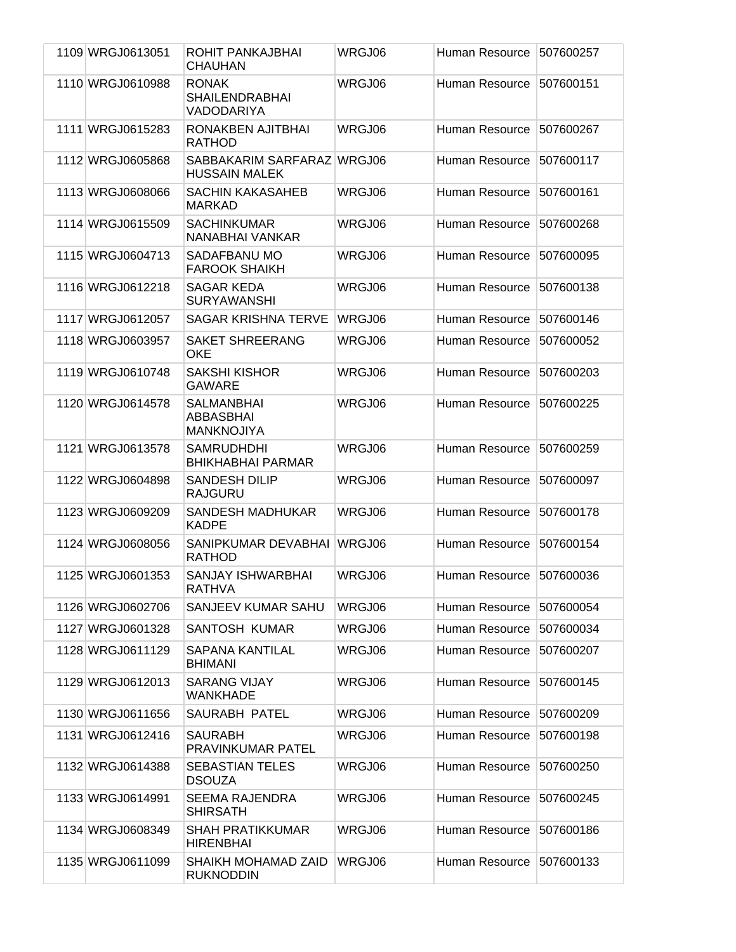| 1109 WRGJ0613051 | ROHIT PANKAJBHAI<br><b>CHAUHAN</b>                  | WRGJ06 | Human Resource | 507600257 |
|------------------|-----------------------------------------------------|--------|----------------|-----------|
| 1110 WRGJ0610988 | <b>RONAK</b><br><b>SHAILENDRABHAI</b><br>VADODARIYA | WRGJ06 | Human Resource | 507600151 |
| 1111 WRGJ0615283 | RONAKBEN AJITBHAI<br><b>RATHOD</b>                  | WRGJ06 | Human Resource | 507600267 |
| 1112 WRGJ0605868 | SABBAKARIM SARFARAZ WRGJ06<br><b>HUSSAIN MALEK</b>  |        | Human Resource | 507600117 |
| 1113 WRGJ0608066 | <b>SACHIN KAKASAHEB</b><br><b>MARKAD</b>            | WRGJ06 | Human Resource | 507600161 |
| 1114 WRGJ0615509 | <b>SACHINKUMAR</b><br>NANABHAI VANKAR               | WRGJ06 | Human Resource | 507600268 |
| 1115 WRGJ0604713 | SADAFBANU MO<br><b>FAROOK SHAIKH</b>                | WRGJ06 | Human Resource | 507600095 |
| 1116 WRGJ0612218 | <b>SAGAR KEDA</b><br><b>SURYAWANSHI</b>             | WRGJ06 | Human Resource | 507600138 |
| 1117 WRGJ0612057 | <b>SAGAR KRISHNA TERVE</b>                          | WRGJ06 | Human Resource | 507600146 |
| 1118 WRGJ0603957 | <b>SAKET SHREERANG</b><br><b>OKE</b>                | WRGJ06 | Human Resource | 507600052 |
| 1119 WRGJ0610748 | <b>SAKSHI KISHOR</b><br><b>GAWARE</b>               | WRGJ06 | Human Resource | 507600203 |
| 1120 WRGJ0614578 | <b>SALMANBHAI</b><br>ABBASBHAI<br><b>MANKNOJIYA</b> | WRGJ06 | Human Resource | 507600225 |
| 1121 WRGJ0613578 | <b>SAMRUDHDHI</b><br><b>BHIKHABHAI PARMAR</b>       | WRGJ06 | Human Resource | 507600259 |
| 1122 WRGJ0604898 | <b>SANDESH DILIP</b><br><b>RAJGURU</b>              | WRGJ06 | Human Resource | 507600097 |
| 1123 WRGJ0609209 | <b>SANDESH MADHUKAR</b><br><b>KADPE</b>             | WRGJ06 | Human Resource | 507600178 |
| 1124 WRGJ0608056 | SANIPKUMAR DEVABHAI<br><b>RATHOD</b>                | WRGJ06 | Human Resource | 507600154 |
| 1125 WRGJ0601353 | SANJAY ISHWARBHAI<br><b>RATHVA</b>                  | WRGJ06 | Human Resource | 507600036 |
| 1126 WRGJ0602706 | SANJEEV KUMAR SAHU                                  | WRGJ06 | Human Resource | 507600054 |
| 1127 WRGJ0601328 | SANTOSH KUMAR                                       | WRGJ06 | Human Resource | 507600034 |
| 1128 WRGJ0611129 | <b>SAPANA KANTILAL</b><br><b>BHIMANI</b>            | WRGJ06 | Human Resource | 507600207 |
| 1129 WRGJ0612013 | <b>SARANG VIJAY</b><br><b>WANKHADE</b>              | WRGJ06 | Human Resource | 507600145 |
| 1130 WRGJ0611656 | <b>SAURABH PATEL</b>                                | WRGJ06 | Human Resource | 507600209 |
| 1131 WRGJ0612416 | <b>SAURABH</b><br>PRAVINKUMAR PATEL                 | WRGJ06 | Human Resource | 507600198 |
| 1132 WRGJ0614388 | <b>SEBASTIAN TELES</b><br><b>DSOUZA</b>             | WRGJ06 | Human Resource | 507600250 |
| 1133 WRGJ0614991 | <b>SEEMA RAJENDRA</b><br><b>SHIRSATH</b>            | WRGJ06 | Human Resource | 507600245 |
| 1134 WRGJ0608349 | <b>SHAH PRATIKKUMAR</b><br><b>HIRENBHAI</b>         | WRGJ06 | Human Resource | 507600186 |
| 1135 WRGJ0611099 | SHAIKH MOHAMAD ZAID<br><b>RUKNODDIN</b>             | WRGJ06 | Human Resource | 507600133 |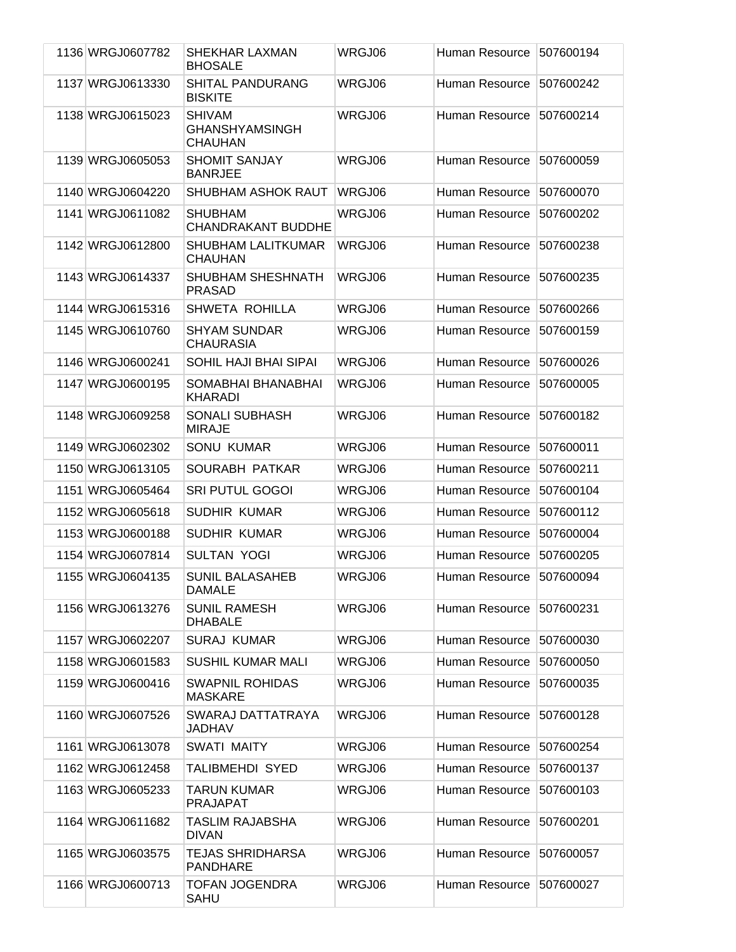| 1136 WRGJ0607782 | SHEKHAR LAXMAN<br><b>BHOSALE</b>                         | WRGJ06 | Human Resource        | 507600194 |
|------------------|----------------------------------------------------------|--------|-----------------------|-----------|
| 1137 WRGJ0613330 | <b>SHITAL PANDURANG</b><br><b>BISKITE</b>                | WRGJ06 | Human Resource        | 507600242 |
| 1138 WRGJ0615023 | <b>SHIVAM</b><br><b>GHANSHYAMSINGH</b><br><b>CHAUHAN</b> | WRGJ06 | Human Resource        | 507600214 |
| 1139 WRGJ0605053 | <b>SHOMIT SANJAY</b><br><b>BANRJEE</b>                   | WRGJ06 | Human Resource        | 507600059 |
| 1140 WRGJ0604220 | SHUBHAM ASHOK RAUT                                       | WRGJ06 | Human Resource        | 507600070 |
| 1141 WRGJ0611082 | <b>SHUBHAM</b><br><b>CHANDRAKANT BUDDHE</b>              | WRGJ06 | Human Resource        | 507600202 |
| 1142 WRGJ0612800 | <b>SHUBHAM LALITKUMAR</b><br><b>CHAUHAN</b>              | WRGJ06 | Human Resource        | 507600238 |
| 1143 WRGJ0614337 | SHUBHAM SHESHNATH<br><b>PRASAD</b>                       | WRGJ06 | Human Resource        | 507600235 |
| 1144 WRGJ0615316 | <b>SHWETA ROHILLA</b>                                    | WRGJ06 | Human Resource        | 507600266 |
| 1145 WRGJ0610760 | <b>SHYAM SUNDAR</b><br><b>CHAURASIA</b>                  | WRGJ06 | Human Resource        | 507600159 |
| 1146 WRGJ0600241 | SOHIL HAJI BHAI SIPAI                                    | WRGJ06 | Human Resource        | 507600026 |
| 1147 WRGJ0600195 | SOMABHAI BHANABHAI<br><b>KHARADI</b>                     | WRGJ06 | Human Resource        | 507600005 |
| 1148 WRGJ0609258 | <b>SONALI SUBHASH</b><br><b>MIRAJE</b>                   | WRGJ06 | Human Resource        | 507600182 |
| 1149 WRGJ0602302 | <b>SONU KUMAR</b>                                        | WRGJ06 | Human Resource        | 507600011 |
| 1150 WRGJ0613105 | SOURABH PATKAR                                           | WRGJ06 | Human Resource        | 507600211 |
| 1151 WRGJ0605464 | <b>SRI PUTUL GOGOI</b>                                   | WRGJ06 | Human Resource        | 507600104 |
| 1152 WRGJ0605618 | <b>SUDHIR KUMAR</b>                                      | WRGJ06 | Human Resource        | 507600112 |
| 1153 WRGJ0600188 | <b>SUDHIR KUMAR</b>                                      | WRGJ06 | Human Resource        | 507600004 |
| 1154 WRGJ0607814 | <b>SULTAN YOGI</b>                                       | WRGJ06 | Human Resource        | 507600205 |
| 1155 WRGJ0604135 | <b>SUNIL BALASAHEB</b><br><b>DAMALE</b>                  | WRGJ06 | Human Resource        | 507600094 |
| 1156 WRGJ0613276 | <b>SUNIL RAMESH</b><br><b>DHABALE</b>                    | WRGJ06 | Human Resource        | 507600231 |
| 1157 WRGJ0602207 | <b>SURAJ KUMAR</b>                                       | WRGJ06 | Human Resource        | 507600030 |
| 1158 WRGJ0601583 | <b>SUSHIL KUMAR MALI</b>                                 | WRGJ06 | Human Resource        | 507600050 |
| 1159 WRGJ0600416 | <b>SWAPNIL ROHIDAS</b><br><b>MASKARE</b>                 | WRGJ06 | <b>Human Resource</b> | 507600035 |
| 1160 WRGJ0607526 | SWARAJ DATTATRAYA<br>JADHAV                              | WRGJ06 | Human Resource        | 507600128 |
| 1161 WRGJ0613078 | SWATI MAITY                                              | WRGJ06 | Human Resource        | 507600254 |
| 1162 WRGJ0612458 | <b>TALIBMEHDI SYED</b>                                   | WRGJ06 | Human Resource        | 507600137 |
| 1163 WRGJ0605233 | <b>TARUN KUMAR</b><br><b>PRAJAPAT</b>                    | WRGJ06 | Human Resource        | 507600103 |
| 1164 WRGJ0611682 | <b>TASLIM RAJABSHA</b><br><b>DIVAN</b>                   | WRGJ06 | Human Resource        | 507600201 |
| 1165 WRGJ0603575 | <b>TEJAS SHRIDHARSA</b><br><b>PANDHARE</b>               | WRGJ06 | Human Resource        | 507600057 |
| 1166 WRGJ0600713 | <b>TOFAN JOGENDRA</b><br>SAHU                            | WRGJ06 | Human Resource        | 507600027 |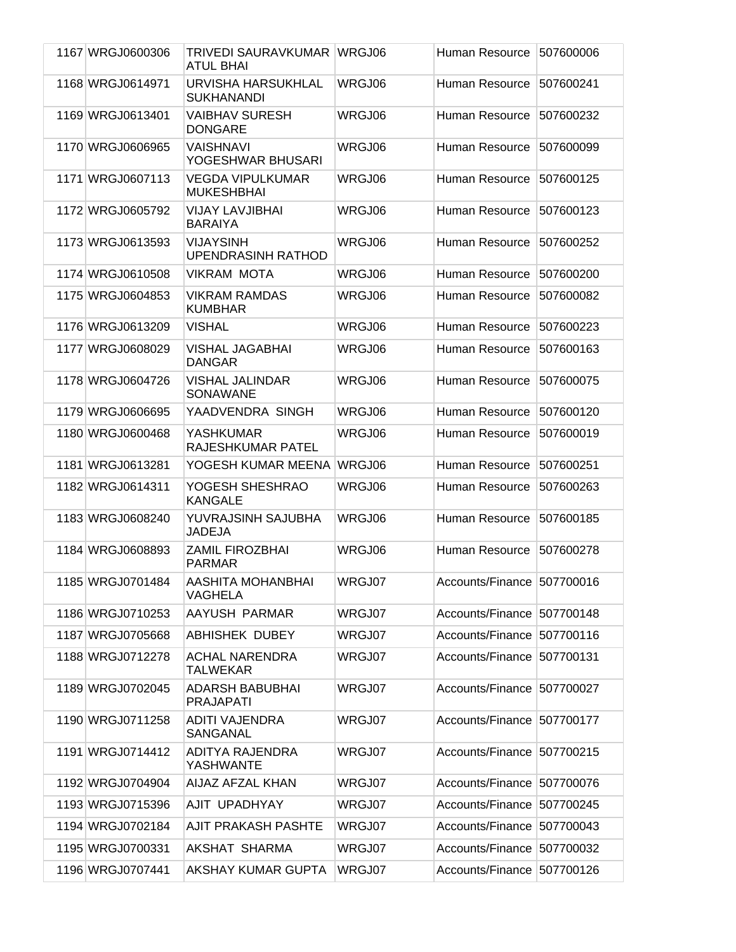| 1167 WRGJ0600306 | TRIVEDI SAURAVKUMAR WRGJ06<br><b>ATUL BHAI</b> |        | Human Resource             | 507600006 |
|------------------|------------------------------------------------|--------|----------------------------|-----------|
| 1168 WRGJ0614971 | URVISHA HARSUKHLAL<br><b>SUKHANANDI</b>        | WRGJ06 | Human Resource             | 507600241 |
| 1169 WRGJ0613401 | <b>VAIBHAV SURESH</b><br><b>DONGARE</b>        | WRGJ06 | Human Resource             | 507600232 |
| 1170 WRGJ0606965 | <b>VAISHNAVI</b><br>YOGESHWAR BHUSARI          | WRGJ06 | Human Resource             | 507600099 |
| 1171 WRGJ0607113 | <b>VEGDA VIPULKUMAR</b><br><b>MUKESHBHAI</b>   | WRGJ06 | Human Resource             | 507600125 |
| 1172 WRGJ0605792 | <b>VIJAY LAVJIBHAI</b><br><b>BARAIYA</b>       | WRGJ06 | Human Resource             | 507600123 |
| 1173 WRGJ0613593 | <b>VIJAYSINH</b><br><b>UPENDRASINH RATHOD</b>  | WRGJ06 | Human Resource             | 507600252 |
| 1174 WRGJ0610508 | <b>VIKRAM MOTA</b>                             | WRGJ06 | Human Resource             | 507600200 |
| 1175 WRGJ0604853 | <b>VIKRAM RAMDAS</b><br><b>KUMBHAR</b>         | WRGJ06 | Human Resource             | 507600082 |
| 1176 WRGJ0613209 | <b>VISHAL</b>                                  | WRGJ06 | Human Resource             | 507600223 |
| 1177 WRGJ0608029 | <b>VISHAL JAGABHAI</b><br><b>DANGAR</b>        | WRGJ06 | Human Resource             | 507600163 |
| 1178 WRGJ0604726 | <b>VISHAL JALINDAR</b><br>SONAWANE             | WRGJ06 | Human Resource             | 507600075 |
| 1179 WRGJ0606695 | YAADVENDRA SINGH                               | WRGJ06 | Human Resource             | 507600120 |
| 1180 WRGJ0600468 | <b>YASHKUMAR</b><br>RAJESHKUMAR PATEL          | WRGJ06 | Human Resource             | 507600019 |
| 1181 WRGJ0613281 | YOGESH KUMAR MEENA                             | WRGJ06 | Human Resource             | 507600251 |
| 1182 WRGJ0614311 | YOGESH SHESHRAO<br><b>KANGALE</b>              | WRGJ06 | Human Resource             | 507600263 |
| 1183 WRGJ0608240 | YUVRAJSINH SAJUBHA<br><b>JADEJA</b>            | WRGJ06 | Human Resource             | 507600185 |
| 1184 WRGJ0608893 | <b>ZAMIL FIROZBHAI</b><br><b>PARMAR</b>        | WRGJ06 | Human Resource             | 507600278 |
| 1185 WRGJ0701484 | AASHITA MOHANBHAI<br><b>VAGHELA</b>            | WRGJ07 | Accounts/Finance 507700016 |           |
| 1186 WRGJ0710253 | AAYUSH PARMAR                                  | WRGJ07 | Accounts/Finance 507700148 |           |
| 1187 WRGJ0705668 | <b>ABHISHEK DUBEY</b>                          | WRGJ07 | Accounts/Finance 507700116 |           |
| 1188 WRGJ0712278 | <b>ACHAL NARENDRA</b><br><b>TALWEKAR</b>       | WRGJ07 | Accounts/Finance           | 507700131 |
| 1189 WRGJ0702045 | <b>ADARSH BABUBHAI</b><br><b>PRAJAPATI</b>     | WRGJ07 | Accounts/Finance 507700027 |           |
| 1190 WRGJ0711258 | <b>ADITI VAJENDRA</b><br>SANGANAL              | WRGJ07 | Accounts/Finance 507700177 |           |
| 1191 WRGJ0714412 | ADITYA RAJENDRA<br>YASHWANTE                   | WRGJ07 | Accounts/Finance 507700215 |           |
| 1192 WRGJ0704904 | AIJAZ AFZAL KHAN                               | WRGJ07 | Accounts/Finance 507700076 |           |
| 1193 WRGJ0715396 | AJIT UPADHYAY                                  | WRGJ07 | Accounts/Finance 507700245 |           |
| 1194 WRGJ0702184 | AJIT PRAKASH PASHTE                            | WRGJ07 | Accounts/Finance 507700043 |           |
| 1195 WRGJ0700331 | AKSHAT SHARMA                                  | WRGJ07 | Accounts/Finance 507700032 |           |
| 1196 WRGJ0707441 | AKSHAY KUMAR GUPTA                             | WRGJ07 | Accounts/Finance 507700126 |           |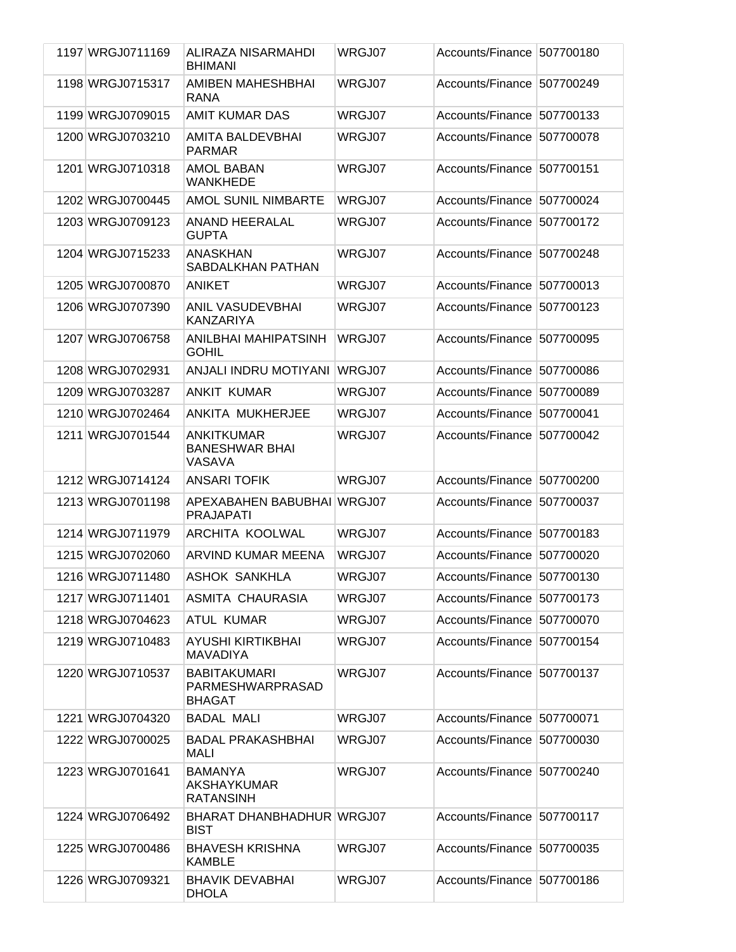| 1197 WRGJ0711169 | ALIRAZA NISARMAHDI<br><b>BHIMANI</b>                        | WRGJ07 | Accounts/Finance 507700180 |           |
|------------------|-------------------------------------------------------------|--------|----------------------------|-----------|
| 1198 WRGJ0715317 | AMIBEN MAHESHBHAI<br><b>RANA</b>                            | WRGJ07 | Accounts/Finance           | 507700249 |
| 1199 WRGJ0709015 | <b>AMIT KUMAR DAS</b>                                       | WRGJ07 | Accounts/Finance           | 507700133 |
| 1200 WRGJ0703210 | AMITA BALDEVBHAI<br><b>PARMAR</b>                           | WRGJ07 | Accounts/Finance           | 507700078 |
| 1201 WRGJ0710318 | <b>AMOL BABAN</b><br><b>WANKHEDE</b>                        | WRGJ07 | Accounts/Finance           | 507700151 |
| 1202 WRGJ0700445 | <b>AMOL SUNIL NIMBARTE</b>                                  | WRGJ07 | Accounts/Finance           | 507700024 |
| 1203 WRGJ0709123 | <b>ANAND HEERALAL</b><br><b>GUPTA</b>                       | WRGJ07 | Accounts/Finance           | 507700172 |
| 1204 WRGJ0715233 | <b>ANASKHAN</b><br>SABDALKHAN PATHAN                        | WRGJ07 | Accounts/Finance           | 507700248 |
| 1205 WRGJ0700870 | <b>ANIKET</b>                                               | WRGJ07 | Accounts/Finance           | 507700013 |
| 1206 WRGJ0707390 | <b>ANIL VASUDEVBHAI</b><br><b>KANZARIYA</b>                 | WRGJ07 | Accounts/Finance           | 507700123 |
| 1207 WRGJ0706758 | ANILBHAI MAHIPATSINH<br><b>GOHIL</b>                        | WRGJ07 | Accounts/Finance           | 507700095 |
| 1208 WRGJ0702931 | ANJALI INDRU MOTIYANI                                       | WRGJ07 | Accounts/Finance           | 507700086 |
| 1209 WRGJ0703287 | <b>ANKIT KUMAR</b>                                          | WRGJ07 | Accounts/Finance           | 507700089 |
| 1210 WRGJ0702464 | ANKITA MUKHERJEE                                            | WRGJ07 | Accounts/Finance           | 507700041 |
| 1211 WRGJ0701544 | <b>ANKITKUMAR</b><br><b>BANESHWAR BHAI</b><br><b>VASAVA</b> | WRGJ07 | Accounts/Finance           | 507700042 |
|                  |                                                             |        |                            |           |
| 1212 WRGJ0714124 | <b>ANSARI TOFIK</b>                                         | WRGJ07 | Accounts/Finance           | 507700200 |
| 1213 WRGJ0701198 | APEXABAHEN BABUBHAI WRGJ07<br><b>PRAJAPATI</b>              |        | Accounts/Finance           | 507700037 |
| 1214 WRGJ0711979 | ARCHITA KOOLWAL                                             | WRGJ07 | Accounts/Finance           | 507700183 |
| 1215 WRGJ0702060 | ARVIND KUMAR MEENA                                          | WRGJ07 | Accounts/Finance           | 507700020 |
| 1216 WRGJ0711480 | <b>ASHOK SANKHLA</b>                                        | WRGJ07 | Accounts/Finance 507700130 |           |
| 1217 WRGJ0711401 | ASMITA CHAURASIA                                            | WRGJ07 | Accounts/Finance 507700173 |           |
| 1218 WRGJ0704623 | <b>ATUL KUMAR</b>                                           | WRGJ07 | Accounts/Finance 507700070 |           |
| 1219 WRGJ0710483 | <b>AYUSHI KIRTIKBHAI</b><br>MAVADIYA                        | WRGJ07 | Accounts/Finance 507700154 |           |
| 1220 WRGJ0710537 | <b>BABITAKUMARI</b><br>PARMESHWARPRASAD<br><b>BHAGAT</b>    | WRGJ07 | Accounts/Finance 507700137 |           |
| 1221 WRGJ0704320 | <b>BADAL MALI</b>                                           | WRGJ07 | Accounts/Finance 507700071 |           |
| 1222 WRGJ0700025 | <b>BADAL PRAKASHBHAI</b><br>MALI                            | WRGJ07 | Accounts/Finance 507700030 |           |
| 1223 WRGJ0701641 | <b>BAMANYA</b><br><b>AKSHAYKUMAR</b><br><b>RATANSINH</b>    | WRGJ07 | Accounts/Finance 507700240 |           |
| 1224 WRGJ0706492 | BHARAT DHANBHADHUR WRGJ07<br><b>BIST</b>                    |        | Accounts/Finance 507700117 |           |
| 1225 WRGJ0700486 | <b>BHAVESH KRISHNA</b><br><b>KAMBLE</b>                     | WRGJ07 | Accounts/Finance 507700035 |           |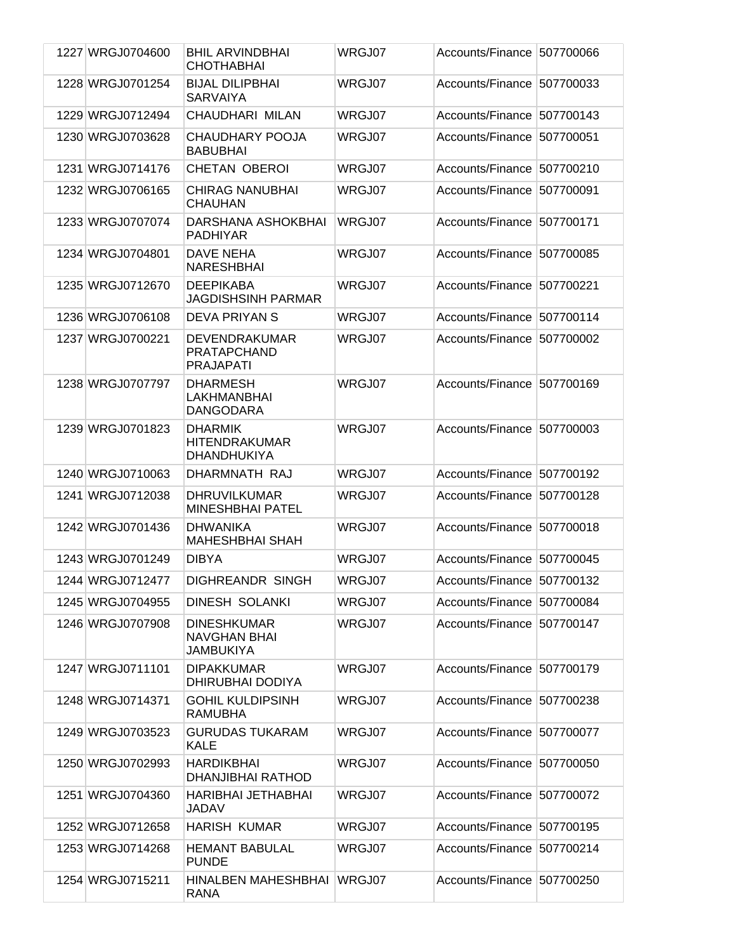| 1227 WRGJ0704600 | <b>BHIL ARVINDBHAI</b><br><b>CHOTHABHAI</b>                   | WRGJ07 | Accounts/Finance 507700066 |           |
|------------------|---------------------------------------------------------------|--------|----------------------------|-----------|
| 1228 WRGJ0701254 | <b>BIJAL DILIPBHAI</b><br><b>SARVAIYA</b>                     | WRGJ07 | Accounts/Finance 507700033 |           |
| 1229 WRGJ0712494 | CHAUDHARI MILAN                                               | WRGJ07 | Accounts/Finance           | 507700143 |
| 1230 WRGJ0703628 | CHAUDHARY POOJA<br><b>BABUBHAI</b>                            | WRGJ07 | Accounts/Finance           | 507700051 |
| 1231 WRGJ0714176 | <b>CHETAN OBEROI</b>                                          | WRGJ07 | Accounts/Finance           | 507700210 |
| 1232 WRGJ0706165 | <b>CHIRAG NANUBHAI</b><br><b>CHAUHAN</b>                      | WRGJ07 | Accounts/Finance           | 507700091 |
| 1233 WRGJ0707074 | DARSHANA ASHOKBHAI<br><b>PADHIYAR</b>                         | WRGJ07 | Accounts/Finance           | 507700171 |
| 1234 WRGJ0704801 | DAVE NEHA<br><b>NARESHBHAI</b>                                | WRGJ07 | Accounts/Finance           | 507700085 |
| 1235 WRGJ0712670 | <b>DEEPIKABA</b><br><b>JAGDISHSINH PARMAR</b>                 | WRGJ07 | Accounts/Finance           | 507700221 |
| 1236 WRGJ0706108 | DEVA PRIYAN S                                                 | WRGJ07 | Accounts/Finance           | 507700114 |
| 1237 WRGJ0700221 | <b>DEVENDRAKUMAR</b><br>PRATAPCHAND<br><b>PRAJAPATI</b>       | WRGJ07 | Accounts/Finance           | 507700002 |
| 1238 WRGJ0707797 | <b>DHARMESH</b><br>LAKHMANBHAI<br><b>DANGODARA</b>            | WRGJ07 | Accounts/Finance 507700169 |           |
| 1239 WRGJ0701823 | <b>DHARMIK</b><br><b>HITENDRAKUMAR</b><br><b>DHANDHUKIYA</b>  | WRGJ07 | Accounts/Finance 507700003 |           |
| 1240 WRGJ0710063 | DHARMNATH RAJ                                                 | WRGJ07 | Accounts/Finance           | 507700192 |
| 1241 WRGJ0712038 | <b>DHRUVILKUMAR</b><br><b>MINESHBHAI PATEL</b>                | WRGJ07 | Accounts/Finance           | 507700128 |
| 1242 WRGJ0701436 | <b>DHWANIKA</b><br><b>MAHESHBHAI SHAH</b>                     | WRGJ07 | Accounts/Finance           | 507700018 |
| 1243 WRGJ0701249 | <b>DIBYA</b>                                                  | WRGJ07 | Accounts/Finance 507700045 |           |
| 1244 WRGJ0712477 | <b>DIGHREANDR SINGH</b>                                       | WRGJ07 | Accounts/Finance 507700132 |           |
| 1245 WRGJ0704955 | <b>DINESH SOLANKI</b>                                         | WRGJ07 | Accounts/Finance 507700084 |           |
| 1246 WRGJ0707908 | <b>DINESHKUMAR</b><br><b>NAVGHAN BHAI</b><br><b>JAMBUKIYA</b> | WRGJ07 | Accounts/Finance 507700147 |           |
| 1247 WRGJ0711101 | <b>DIPAKKUMAR</b><br>DHIRUBHAI DODIYA                         | WRGJ07 | Accounts/Finance 507700179 |           |
| 1248 WRGJ0714371 | <b>GOHIL KULDIPSINH</b><br><b>RAMUBHA</b>                     | WRGJ07 | Accounts/Finance 507700238 |           |
| 1249 WRGJ0703523 | <b>GURUDAS TUKARAM</b><br><b>KALE</b>                         | WRGJ07 | Accounts/Finance 507700077 |           |
| 1250 WRGJ0702993 | <b>HARDIKBHAI</b><br>DHANJIBHAI RATHOD                        | WRGJ07 | Accounts/Finance 507700050 |           |
| 1251 WRGJ0704360 | HARIBHAI JETHABHAI<br>JADAV                                   | WRGJ07 | Accounts/Finance 507700072 |           |
| 1252 WRGJ0712658 | <b>HARISH KUMAR</b>                                           | WRGJ07 | Accounts/Finance 507700195 |           |
| 1253 WRGJ0714268 | <b>HEMANT BABULAL</b><br><b>PUNDE</b>                         | WRGJ07 | Accounts/Finance 507700214 |           |
| 1254 WRGJ0715211 | HINALBEN MAHESHBHAI<br><b>RANA</b>                            | WRGJ07 | Accounts/Finance 507700250 |           |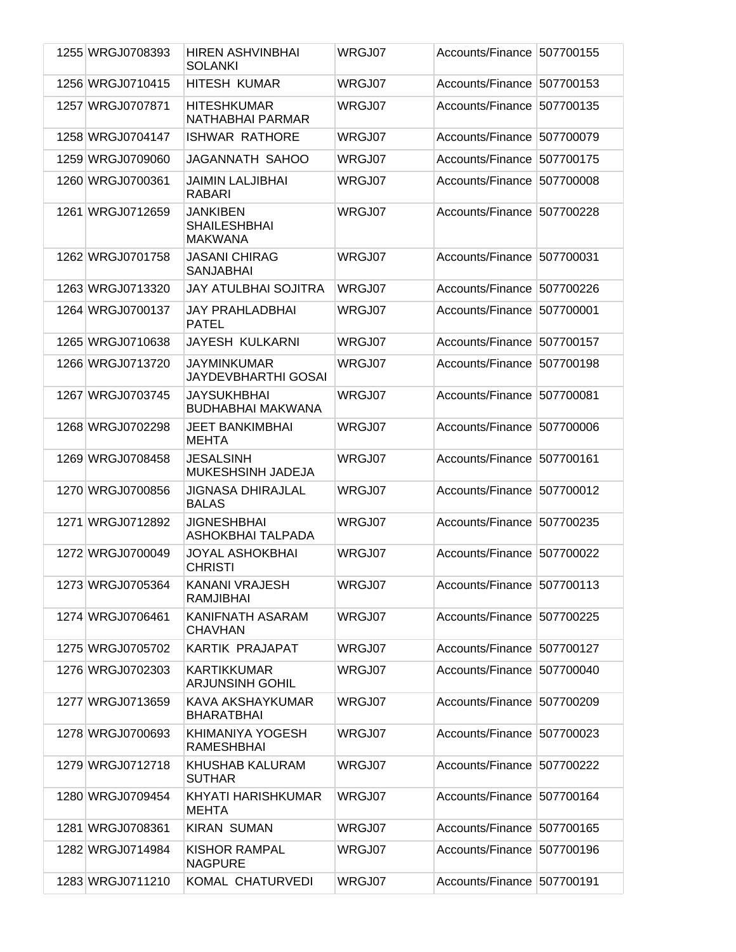| 1255 WRGJ0708393 | <b>HIREN ASHVINBHAI</b><br><b>SOLANKI</b>         | WRGJ07 | Accounts/Finance 507700155 |           |
|------------------|---------------------------------------------------|--------|----------------------------|-----------|
| 1256 WRGJ0710415 | <b>HITESH KUMAR</b>                               | WRGJ07 | Accounts/Finance           | 507700153 |
| 1257 WRGJ0707871 | <b>HITESHKUMAR</b><br>NATHABHAI PARMAR            | WRGJ07 | Accounts/Finance           | 507700135 |
| 1258 WRGJ0704147 | <b>ISHWAR RATHORE</b>                             | WRGJ07 | Accounts/Finance           | 507700079 |
| 1259 WRGJ0709060 | JAGANNATH SAHOO                                   | WRGJ07 | Accounts/Finance           | 507700175 |
| 1260 WRGJ0700361 | JAIMIN LALJIBHAI<br><b>RABARI</b>                 | WRGJ07 | Accounts/Finance           | 507700008 |
| 1261 WRGJ0712659 | JANKIBEN<br><b>SHAILESHBHAI</b><br><b>MAKWANA</b> | WRGJ07 | Accounts/Finance           | 507700228 |
| 1262 WRGJ0701758 | <b>JASANI CHIRAG</b><br><b>SANJABHAI</b>          | WRGJ07 | Accounts/Finance 507700031 |           |
| 1263 WRGJ0713320 | <b>JAY ATULBHAI SOJITRA</b>                       | WRGJ07 | Accounts/Finance           | 507700226 |
| 1264 WRGJ0700137 | JAY PRAHLADBHAI<br><b>PATEL</b>                   | WRGJ07 | Accounts/Finance           | 507700001 |
| 1265 WRGJ0710638 | JAYESH KULKARNI                                   | WRGJ07 | Accounts/Finance           | 507700157 |
| 1266 WRGJ0713720 | JAYMINKUMAR<br><b>JAYDEVBHARTHI GOSAI</b>         | WRGJ07 | Accounts/Finance           | 507700198 |
| 1267 WRGJ0703745 | <b>JAYSUKHBHAI</b><br><b>BUDHABHAI MAKWANA</b>    | WRGJ07 | Accounts/Finance           | 507700081 |
| 1268 WRGJ0702298 | <b>JEET BANKIMBHAI</b><br><b>MEHTA</b>            | WRGJ07 | Accounts/Finance           | 507700006 |
| 1269 WRGJ0708458 | <b>JESALSINH</b><br>MUKESHSINH JADEJA             | WRGJ07 | Accounts/Finance           | 507700161 |
| 1270 WRGJ0700856 | <b>JIGNASA DHIRAJLAL</b><br><b>BALAS</b>          | WRGJ07 | Accounts/Finance           | 507700012 |
| 1271 WRGJ0712892 | <b>JIGNESHBHAI</b><br><b>ASHOKBHAI TALPADA</b>    | WRGJ07 | Accounts/Finance           | 507700235 |
| 1272 WRGJ0700049 | <b>JOYAL ASHOKBHAI</b><br><b>CHRISTI</b>          | WRGJ07 | Accounts/Finance           | 507700022 |
| 1273 WRGJ0705364 | KANANI VRAJESH<br><b>RAMJIBHAI</b>                | WRGJ07 | Accounts/Finance 507700113 |           |
| 1274 WRGJ0706461 | KANIFNATH ASARAM<br><b>CHAVHAN</b>                | WRGJ07 | Accounts/Finance 507700225 |           |
| 1275 WRGJ0705702 | KARTIK PRAJAPAT                                   | WRGJ07 | Accounts/Finance 507700127 |           |
| 1276 WRGJ0702303 | <b>KARTIKKUMAR</b><br>ARJUNSINH GOHIL             | WRGJ07 | Accounts/Finance           | 507700040 |
| 1277 WRGJ0713659 | KAVA AKSHAYKUMAR<br><b>BHARATBHAI</b>             | WRGJ07 | Accounts/Finance 507700209 |           |
| 1278 WRGJ0700693 | KHIMANIYA YOGESH<br><b>RAMESHBHAI</b>             | WRGJ07 | Accounts/Finance 507700023 |           |
| 1279 WRGJ0712718 | KHUSHAB KALURAM<br><b>SUTHAR</b>                  | WRGJ07 | Accounts/Finance           | 507700222 |
| 1280 WRGJ0709454 | KHYATI HARISHKUMAR<br><b>MEHTA</b>                | WRGJ07 | Accounts/Finance 507700164 |           |
| 1281 WRGJ0708361 | <b>KIRAN SUMAN</b>                                | WRGJ07 | Accounts/Finance 507700165 |           |
| 1282 WRGJ0714984 | <b>KISHOR RAMPAL</b><br><b>NAGPURE</b>            | WRGJ07 | Accounts/Finance           | 507700196 |
| 1283 WRGJ0711210 | KOMAL CHATURVEDI                                  | WRGJ07 | Accounts/Finance 507700191 |           |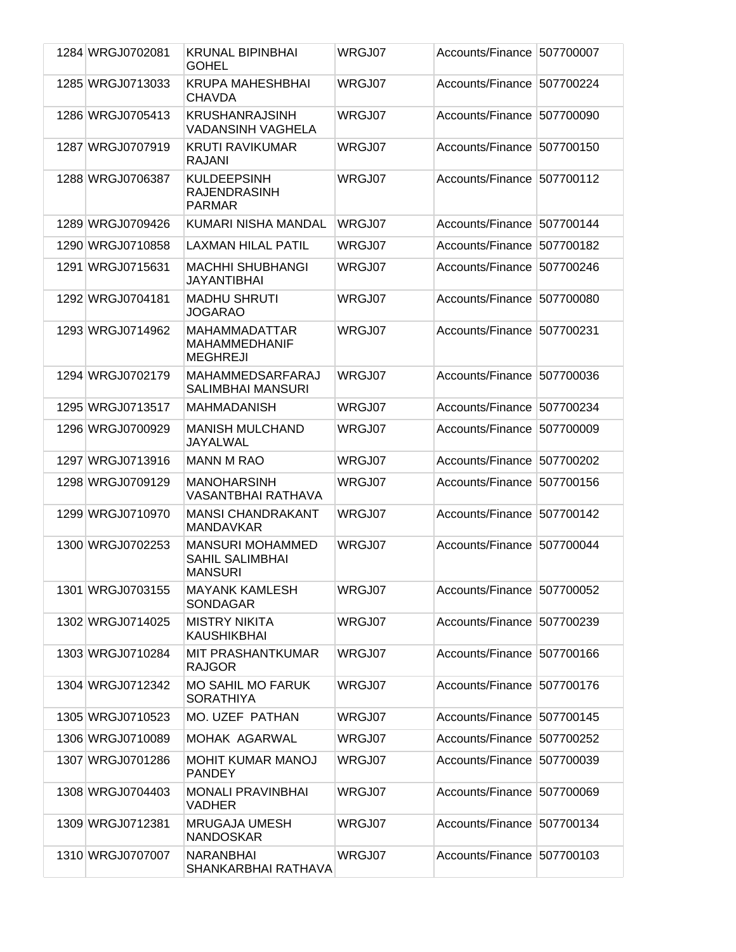| 1284 WRGJ0702081 | <b>KRUNAL BIPINBHAI</b><br><b>GOHEL</b>                             | WRGJ07 | Accounts/Finance 507700007 |           |
|------------------|---------------------------------------------------------------------|--------|----------------------------|-----------|
| 1285 WRGJ0713033 | <b>KRUPA MAHESHBHAI</b><br><b>CHAVDA</b>                            | WRGJ07 | Accounts/Finance 507700224 |           |
| 1286 WRGJ0705413 | <b>KRUSHANRAJSINH</b><br><b>VADANSINH VAGHELA</b>                   | WRGJ07 | Accounts/Finance 507700090 |           |
| 1287 WRGJ0707919 | <b>KRUTI RAVIKUMAR</b><br>RAJANI                                    | WRGJ07 | Accounts/Finance 507700150 |           |
| 1288 WRGJ0706387 | <b>KULDEEPSINH</b><br><b>RAJENDRASINH</b><br><b>PARMAR</b>          | WRGJ07 | Accounts/Finance 507700112 |           |
| 1289 WRGJ0709426 | KUMARI NISHA MANDAL                                                 | WRGJ07 | Accounts/Finance 507700144 |           |
| 1290 WRGJ0710858 | LAXMAN HILAL PATIL                                                  | WRGJ07 | Accounts/Finance           | 507700182 |
| 1291 WRGJ0715631 | <b>MACHHI SHUBHANGI</b><br><b>JAYANTIBHAI</b>                       | WRGJ07 | Accounts/Finance           | 507700246 |
| 1292 WRGJ0704181 | <b>MADHU SHRUTI</b><br><b>JOGARAO</b>                               | WRGJ07 | Accounts/Finance           | 507700080 |
| 1293 WRGJ0714962 | <b>MAHAMMADATTAR</b><br><b>MAHAMMEDHANIF</b><br><b>MEGHREJI</b>     | WRGJ07 | Accounts/Finance 507700231 |           |
| 1294 WRGJ0702179 | MAHAMMEDSARFARAJ<br><b>SALIMBHAI MANSURI</b>                        | WRGJ07 | Accounts/Finance 507700036 |           |
| 1295 WRGJ0713517 | <b>MAHMADANISH</b>                                                  | WRGJ07 | Accounts/Finance 507700234 |           |
| 1296 WRGJ0700929 | <b>MANISH MULCHAND</b><br>JAYALWAL                                  | WRGJ07 | Accounts/Finance           | 507700009 |
| 1297 WRGJ0713916 | <b>MANN M RAO</b>                                                   | WRGJ07 | Accounts/Finance           | 507700202 |
| 1298 WRGJ0709129 | <b>MANOHARSINH</b><br>VASANTBHAI RATHAVA                            | WRGJ07 | Accounts/Finance           | 507700156 |
| 1299 WRGJ0710970 | <b>MANSI CHANDRAKANT</b><br><b>MANDAVKAR</b>                        | WRGJ07 | Accounts/Finance 507700142 |           |
| 1300 WRGJ0702253 | <b>MANSURI MOHAMMED</b><br><b>SAHIL SALIMBHAI</b><br><b>MANSURI</b> | WRGJ07 | Accounts/Finance 507700044 |           |
| 1301 WRGJ0703155 | <b>MAYANK KAMLESH</b><br><b>SONDAGAR</b>                            | WRGJ07 | Accounts/Finance 507700052 |           |
| 1302 WRGJ0714025 | <b>MISTRY NIKITA</b><br><b>KAUSHIKBHAI</b>                          | WRGJ07 | Accounts/Finance 507700239 |           |
| 1303 WRGJ0710284 | MIT PRASHANTKUMAR<br><b>RAJGOR</b>                                  | WRGJ07 | Accounts/Finance 507700166 |           |
| 1304 WRGJ0712342 | <b>MO SAHIL MO FARUK</b><br><b>SORATHIYA</b>                        | WRGJ07 | Accounts/Finance 507700176 |           |
| 1305 WRGJ0710523 | <b>MO. UZEF PATHAN</b>                                              | WRGJ07 | Accounts/Finance 507700145 |           |
| 1306 WRGJ0710089 | MOHAK AGARWAL                                                       | WRGJ07 | Accounts/Finance 507700252 |           |
| 1307 WRGJ0701286 | <b>MOHIT KUMAR MANOJ</b><br><b>PANDEY</b>                           | WRGJ07 | Accounts/Finance 507700039 |           |
| 1308 WRGJ0704403 | <b>MONALI PRAVINBHAI</b><br><b>VADHER</b>                           | WRGJ07 | Accounts/Finance 507700069 |           |
| 1309 WRGJ0712381 | <b>MRUGAJA UMESH</b><br><b>NANDOSKAR</b>                            | WRGJ07 | Accounts/Finance 507700134 |           |
| 1310 WRGJ0707007 | <b>NARANBHAI</b><br>SHANKARBHAI RATHAVA                             | WRGJ07 | Accounts/Finance 507700103 |           |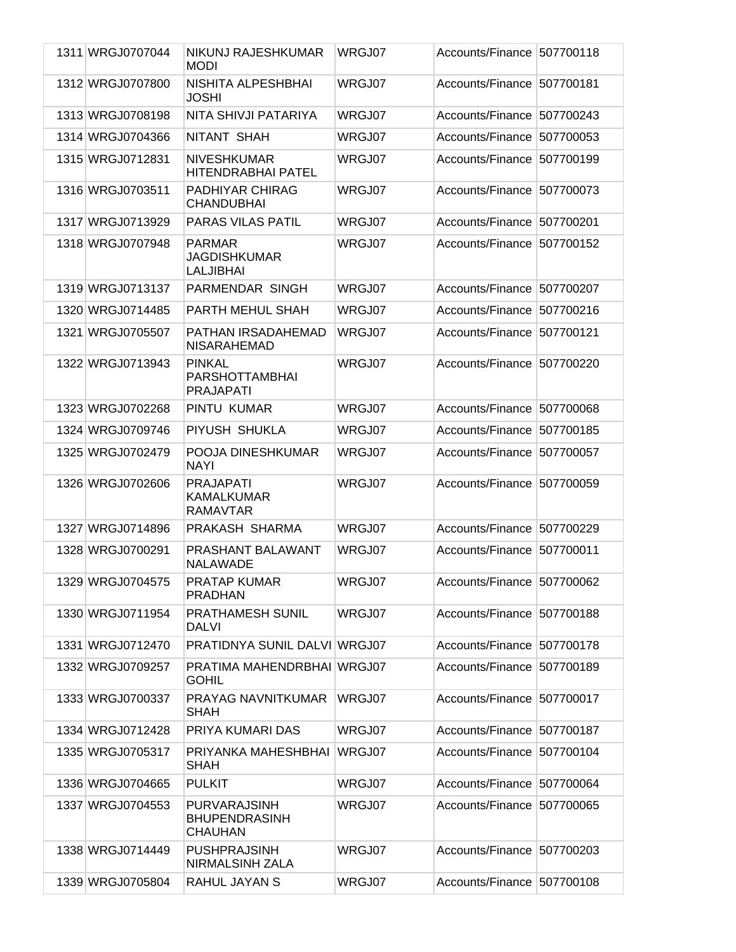| 1311 WRGJ0707044 | NIKUNJ RAJESHKUMAR<br><b>MODI</b>                             | WRGJ07 | Accounts/Finance 507700118 |           |
|------------------|---------------------------------------------------------------|--------|----------------------------|-----------|
| 1312 WRGJ0707800 | NISHITA ALPESHBHAI<br>JOSHI                                   | WRGJ07 | Accounts/Finance 507700181 |           |
| 1313 WRGJ0708198 | NITA SHIVJI PATARIYA                                          | WRGJ07 | <b>Accounts/Finance</b>    | 507700243 |
| 1314 WRGJ0704366 | NITANT SHAH                                                   | WRGJ07 | Accounts/Finance           | 507700053 |
| 1315 WRGJ0712831 | <b>NIVESHKUMAR</b><br><b>HITENDRABHAI PATEL</b>               | WRGJ07 | Accounts/Finance           | 507700199 |
| 1316 WRGJ0703511 | PADHIYAR CHIRAG<br><b>CHANDUBHAI</b>                          | WRGJ07 | Accounts/Finance           | 507700073 |
| 1317 WRGJ0713929 | <b>PARAS VILAS PATIL</b>                                      | WRGJ07 | Accounts/Finance           | 507700201 |
| 1318 WRGJ0707948 | <b>PARMAR</b><br>JAGDISHKUMAR<br><b>LALJIBHAI</b>             | WRGJ07 | Accounts/Finance           | 507700152 |
| 1319 WRGJ0713137 | PARMENDAR SINGH                                               | WRGJ07 | Accounts/Finance           | 507700207 |
| 1320 WRGJ0714485 | PARTH MEHUL SHAH                                              | WRGJ07 | Accounts/Finance           | 507700216 |
| 1321 WRGJ0705507 | PATHAN IRSADAHEMAD<br><b>NISARAHEMAD</b>                      | WRGJ07 | Accounts/Finance           | 507700121 |
| 1322 WRGJ0713943 | <b>PINKAL</b><br><b>PARSHOTTAMBHAI</b><br><b>PRAJAPATI</b>    | WRGJ07 | Accounts/Finance 507700220 |           |
| 1323 WRGJ0702268 | PINTU KUMAR                                                   | WRGJ07 | Accounts/Finance 507700068 |           |
| 1324 WRGJ0709746 | PIYUSH SHUKLA                                                 | WRGJ07 | Accounts/Finance           | 507700185 |
| 1325 WRGJ0702479 | POOJA DINESHKUMAR<br><b>NAYI</b>                              | WRGJ07 | Accounts/Finance           | 507700057 |
| 1326 WRGJ0702606 | <b>PRAJAPATI</b><br>KAMALKUMAR<br><b>RAMAVTAR</b>             | WRGJ07 | Accounts/Finance 507700059 |           |
| 1327 WRGJ0714896 | PRAKASH SHARMA                                                | WRGJ07 | Accounts/Finance 507700229 |           |
| 1328 WRGJ0700291 | PRASHANT BALAWANT<br><b>NALAWADE</b>                          | WRGJ07 | Accounts/Finance 507700011 |           |
| 1329 WRGJ0704575 | <b>PRATAP KUMAR</b><br>PRADHAN                                | WRGJ07 | Accounts/Finance 507700062 |           |
| 1330 WRGJ0711954 | PRATHAMESH SUNIL<br><b>DALVI</b>                              | WRGJ07 | Accounts/Finance 507700188 |           |
| 1331 WRGJ0712470 | PRATIDNYA SUNIL DALVI WRGJ07                                  |        | Accounts/Finance 507700178 |           |
| 1332 WRGJ0709257 | PRATIMA MAHENDRBHAI WRGJ07<br><b>GOHIL</b>                    |        | Accounts/Finance 507700189 |           |
| 1333 WRGJ0700337 | PRAYAG NAVNITKUMAR<br><b>SHAH</b>                             | WRGJ07 | Accounts/Finance 507700017 |           |
| 1334 WRGJ0712428 | PRIYA KUMARI DAS                                              | WRGJ07 | Accounts/Finance 507700187 |           |
| 1335 WRGJ0705317 | PRIYANKA MAHESHBHAI<br><b>SHAH</b>                            | WRGJ07 | Accounts/Finance           | 507700104 |
| 1336 WRGJ0704665 | <b>PULKIT</b>                                                 | WRGJ07 | Accounts/Finance 507700064 |           |
| 1337 WRGJ0704553 | <b>PURVARAJSINH</b><br><b>BHUPENDRASINH</b><br><b>CHAUHAN</b> | WRGJ07 | Accounts/Finance 507700065 |           |
| 1338 WRGJ0714449 | <b>PUSHPRAJSINH</b><br>NIRMALSINH ZALA                        | WRGJ07 | Accounts/Finance 507700203 |           |
| 1339 WRGJ0705804 | RAHUL JAYAN S                                                 | WRGJ07 | Accounts/Finance 507700108 |           |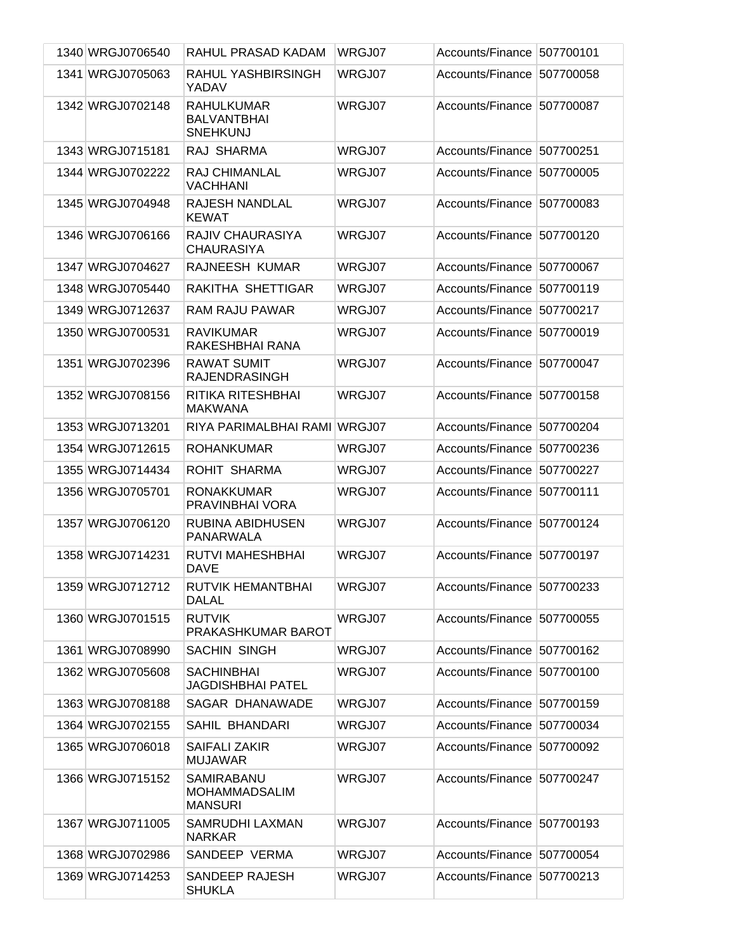| 1340 WRGJ0706540 | RAHUL PRASAD KADAM                                         | WRGJ07 | Accounts/Finance 507700101 |           |
|------------------|------------------------------------------------------------|--------|----------------------------|-----------|
| 1341 WRGJ0705063 | RAHUL YASHBIRSINGH<br>YADAV                                | WRGJ07 | Accounts/Finance           | 507700058 |
| 1342 WRGJ0702148 | <b>RAHULKUMAR</b><br><b>BALVANTBHAI</b><br><b>SNEHKUNJ</b> | WRGJ07 | Accounts/Finance 507700087 |           |
| 1343 WRGJ0715181 | RAJ SHARMA                                                 | WRGJ07 | Accounts/Finance           | 507700251 |
| 1344 WRGJ0702222 | <b>RAJ CHIMANLAL</b><br><b>VACHHANI</b>                    | WRGJ07 | Accounts/Finance           | 507700005 |
| 1345 WRGJ0704948 | <b>RAJESH NANDLAL</b><br><b>KEWAT</b>                      | WRGJ07 | Accounts/Finance           | 507700083 |
| 1346 WRGJ0706166 | RAJIV CHAURASIYA<br><b>CHAURASIYA</b>                      | WRGJ07 | Accounts/Finance 507700120 |           |
| 1347 WRGJ0704627 | RAJNEESH KUMAR                                             | WRGJ07 | Accounts/Finance           | 507700067 |
| 1348 WRGJ0705440 | RAKITHA SHETTIGAR                                          | WRGJ07 | Accounts/Finance           | 507700119 |
| 1349 WRGJ0712637 | <b>RAM RAJU PAWAR</b>                                      | WRGJ07 | Accounts/Finance           | 507700217 |
| 1350 WRGJ0700531 | <b>RAVIKUMAR</b><br>RAKESHBHAI RANA                        | WRGJ07 | Accounts/Finance           | 507700019 |
| 1351 WRGJ0702396 | <b>RAWAT SUMIT</b><br><b>RAJENDRASINGH</b>                 | WRGJ07 | Accounts/Finance           | 507700047 |
| 1352 WRGJ0708156 | RITIKA RITESHBHAI<br><b>MAKWANA</b>                        | WRGJ07 | Accounts/Finance           | 507700158 |
| 1353 WRGJ0713201 | RIYA PARIMALBHAI RAMI WRGJ07                               |        | Accounts/Finance           | 507700204 |
| 1354 WRGJ0712615 | <b>ROHANKUMAR</b>                                          | WRGJ07 | Accounts/Finance           | 507700236 |
| 1355 WRGJ0714434 | ROHIT SHARMA                                               | WRGJ07 | Accounts/Finance           | 507700227 |
| 1356 WRGJ0705701 | <b>RONAKKUMAR</b><br>PRAVINBHAI VORA                       | WRGJ07 | Accounts/Finance           | 507700111 |
| 1357 WRGJ0706120 | <b>RUBINA ABIDHUSEN</b><br><b>PANARWALA</b>                | WRGJ07 | Accounts/Finance           | 507700124 |
| 1358 WRGJ0714231 | <b>RUTVI MAHESHBHAI</b><br><b>DAVE</b>                     | WRGJ07 | Accounts/Finance           | 507700197 |
| 1359 WRGJ0712712 | RUTVIK HEMANTBHAI<br><b>DALAL</b>                          | WRGJ07 | Accounts/Finance 507700233 |           |
| 1360 WRGJ0701515 | <b>RUTVIK</b><br>PRAKASHKUMAR BAROT                        | WRGJ07 | Accounts/Finance 507700055 |           |
| 1361 WRGJ0708990 | <b>SACHIN SINGH</b>                                        | WRGJ07 | Accounts/Finance 507700162 |           |
| 1362 WRGJ0705608 | <b>SACHINBHAI</b><br><b>JAGDISHBHAI PATEL</b>              | WRGJ07 | Accounts/Finance           | 507700100 |
| 1363 WRGJ0708188 | SAGAR DHANAWADE                                            | WRGJ07 | Accounts/Finance 507700159 |           |
| 1364 WRGJ0702155 | SAHIL BHANDARI                                             | WRGJ07 | Accounts/Finance 507700034 |           |
| 1365 WRGJ0706018 | <b>SAIFALI ZAKIR</b><br><b>MUJAWAR</b>                     | WRGJ07 | Accounts/Finance 507700092 |           |
| 1366 WRGJ0715152 | SAMIRABANU<br><b>MOHAMMADSALIM</b><br><b>MANSURI</b>       | WRGJ07 | Accounts/Finance 507700247 |           |
| 1367 WRGJ0711005 | SAMRUDHI LAXMAN<br><b>NARKAR</b>                           | WRGJ07 | Accounts/Finance 507700193 |           |
| 1368 WRGJ0702986 | SANDEEP VERMA                                              | WRGJ07 | Accounts/Finance 507700054 |           |
| 1369 WRGJ0714253 | SANDEEP RAJESH<br><b>SHUKLA</b>                            | WRGJ07 | Accounts/Finance 507700213 |           |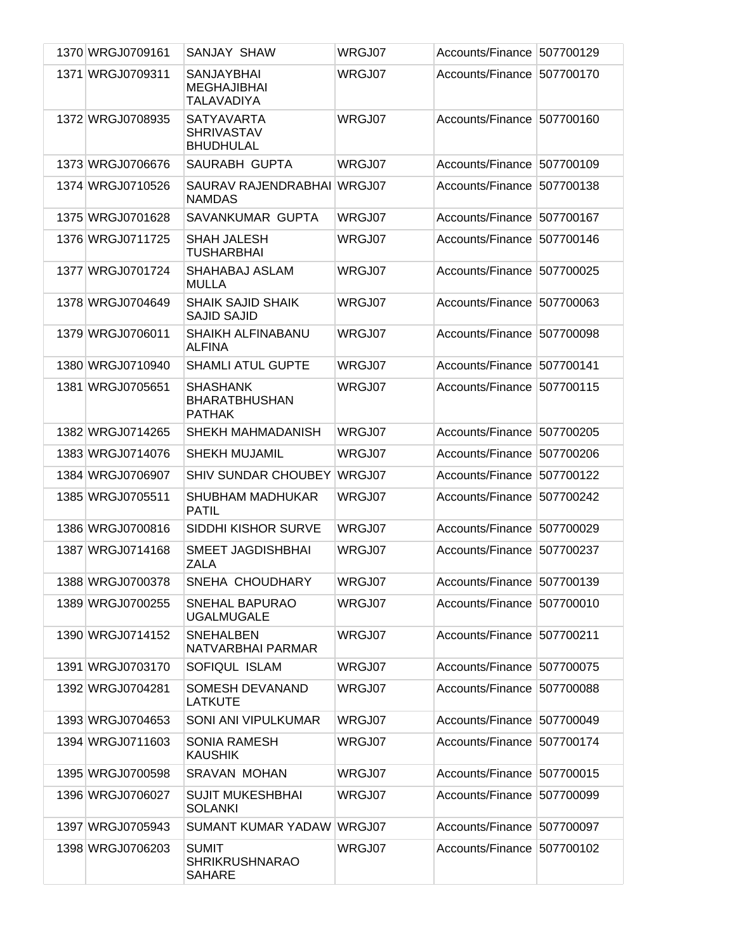| 1370 WRGJ0709161 | <b>SANJAY SHAW</b>                                           | WRGJ07 | Accounts/Finance 507700129 |           |
|------------------|--------------------------------------------------------------|--------|----------------------------|-----------|
| 1371 WRGJ0709311 | <b>SANJAYBHAI</b><br><b>MEGHAJIBHAI</b><br><b>TALAVADIYA</b> | WRGJ07 | Accounts/Finance           | 507700170 |
| 1372 WRGJ0708935 | <b>SATYAVARTA</b><br><b>SHRIVASTAV</b><br><b>BHUDHULAL</b>   | WRGJ07 | Accounts/Finance 507700160 |           |
| 1373 WRGJ0706676 | SAURABH GUPTA                                                | WRGJ07 | Accounts/Finance           | 507700109 |
| 1374 WRGJ0710526 | SAURAV RAJENDRABHAI WRGJ07<br><b>NAMDAS</b>                  |        | Accounts/Finance           | 507700138 |
| 1375 WRGJ0701628 | SAVANKUMAR GUPTA                                             | WRGJ07 | Accounts/Finance           | 507700167 |
| 1376 WRGJ0711725 | <b>SHAH JALESH</b><br><b>TUSHARBHAI</b>                      | WRGJ07 | Accounts/Finance           | 507700146 |
| 1377 WRGJ0701724 | SHAHABAJ ASLAM<br>MULLA                                      | WRGJ07 | Accounts/Finance           | 507700025 |
| 1378 WRGJ0704649 | <b>SHAIK SAJID SHAIK</b><br><b>SAJID SAJID</b>               | WRGJ07 | Accounts/Finance 507700063 |           |
| 1379 WRGJ0706011 | SHAIKH ALFINABANU<br><b>ALFINA</b>                           | WRGJ07 | Accounts/Finance           | 507700098 |
| 1380 WRGJ0710940 | <b>SHAMLI ATUL GUPTE</b>                                     | WRGJ07 | Accounts/Finance           | 507700141 |
| 1381 WRGJ0705651 | <b>SHASHANK</b><br><b>BHARATBHUSHAN</b><br><b>PATHAK</b>     | WRGJ07 | Accounts/Finance           | 507700115 |
| 1382 WRGJ0714265 | SHEKH MAHMADANISH                                            | WRGJ07 | Accounts/Finance 507700205 |           |
| 1383 WRGJ0714076 | <b>SHEKH MUJAMIL</b>                                         | WRGJ07 | Accounts/Finance 507700206 |           |
| 1384 WRGJ0706907 | <b>SHIV SUNDAR CHOUBEY</b>                                   | WRGJ07 | Accounts/Finance           | 507700122 |
| 1385 WRGJ0705511 | <b>SHUBHAM MADHUKAR</b><br><b>PATIL</b>                      | WRGJ07 | Accounts/Finance           | 507700242 |
| 1386 WRGJ0700816 | SIDDHI KISHOR SURVE                                          | WRGJ07 | Accounts/Finance           | 507700029 |
| 1387 WRGJ0714168 | SMEET JAGDISHBHAI<br>ZALA                                    | WRGJ07 | Accounts/Finance           | 507700237 |
| 1388 WRGJ0700378 | SNEHA CHOUDHARY                                              | WRGJ07 | Accounts/Finance 507700139 |           |
| 1389 WRGJ0700255 | <b>SNEHAL BAPURAO</b><br><b>UGALMUGALE</b>                   | WRGJ07 | Accounts/Finance 507700010 |           |
| 1390 WRGJ0714152 | <b>SNEHALBEN</b><br>NATVARBHAI PARMAR                        | WRGJ07 | Accounts/Finance 507700211 |           |
| 1391 WRGJ0703170 | SOFIQUL ISLAM                                                | WRGJ07 | Accounts/Finance 507700075 |           |
| 1392 WRGJ0704281 | SOMESH DEVANAND<br><b>LATKUTE</b>                            | WRGJ07 | Accounts/Finance 507700088 |           |
| 1393 WRGJ0704653 | <b>SONI ANI VIPULKUMAR</b>                                   | WRGJ07 | Accounts/Finance 507700049 |           |
| 1394 WRGJ0711603 | <b>SONIA RAMESH</b><br><b>KAUSHIK</b>                        | WRGJ07 | Accounts/Finance 507700174 |           |
| 1395 WRGJ0700598 | <b>SRAVAN MOHAN</b>                                          | WRGJ07 | Accounts/Finance 507700015 |           |
| 1396 WRGJ0706027 | <b>SUJIT MUKESHBHAI</b><br><b>SOLANKI</b>                    | WRGJ07 | Accounts/Finance 507700099 |           |
| 1397 WRGJ0705943 | <b>SUMANT KUMAR YADAW</b>                                    | WRGJ07 | Accounts/Finance 507700097 |           |
| 1398 WRGJ0706203 | <b>SUMIT</b><br><b>SHRIKRUSHNARAO</b><br><b>SAHARE</b>       | WRGJ07 | Accounts/Finance 507700102 |           |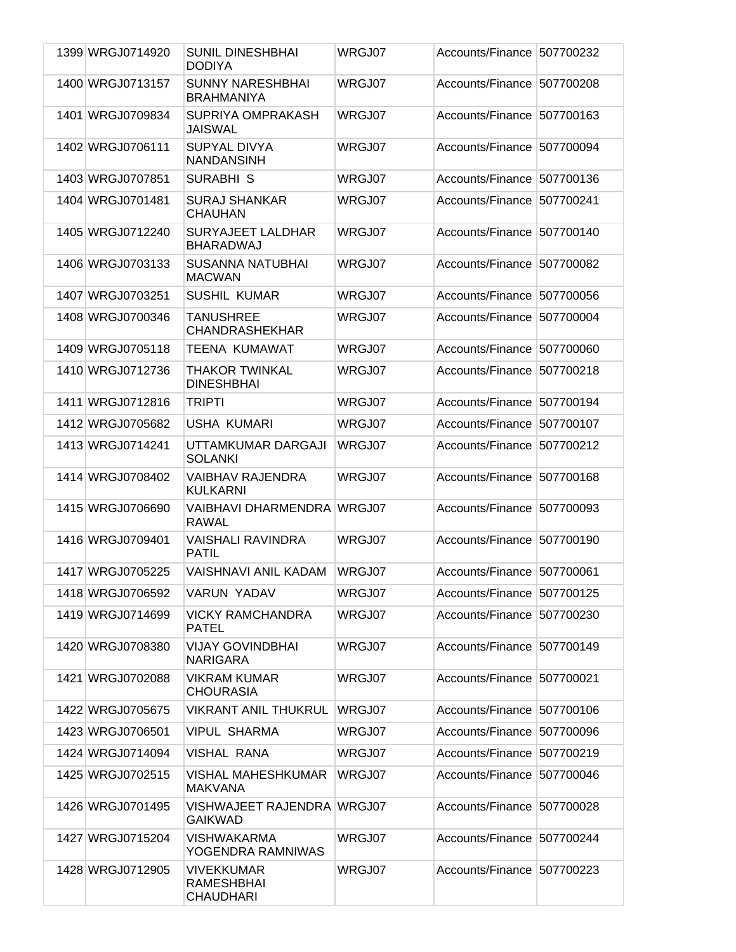| 1399 WRGJ0714920 | <b>SUNIL DINESHBHAI</b><br><b>DODIYA</b>                   | WRGJ07 | Accounts/Finance 507700232 |           |
|------------------|------------------------------------------------------------|--------|----------------------------|-----------|
| 1400 WRGJ0713157 | <b>SUNNY NARESHBHAI</b><br><b>BRAHMANIYA</b>               | WRGJ07 | Accounts/Finance 507700208 |           |
| 1401 WRGJ0709834 | SUPRIYA OMPRAKASH<br><b>JAISWAL</b>                        | WRGJ07 | Accounts/Finance 507700163 |           |
| 1402 WRGJ0706111 | <b>SUPYAL DIVYA</b><br><b>NANDANSINH</b>                   | WRGJ07 | Accounts/Finance 507700094 |           |
| 1403 WRGJ0707851 | <b>SURABHI S</b>                                           | WRGJ07 | Accounts/Finance           | 507700136 |
| 1404 WRGJ0701481 | <b>SURAJ SHANKAR</b><br><b>CHAUHAN</b>                     | WRGJ07 | Accounts/Finance           | 507700241 |
| 1405 WRGJ0712240 | <b>SURYAJEET LALDHAR</b><br><b>BHARADWAJ</b>               | WRGJ07 | Accounts/Finance           | 507700140 |
| 1406 WRGJ0703133 | <b>SUSANNA NATUBHAI</b><br><b>MACWAN</b>                   | WRGJ07 | Accounts/Finance 507700082 |           |
| 1407 WRGJ0703251 | <b>SUSHIL KUMAR</b>                                        | WRGJ07 | Accounts/Finance           | 507700056 |
| 1408 WRGJ0700346 | <b>TANUSHREE</b><br><b>CHANDRASHEKHAR</b>                  | WRGJ07 | Accounts/Finance           | 507700004 |
| 1409 WRGJ0705118 | <b>TEENA KUMAWAT</b>                                       | WRGJ07 | Accounts/Finance           | 507700060 |
| 1410 WRGJ0712736 | <b>THAKOR TWINKAL</b><br><b>DINESHBHAI</b>                 | WRGJ07 | Accounts/Finance           | 507700218 |
| 1411 WRGJ0712816 | <b>TRIPTI</b>                                              | WRGJ07 | Accounts/Finance           | 507700194 |
| 1412 WRGJ0705682 | <b>USHA KUMARI</b>                                         | WRGJ07 | Accounts/Finance 507700107 |           |
| 1413 WRGJ0714241 | UTTAMKUMAR DARGAJI<br><b>SOLANKI</b>                       | WRGJ07 | Accounts/Finance           | 507700212 |
| 1414 WRGJ0708402 | <b>VAIBHAV RAJENDRA</b><br><b>KULKARNI</b>                 | WRGJ07 | Accounts/Finance           | 507700168 |
| 1415 WRGJ0706690 | VAIBHAVI DHARMENDRA WRGJ07<br><b>RAWAL</b>                 |        | Accounts/Finance 507700093 |           |
| 1416 WRGJ0709401 | <b>VAISHALI RAVINDRA</b><br><b>PATIL</b>                   | WRGJ07 | Accounts/Finance           | 507700190 |
| 1417 WRGJ0705225 | <b>VAISHNAVI ANIL KADAM</b>                                | WRGJ07 | Accounts/Finance 507700061 |           |
| 1418 WRGJ0706592 | VARUN YADAV                                                | WRGJ07 | Accounts/Finance 507700125 |           |
| 1419 WRGJ0714699 | <b>VICKY RAMCHANDRA</b><br><b>PATEL</b>                    | WRGJ07 | Accounts/Finance 507700230 |           |
| 1420 WRGJ0708380 | <b>VIJAY GOVINDBHAI</b><br><b>NARIGARA</b>                 | WRGJ07 | Accounts/Finance 507700149 |           |
| 1421 WRGJ0702088 | <b>VIKRAM KUMAR</b><br><b>CHOURASIA</b>                    | WRGJ07 | Accounts/Finance 507700021 |           |
| 1422 WRGJ0705675 | <b>VIKRANT ANIL THUKRUL</b>                                | WRGJ07 | Accounts/Finance 507700106 |           |
| 1423 WRGJ0706501 | <b>VIPUL SHARMA</b>                                        | WRGJ07 | Accounts/Finance 507700096 |           |
| 1424 WRGJ0714094 | <b>VISHAL RANA</b>                                         | WRGJ07 | Accounts/Finance 507700219 |           |
| 1425 WRGJ0702515 | <b>VISHAL MAHESHKUMAR</b><br><b>MAKVANA</b>                | WRGJ07 | Accounts/Finance 507700046 |           |
| 1426 WRGJ0701495 | VISHWAJEET RAJENDRA WRGJ07<br><b>GAIKWAD</b>               |        | Accounts/Finance 507700028 |           |
| 1427 WRGJ0715204 | VISHWAKARMA<br>YOGENDRA RAMNIWAS                           | WRGJ07 | Accounts/Finance 507700244 |           |
| 1428 WRGJ0712905 | <b>VIVEKKUMAR</b><br><b>RAMESHBHAI</b><br><b>CHAUDHARI</b> | WRGJ07 | Accounts/Finance 507700223 |           |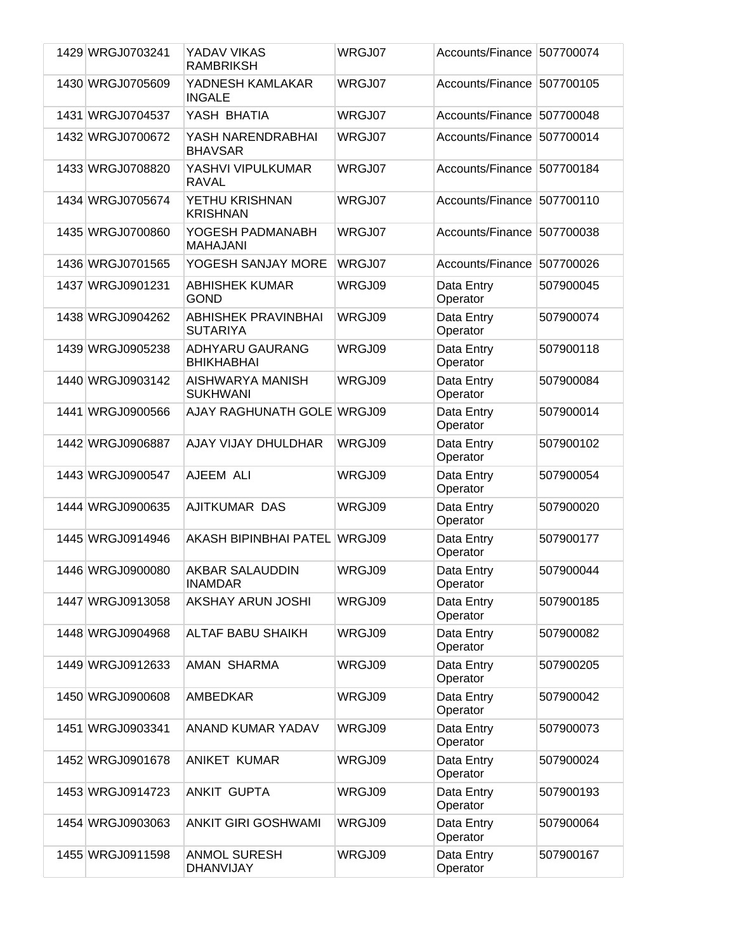| 1429 WRGJ0703241 | YADAV VIKAS<br><b>RAMBRIKSH</b>          | WRGJ07 | Accounts/Finance 507700074 |           |
|------------------|------------------------------------------|--------|----------------------------|-----------|
| 1430 WRGJ0705609 | YADNESH KAMLAKAR<br><b>INGALE</b>        | WRGJ07 | Accounts/Finance 507700105 |           |
| 1431 WRGJ0704537 | YASH BHATIA                              | WRGJ07 | Accounts/Finance           | 507700048 |
| 1432 WRGJ0700672 | YASH NARENDRABHAI<br><b>BHAVSAR</b>      | WRGJ07 | Accounts/Finance           | 507700014 |
| 1433 WRGJ0708820 | YASHVI VIPULKUMAR<br><b>RAVAL</b>        | WRGJ07 | Accounts/Finance           | 507700184 |
| 1434 WRGJ0705674 | YETHU KRISHNAN<br><b>KRISHNAN</b>        | WRGJ07 | Accounts/Finance 507700110 |           |
| 1435 WRGJ0700860 | YOGESH PADMANABH<br><b>MAHAJANI</b>      | WRGJ07 | Accounts/Finance           | 507700038 |
| 1436 WRGJ0701565 | YOGESH SANJAY MORE                       | WRGJ07 | Accounts/Finance           | 507700026 |
| 1437 WRGJ0901231 | ABHISHEK KUMAR<br><b>GOND</b>            | WRGJ09 | Data Entry<br>Operator     | 507900045 |
| 1438 WRGJ0904262 | ABHISHEK PRAVINBHAI<br><b>SUTARIYA</b>   | WRGJ09 | Data Entry<br>Operator     | 507900074 |
| 1439 WRGJ0905238 | ADHYARU GAURANG<br><b>BHIKHABHAI</b>     | WRGJ09 | Data Entry<br>Operator     | 507900118 |
| 1440 WRGJ0903142 | AISHWARYA MANISH<br><b>SUKHWANI</b>      | WRGJ09 | Data Entry<br>Operator     | 507900084 |
| 1441 WRGJ0900566 | AJAY RAGHUNATH GOLE WRGJ09               |        | Data Entry<br>Operator     | 507900014 |
| 1442 WRGJ0906887 | AJAY VIJAY DHULDHAR                      | WRGJ09 | Data Entry<br>Operator     | 507900102 |
| 1443 WRGJ0900547 | AJEEM ALI                                | WRGJ09 | Data Entry<br>Operator     | 507900054 |
| 1444 WRGJ0900635 | AJITKUMAR DAS                            | WRGJ09 | Data Entry<br>Operator     | 507900020 |
| 1445 WRGJ0914946 | <b>AKASH BIPINBHAI PATEL</b>             | WRGJ09 | Data Entry<br>Operator     | 507900177 |
| 1446 WRGJ0900080 | <b>AKBAR SALAUDDIN</b><br><b>INAMDAR</b> | WRGJ09 | Data Entry<br>Operator     | 507900044 |
| 1447 WRGJ0913058 | AKSHAY ARUN JOSHI                        | WRGJ09 | Data Entry<br>Operator     | 507900185 |
| 1448 WRGJ0904968 | ALTAF BABU SHAIKH                        | WRGJ09 | Data Entry<br>Operator     | 507900082 |
| 1449 WRGJ0912633 | AMAN SHARMA                              | WRGJ09 | Data Entry<br>Operator     | 507900205 |
| 1450 WRGJ0900608 | <b>AMBEDKAR</b>                          | WRGJ09 | Data Entry<br>Operator     | 507900042 |
| 1451 WRGJ0903341 | ANAND KUMAR YADAV                        | WRGJ09 | Data Entry<br>Operator     | 507900073 |
| 1452 WRGJ0901678 | <b>ANIKET KUMAR</b>                      | WRGJ09 | Data Entry<br>Operator     | 507900024 |
| 1453 WRGJ0914723 | <b>ANKIT GUPTA</b>                       | WRGJ09 | Data Entry<br>Operator     | 507900193 |
| 1454 WRGJ0903063 | <b>ANKIT GIRI GOSHWAMI</b>               | WRGJ09 | Data Entry<br>Operator     | 507900064 |
| 1455 WRGJ0911598 | <b>ANMOL SURESH</b><br><b>DHANVIJAY</b>  | WRGJ09 | Data Entry<br>Operator     | 507900167 |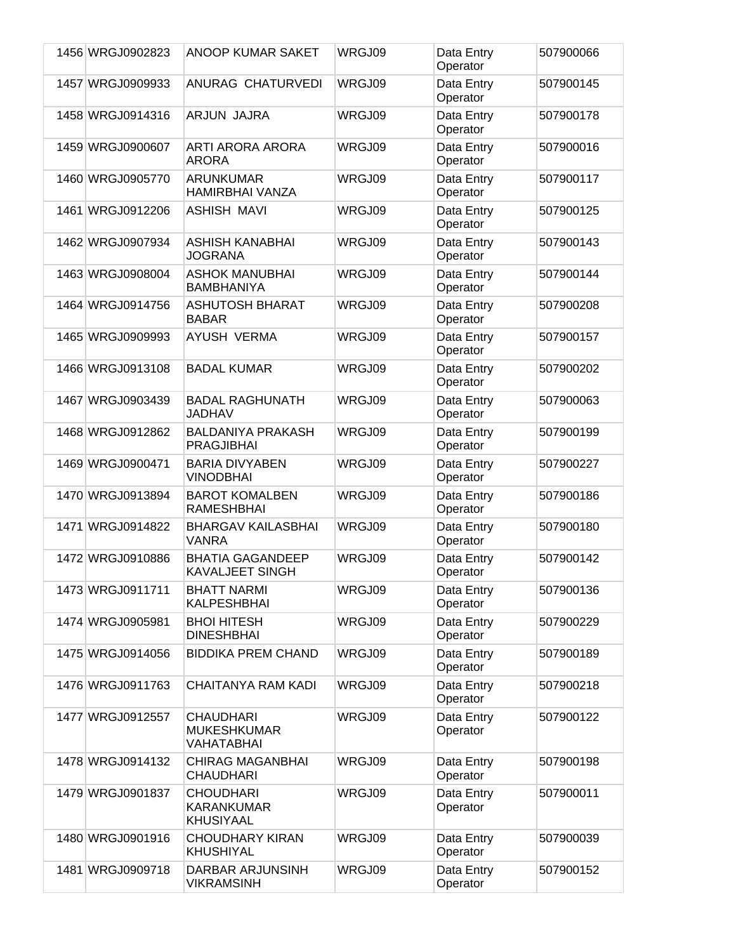| 1456 WRGJ0902823 | ANOOP KUMAR SAKET                                         | WRGJ09 | Data Entry             | 507900066 |
|------------------|-----------------------------------------------------------|--------|------------------------|-----------|
|                  |                                                           |        | Operator               |           |
| 1457 WRGJ0909933 | <b>ANURAG CHATURVEDI</b>                                  | WRGJ09 | Data Entry<br>Operator | 507900145 |
| 1458 WRGJ0914316 | ARJUN JAJRA                                               | WRGJ09 | Data Entry<br>Operator | 507900178 |
| 1459 WRGJ0900607 | <b>ARTI ARORA ARORA</b><br><b>ARORA</b>                   | WRGJ09 | Data Entry<br>Operator | 507900016 |
| 1460 WRGJ0905770 | <b>ARUNKUMAR</b><br><b>HAMIRBHAI VANZA</b>                | WRGJ09 | Data Entry<br>Operator | 507900117 |
| 1461 WRGJ0912206 | <b>ASHISH MAVI</b>                                        | WRGJ09 | Data Entry<br>Operator | 507900125 |
| 1462 WRGJ0907934 | <b>ASHISH KANABHAI</b><br><b>JOGRANA</b>                  | WRGJ09 | Data Entry<br>Operator | 507900143 |
| 1463 WRGJ0908004 | <b>ASHOK MANUBHAI</b><br><b>BAMBHANIYA</b>                | WRGJ09 | Data Entry<br>Operator | 507900144 |
| 1464 WRGJ0914756 | <b>ASHUTOSH BHARAT</b><br><b>BABAR</b>                    | WRGJ09 | Data Entry<br>Operator | 507900208 |
| 1465 WRGJ0909993 | AYUSH VERMA                                               | WRGJ09 | Data Entry<br>Operator | 507900157 |
| 1466 WRGJ0913108 | <b>BADAL KUMAR</b>                                        | WRGJ09 | Data Entry<br>Operator | 507900202 |
| 1467 WRGJ0903439 | <b>BADAL RAGHUNATH</b><br><b>JADHAV</b>                   | WRGJ09 | Data Entry<br>Operator | 507900063 |
| 1468 WRGJ0912862 | <b>BALDANIYA PRAKASH</b><br><b>PRAGJIBHAI</b>             | WRGJ09 | Data Entry<br>Operator | 507900199 |
| 1469 WRGJ0900471 | <b>BARIA DIVYABEN</b><br><b>VINODBHAI</b>                 | WRGJ09 | Data Entry<br>Operator | 507900227 |
| 1470 WRGJ0913894 | <b>BAROT KOMALBEN</b><br><b>RAMESHBHAI</b>                | WRGJ09 | Data Entry<br>Operator | 507900186 |
| 1471 WRGJ0914822 | <b>BHARGAV KAILASBHAI</b><br><b>VANRA</b>                 | WRGJ09 | Data Entry<br>Operator | 507900180 |
| 1472 WRGJ0910886 | <b>BHATIA GAGANDEEP</b><br><b>KAVALJEET SINGH</b>         | WRGJ09 | Data Entry<br>Operator | 507900142 |
| 1473 WRGJ0911711 | <b>BHATT NARMI</b><br><b>KALPESHBHAI</b>                  | WRGJ09 | Data Entry<br>Operator | 507900136 |
| 1474 WRGJ0905981 | <b>BHOI HITESH</b><br><b>DINESHBHAI</b>                   | WRGJ09 | Data Entry<br>Operator | 507900229 |
| 1475 WRGJ0914056 | <b>BIDDIKA PREM CHAND</b>                                 | WRGJ09 | Data Entry<br>Operator | 507900189 |
| 1476 WRGJ0911763 | CHAITANYA RAM KADI                                        | WRGJ09 | Data Entry<br>Operator | 507900218 |
| 1477 WRGJ0912557 | <b>CHAUDHARI</b><br><b>MUKESHKUMAR</b><br>VAHATABHAI      | WRGJ09 | Data Entry<br>Operator | 507900122 |
| 1478 WRGJ0914132 | <b>CHIRAG MAGANBHAI</b><br><b>CHAUDHARI</b>               | WRGJ09 | Data Entry<br>Operator | 507900198 |
| 1479 WRGJ0901837 | <b>CHOUDHARI</b><br><b>KARANKUMAR</b><br><b>KHUSIYAAL</b> | WRGJ09 | Data Entry<br>Operator | 507900011 |
| 1480 WRGJ0901916 | <b>CHOUDHARY KIRAN</b><br><b>KHUSHIYAL</b>                | WRGJ09 | Data Entry<br>Operator | 507900039 |
| 1481 WRGJ0909718 | DARBAR ARJUNSINH<br><b>VIKRAMSINH</b>                     | WRGJ09 | Data Entry<br>Operator | 507900152 |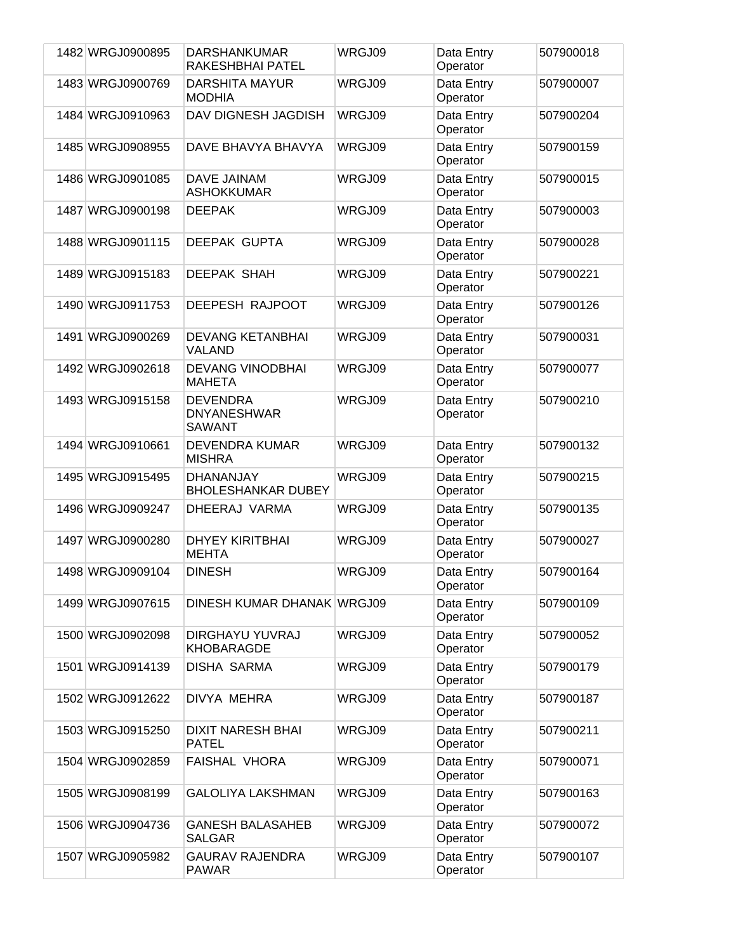| 1482 WRGJ0900895 | <b>DARSHANKUMAR</b><br>RAKESHBHAI PATEL                | WRGJ09 | Data Entry<br>Operator | 507900018 |
|------------------|--------------------------------------------------------|--------|------------------------|-----------|
| 1483 WRGJ0900769 | <b>DARSHITA MAYUR</b><br><b>MODHIA</b>                 | WRGJ09 | Data Entry<br>Operator | 507900007 |
| 1484 WRGJ0910963 | DAV DIGNESH JAGDISH                                    | WRGJ09 | Data Entry<br>Operator | 507900204 |
| 1485 WRGJ0908955 | DAVE BHAVYA BHAVYA                                     | WRGJ09 | Data Entry<br>Operator | 507900159 |
| 1486 WRGJ0901085 | <b>DAVE JAINAM</b><br><b>ASHOKKUMAR</b>                | WRGJ09 | Data Entry<br>Operator | 507900015 |
| 1487 WRGJ0900198 | <b>DEEPAK</b>                                          | WRGJ09 | Data Entry<br>Operator | 507900003 |
| 1488 WRGJ0901115 | <b>DEEPAK GUPTA</b>                                    | WRGJ09 | Data Entry<br>Operator | 507900028 |
| 1489 WRGJ0915183 | <b>DEEPAK SHAH</b>                                     | WRGJ09 | Data Entry<br>Operator | 507900221 |
| 1490 WRGJ0911753 | DEEPESH RAJPOOT                                        | WRGJ09 | Data Entry<br>Operator | 507900126 |
| 1491 WRGJ0900269 | <b>DEVANG KETANBHAI</b><br><b>VALAND</b>               | WRGJ09 | Data Entry<br>Operator | 507900031 |
| 1492 WRGJ0902618 | <b>DEVANG VINODBHAI</b><br><b>MAHETA</b>               | WRGJ09 | Data Entry<br>Operator | 507900077 |
| 1493 WRGJ0915158 | <b>DEVENDRA</b><br><b>DNYANESHWAR</b><br><b>SAWANT</b> | WRGJ09 | Data Entry<br>Operator | 507900210 |
| 1494 WRGJ0910661 | <b>DEVENDRA KUMAR</b><br><b>MISHRA</b>                 | WRGJ09 | Data Entry<br>Operator | 507900132 |
| 1495 WRGJ0915495 | <b>DHANANJAY</b><br><b>BHOLESHANKAR DUBEY</b>          | WRGJ09 | Data Entry<br>Operator | 507900215 |
| 1496 WRGJ0909247 | DHEERAJ VARMA                                          | WRGJ09 | Data Entry<br>Operator | 507900135 |
| 1497 WRGJ0900280 | <b>DHYEY KIRITBHAI</b><br><b>MEHTA</b>                 | WRGJ09 | Data Entry<br>Operator | 507900027 |
| 1498 WRGJ0909104 | <b>DINESH</b>                                          | WRGJ09 | Data Entry<br>Operator | 507900164 |
| 1499 WRGJ0907615 | DINESH KUMAR DHANAK WRGJ09                             |        | Data Entry<br>Operator | 507900109 |
| 1500 WRGJ0902098 | DIRGHAYU YUVRAJ<br><b>KHOBARAGDE</b>                   | WRGJ09 | Data Entry<br>Operator | 507900052 |
| 1501 WRGJ0914139 | <b>DISHA SARMA</b>                                     | WRGJ09 | Data Entry<br>Operator | 507900179 |
| 1502 WRGJ0912622 | DIVYA MEHRA                                            | WRGJ09 | Data Entry<br>Operator | 507900187 |
| 1503 WRGJ0915250 | <b>DIXIT NARESH BHAI</b><br><b>PATEL</b>               | WRGJ09 | Data Entry<br>Operator | 507900211 |
| 1504 WRGJ0902859 | <b>FAISHAL VHORA</b>                                   | WRGJ09 | Data Entry<br>Operator | 507900071 |
| 1505 WRGJ0908199 | <b>GALOLIYA LAKSHMAN</b>                               | WRGJ09 | Data Entry<br>Operator | 507900163 |
| 1506 WRGJ0904736 | <b>GANESH BALASAHEB</b><br><b>SALGAR</b>               | WRGJ09 | Data Entry<br>Operator | 507900072 |
| 1507 WRGJ0905982 | <b>GAURAV RAJENDRA</b><br><b>PAWAR</b>                 | WRGJ09 | Data Entry<br>Operator | 507900107 |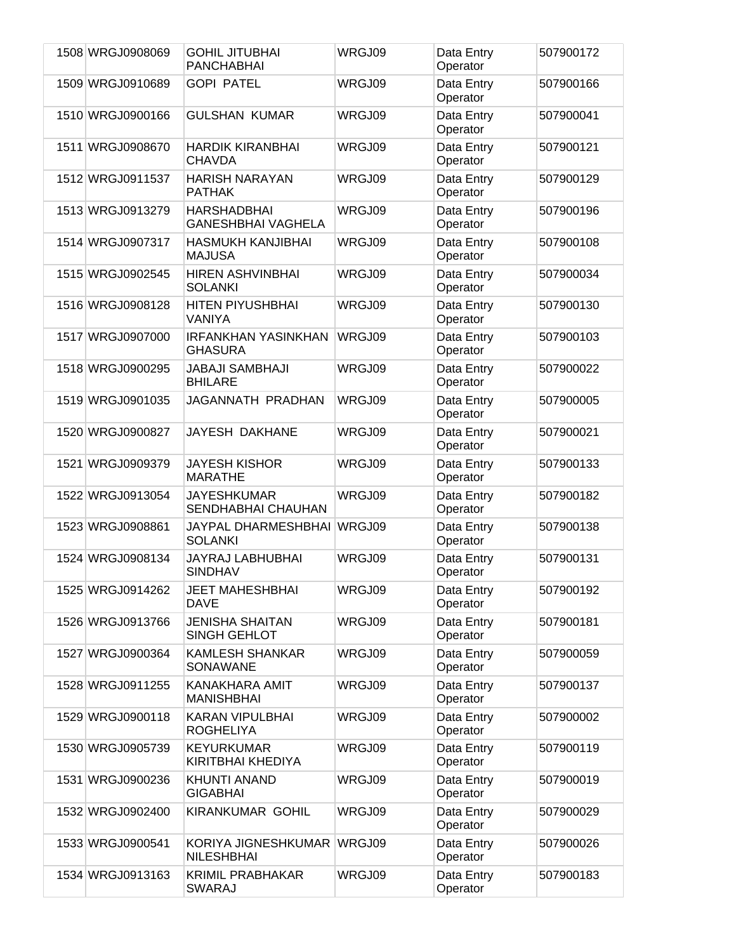| 1508 WRGJ0908069 | <b>GOHIL JITUBHAI</b><br><b>PANCHABHAI</b>      | WRGJ09 | Data Entry<br>Operator | 507900172 |
|------------------|-------------------------------------------------|--------|------------------------|-----------|
| 1509 WRGJ0910689 | <b>GOPI PATEL</b>                               | WRGJ09 | Data Entry<br>Operator | 507900166 |
| 1510 WRGJ0900166 | <b>GULSHAN KUMAR</b>                            | WRGJ09 | Data Entry<br>Operator | 507900041 |
| 1511 WRGJ0908670 | <b>HARDIK KIRANBHAI</b><br><b>CHAVDA</b>        | WRGJ09 | Data Entry<br>Operator | 507900121 |
| 1512 WRGJ0911537 | <b>HARISH NARAYAN</b><br><b>PATHAK</b>          | WRGJ09 | Data Entry<br>Operator | 507900129 |
| 1513 WRGJ0913279 | <b>HARSHADBHAI</b><br><b>GANESHBHAI VAGHELA</b> | WRGJ09 | Data Entry<br>Operator | 507900196 |
| 1514 WRGJ0907317 | <b>HASMUKH KANJIBHAI</b><br><b>MAJUSA</b>       | WRGJ09 | Data Entry<br>Operator | 507900108 |
| 1515 WRGJ0902545 | <b>HIREN ASHVINBHAI</b><br><b>SOLANKI</b>       | WRGJ09 | Data Entry<br>Operator | 507900034 |
| 1516 WRGJ0908128 | <b>HITEN PIYUSHBHAI</b><br><b>VANIYA</b>        | WRGJ09 | Data Entry<br>Operator | 507900130 |
| 1517 WRGJ0907000 | <b>IRFANKHAN YASINKHAN</b><br><b>GHASURA</b>    | WRGJ09 | Data Entry<br>Operator | 507900103 |
| 1518 WRGJ0900295 | <b>JABAJI SAMBHAJI</b><br><b>BHILARE</b>        | WRGJ09 | Data Entry<br>Operator | 507900022 |
| 1519 WRGJ0901035 | JAGANNATH PRADHAN                               | WRGJ09 | Data Entry<br>Operator | 507900005 |
| 1520 WRGJ0900827 | JAYESH DAKHANE                                  | WRGJ09 | Data Entry<br>Operator | 507900021 |
| 1521 WRGJ0909379 | <b>JAYESH KISHOR</b><br><b>MARATHE</b>          | WRGJ09 | Data Entry<br>Operator | 507900133 |
| 1522 WRGJ0913054 | <b>JAYESHKUMAR</b><br>SENDHABHAI CHAUHAN        | WRGJ09 | Data Entry<br>Operator | 507900182 |
| 1523 WRGJ0908861 | JAYPAL DHARMESHBHAI WRGJ09<br><b>SOLANKI</b>    |        | Data Entry<br>Operator | 507900138 |
| 1524 WRGJ0908134 | JAYRAJ LABHUBHAI<br><b>SINDHAV</b>              | WRGJ09 | Data Entry<br>Operator | 507900131 |
| 1525 WRGJ0914262 | <b>JEET MAHESHBHAI</b><br><b>DAVE</b>           | WRGJ09 | Data Entry<br>Operator | 507900192 |
| 1526 WRGJ0913766 | <b>JENISHA SHAITAN</b><br><b>SINGH GEHLOT</b>   | WRGJ09 | Data Entry<br>Operator | 507900181 |
| 1527 WRGJ0900364 | <b>KAMLESH SHANKAR</b><br><b>SONAWANE</b>       | WRGJ09 | Data Entry<br>Operator | 507900059 |
| 1528 WRGJ0911255 | KANAKHARA AMIT<br><b>MANISHBHAI</b>             | WRGJ09 | Data Entry<br>Operator | 507900137 |
| 1529 WRGJ0900118 | KARAN VIPULBHAI<br><b>ROGHELIYA</b>             | WRGJ09 | Data Entry<br>Operator | 507900002 |
| 1530 WRGJ0905739 | <b>KEYURKUMAR</b><br>KIRITBHAI KHEDIYA          | WRGJ09 | Data Entry<br>Operator | 507900119 |
| 1531 WRGJ0900236 | <b>KHUNTI ANAND</b><br><b>GIGABHAI</b>          | WRGJ09 | Data Entry<br>Operator | 507900019 |
| 1532 WRGJ0902400 | <b>KIRANKUMAR GOHIL</b>                         | WRGJ09 | Data Entry<br>Operator | 507900029 |
| 1533 WRGJ0900541 | KORIYA JIGNESHKUMAR<br><b>NILESHBHAI</b>        | WRGJ09 | Data Entry<br>Operator | 507900026 |
| 1534 WRGJ0913163 | <b>KRIMIL PRABHAKAR</b><br><b>SWARAJ</b>        | WRGJ09 | Data Entry<br>Operator | 507900183 |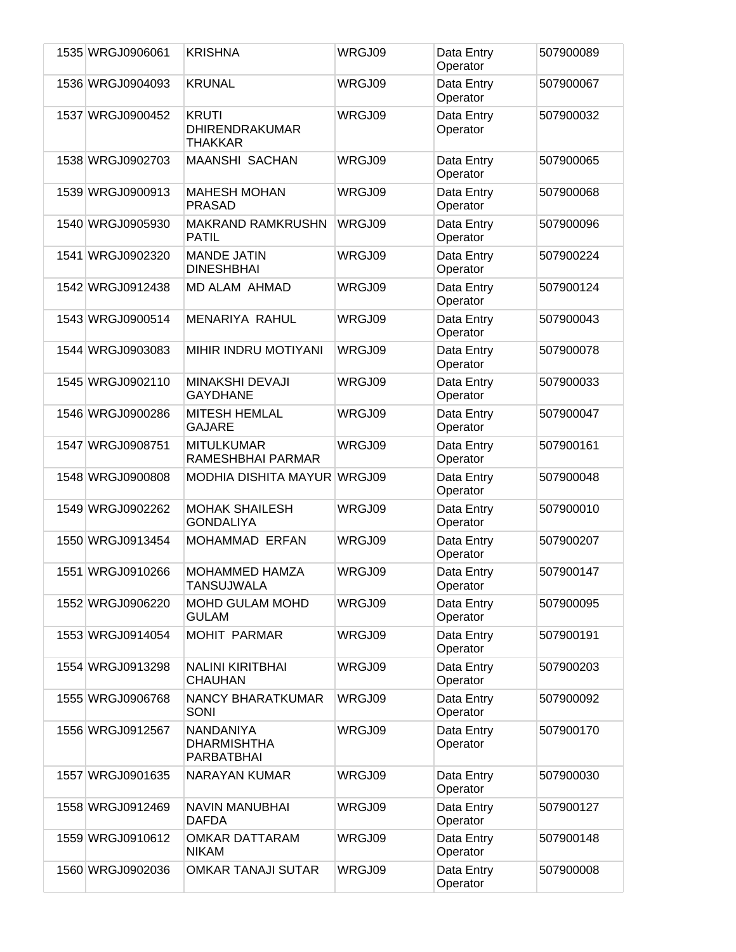| 1535 WRGJ0906061 | <b>KRISHNA</b>                                          | WRGJ09 | Data Entry<br>Operator | 507900089 |
|------------------|---------------------------------------------------------|--------|------------------------|-----------|
| 1536 WRGJ0904093 | <b>KRUNAL</b>                                           | WRGJ09 | Data Entry<br>Operator | 507900067 |
| 1537 WRGJ0900452 | <b>KRUTI</b><br><b>DHIRENDRAKUMAR</b><br><b>THAKKAR</b> | WRGJ09 | Data Entry<br>Operator | 507900032 |
| 1538 WRGJ0902703 | <b>MAANSHI SACHAN</b>                                   | WRGJ09 | Data Entry<br>Operator | 507900065 |
| 1539 WRGJ0900913 | <b>MAHESH MOHAN</b><br><b>PRASAD</b>                    | WRGJ09 | Data Entry<br>Operator | 507900068 |
| 1540 WRGJ0905930 | <b>MAKRAND RAMKRUSHN</b><br><b>PATIL</b>                | WRGJ09 | Data Entry<br>Operator | 507900096 |
| 1541 WRGJ0902320 | <b>MANDE JATIN</b><br><b>DINESHBHAI</b>                 | WRGJ09 | Data Entry<br>Operator | 507900224 |
| 1542 WRGJ0912438 | MD ALAM AHMAD                                           | WRGJ09 | Data Entry<br>Operator | 507900124 |
| 1543 WRGJ0900514 | MENARIYA RAHUL                                          | WRGJ09 | Data Entry<br>Operator | 507900043 |
| 1544 WRGJ0903083 | MIHIR INDRU MOTIYANI                                    | WRGJ09 | Data Entry<br>Operator | 507900078 |
| 1545 WRGJ0902110 | MINAKSHI DEVAJI<br><b>GAYDHANE</b>                      | WRGJ09 | Data Entry<br>Operator | 507900033 |
| 1546 WRGJ0900286 | <b>MITESH HEMLAL</b><br><b>GAJARE</b>                   | WRGJ09 | Data Entry<br>Operator | 507900047 |
| 1547 WRGJ0908751 | <b>MITULKUMAR</b><br>RAMESHBHAI PARMAR                  | WRGJ09 | Data Entry<br>Operator | 507900161 |
| 1548 WRGJ0900808 | MODHIA DISHITA MAYUR WRGJ09                             |        | Data Entry<br>Operator | 507900048 |
| 1549 WRGJ0902262 | <b>MOHAK SHAILESH</b><br><b>GONDALIYA</b>               | WRGJ09 | Data Entry<br>Operator | 507900010 |
| 1550 WRGJ0913454 | <b>MOHAMMAD ERFAN</b>                                   | WRGJ09 | Data Entry<br>Operator | 507900207 |
| 1551 WRGJ0910266 | <b>MOHAMMED HAMZA</b><br>TANSUJWALA                     | WRGJ09 | Data Entry<br>Operator | 507900147 |
| 1552 WRGJ0906220 | <b>MOHD GULAM MOHD</b><br><b>GULAM</b>                  | WRGJ09 | Data Entry<br>Operator | 507900095 |
| 1553 WRGJ0914054 | <b>MOHIT PARMAR</b>                                     | WRGJ09 | Data Entry<br>Operator | 507900191 |
| 1554 WRGJ0913298 | <b>NALINI KIRITBHAI</b><br><b>CHAUHAN</b>               | WRGJ09 | Data Entry<br>Operator | 507900203 |
| 1555 WRGJ0906768 | NANCY BHARATKUMAR<br>SONI                               | WRGJ09 | Data Entry<br>Operator | 507900092 |
| 1556 WRGJ0912567 | NANDANIYA<br><b>DHARMISHTHA</b><br>PARBATBHAI           | WRGJ09 | Data Entry<br>Operator | 507900170 |
| 1557 WRGJ0901635 | <b>NARAYAN KUMAR</b>                                    | WRGJ09 | Data Entry<br>Operator | 507900030 |
| 1558 WRGJ0912469 | <b>NAVIN MANUBHAI</b><br><b>DAFDA</b>                   | WRGJ09 | Data Entry<br>Operator | 507900127 |
| 1559 WRGJ0910612 | <b>OMKAR DATTARAM</b><br><b>NIKAM</b>                   | WRGJ09 | Data Entry<br>Operator | 507900148 |
| 1560 WRGJ0902036 | <b>OMKAR TANAJI SUTAR</b>                               | WRGJ09 | Data Entry<br>Operator | 507900008 |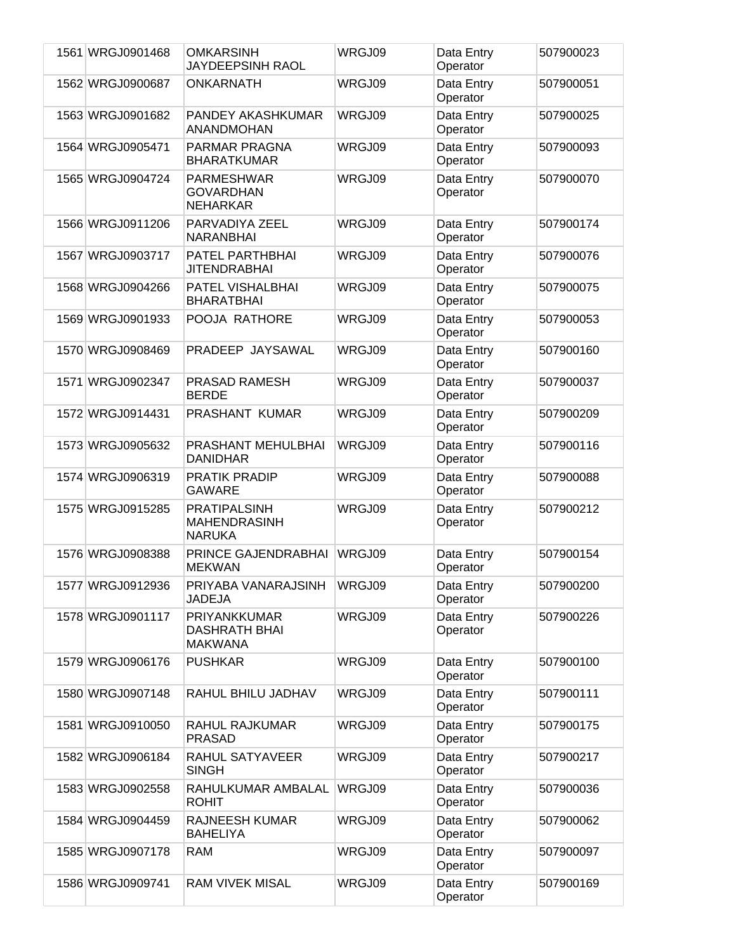| 1561 WRGJ0901468 | <b>OMKARSINH</b><br>JAYDEEPSINH RAOL                        | WRGJ09 | Data Entry<br>Operator | 507900023 |
|------------------|-------------------------------------------------------------|--------|------------------------|-----------|
| 1562 WRGJ0900687 | <b>ONKARNATH</b>                                            | WRGJ09 | Data Entry<br>Operator | 507900051 |
| 1563 WRGJ0901682 | PANDEY AKASHKUMAR<br>ANANDMOHAN                             | WRGJ09 | Data Entry<br>Operator | 507900025 |
| 1564 WRGJ0905471 | PARMAR PRAGNA<br><b>BHARATKUMAR</b>                         | WRGJ09 | Data Entry<br>Operator | 507900093 |
| 1565 WRGJ0904724 | <b>PARMESHWAR</b><br><b>GOVARDHAN</b><br><b>NEHARKAR</b>    | WRGJ09 | Data Entry<br>Operator | 507900070 |
| 1566 WRGJ0911206 | PARVADIYA ZEEL<br><b>NARANBHAI</b>                          | WRGJ09 | Data Entry<br>Operator | 507900174 |
| 1567 WRGJ0903717 | PATEL PARTHBHAI<br><b>JITENDRABHAI</b>                      | WRGJ09 | Data Entry<br>Operator | 507900076 |
| 1568 WRGJ0904266 | PATEL VISHALBHAI<br><b>BHARATBHAI</b>                       | WRGJ09 | Data Entry<br>Operator | 507900075 |
| 1569 WRGJ0901933 | POOJA RATHORE                                               | WRGJ09 | Data Entry<br>Operator | 507900053 |
| 1570 WRGJ0908469 | PRADEEP JAYSAWAL                                            | WRGJ09 | Data Entry<br>Operator | 507900160 |
| 1571 WRGJ0902347 | PRASAD RAMESH<br><b>BERDE</b>                               | WRGJ09 | Data Entry<br>Operator | 507900037 |
| 1572 WRGJ0914431 | PRASHANT KUMAR                                              | WRGJ09 | Data Entry<br>Operator | 507900209 |
| 1573 WRGJ0905632 | PRASHANT MEHULBHAI<br><b>DANIDHAR</b>                       | WRGJ09 | Data Entry<br>Operator | 507900116 |
| 1574 WRGJ0906319 | PRATIK PRADIP<br><b>GAWARE</b>                              | WRGJ09 | Data Entry<br>Operator | 507900088 |
| 1575 WRGJ0915285 | <b>PRATIPALSINH</b><br><b>MAHENDRASINH</b><br><b>NARUKA</b> | WRGJ09 | Data Entry<br>Operator | 507900212 |
| 1576 WRGJ0908388 | PRINCE GAJENDRABHAI<br><b>MEKWAN</b>                        | WRGJ09 | Data Entry<br>Operator | 507900154 |
| 1577 WRGJ0912936 | PRIYABA VANARAJSINH<br><b>JADEJA</b>                        | WRGJ09 | Data Entry<br>Operator | 507900200 |
| 1578 WRGJ0901117 | PRIYANKKUMAR<br><b>DASHRATH BHAI</b><br><b>MAKWANA</b>      | WRGJ09 | Data Entry<br>Operator | 507900226 |
| 1579 WRGJ0906176 | <b>PUSHKAR</b>                                              | WRGJ09 | Data Entry<br>Operator | 507900100 |
| 1580 WRGJ0907148 | RAHUL BHILU JADHAV                                          | WRGJ09 | Data Entry<br>Operator | 507900111 |
| 1581 WRGJ0910050 | RAHUL RAJKUMAR<br><b>PRASAD</b>                             | WRGJ09 | Data Entry<br>Operator | 507900175 |
| 1582 WRGJ0906184 | RAHUL SATYAVEER<br><b>SINGH</b>                             | WRGJ09 | Data Entry<br>Operator | 507900217 |
| 1583 WRGJ0902558 | RAHULKUMAR AMBALAL<br><b>ROHIT</b>                          | WRGJ09 | Data Entry<br>Operator | 507900036 |
| 1584 WRGJ0904459 | <b>RAJNEESH KUMAR</b><br><b>BAHELIYA</b>                    | WRGJ09 | Data Entry<br>Operator | 507900062 |
| 1585 WRGJ0907178 | <b>RAM</b>                                                  | WRGJ09 | Data Entry<br>Operator | 507900097 |
| 1586 WRGJ0909741 | <b>RAM VIVEK MISAL</b>                                      | WRGJ09 | Data Entry<br>Operator | 507900169 |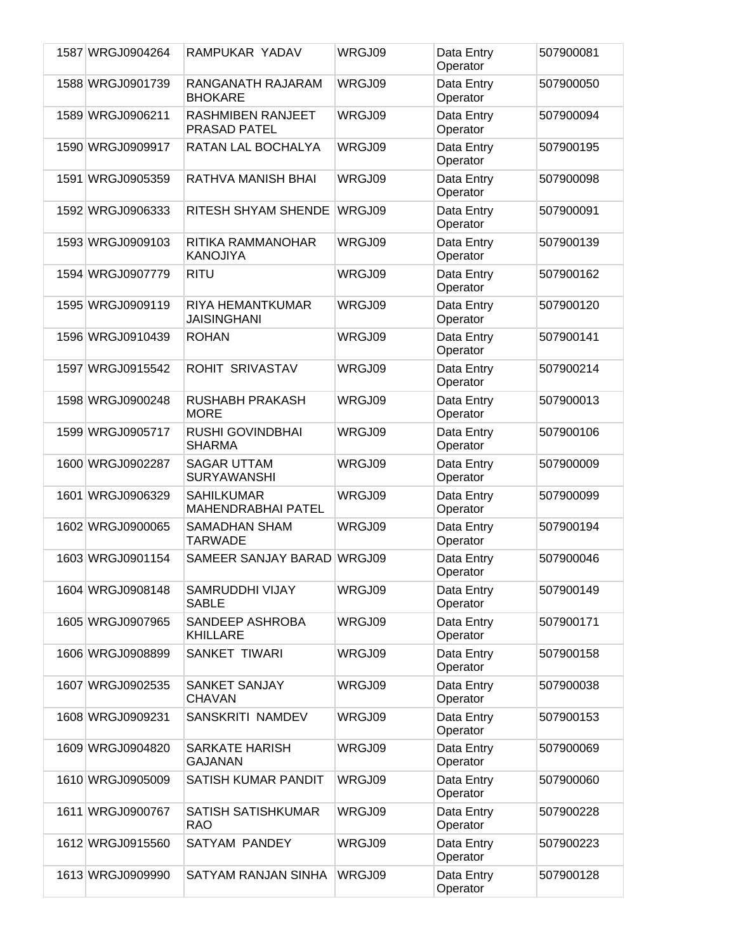| 1587 WRGJ0904264 | RAMPUKAR YADAV                                 | WRGJ09 | Data Entry<br>Operator | 507900081 |
|------------------|------------------------------------------------|--------|------------------------|-----------|
| 1588 WRGJ0901739 | RANGANATH RAJARAM<br><b>BHOKARE</b>            | WRGJ09 | Data Entry<br>Operator | 507900050 |
| 1589 WRGJ0906211 | <b>RASHMIBEN RANJEET</b><br>PRASAD PATEL       | WRGJ09 | Data Entry<br>Operator | 507900094 |
| 1590 WRGJ0909917 | RATAN LAL BOCHALYA                             | WRGJ09 | Data Entry<br>Operator | 507900195 |
| 1591 WRGJ0905359 | RATHVA MANISH BHAI                             | WRGJ09 | Data Entry<br>Operator | 507900098 |
| 1592 WRGJ0906333 | RITESH SHYAM SHENDE                            | WRGJ09 | Data Entry<br>Operator | 507900091 |
| 1593 WRGJ0909103 | RITIKA RAMMANOHAR<br><b>KANOJIYA</b>           | WRGJ09 | Data Entry<br>Operator | 507900139 |
| 1594 WRGJ0907779 | <b>RITU</b>                                    | WRGJ09 | Data Entry<br>Operator | 507900162 |
| 1595 WRGJ0909119 | RIYA HEMANTKUMAR<br><b>JAISINGHANI</b>         | WRGJ09 | Data Entry<br>Operator | 507900120 |
| 1596 WRGJ0910439 | <b>ROHAN</b>                                   | WRGJ09 | Data Entry<br>Operator | 507900141 |
| 1597 WRGJ0915542 | ROHIT SRIVASTAV                                | WRGJ09 | Data Entry<br>Operator | 507900214 |
| 1598 WRGJ0900248 | RUSHABH PRAKASH<br><b>MORE</b>                 | WRGJ09 | Data Entry<br>Operator | 507900013 |
| 1599 WRGJ0905717 | RUSHI GOVINDBHAI<br><b>SHARMA</b>              | WRGJ09 | Data Entry<br>Operator | 507900106 |
| 1600 WRGJ0902287 | <b>SAGAR UTTAM</b><br><b>SURYAWANSHI</b>       | WRGJ09 | Data Entry<br>Operator | 507900009 |
| 1601 WRGJ0906329 | <b>SAHILKUMAR</b><br><b>MAHENDRABHAI PATEL</b> | WRGJ09 | Data Entry<br>Operator | 507900099 |
| 1602 WRGJ0900065 | <b>SAMADHAN SHAM</b><br><b>TARWADE</b>         | WRGJ09 | Data Entry<br>Operator | 507900194 |
| 1603 WRGJ0901154 | SAMEER SANJAY BARAD WRGJ09                     |        | Data Entry<br>Operator | 507900046 |
| 1604 WRGJ0908148 | <b>SAMRUDDHI VIJAY</b><br><b>SABLE</b>         | WRGJ09 | Data Entry<br>Operator | 507900149 |
| 1605 WRGJ0907965 | SANDEEP ASHROBA<br><b>KHILLARE</b>             | WRGJ09 | Data Entry<br>Operator | 507900171 |
| 1606 WRGJ0908899 | <b>SANKET TIWARI</b>                           | WRGJ09 | Data Entry<br>Operator | 507900158 |
| 1607 WRGJ0902535 | <b>SANKET SANJAY</b><br><b>CHAVAN</b>          | WRGJ09 | Data Entry<br>Operator | 507900038 |
| 1608 WRGJ0909231 | SANSKRITI NAMDEV                               | WRGJ09 | Data Entry<br>Operator | 507900153 |
| 1609 WRGJ0904820 | <b>SARKATE HARISH</b><br><b>GAJANAN</b>        | WRGJ09 | Data Entry<br>Operator | 507900069 |
| 1610 WRGJ0905009 | SATISH KUMAR PANDIT                            | WRGJ09 | Data Entry<br>Operator | 507900060 |
| 1611 WRGJ0900767 | SATISH SATISHKUMAR<br><b>RAO</b>               | WRGJ09 | Data Entry<br>Operator | 507900228 |
| 1612 WRGJ0915560 | SATYAM PANDEY                                  | WRGJ09 | Data Entry<br>Operator | 507900223 |
| 1613 WRGJ0909990 | SATYAM RANJAN SINHA                            | WRGJ09 | Data Entry<br>Operator | 507900128 |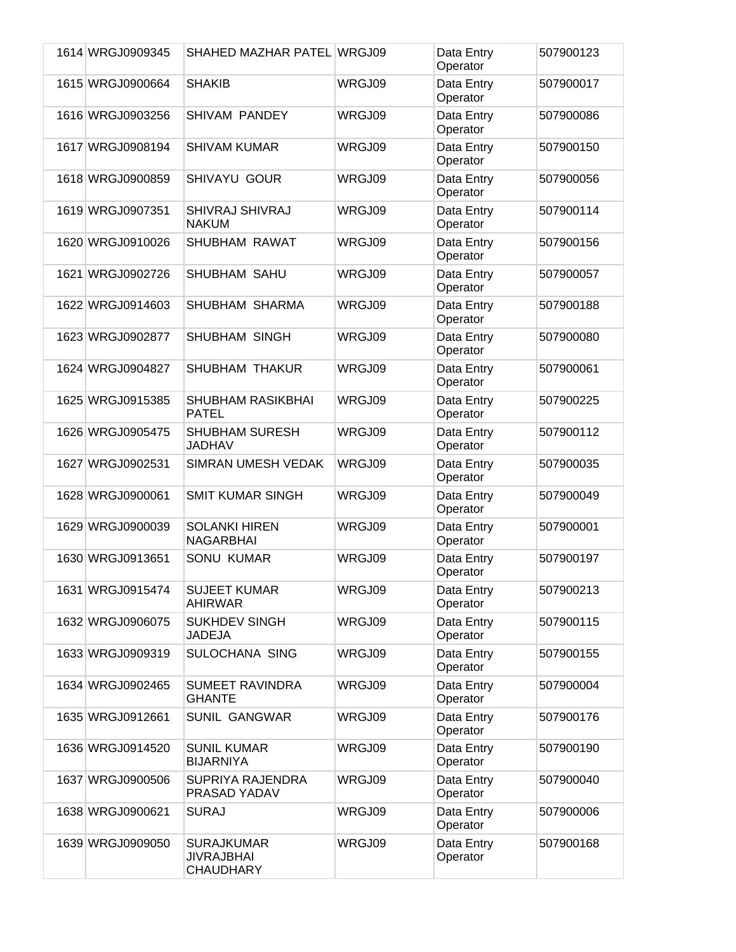| 1614 WRGJ0909345 | SHAHED MAZHAR PATEL WRGJ09                                 |        | Data Entry<br>Operator | 507900123 |
|------------------|------------------------------------------------------------|--------|------------------------|-----------|
| 1615 WRGJ0900664 | <b>SHAKIB</b>                                              | WRGJ09 | Data Entry<br>Operator | 507900017 |
| 1616 WRGJ0903256 | <b>SHIVAM PANDEY</b>                                       | WRGJ09 | Data Entry<br>Operator | 507900086 |
| 1617 WRGJ0908194 | <b>SHIVAM KUMAR</b>                                        | WRGJ09 | Data Entry<br>Operator | 507900150 |
| 1618 WRGJ0900859 | SHIVAYU GOUR                                               | WRGJ09 | Data Entry<br>Operator | 507900056 |
| 1619 WRGJ0907351 | SHIVRAJ SHIVRAJ<br><b>NAKUM</b>                            | WRGJ09 | Data Entry<br>Operator | 507900114 |
| 1620 WRGJ0910026 | SHUBHAM RAWAT                                              | WRGJ09 | Data Entry<br>Operator | 507900156 |
| 1621 WRGJ0902726 | <b>SHUBHAM SAHU</b>                                        | WRGJ09 | Data Entry<br>Operator | 507900057 |
| 1622 WRGJ0914603 | SHUBHAM SHARMA                                             | WRGJ09 | Data Entry<br>Operator | 507900188 |
| 1623 WRGJ0902877 | SHUBHAM SINGH                                              | WRGJ09 | Data Entry<br>Operator | 507900080 |
| 1624 WRGJ0904827 | <b>SHUBHAM THAKUR</b>                                      | WRGJ09 | Data Entry<br>Operator | 507900061 |
| 1625 WRGJ0915385 | <b>SHUBHAM RASIKBHAI</b><br><b>PATEL</b>                   | WRGJ09 | Data Entry<br>Operator | 507900225 |
| 1626 WRGJ0905475 | <b>SHUBHAM SURESH</b><br>JADHAV                            | WRGJ09 | Data Entry<br>Operator | 507900112 |
| 1627 WRGJ0902531 | <b>SIMRAN UMESH VEDAK</b>                                  | WRGJ09 | Data Entry<br>Operator | 507900035 |
| 1628 WRGJ0900061 | <b>SMIT KUMAR SINGH</b>                                    | WRGJ09 | Data Entry<br>Operator | 507900049 |
| 1629 WRGJ0900039 | <b>SOLANKI HIREN</b><br><b>NAGARBHAI</b>                   | WRGJ09 | Data Entry<br>Operator | 507900001 |
| 1630 WRGJ0913651 | <b>SONU KUMAR</b>                                          | WRGJ09 | Data Entry<br>Operator | 507900197 |
| 1631 WRGJ0915474 | <b>SUJEET KUMAR</b><br>AHIRWAR                             | WRGJ09 | Data Entry<br>Operator | 507900213 |
| 1632 WRGJ0906075 | <b>SUKHDEV SINGH</b><br>JADEJA                             | WRGJ09 | Data Entry<br>Operator | 507900115 |
| 1633 WRGJ0909319 | SULOCHANA SING                                             | WRGJ09 | Data Entry<br>Operator | 507900155 |
| 1634 WRGJ0902465 | <b>SUMEET RAVINDRA</b><br><b>GHANTE</b>                    | WRGJ09 | Data Entry<br>Operator | 507900004 |
| 1635 WRGJ0912661 | <b>SUNIL GANGWAR</b>                                       | WRGJ09 | Data Entry<br>Operator | 507900176 |
| 1636 WRGJ0914520 | <b>SUNIL KUMAR</b><br><b>BIJARNIYA</b>                     | WRGJ09 | Data Entry<br>Operator | 507900190 |
| 1637 WRGJ0900506 | SUPRIYA RAJENDRA<br>PRASAD YADAV                           | WRGJ09 | Data Entry<br>Operator | 507900040 |
| 1638 WRGJ0900621 | <b>SURAJ</b>                                               | WRGJ09 | Data Entry<br>Operator | 507900006 |
| 1639 WRGJ0909050 | <b>SURAJKUMAR</b><br><b>JIVRAJBHAI</b><br><b>CHAUDHARY</b> | WRGJ09 | Data Entry<br>Operator | 507900168 |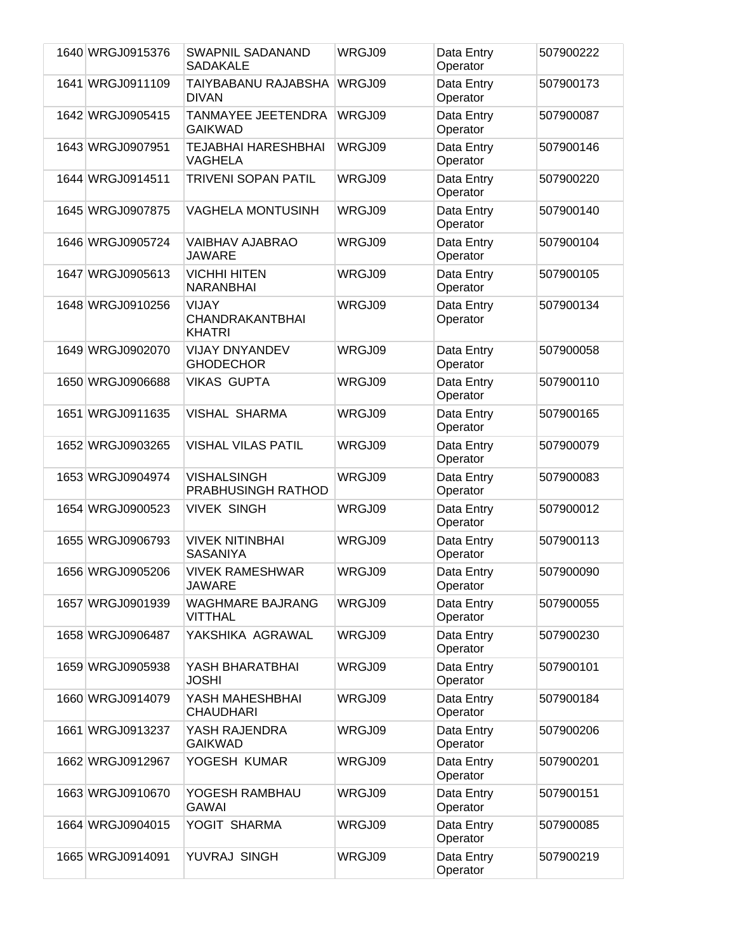| 1640 WRGJ0915376 | <b>SWAPNIL SADANAND</b><br><b>SADAKALE</b>              | WRGJ09 | Data Entry<br>Operator | 507900222 |
|------------------|---------------------------------------------------------|--------|------------------------|-----------|
| 1641 WRGJ0911109 | TAIYBABANU RAJABSHA<br><b>DIVAN</b>                     | WRGJ09 | Data Entry<br>Operator | 507900173 |
| 1642 WRGJ0905415 | <b>TANMAYEE JEETENDRA</b><br><b>GAIKWAD</b>             | WRGJ09 | Data Entry<br>Operator | 507900087 |
| 1643 WRGJ0907951 | TEJABHAI HARESHBHAI<br>VAGHELA                          | WRGJ09 | Data Entry<br>Operator | 507900146 |
| 1644 WRGJ0914511 | <b>TRIVENI SOPAN PATIL</b>                              | WRGJ09 | Data Entry<br>Operator | 507900220 |
| 1645 WRGJ0907875 | <b>VAGHELA MONTUSINH</b>                                | WRGJ09 | Data Entry<br>Operator | 507900140 |
| 1646 WRGJ0905724 | <b>VAIBHAV AJABRAO</b><br><b>JAWARE</b>                 | WRGJ09 | Data Entry<br>Operator | 507900104 |
| 1647 WRGJ0905613 | <b>VICHHI HITEN</b><br><b>NARANBHAI</b>                 | WRGJ09 | Data Entry<br>Operator | 507900105 |
| 1648 WRGJ0910256 | <b>VIJAY</b><br><b>CHANDRAKANTBHAI</b><br><b>KHATRI</b> | WRGJ09 | Data Entry<br>Operator | 507900134 |
| 1649 WRGJ0902070 | <b>VIJAY DNYANDEV</b><br><b>GHODECHOR</b>               | WRGJ09 | Data Entry<br>Operator | 507900058 |
| 1650 WRGJ0906688 | <b>VIKAS GUPTA</b>                                      | WRGJ09 | Data Entry<br>Operator | 507900110 |
| 1651 WRGJ0911635 | <b>VISHAL SHARMA</b>                                    | WRGJ09 | Data Entry<br>Operator | 507900165 |
| 1652 WRGJ0903265 | <b>VISHAL VILAS PATIL</b>                               | WRGJ09 | Data Entry<br>Operator | 507900079 |
| 1653 WRGJ0904974 | <b>VISHALSINGH</b><br>PRABHUSINGH RATHOD                | WRGJ09 | Data Entry<br>Operator | 507900083 |
| 1654 WRGJ0900523 | <b>VIVEK SINGH</b>                                      | WRGJ09 | Data Entry<br>Operator | 507900012 |
| 1655 WRGJ0906793 | <b>VIVEK NITINBHAI</b><br><b>SASANIYA</b>               | WRGJ09 | Data Entry<br>Operator | 507900113 |
| 1656 WRGJ0905206 | <b>VIVEK RAMESHWAR</b><br>JAWARE                        | WRGJ09 | Data Entry<br>Operator | 507900090 |
| 1657 WRGJ0901939 | <b>WAGHMARE BAJRANG</b><br><b>VITTHAL</b>               | WRGJ09 | Data Entry<br>Operator | 507900055 |
| 1658 WRGJ0906487 | YAKSHIKA AGRAWAL                                        | WRGJ09 | Data Entry<br>Operator | 507900230 |
| 1659 WRGJ0905938 | YASH BHARATBHAI<br><b>JOSHI</b>                         | WRGJ09 | Data Entry<br>Operator | 507900101 |
| 1660 WRGJ0914079 | YASH MAHESHBHAI<br><b>CHAUDHARI</b>                     | WRGJ09 | Data Entry<br>Operator | 507900184 |
| 1661 WRGJ0913237 | YASH RAJENDRA<br><b>GAIKWAD</b>                         | WRGJ09 | Data Entry<br>Operator | 507900206 |
| 1662 WRGJ0912967 | YOGESH KUMAR                                            | WRGJ09 | Data Entry<br>Operator | 507900201 |
| 1663 WRGJ0910670 | YOGESH RAMBHAU<br><b>GAWAI</b>                          | WRGJ09 | Data Entry<br>Operator | 507900151 |
| 1664 WRGJ0904015 | YOGIT SHARMA                                            | WRGJ09 | Data Entry<br>Operator | 507900085 |
| 1665 WRGJ0914091 | YUVRAJ SINGH                                            | WRGJ09 | Data Entry<br>Operator | 507900219 |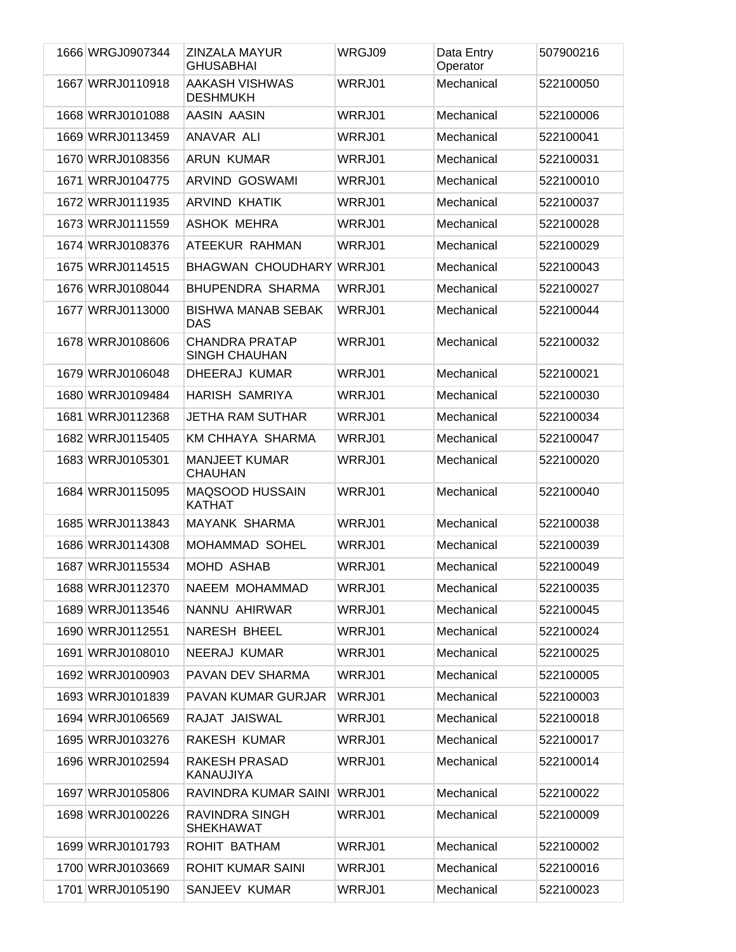| 1666 WRGJ0907344 | <b>ZINZALA MAYUR</b><br><b>GHUSABHAI</b>      | WRGJ09 | Data Entry<br>Operator | 507900216 |
|------------------|-----------------------------------------------|--------|------------------------|-----------|
| 1667 WRRJ0110918 | <b>AAKASH VISHWAS</b><br><b>DESHMUKH</b>      | WRRJ01 | Mechanical             | 522100050 |
| 1668 WRRJ0101088 | AASIN AASIN                                   | WRRJ01 | Mechanical             | 522100006 |
| 1669 WRRJ0113459 | ANAVAR ALI                                    | WRRJ01 | Mechanical             | 522100041 |
| 1670 WRRJ0108356 | ARUN KUMAR                                    | WRRJ01 | Mechanical             | 522100031 |
| 1671 WRRJ0104775 | ARVIND GOSWAMI                                | WRRJ01 | Mechanical             | 522100010 |
| 1672 WRRJ0111935 | ARVIND KHATIK                                 | WRRJ01 | Mechanical             | 522100037 |
| 1673 WRRJ0111559 | ASHOK MEHRA                                   | WRRJ01 | Mechanical             | 522100028 |
| 1674 WRRJ0108376 | ATEEKUR RAHMAN                                | WRRJ01 | Mechanical             | 522100029 |
| 1675 WRRJ0114515 | <b>BHAGWAN CHOUDHARY</b>                      | WRRJ01 | Mechanical             | 522100043 |
| 1676 WRRJ0108044 | BHUPENDRA SHARMA                              | WRRJ01 | Mechanical             | 522100027 |
| 1677 WRRJ0113000 | <b>BISHWA MANAB SEBAK</b><br><b>DAS</b>       | WRRJ01 | Mechanical             | 522100044 |
| 1678 WRRJ0108606 | <b>CHANDRA PRATAP</b><br><b>SINGH CHAUHAN</b> | WRRJ01 | Mechanical             | 522100032 |
| 1679 WRRJ0106048 | DHEERAJ KUMAR                                 | WRRJ01 | Mechanical             | 522100021 |
| 1680 WRRJ0109484 | <b>HARISH SAMRIYA</b>                         | WRRJ01 | Mechanical             | 522100030 |
| 1681 WRRJ0112368 | <b>JETHA RAM SUTHAR</b>                       | WRRJ01 | Mechanical             | 522100034 |
| 1682 WRRJ0115405 | <b>KM CHHAYA SHARMA</b>                       | WRRJ01 | Mechanical             | 522100047 |
| 1683 WRRJ0105301 | <b>MANJEET KUMAR</b><br><b>CHAUHAN</b>        | WRRJ01 | Mechanical             | 522100020 |
| 1684 WRRJ0115095 | <b>MAQSOOD HUSSAIN</b><br><b>KATHAT</b>       | WRRJ01 | Mechanical             | 522100040 |
| 1685 WRRJ0113843 | <b>MAYANK SHARMA</b>                          | WRRJ01 | Mechanical             | 522100038 |
| 1686 WRRJ0114308 | MOHAMMAD SOHEL                                | WRRJ01 | Mechanical             | 522100039 |
| 1687 WRRJ0115534 | MOHD ASHAB                                    | WRRJ01 | Mechanical             | 522100049 |
| 1688 WRRJ0112370 | NAEEM MOHAMMAD                                | WRRJ01 | Mechanical             | 522100035 |
| 1689 WRRJ0113546 | NANNU AHIRWAR                                 | WRRJ01 | Mechanical             | 522100045 |
| 1690 WRRJ0112551 | <b>NARESH BHEEL</b>                           | WRRJ01 | Mechanical             | 522100024 |
| 1691 WRRJ0108010 | <b>NEERAJ KUMAR</b>                           | WRRJ01 | Mechanical             | 522100025 |
| 1692 WRRJ0100903 | PAVAN DEV SHARMA                              | WRRJ01 | Mechanical             | 522100005 |
| 1693 WRRJ0101839 | <b>PAVAN KUMAR GURJAR</b>                     | WRRJ01 | Mechanical             | 522100003 |
| 1694 WRRJ0106569 | RAJAT JAISWAL                                 | WRRJ01 | Mechanical             | 522100018 |
| 1695 WRRJ0103276 | RAKESH KUMAR                                  | WRRJ01 | Mechanical             | 522100017 |
| 1696 WRRJ0102594 | RAKESH PRASAD<br>KANAUJIYA                    | WRRJ01 | Mechanical             | 522100014 |
| 1697 WRRJ0105806 | RAVINDRA KUMAR SAINI                          | WRRJ01 | Mechanical             | 522100022 |
| 1698 WRRJ0100226 | RAVINDRA SINGH<br><b>SHEKHAWAT</b>            | WRRJ01 | Mechanical             | 522100009 |
| 1699 WRRJ0101793 | ROHIT BATHAM                                  | WRRJ01 | Mechanical             | 522100002 |
| 1700 WRRJ0103669 | <b>ROHIT KUMAR SAINI</b>                      | WRRJ01 | Mechanical             | 522100016 |
| 1701 WRRJ0105190 | SANJEEV KUMAR                                 | WRRJ01 | Mechanical             | 522100023 |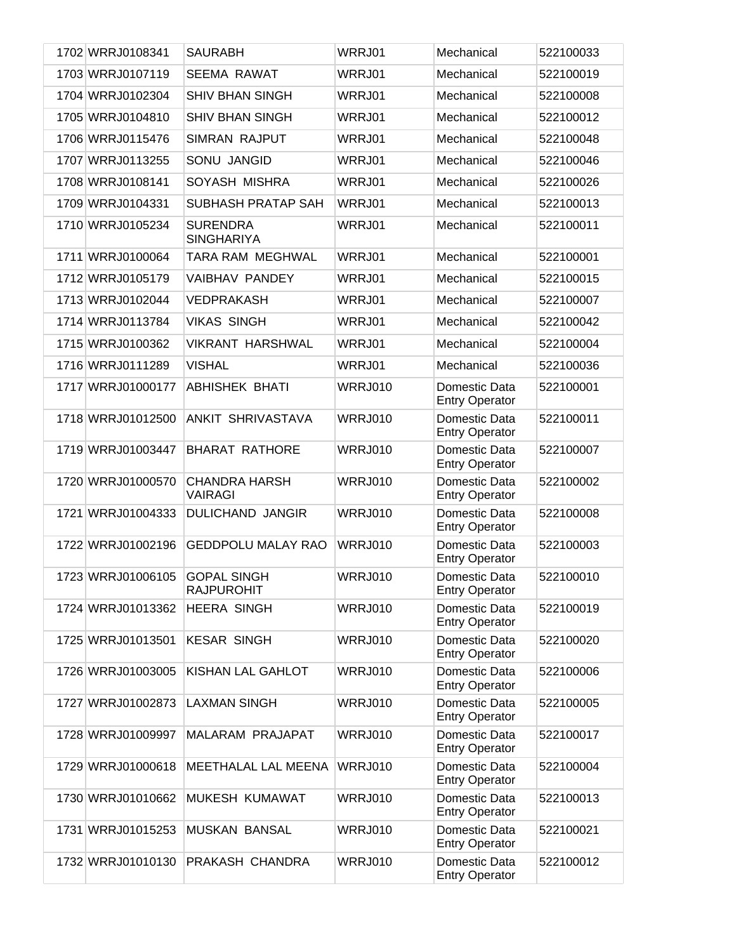| 1702 WRRJ0108341  | <b>SAURABH</b>                          | WRRJ01         | Mechanical                             | 522100033 |
|-------------------|-----------------------------------------|----------------|----------------------------------------|-----------|
| 1703 WRRJ0107119  | <b>SEEMA RAWAT</b>                      | WRRJ01         | Mechanical                             | 522100019 |
| 1704 WRRJ0102304  | <b>SHIV BHAN SINGH</b>                  | WRRJ01         | Mechanical                             | 522100008 |
| 1705 WRRJ0104810  | <b>SHIV BHAN SINGH</b>                  | WRRJ01         | Mechanical                             | 522100012 |
| 1706 WRRJ0115476  | <b>SIMRAN RAJPUT</b>                    | WRRJ01         | Mechanical                             | 522100048 |
| 1707 WRRJ0113255  | SONU JANGID                             | WRRJ01         | Mechanical                             | 522100046 |
| 1708 WRRJ0108141  | SOYASH MISHRA                           | WRRJ01         | Mechanical                             | 522100026 |
| 1709 WRRJ0104331  | SUBHASH PRATAP SAH                      | WRRJ01         | Mechanical                             | 522100013 |
| 1710 WRRJ0105234  | <b>SURENDRA</b><br><b>SINGHARIYA</b>    | WRRJ01         | Mechanical                             | 522100011 |
| 1711 WRRJ0100064  | TARA RAM MEGHWAL                        | WRRJ01         | Mechanical                             | 522100001 |
| 1712 WRRJ0105179  | VAIBHAV PANDEY                          | WRRJ01         | Mechanical                             | 522100015 |
| 1713 WRRJ0102044  | <b>VEDPRAKASH</b>                       | WRRJ01         | Mechanical                             | 522100007 |
| 1714 WRRJ0113784  | <b>VIKAS SINGH</b>                      | WRRJ01         | Mechanical                             | 522100042 |
| 1715 WRRJ0100362  | <b>VIKRANT HARSHWAL</b>                 | WRRJ01         | Mechanical                             | 522100004 |
| 1716 WRRJ0111289  | <b>VISHAL</b>                           | WRRJ01         | Mechanical                             | 522100036 |
| 1717 WRRJ01000177 | <b>ABHISHEK BHATI</b>                   | <b>WRRJ010</b> | Domestic Data<br><b>Entry Operator</b> | 522100001 |
| 1718 WRRJ01012500 | ANKIT SHRIVASTAVA                       | WRRJ010        | Domestic Data<br><b>Entry Operator</b> | 522100011 |
| 1719 WRRJ01003447 | <b>BHARAT RATHORE</b>                   | <b>WRRJ010</b> | Domestic Data<br><b>Entry Operator</b> | 522100007 |
| 1720 WRRJ01000570 | <b>CHANDRA HARSH</b><br><b>VAIRAGI</b>  | WRRJ010        | Domestic Data<br><b>Entry Operator</b> | 522100002 |
| 1721 WRRJ01004333 | <b>DULICHAND JANGIR</b>                 | <b>WRRJ010</b> | Domestic Data<br><b>Entry Operator</b> | 522100008 |
| 1722 WRRJ01002196 | <b>GEDDPOLU MALAY RAO</b>               | <b>WRRJ010</b> | Domestic Data<br><b>Entry Operator</b> | 522100003 |
| 1723 WRRJ01006105 | <b>GOPAL SINGH</b><br><b>RAJPUROHIT</b> | <b>WRRJ010</b> | Domestic Data<br><b>Entry Operator</b> | 522100010 |
| 1724 WRRJ01013362 | <b>HEERA SINGH</b>                      | <b>WRRJ010</b> | Domestic Data<br><b>Entry Operator</b> | 522100019 |
| 1725 WRRJ01013501 | <b>KESAR SINGH</b>                      | <b>WRRJ010</b> | Domestic Data<br><b>Entry Operator</b> | 522100020 |
| 1726 WRRJ01003005 | KISHAN LAL GAHLOT                       | <b>WRRJ010</b> | Domestic Data<br><b>Entry Operator</b> | 522100006 |
| 1727 WRRJ01002873 | <b>LAXMAN SINGH</b>                     | <b>WRRJ010</b> | Domestic Data<br><b>Entry Operator</b> | 522100005 |
| 1728 WRRJ01009997 | MALARAM PRAJAPAT                        | <b>WRRJ010</b> | Domestic Data<br><b>Entry Operator</b> | 522100017 |
| 1729 WRRJ01000618 | MEETHALAL LAL MEENA                     | <b>WRRJ010</b> | Domestic Data<br><b>Entry Operator</b> | 522100004 |
| 1730 WRRJ01010662 | <b>MUKESH KUMAWAT</b>                   | WRRJ010        | Domestic Data<br><b>Entry Operator</b> | 522100013 |
| 1731 WRRJ01015253 | <b>MUSKAN BANSAL</b>                    | <b>WRRJ010</b> | Domestic Data<br><b>Entry Operator</b> | 522100021 |
| 1732 WRRJ01010130 | PRAKASH CHANDRA                         | WRRJ010        | Domestic Data<br><b>Entry Operator</b> | 522100012 |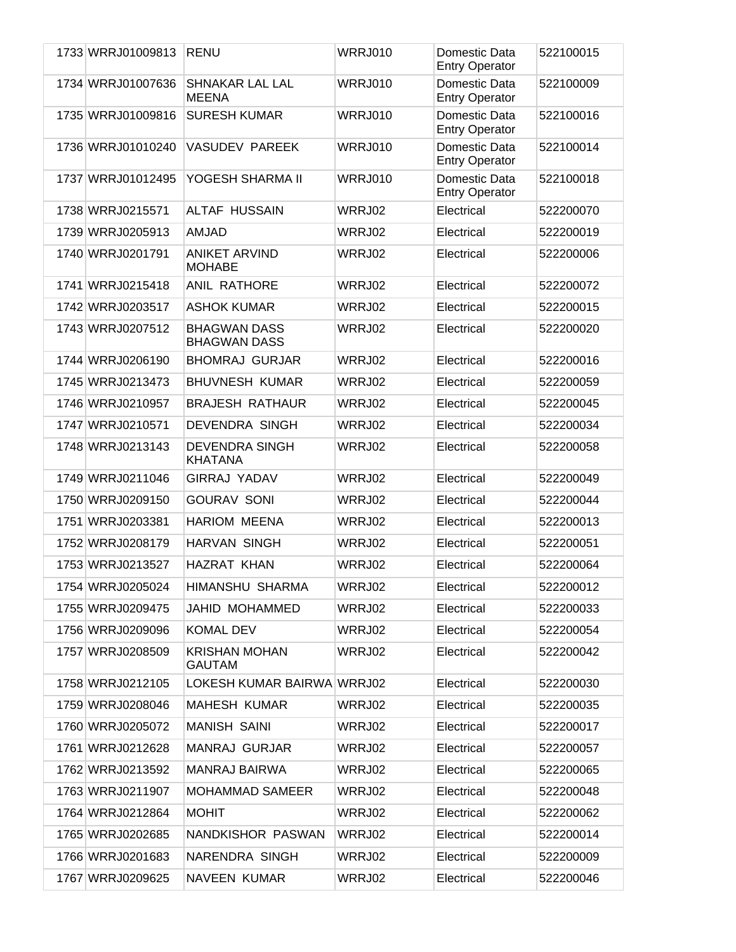| 1733 WRRJ01009813 | <b>RENU</b>                                | <b>WRRJ010</b> | Domestic Data<br><b>Entry Operator</b> | 522100015 |
|-------------------|--------------------------------------------|----------------|----------------------------------------|-----------|
| 1734 WRRJ01007636 | <b>SHNAKAR LAL LAL</b><br><b>MEENA</b>     | WRRJ010        | Domestic Data<br><b>Entry Operator</b> | 522100009 |
| 1735 WRRJ01009816 | <b>SURESH KUMAR</b>                        | <b>WRRJ010</b> | Domestic Data<br><b>Entry Operator</b> | 522100016 |
| 1736 WRRJ01010240 | <b>VASUDEV PAREEK</b>                      | <b>WRRJ010</b> | Domestic Data<br><b>Entry Operator</b> | 522100014 |
| 1737 WRRJ01012495 | YOGESH SHARMA II                           | WRRJ010        | Domestic Data<br><b>Entry Operator</b> | 522100018 |
| 1738 WRRJ0215571  | <b>ALTAF HUSSAIN</b>                       | WRRJ02         | Electrical                             | 522200070 |
| 1739 WRRJ0205913  | <b>AMJAD</b>                               | WRRJ02         | Electrical                             | 522200019 |
| 1740 WRRJ0201791  | <b>ANIKET ARVIND</b><br><b>MOHABE</b>      | WRRJ02         | Electrical                             | 522200006 |
| 1741 WRRJ0215418  | <b>ANIL RATHORE</b>                        | WRRJ02         | Electrical                             | 522200072 |
| 1742 WRRJ0203517  | <b>ASHOK KUMAR</b>                         | WRRJ02         | Electrical                             | 522200015 |
| 1743 WRRJ0207512  | <b>BHAGWAN DASS</b><br><b>BHAGWAN DASS</b> | WRRJ02         | Electrical                             | 522200020 |
| 1744 WRRJ0206190  | <b>BHOMRAJ GURJAR</b>                      | WRRJ02         | Electrical                             | 522200016 |
| 1745 WRRJ0213473  | <b>BHUVNESH KUMAR</b>                      | WRRJ02         | Electrical                             | 522200059 |
| 1746 WRRJ0210957  | <b>BRAJESH RATHAUR</b>                     | WRRJ02         | Electrical                             | 522200045 |
| 1747 WRRJ0210571  | DEVENDRA SINGH                             | WRRJ02         | Electrical                             | 522200034 |
| 1748 WRRJ0213143  | DEVENDRA SINGH<br><b>KHATANA</b>           | WRRJ02         | Electrical                             | 522200058 |
| 1749 WRRJ0211046  | <b>GIRRAJ YADAV</b>                        | WRRJ02         | Electrical                             | 522200049 |
| 1750 WRRJ0209150  | <b>GOURAV SONI</b>                         | WRRJ02         | Electrical                             | 522200044 |
| 1751 WRRJ0203381  | <b>HARIOM MEENA</b>                        | WRRJ02         | Electrical                             | 522200013 |
| 1752 WRRJ0208179  | <b>HARVAN SINGH</b>                        | WRRJ02         | Electrical                             | 522200051 |
| 1753 WRRJ0213527  | <b>HAZRAT KHAN</b>                         | WRRJ02         | Electrical                             | 522200064 |
| 1754 WRRJ0205024  | HIMANSHU SHARMA                            | WRRJ02         | Electrical                             | 522200012 |
| 1755 WRRJ0209475  | JAHID MOHAMMED                             | WRRJ02         | Electrical                             | 522200033 |
| 1756 WRRJ0209096  | <b>KOMAL DEV</b>                           | WRRJ02         | Electrical                             | 522200054 |
| 1757 WRRJ0208509  | KRISHAN MOHAN<br><b>GAUTAM</b>             | WRRJ02         | Electrical                             | 522200042 |
| 1758 WRRJ0212105  | LOKESH KUMAR BAIRWA WRRJ02                 |                | Electrical                             | 522200030 |
| 1759 WRRJ0208046  | <b>MAHESH KUMAR</b>                        | WRRJ02         | Electrical                             | 522200035 |
| 1760 WRRJ0205072  | <b>MANISH SAINI</b>                        | WRRJ02         | Electrical                             | 522200017 |
| 1761 WRRJ0212628  | <b>MANRAJ GURJAR</b>                       | WRRJ02         | Electrical                             | 522200057 |
| 1762 WRRJ0213592  | <b>MANRAJ BAIRWA</b>                       | WRRJ02         | Electrical                             | 522200065 |
| 1763 WRRJ0211907  | <b>MOHAMMAD SAMEER</b>                     | WRRJ02         | Electrical                             | 522200048 |
| 1764 WRRJ0212864  | <b>MOHIT</b>                               | WRRJ02         | Electrical                             | 522200062 |
| 1765 WRRJ0202685  | NANDKISHOR PASWAN                          | WRRJ02         | Electrical                             | 522200014 |
| 1766 WRRJ0201683  | NARENDRA SINGH                             | WRRJ02         | Electrical                             | 522200009 |
| 1767 WRRJ0209625  | NAVEEN KUMAR                               | WRRJ02         | Electrical                             | 522200046 |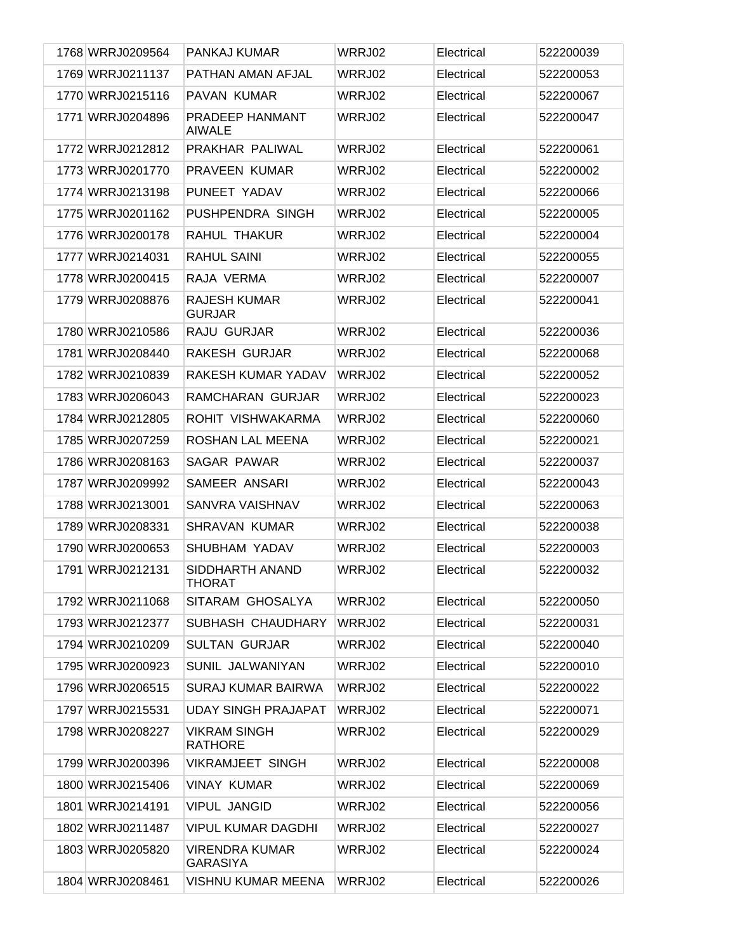| 1768 WRRJ0209564 | PANKAJ KUMAR                             | WRRJ02 | Electrical | 522200039 |
|------------------|------------------------------------------|--------|------------|-----------|
| 1769 WRRJ0211137 | PATHAN AMAN AFJAL                        | WRRJ02 | Electrical | 522200053 |
| 1770 WRRJ0215116 | PAVAN KUMAR                              | WRRJ02 | Electrical | 522200067 |
| 1771 WRRJ0204896 | PRADEEP HANMANT<br><b>AIWALE</b>         | WRRJ02 | Electrical | 522200047 |
| 1772 WRRJ0212812 | PRAKHAR PALIWAL                          | WRRJ02 | Electrical | 522200061 |
| 1773 WRRJ0201770 | PRAVEEN KUMAR                            | WRRJ02 | Electrical | 522200002 |
| 1774 WRRJ0213198 | PUNEET YADAV                             | WRRJ02 | Electrical | 522200066 |
| 1775 WRRJ0201162 | PUSHPENDRA SINGH                         | WRRJ02 | Electrical | 522200005 |
| 1776 WRRJ0200178 | RAHUL THAKUR                             | WRRJ02 | Electrical | 522200004 |
| 1777 WRRJ0214031 | <b>RAHUL SAINI</b>                       | WRRJ02 | Electrical | 522200055 |
| 1778 WRRJ0200415 | RAJA VERMA                               | WRRJ02 | Electrical | 522200007 |
| 1779 WRRJ0208876 | <b>RAJESH KUMAR</b><br><b>GURJAR</b>     | WRRJ02 | Electrical | 522200041 |
| 1780 WRRJ0210586 | <b>RAJU GURJAR</b>                       | WRRJ02 | Electrical | 522200036 |
| 1781 WRRJ0208440 | RAKESH GURJAR                            | WRRJ02 | Electrical | 522200068 |
| 1782 WRRJ0210839 | RAKESH KUMAR YADAV                       | WRRJ02 | Electrical | 522200052 |
| 1783 WRRJ0206043 | RAMCHARAN GURJAR                         | WRRJ02 | Electrical | 522200023 |
| 1784 WRRJ0212805 | ROHIT VISHWAKARMA                        | WRRJ02 | Electrical | 522200060 |
| 1785 WRRJ0207259 | ROSHAN LAL MEENA                         | WRRJ02 | Electrical | 522200021 |
| 1786 WRRJ0208163 | SAGAR PAWAR                              | WRRJ02 | Electrical | 522200037 |
| 1787 WRRJ0209992 | SAMEER ANSARI                            | WRRJ02 | Electrical | 522200043 |
| 1788 WRRJ0213001 | SANVRA VAISHNAV                          | WRRJ02 | Electrical | 522200063 |
| 1789 WRRJ0208331 | SHRAVAN KUMAR                            | WRRJ02 | Electrical | 522200038 |
| 1790 WRRJ0200653 | SHUBHAM YADAV                            | WRRJ02 | Electrical | 522200003 |
| 1791 WRRJ0212131 | SIDDHARTH ANAND<br><b>THORAT</b>         | WRRJ02 | Electrical | 522200032 |
| 1792 WRRJ0211068 | SITARAM GHOSALYA                         | WRRJ02 | Electrical | 522200050 |
| 1793 WRRJ0212377 | SUBHASH CHAUDHARY                        | WRRJ02 | Electrical | 522200031 |
| 1794 WRRJ0210209 | <b>SULTAN GURJAR</b>                     | WRRJ02 | Electrical | 522200040 |
| 1795 WRRJ0200923 | SUNIL JALWANIYAN                         | WRRJ02 | Electrical | 522200010 |
| 1796 WRRJ0206515 | <b>SURAJ KUMAR BAIRWA</b>                | WRRJ02 | Electrical | 522200022 |
| 1797 WRRJ0215531 | <b>UDAY SINGH PRAJAPAT</b>               | WRRJ02 | Electrical | 522200071 |
| 1798 WRRJ0208227 | <b>VIKRAM SINGH</b><br><b>RATHORE</b>    | WRRJ02 | Electrical | 522200029 |
| 1799 WRRJ0200396 | <b>VIKRAMJEET SINGH</b>                  | WRRJ02 | Electrical | 522200008 |
| 1800 WRRJ0215406 | <b>VINAY KUMAR</b>                       | WRRJ02 | Electrical | 522200069 |
| 1801 WRRJ0214191 | <b>VIPUL JANGID</b>                      | WRRJ02 | Electrical | 522200056 |
| 1802 WRRJ0211487 | VIPUL KUMAR DAGDHI                       | WRRJ02 | Electrical | 522200027 |
| 1803 WRRJ0205820 | <b>VIRENDRA KUMAR</b><br><b>GARASIYA</b> | WRRJ02 | Electrical | 522200024 |
| 1804 WRRJ0208461 | <b>VISHNU KUMAR MEENA</b>                | WRRJ02 | Electrical | 522200026 |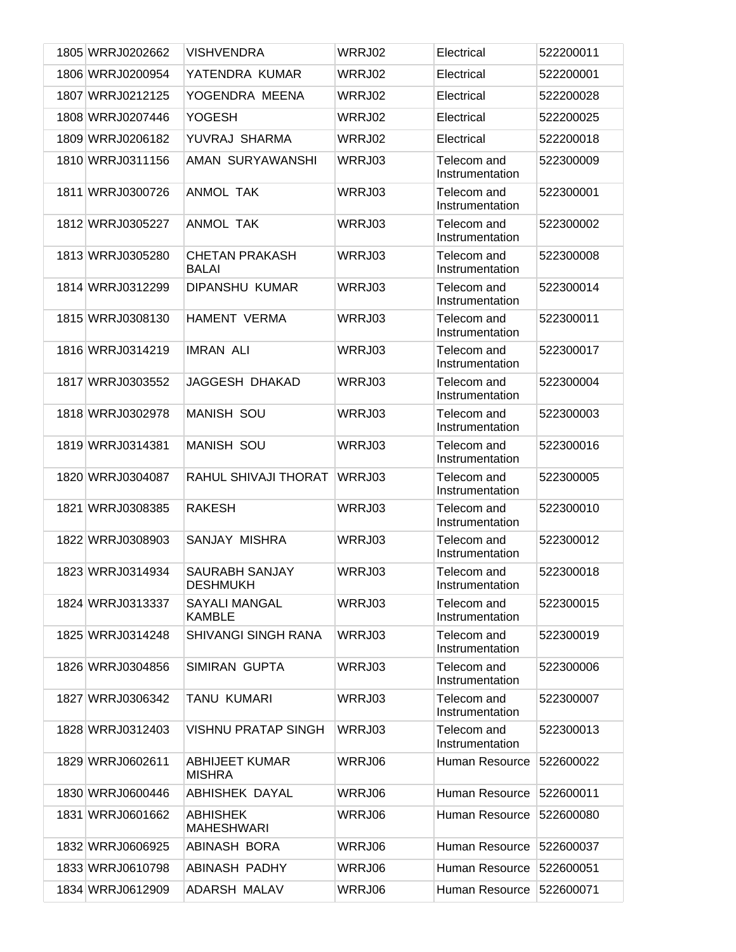| 1805 WRRJ0202662 | <b>VISHVENDRA</b>                      | WRRJ02 | Electrical                     | 522200011 |
|------------------|----------------------------------------|--------|--------------------------------|-----------|
| 1806 WRRJ0200954 | YATENDRA KUMAR                         | WRRJ02 | Electrical                     | 522200001 |
| 1807 WRRJ0212125 | YOGENDRA MEENA                         | WRRJ02 | Electrical                     | 522200028 |
| 1808 WRRJ0207446 | YOGESH                                 | WRRJ02 | Electrical                     | 522200025 |
| 1809 WRRJ0206182 | YUVRAJ SHARMA                          | WRRJ02 | Electrical                     | 522200018 |
| 1810 WRRJ0311156 | AMAN SURYAWANSHI                       | WRRJ03 | Telecom and<br>Instrumentation | 522300009 |
| 1811 WRRJ0300726 | <b>ANMOL TAK</b>                       | WRRJ03 | Telecom and<br>Instrumentation | 522300001 |
| 1812 WRRJ0305227 | ANMOL TAK                              | WRRJ03 | Telecom and<br>Instrumentation | 522300002 |
| 1813 WRRJ0305280 | <b>CHETAN PRAKASH</b><br><b>BALAI</b>  | WRRJ03 | Telecom and<br>Instrumentation | 522300008 |
| 1814 WRRJ0312299 | DIPANSHU KUMAR                         | WRRJ03 | Telecom and<br>Instrumentation | 522300014 |
| 1815 WRRJ0308130 | <b>HAMENT VERMA</b>                    | WRRJ03 | Telecom and<br>Instrumentation | 522300011 |
| 1816 WRRJ0314219 | <b>IMRAN ALI</b>                       | WRRJ03 | Telecom and<br>Instrumentation | 522300017 |
| 1817 WRRJ0303552 | <b>JAGGESH DHAKAD</b>                  | WRRJ03 | Telecom and<br>Instrumentation | 522300004 |
| 1818 WRRJ0302978 | <b>MANISH SOU</b>                      | WRRJ03 | Telecom and<br>Instrumentation | 522300003 |
| 1819 WRRJ0314381 | <b>MANISH SOU</b>                      | WRRJ03 | Telecom and<br>Instrumentation | 522300016 |
| 1820 WRRJ0304087 | RAHUL SHIVAJI THORAT                   | WRRJ03 | Telecom and<br>Instrumentation | 522300005 |
| 1821 WRRJ0308385 | <b>RAKESH</b>                          | WRRJ03 | Telecom and<br>Instrumentation | 522300010 |
| 1822 WRRJ0308903 | SANJAY MISHRA                          | WRRJ03 | Telecom and<br>Instrumentation | 522300012 |
| 1823 WRRJ0314934 | <b>SAURABH SANJAY</b><br>DESHMUKH      | WRRJ03 | Telecom and<br>Instrumentation | 522300018 |
| 1824 WRRJ0313337 | <b>SAYALI MANGAL</b><br><b>KAMBLE</b>  | WRRJ03 | Telecom and<br>Instrumentation | 522300015 |
| 1825 WRRJ0314248 | SHIVANGI SINGH RANA                    | WRRJ03 | Telecom and<br>Instrumentation | 522300019 |
| 1826 WRRJ0304856 | <b>SIMIRAN GUPTA</b>                   | WRRJ03 | Telecom and<br>Instrumentation | 522300006 |
| 1827 WRRJ0306342 | <b>TANU KUMARI</b>                     | WRRJ03 | Telecom and<br>Instrumentation | 522300007 |
| 1828 WRRJ0312403 | <b>VISHNU PRATAP SINGH</b>             | WRRJ03 | Telecom and<br>Instrumentation | 522300013 |
| 1829 WRRJ0602611 | <b>ABHIJEET KUMAR</b><br><b>MISHRA</b> | WRRJ06 | Human Resource                 | 522600022 |
| 1830 WRRJ0600446 | ABHISHEK DAYAL                         | WRRJ06 | Human Resource                 | 522600011 |
| 1831 WRRJ0601662 | ABHISHEK<br><b>MAHESHWARI</b>          | WRRJ06 | Human Resource                 | 522600080 |
| 1832 WRRJ0606925 | ABINASH BORA                           | WRRJ06 | Human Resource                 | 522600037 |
| 1833 WRRJ0610798 | ABINASH PADHY                          | WRRJ06 | Human Resource                 | 522600051 |
| 1834 WRRJ0612909 | ADARSH MALAV                           | WRRJ06 | Human Resource                 | 522600071 |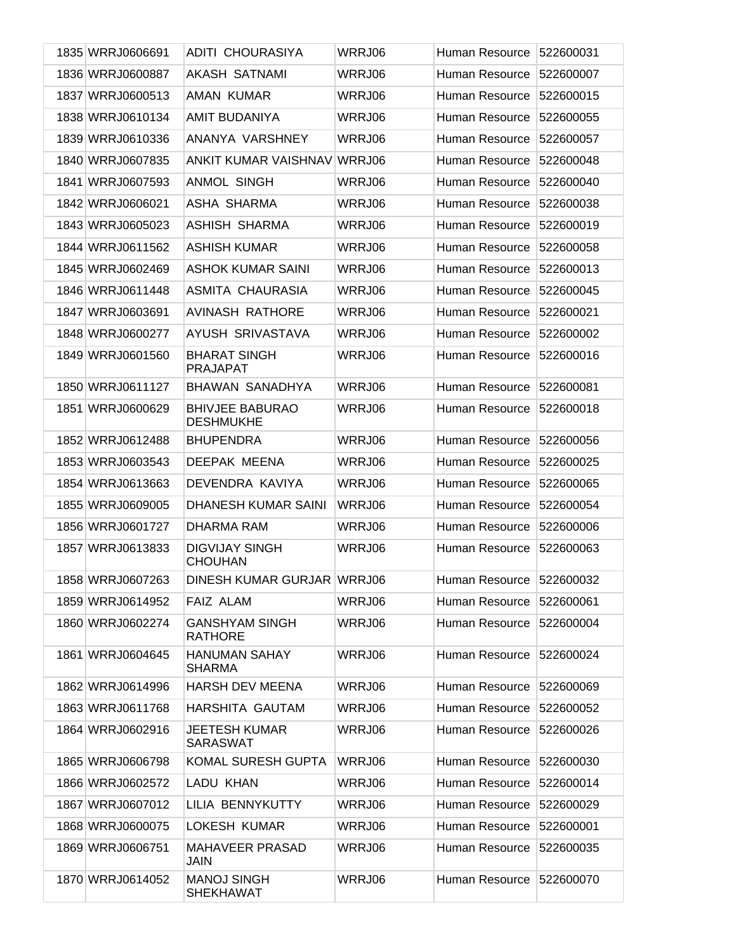| 1835 WRRJ0606691 | ADITI CHOURASIYA                           | WRRJ06 | Human Resource        | 522600031 |
|------------------|--------------------------------------------|--------|-----------------------|-----------|
| 1836 WRRJ0600887 | <b>AKASH SATNAMI</b>                       | WRRJ06 | Human Resource        | 522600007 |
| 1837 WRRJ0600513 | AMAN KUMAR                                 | WRRJ06 | Human Resource        | 522600015 |
| 1838 WRRJ0610134 | <b>AMIT BUDANIYA</b>                       | WRRJ06 | Human Resource        | 522600055 |
| 1839 WRRJ0610336 | ANANYA VARSHNEY                            | WRRJ06 | Human Resource        | 522600057 |
| 1840 WRRJ0607835 | <b>ANKIT KUMAR VAISHNAV</b>                | WRRJ06 | Human Resource        | 522600048 |
| 1841 WRRJ0607593 | <b>ANMOL SINGH</b>                         | WRRJ06 | Human Resource        | 522600040 |
| 1842 WRRJ0606021 | ASHA SHARMA                                | WRRJ06 | Human Resource        | 522600038 |
| 1843 WRRJ0605023 | ASHISH SHARMA                              | WRRJ06 | Human Resource        | 522600019 |
| 1844 WRRJ0611562 | <b>ASHISH KUMAR</b>                        | WRRJ06 | Human Resource        | 522600058 |
| 1845 WRRJ0602469 | <b>ASHOK KUMAR SAINI</b>                   | WRRJ06 | Human Resource        | 522600013 |
| 1846 WRRJ0611448 | ASMITA CHAURASIA                           | WRRJ06 | Human Resource        | 522600045 |
| 1847 WRRJ0603691 | <b>AVINASH RATHORE</b>                     | WRRJ06 | <b>Human Resource</b> | 522600021 |
| 1848 WRRJ0600277 | AYUSH SRIVASTAVA                           | WRRJ06 | Human Resource        | 522600002 |
| 1849 WRRJ0601560 | <b>BHARAT SINGH</b><br><b>PRAJAPAT</b>     | WRRJ06 | Human Resource        | 522600016 |
| 1850 WRRJ0611127 | <b>BHAWAN SANADHYA</b>                     | WRRJ06 | Human Resource        | 522600081 |
| 1851 WRRJ0600629 | <b>BHIVJEE BABURAO</b><br><b>DESHMUKHE</b> | WRRJ06 | Human Resource        | 522600018 |
| 1852 WRRJ0612488 | <b>BHUPENDRA</b>                           | WRRJ06 | Human Resource        | 522600056 |
| 1853 WRRJ0603543 | DEEPAK MEENA                               | WRRJ06 | Human Resource        | 522600025 |
| 1854 WRRJ0613663 | DEVENDRA KAVIYA                            | WRRJ06 | Human Resource        | 522600065 |
| 1855 WRRJ0609005 | DHANESH KUMAR SAINI                        | WRRJ06 | Human Resource        | 522600054 |
| 1856 WRRJ0601727 | DHARMA RAM                                 | WRRJ06 | Human Resource        | 522600006 |
| 1857 WRRJ0613833 | <b>DIGVIJAY SINGH</b><br><b>CHOUHAN</b>    | WRRJ06 | Human Resource        | 522600063 |
| 1858 WRRJ0607263 | DINESH KUMAR GURJAR WRRJ06                 |        | Human Resource        | 522600032 |
| 1859 WRRJ0614952 | FAIZ ALAM                                  | WRRJ06 | Human Resource        | 522600061 |
| 1860 WRRJ0602274 | <b>GANSHYAM SINGH</b><br><b>RATHORE</b>    | WRRJ06 | Human Resource        | 522600004 |
| 1861 WRRJ0604645 | <b>HANUMAN SAHAY</b><br><b>SHARMA</b>      | WRRJ06 | Human Resource        | 522600024 |
| 1862 WRRJ0614996 | <b>HARSH DEV MEENA</b>                     | WRRJ06 | Human Resource        | 522600069 |
| 1863 WRRJ0611768 | HARSHITA GAUTAM                            | WRRJ06 | Human Resource        | 522600052 |
| 1864 WRRJ0602916 | <b>JEETESH KUMAR</b><br><b>SARASWAT</b>    | WRRJ06 | Human Resource        | 522600026 |
| 1865 WRRJ0606798 | <b>KOMAL SURESH GUPTA</b>                  | WRRJ06 | Human Resource        | 522600030 |
| 1866 WRRJ0602572 | LADU KHAN                                  | WRRJ06 | Human Resource        | 522600014 |
| 1867 WRRJ0607012 | LILIA BENNYKUTTY                           | WRRJ06 | Human Resource        | 522600029 |
| 1868 WRRJ0600075 | LOKESH KUMAR                               | WRRJ06 | Human Resource        | 522600001 |
| 1869 WRRJ0606751 | MAHAVEER PRASAD<br>JAIN                    | WRRJ06 | Human Resource        | 522600035 |
| 1870 WRRJ0614052 | <b>MANOJ SINGH</b><br><b>SHEKHAWAT</b>     | WRRJ06 | Human Resource        | 522600070 |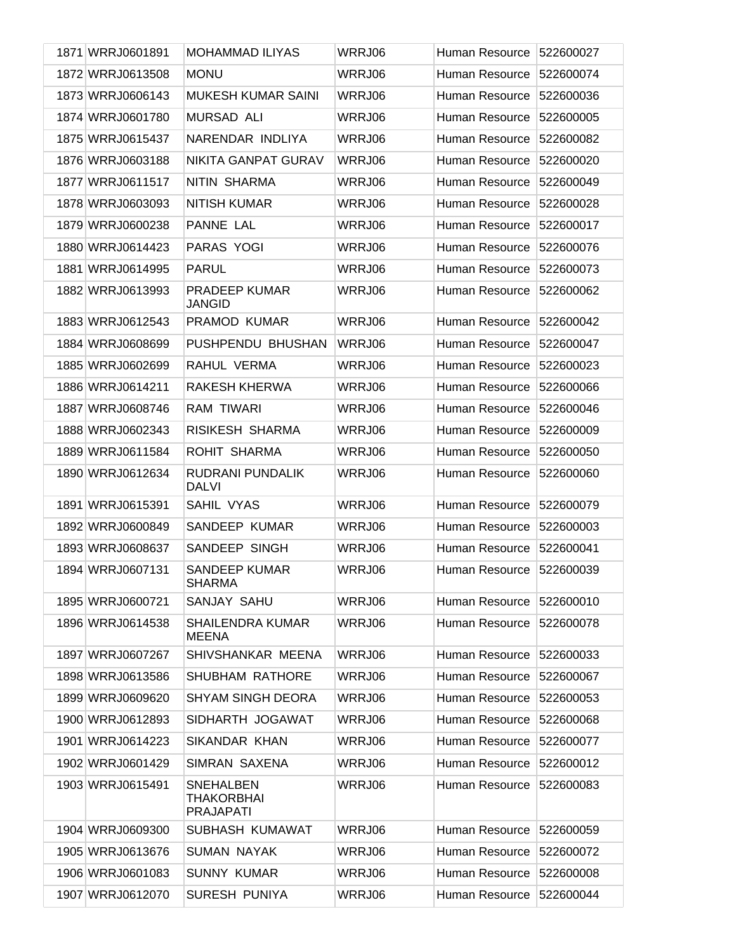| 1871 WRRJ0601891 | <b>MOHAMMAD ILIYAS</b>                             | WRRJ06 | Human Resource | 522600027 |
|------------------|----------------------------------------------------|--------|----------------|-----------|
| 1872 WRRJ0613508 | <b>MONU</b>                                        | WRRJ06 | Human Resource | 522600074 |
| 1873 WRRJ0606143 | <b>MUKESH KUMAR SAINI</b>                          | WRRJ06 | Human Resource | 522600036 |
| 1874 WRRJ0601780 | <b>MURSAD ALI</b>                                  | WRRJ06 | Human Resource | 522600005 |
| 1875 WRRJ0615437 | NARENDAR INDLIYA                                   | WRRJ06 | Human Resource | 522600082 |
| 1876 WRRJ0603188 | <b>NIKITA GANPAT GURAV</b>                         | WRRJ06 | Human Resource | 522600020 |
| 1877 WRRJ0611517 | NITIN SHARMA                                       | WRRJ06 | Human Resource | 522600049 |
| 1878 WRRJ0603093 | <b>NITISH KUMAR</b>                                | WRRJ06 | Human Resource | 522600028 |
| 1879 WRRJ0600238 | PANNE LAL                                          | WRRJ06 | Human Resource | 522600017 |
| 1880 WRRJ0614423 | PARAS YOGI                                         | WRRJ06 | Human Resource | 522600076 |
| 1881 WRRJ0614995 | <b>PARUL</b>                                       | WRRJ06 | Human Resource | 522600073 |
| 1882 WRRJ0613993 | PRADEEP KUMAR<br><b>JANGID</b>                     | WRRJ06 | Human Resource | 522600062 |
| 1883 WRRJ0612543 | PRAMOD KUMAR                                       | WRRJ06 | Human Resource | 522600042 |
| 1884 WRRJ0608699 | PUSHPENDU BHUSHAN                                  | WRRJ06 | Human Resource | 522600047 |
| 1885 WRRJ0602699 | RAHUL VERMA                                        | WRRJ06 | Human Resource | 522600023 |
| 1886 WRRJ0614211 | RAKESH KHERWA                                      | WRRJ06 | Human Resource | 522600066 |
| 1887 WRRJ0608746 | RAM TIWARI                                         | WRRJ06 | Human Resource | 522600046 |
| 1888 WRRJ0602343 | RISIKESH SHARMA                                    | WRRJ06 | Human Resource | 522600009 |
| 1889 WRRJ0611584 | ROHIT SHARMA                                       | WRRJ06 | Human Resource | 522600050 |
| 1890 WRRJ0612634 | RUDRANI PUNDALIK<br><b>DALVI</b>                   | WRRJ06 | Human Resource | 522600060 |
| 1891 WRRJ0615391 | SAHIL VYAS                                         | WRRJ06 | Human Resource | 522600079 |
| 1892 WRRJ0600849 | <b>SANDEEP KUMAR</b>                               | WRRJ06 | Human Resource | 522600003 |
| 1893 WRRJ0608637 | SANDEEP SINGH                                      | WRRJ06 | Human Resource | 522600041 |
| 1894 WRRJ0607131 | <b>SANDEEP KUMAR</b><br><b>SHARMA</b>              | WRRJ06 | Human Resource | 522600039 |
| 1895 WRRJ0600721 | SANJAY SAHU                                        | WRRJ06 | Human Resource | 522600010 |
| 1896 WRRJ0614538 | <b>SHAILENDRA KUMAR</b><br><b>MEENA</b>            | WRRJ06 | Human Resource | 522600078 |
| 1897 WRRJ0607267 | SHIVSHANKAR MEENA                                  | WRRJ06 | Human Resource | 522600033 |
| 1898 WRRJ0613586 | <b>SHUBHAM RATHORE</b>                             | WRRJ06 | Human Resource | 522600067 |
| 1899 WRRJ0609620 | <b>SHYAM SINGH DEORA</b>                           | WRRJ06 | Human Resource | 522600053 |
| 1900 WRRJ0612893 | SIDHARTH JOGAWAT                                   | WRRJ06 | Human Resource | 522600068 |
| 1901 WRRJ0614223 | SIKANDAR KHAN                                      | WRRJ06 | Human Resource | 522600077 |
| 1902 WRRJ0601429 | SIMRAN SAXENA                                      | WRRJ06 | Human Resource | 522600012 |
| 1903 WRRJ0615491 | <b>SNEHALBEN</b><br>THAKORBHAI<br><b>PRAJAPATI</b> | WRRJ06 | Human Resource | 522600083 |
| 1904 WRRJ0609300 | SUBHASH KUMAWAT                                    | WRRJ06 | Human Resource | 522600059 |
| 1905 WRRJ0613676 | <b>SUMAN NAYAK</b>                                 | WRRJ06 | Human Resource | 522600072 |
| 1906 WRRJ0601083 | <b>SUNNY KUMAR</b>                                 | WRRJ06 | Human Resource | 522600008 |
| 1907 WRRJ0612070 | <b>SURESH PUNIYA</b>                               | WRRJ06 | Human Resource | 522600044 |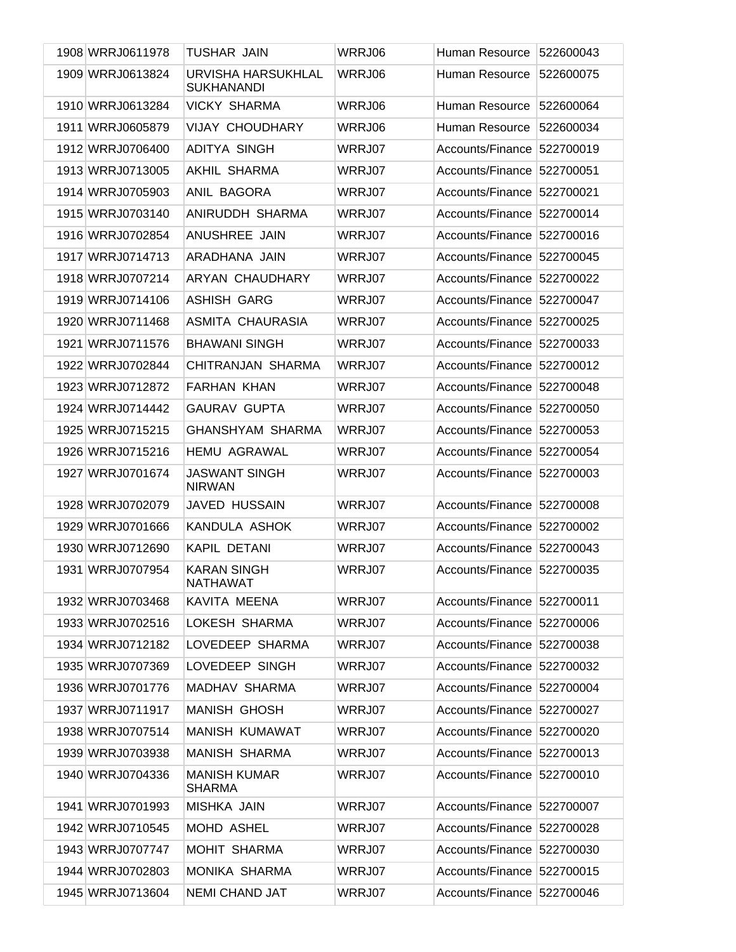| 1908 WRRJ0611978 | TUSHAR JAIN                             | WRRJ06 | Human Resource             | 522600043 |
|------------------|-----------------------------------------|--------|----------------------------|-----------|
| 1909 WRRJ0613824 | URVISHA HARSUKHLAL<br><b>SUKHANANDI</b> | WRRJ06 | Human Resource             | 522600075 |
| 1910 WRRJ0613284 | <b>VICKY SHARMA</b>                     | WRRJ06 | Human Resource             | 522600064 |
| 1911 WRRJ0605879 | <b>VIJAY CHOUDHARY</b>                  | WRRJ06 | Human Resource             | 522600034 |
| 1912 WRRJ0706400 | <b>ADITYA SINGH</b>                     | WRRJ07 | Accounts/Finance           | 522700019 |
| 1913 WRRJ0713005 | AKHIL SHARMA                            | WRRJ07 | Accounts/Finance           | 522700051 |
| 1914 WRRJ0705903 | ANIL BAGORA                             | WRRJ07 | Accounts/Finance           | 522700021 |
| 1915 WRRJ0703140 | ANIRUDDH SHARMA                         | WRRJ07 | Accounts/Finance           | 522700014 |
| 1916 WRRJ0702854 | ANUSHREE JAIN                           | WRRJ07 | Accounts/Finance           | 522700016 |
| 1917 WRRJ0714713 | ARADHANA JAIN                           | WRRJ07 | Accounts/Finance           | 522700045 |
| 1918 WRRJ0707214 | ARYAN CHAUDHARY                         | WRRJ07 | Accounts/Finance           | 522700022 |
| 1919 WRRJ0714106 | <b>ASHISH GARG</b>                      | WRRJ07 | Accounts/Finance           | 522700047 |
| 1920 WRRJ0711468 | ASMITA CHAURASIA                        | WRRJ07 | Accounts/Finance           | 522700025 |
| 1921 WRRJ0711576 | <b>BHAWANI SINGH</b>                    | WRRJ07 | Accounts/Finance           | 522700033 |
| 1922 WRRJ0702844 | CHITRANJAN SHARMA                       | WRRJ07 | Accounts/Finance           | 522700012 |
| 1923 WRRJ0712872 | <b>FARHAN KHAN</b>                      | WRRJ07 | Accounts/Finance           | 522700048 |
| 1924 WRRJ0714442 | <b>GAURAV GUPTA</b>                     | WRRJ07 | Accounts/Finance           | 522700050 |
| 1925 WRRJ0715215 | <b>GHANSHYAM SHARMA</b>                 | WRRJ07 | Accounts/Finance           | 522700053 |
| 1926 WRRJ0715216 | <b>HEMU AGRAWAL</b>                     | WRRJ07 | Accounts/Finance           | 522700054 |
| 1927 WRRJ0701674 | <b>JASWANT SINGH</b><br><b>NIRWAN</b>   | WRRJ07 | Accounts/Finance           | 522700003 |
| 1928 WRRJ0702079 | <b>JAVED HUSSAIN</b>                    | WRRJ07 | Accounts/Finance           | 522700008 |
| 1929 WRRJ0701666 | KANDULA ASHOK                           | WRRJ07 | Accounts/Finance           | 522700002 |
| 1930 WRRJ0712690 | KAPIL DETANI                            | WRRJ07 | Accounts/Finance           | 522700043 |
| 1931 WRRJ0707954 | <b>KARAN SINGH</b><br><b>NATHAWAT</b>   | WRRJ07 | Accounts/Finance 522700035 |           |
| 1932 WRRJ0703468 | KAVITA MEENA                            | WRRJ07 | Accounts/Finance 522700011 |           |
| 1933 WRRJ0702516 | LOKESH SHARMA                           | WRRJ07 | Accounts/Finance 522700006 |           |
| 1934 WRRJ0712182 | LOVEDEEP SHARMA                         | WRRJ07 | Accounts/Finance           | 522700038 |
| 1935 WRRJ0707369 | LOVEDEEP SINGH                          | WRRJ07 | Accounts/Finance           | 522700032 |
| 1936 WRRJ0701776 | MADHAV SHARMA                           | WRRJ07 | Accounts/Finance           | 522700004 |
| 1937 WRRJ0711917 | <b>MANISH GHOSH</b>                     | WRRJ07 | Accounts/Finance           | 522700027 |
| 1938 WRRJ0707514 | <b>MANISH KUMAWAT</b>                   | WRRJ07 | Accounts/Finance           | 522700020 |
| 1939 WRRJ0703938 | <b>MANISH SHARMA</b>                    | WRRJ07 | Accounts/Finance 522700013 |           |
| 1940 WRRJ0704336 | <b>MANISH KUMAR</b><br><b>SHARMA</b>    | WRRJ07 | Accounts/Finance           | 522700010 |
| 1941 WRRJ0701993 | MISHKA JAIN                             | WRRJ07 | Accounts/Finance           | 522700007 |
| 1942 WRRJ0710545 | MOHD ASHEL                              | WRRJ07 | Accounts/Finance           | 522700028 |
| 1943 WRRJ0707747 | MOHIT SHARMA                            | WRRJ07 | Accounts/Finance 522700030 |           |
| 1944 WRRJ0702803 | MONIKA SHARMA                           | WRRJ07 | Accounts/Finance           | 522700015 |
| 1945 WRRJ0713604 | <b>NEMI CHAND JAT</b>                   | WRRJ07 | Accounts/Finance 522700046 |           |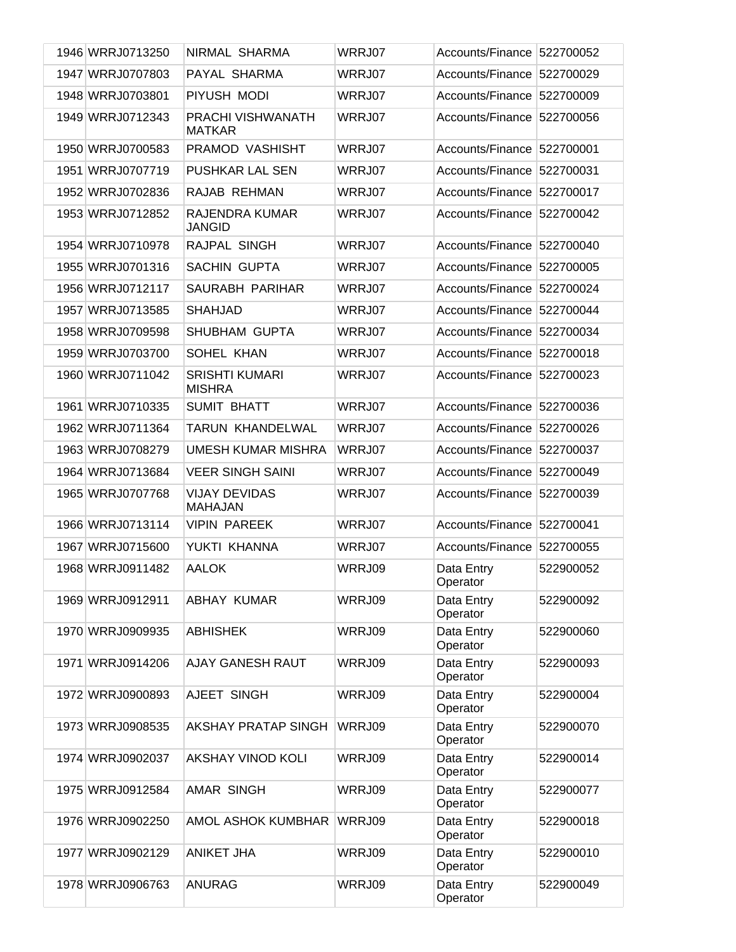| 1946 WRRJ0713250 | NIRMAL SHARMA                          | WRRJ07 | Accounts/Finance 522700052 |           |
|------------------|----------------------------------------|--------|----------------------------|-----------|
| 1947 WRRJ0707803 | PAYAL SHARMA                           | WRRJ07 | Accounts/Finance           | 522700029 |
| 1948 WRRJ0703801 | PIYUSH MODI                            | WRRJ07 | Accounts/Finance           | 522700009 |
| 1949 WRRJ0712343 | PRACHI VISHWANATH<br><b>MATKAR</b>     | WRRJ07 | Accounts/Finance           | 522700056 |
| 1950 WRRJ0700583 | PRAMOD VASHISHT                        | WRRJ07 | Accounts/Finance           | 522700001 |
| 1951 WRRJ0707719 | PUSHKAR LAL SEN                        | WRRJ07 | Accounts/Finance           | 522700031 |
| 1952 WRRJ0702836 | RAJAB REHMAN                           | WRRJ07 | Accounts/Finance           | 522700017 |
| 1953 WRRJ0712852 | <b>RAJENDRA KUMAR</b><br><b>JANGID</b> | WRRJ07 | Accounts/Finance           | 522700042 |
| 1954 WRRJ0710978 | RAJPAL SINGH                           | WRRJ07 | Accounts/Finance           | 522700040 |
| 1955 WRRJ0701316 | <b>SACHIN GUPTA</b>                    | WRRJ07 | Accounts/Finance           | 522700005 |
| 1956 WRRJ0712117 | SAURABH PARIHAR                        | WRRJ07 | Accounts/Finance           | 522700024 |
| 1957 WRRJ0713585 | <b>SHAHJAD</b>                         | WRRJ07 | Accounts/Finance           | 522700044 |
| 1958 WRRJ0709598 | SHUBHAM GUPTA                          | WRRJ07 | Accounts/Finance           | 522700034 |
| 1959 WRRJ0703700 | SOHEL KHAN                             | WRRJ07 | Accounts/Finance           | 522700018 |
| 1960 WRRJ0711042 | <b>SRISHTI KUMARI</b><br><b>MISHRA</b> | WRRJ07 | Accounts/Finance           | 522700023 |
| 1961 WRRJ0710335 | SUMIT BHATT                            | WRRJ07 | Accounts/Finance           | 522700036 |
| 1962 WRRJ0711364 | TARUN KHANDELWAL                       | WRRJ07 | <b>Accounts/Finance</b>    | 522700026 |
| 1963 WRRJ0708279 | UMESH KUMAR MISHRA                     | WRRJ07 | <b>Accounts/Finance</b>    | 522700037 |
| 1964 WRRJ0713684 | <b>VEER SINGH SAINI</b>                | WRRJ07 | <b>Accounts/Finance</b>    | 522700049 |
| 1965 WRRJ0707768 | <b>VIJAY DEVIDAS</b><br><b>MAHAJAN</b> | WRRJ07 | <b>Accounts/Finance</b>    | 522700039 |
| 1966 WRRJ0713114 | <b>VIPIN PAREEK</b>                    | WRRJ07 | Accounts/Finance 522700041 |           |
| 1967 WRRJ0715600 | YUKTI KHANNA                           | WRRJ07 | Accounts/Finance           | 522700055 |
| 1968 WRRJ0911482 | <b>AALOK</b>                           | WRRJ09 | Data Entry<br>Operator     | 522900052 |
| 1969 WRRJ0912911 | ABHAY KUMAR                            | WRRJ09 | Data Entry<br>Operator     | 522900092 |
| 1970 WRRJ0909935 | <b>ABHISHEK</b>                        | WRRJ09 | Data Entry<br>Operator     | 522900060 |
| 1971 WRRJ0914206 | AJAY GANESH RAUT                       | WRRJ09 | Data Entry<br>Operator     | 522900093 |
| 1972 WRRJ0900893 | AJEET SINGH                            | WRRJ09 | Data Entry<br>Operator     | 522900004 |
| 1973 WRRJ0908535 | AKSHAY PRATAP SINGH                    | WRRJ09 | Data Entry<br>Operator     | 522900070 |
| 1974 WRRJ0902037 | AKSHAY VINOD KOLI                      | WRRJ09 | Data Entry<br>Operator     | 522900014 |
| 1975 WRRJ0912584 | <b>AMAR SINGH</b>                      | WRRJ09 | Data Entry<br>Operator     | 522900077 |
| 1976 WRRJ0902250 | AMOL ASHOK KUMBHAR                     | WRRJ09 | Data Entry<br>Operator     | 522900018 |
| 1977 WRRJ0902129 | <b>ANIKET JHA</b>                      | WRRJ09 | Data Entry<br>Operator     | 522900010 |
| 1978 WRRJ0906763 | <b>ANURAG</b>                          | WRRJ09 | Data Entry<br>Operator     | 522900049 |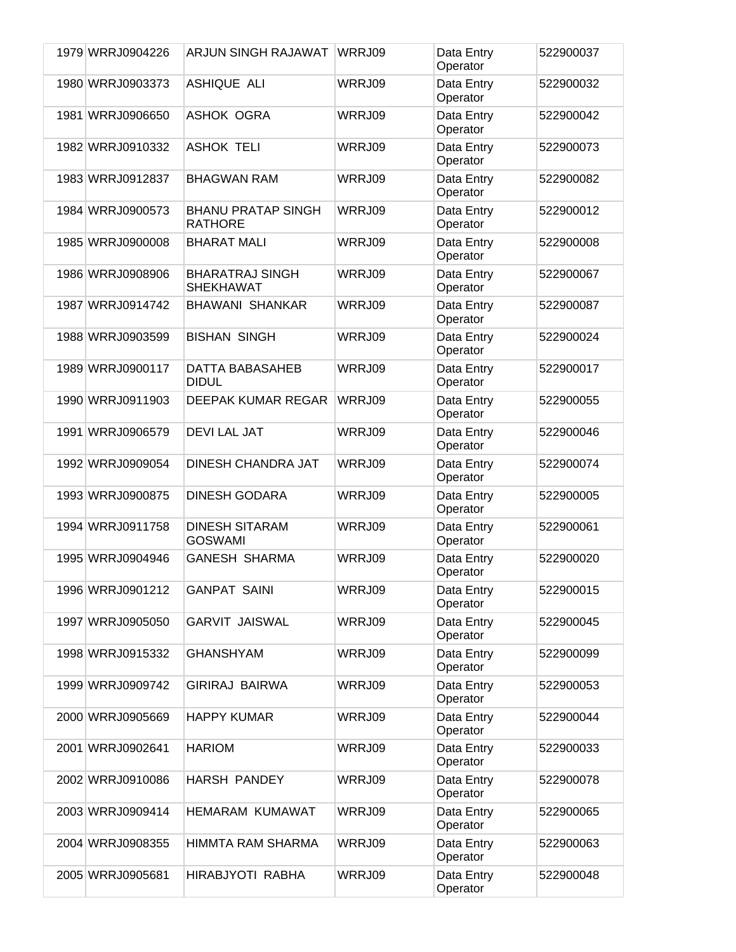| 1979 WRRJ0904226 | ARJUN SINGH RAJAWAT                         | WRRJ09 | Data Entry<br>Operator | 522900037 |
|------------------|---------------------------------------------|--------|------------------------|-----------|
| 1980 WRRJ0903373 | ASHIQUE ALI                                 | WRRJ09 | Data Entry<br>Operator | 522900032 |
| 1981 WRRJ0906650 | ASHOK OGRA                                  | WRRJ09 | Data Entry<br>Operator | 522900042 |
| 1982 WRRJ0910332 | <b>ASHOK TELI</b>                           | WRRJ09 | Data Entry<br>Operator | 522900073 |
| 1983 WRRJ0912837 | <b>BHAGWAN RAM</b>                          | WRRJ09 | Data Entry<br>Operator | 522900082 |
| 1984 WRRJ0900573 | <b>BHANU PRATAP SINGH</b><br><b>RATHORE</b> | WRRJ09 | Data Entry<br>Operator | 522900012 |
| 1985 WRRJ0900008 | <b>BHARAT MALI</b>                          | WRRJ09 | Data Entry<br>Operator | 522900008 |
| 1986 WRRJ0908906 | <b>BHARATRAJ SINGH</b><br><b>SHEKHAWAT</b>  | WRRJ09 | Data Entry<br>Operator | 522900067 |
| 1987 WRRJ0914742 | <b>BHAWANI SHANKAR</b>                      | WRRJ09 | Data Entry<br>Operator | 522900087 |
| 1988 WRRJ0903599 | <b>BISHAN SINGH</b>                         | WRRJ09 | Data Entry<br>Operator | 522900024 |
| 1989 WRRJ0900117 | DATTA BABASAHEB<br><b>DIDUL</b>             | WRRJ09 | Data Entry<br>Operator | 522900017 |
| 1990 WRRJ0911903 | DEEPAK KUMAR REGAR                          | WRRJ09 | Data Entry<br>Operator | 522900055 |
| 1991 WRRJ0906579 | <b>DEVI LAL JAT</b>                         | WRRJ09 | Data Entry<br>Operator | 522900046 |
| 1992 WRRJ0909054 | DINESH CHANDRA JAT                          | WRRJ09 | Data Entry<br>Operator | 522900074 |
| 1993 WRRJ0900875 | <b>DINESH GODARA</b>                        | WRRJ09 | Data Entry<br>Operator | 522900005 |
| 1994 WRRJ0911758 | <b>DINESH SITARAM</b><br><b>GOSWAMI</b>     | WRRJ09 | Data Entry<br>Operator | 522900061 |
| 1995 WRRJ0904946 | <b>GANESH SHARMA</b>                        | WRRJ09 | Data Entry<br>Operator | 522900020 |
| 1996 WRRJ0901212 | <b>GANPAT SAINI</b>                         | WRRJ09 | Data Entry<br>Operator | 522900015 |
| 1997 WRRJ0905050 | <b>GARVIT JAISWAL</b>                       | WRRJ09 | Data Entry<br>Operator | 522900045 |
| 1998 WRRJ0915332 | <b>GHANSHYAM</b>                            | WRRJ09 | Data Entry<br>Operator | 522900099 |
| 1999 WRRJ0909742 | <b>GIRIRAJ BAIRWA</b>                       | WRRJ09 | Data Entry<br>Operator | 522900053 |
| 2000 WRRJ0905669 | <b>HAPPY KUMAR</b>                          | WRRJ09 | Data Entry<br>Operator | 522900044 |
| 2001 WRRJ0902641 | <b>HARIOM</b>                               | WRRJ09 | Data Entry<br>Operator | 522900033 |
| 2002 WRRJ0910086 | <b>HARSH PANDEY</b>                         | WRRJ09 | Data Entry<br>Operator | 522900078 |
| 2003 WRRJ0909414 | <b>HEMARAM KUMAWAT</b>                      | WRRJ09 | Data Entry<br>Operator | 522900065 |
| 2004 WRRJ0908355 | HIMMTA RAM SHARMA                           | WRRJ09 | Data Entry<br>Operator | 522900063 |
| 2005 WRRJ0905681 | HIRABJYOTI RABHA                            | WRRJ09 | Data Entry<br>Operator | 522900048 |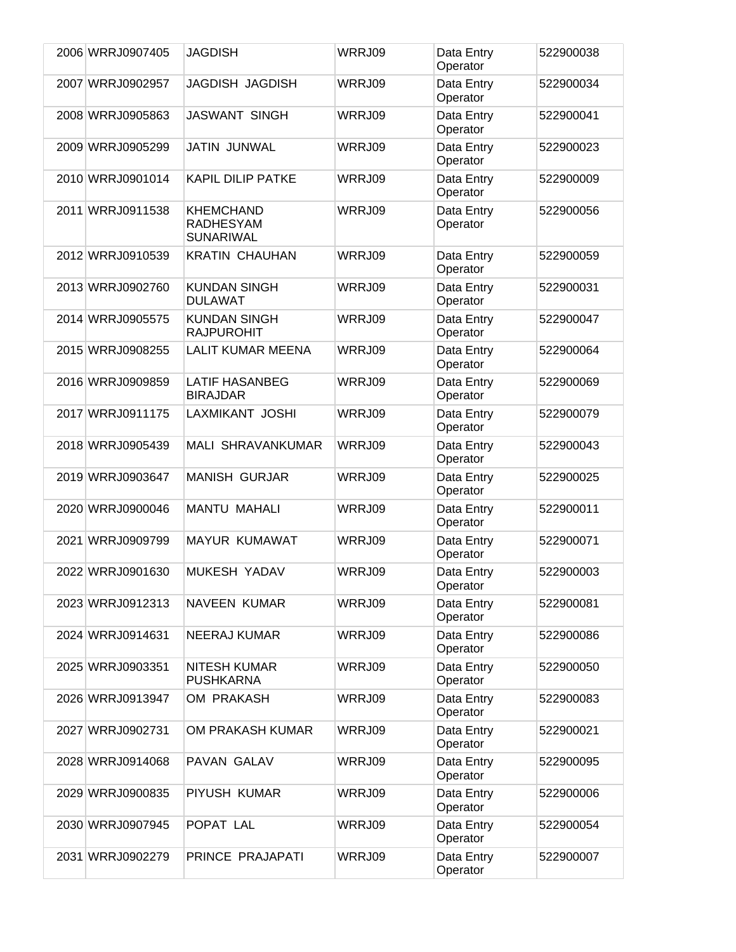| 2006 WRRJ0907405 | <b>JAGDISH</b>                                           | WRRJ09 | Data Entry<br>Operator | 522900038 |
|------------------|----------------------------------------------------------|--------|------------------------|-----------|
| 2007 WRRJ0902957 | <b>JAGDISH JAGDISH</b>                                   | WRRJ09 | Data Entry<br>Operator | 522900034 |
| 2008 WRRJ0905863 | <b>JASWANT SINGH</b>                                     | WRRJ09 | Data Entry<br>Operator | 522900041 |
| 2009 WRRJ0905299 | <b>JATIN JUNWAL</b>                                      | WRRJ09 | Data Entry<br>Operator | 522900023 |
| 2010 WRRJ0901014 | <b>KAPIL DILIP PATKE</b>                                 | WRRJ09 | Data Entry<br>Operator | 522900009 |
| 2011 WRRJ0911538 | <b>KHEMCHAND</b><br><b>RADHESYAM</b><br><b>SUNARIWAL</b> | WRRJ09 | Data Entry<br>Operator | 522900056 |
| 2012 WRRJ0910539 | <b>KRATIN CHAUHAN</b>                                    | WRRJ09 | Data Entry<br>Operator | 522900059 |
| 2013 WRRJ0902760 | <b>KUNDAN SINGH</b><br><b>DULAWAT</b>                    | WRRJ09 | Data Entry<br>Operator | 522900031 |
| 2014 WRRJ0905575 | <b>KUNDAN SINGH</b><br><b>RAJPUROHIT</b>                 | WRRJ09 | Data Entry<br>Operator | 522900047 |
| 2015 WRRJ0908255 | <b>LALIT KUMAR MEENA</b>                                 | WRRJ09 | Data Entry<br>Operator | 522900064 |
| 2016 WRRJ0909859 | <b>LATIF HASANBEG</b><br><b>BIRAJDAR</b>                 | WRRJ09 | Data Entry<br>Operator | 522900069 |
| 2017 WRRJ0911175 | LAXMIKANT JOSHI                                          | WRRJ09 | Data Entry<br>Operator | 522900079 |
| 2018 WRRJ0905439 | MALI SHRAVANKUMAR                                        | WRRJ09 | Data Entry<br>Operator | 522900043 |
| 2019 WRRJ0903647 | <b>MANISH GURJAR</b>                                     | WRRJ09 | Data Entry<br>Operator | 522900025 |
| 2020 WRRJ0900046 | <b>MANTU MAHALI</b>                                      | WRRJ09 | Data Entry<br>Operator | 522900011 |
| 2021 WRRJ0909799 | <b>MAYUR KUMAWAT</b>                                     | WRRJ09 | Data Entry<br>Operator | 522900071 |
| 2022 WRRJ0901630 | MUKESH YADAV                                             | WRRJ09 | Data Entry<br>Operator | 522900003 |
| 2023 WRRJ0912313 | <b>NAVEEN KUMAR</b>                                      | WRRJ09 | Data Entry<br>Operator | 522900081 |
| 2024 WRRJ0914631 | <b>NEERAJ KUMAR</b>                                      | WRRJ09 | Data Entry<br>Operator | 522900086 |
| 2025 WRRJ0903351 | NITESH KUMAR<br><b>PUSHKARNA</b>                         | WRRJ09 | Data Entry<br>Operator | 522900050 |
| 2026 WRRJ0913947 | OM PRAKASH                                               | WRRJ09 | Data Entry<br>Operator | 522900083 |
| 2027 WRRJ0902731 | OM PRAKASH KUMAR                                         | WRRJ09 | Data Entry<br>Operator | 522900021 |
| 2028 WRRJ0914068 | PAVAN GALAV                                              | WRRJ09 | Data Entry<br>Operator | 522900095 |
| 2029 WRRJ0900835 | PIYUSH KUMAR                                             | WRRJ09 | Data Entry<br>Operator | 522900006 |
| 2030 WRRJ0907945 | POPAT LAL                                                | WRRJ09 | Data Entry<br>Operator | 522900054 |
| 2031 WRRJ0902279 | PRINCE PRAJAPATI                                         | WRRJ09 | Data Entry<br>Operator | 522900007 |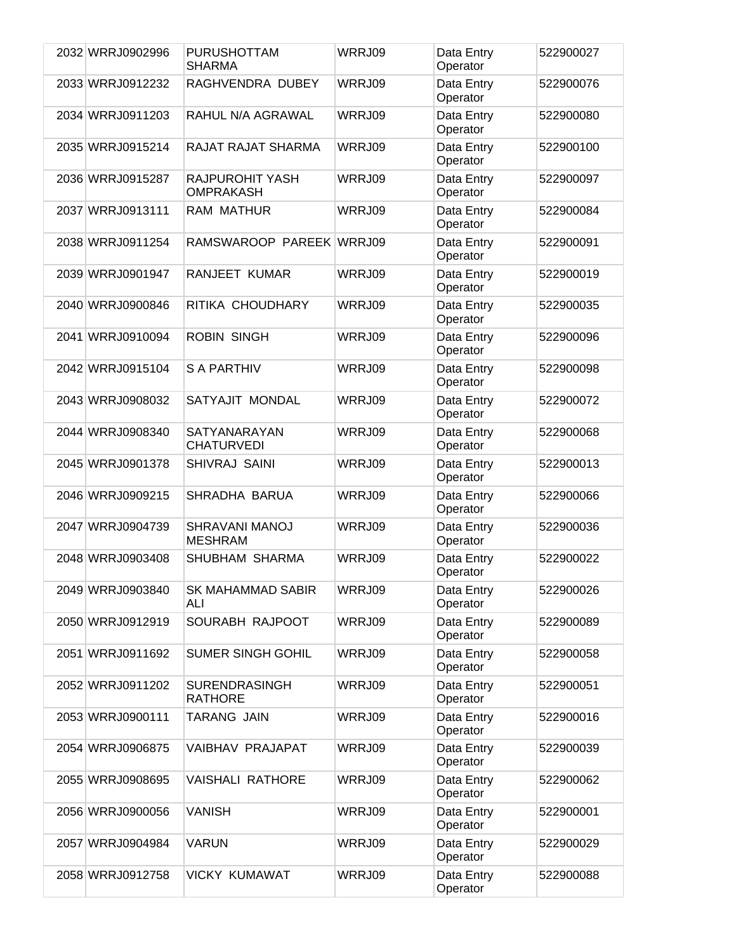| 2032 WRRJ0902996 | <b>PURUSHOTTAM</b><br><b>SHARMA</b>      | WRRJ09 | Data Entry<br>Operator | 522900027 |
|------------------|------------------------------------------|--------|------------------------|-----------|
| 2033 WRRJ0912232 | RAGHVENDRA DUBEY                         | WRRJ09 | Data Entry<br>Operator | 522900076 |
| 2034 WRRJ0911203 | RAHUL N/A AGRAWAL                        | WRRJ09 | Data Entry<br>Operator | 522900080 |
| 2035 WRRJ0915214 | RAJAT RAJAT SHARMA                       | WRRJ09 | Data Entry<br>Operator | 522900100 |
| 2036 WRRJ0915287 | RAJPUROHIT YASH<br><b>OMPRAKASH</b>      | WRRJ09 | Data Entry<br>Operator | 522900097 |
| 2037 WRRJ0913111 | RAM MATHUR                               | WRRJ09 | Data Entry<br>Operator | 522900084 |
| 2038 WRRJ0911254 | RAMSWAROOP PAREEK WRRJ09                 |        | Data Entry<br>Operator | 522900091 |
| 2039 WRRJ0901947 | RANJEET KUMAR                            | WRRJ09 | Data Entry<br>Operator | 522900019 |
| 2040 WRRJ0900846 | RITIKA CHOUDHARY                         | WRRJ09 | Data Entry<br>Operator | 522900035 |
| 2041 WRRJ0910094 | <b>ROBIN SINGH</b>                       | WRRJ09 | Data Entry<br>Operator | 522900096 |
| 2042 WRRJ0915104 | <b>S A PARTHIV</b>                       | WRRJ09 | Data Entry<br>Operator | 522900098 |
| 2043 WRRJ0908032 | SATYAJIT MONDAL                          | WRRJ09 | Data Entry<br>Operator | 522900072 |
| 2044 WRRJ0908340 | <b>SATYANARAYAN</b><br><b>CHATURVEDI</b> | WRRJ09 | Data Entry<br>Operator | 522900068 |
| 2045 WRRJ0901378 | SHIVRAJ SAINI                            | WRRJ09 | Data Entry<br>Operator | 522900013 |
| 2046 WRRJ0909215 | SHRADHA BARUA                            | WRRJ09 | Data Entry<br>Operator | 522900066 |
| 2047 WRRJ0904739 | SHRAVANI MANOJ<br><b>MESHRAM</b>         | WRRJ09 | Data Entry<br>Operator | 522900036 |
| 2048 WRRJ0903408 | SHUBHAM SHARMA                           | WRRJ09 | Data Entry<br>Operator | 522900022 |
| 2049 WRRJ0903840 | <b>SK MAHAMMAD SABIR</b><br>ALI          | WRRJ09 | Data Entry<br>Operator | 522900026 |
| 2050 WRRJ0912919 | SOURABH RAJPOOT                          | WRRJ09 | Data Entry<br>Operator | 522900089 |
| 2051 WRRJ0911692 | <b>SUMER SINGH GOHIL</b>                 | WRRJ09 | Data Entry<br>Operator | 522900058 |
| 2052 WRRJ0911202 | <b>SURENDRASINGH</b><br><b>RATHORE</b>   | WRRJ09 | Data Entry<br>Operator | 522900051 |
| 2053 WRRJ0900111 | <b>TARANG JAIN</b>                       | WRRJ09 | Data Entry<br>Operator | 522900016 |
| 2054 WRRJ0906875 | VAIBHAV PRAJAPAT                         | WRRJ09 | Data Entry<br>Operator | 522900039 |
| 2055 WRRJ0908695 | <b>VAISHALI RATHORE</b>                  | WRRJ09 | Data Entry<br>Operator | 522900062 |
| 2056 WRRJ0900056 | <b>VANISH</b>                            | WRRJ09 | Data Entry<br>Operator | 522900001 |
| 2057 WRRJ0904984 | <b>VARUN</b>                             | WRRJ09 | Data Entry<br>Operator | 522900029 |
| 2058 WRRJ0912758 | <b>VICKY KUMAWAT</b>                     | WRRJ09 | Data Entry<br>Operator | 522900088 |